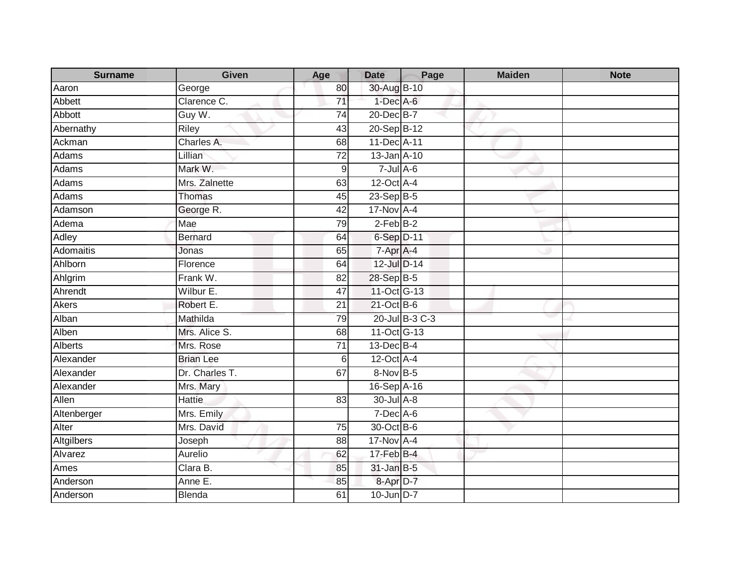| <b>Surname</b> | Given            | Age             | <b>Date</b>       | Page           | <b>Maiden</b> | <b>Note</b> |
|----------------|------------------|-----------------|-------------------|----------------|---------------|-------------|
| Aaron          | George           | 80              | 30-Aug B-10       |                |               |             |
| Abbett         | Clarence C.      | $\overline{71}$ | $1$ -Dec A-6      |                |               |             |
| Abbott         | Guy W.           | 74              | 20-Dec B-7        |                |               |             |
| Abernathy      | Riley            | 43              | 20-Sep B-12       |                |               |             |
| Ackman         | Charles A.       | 68              | 11-Dec A-11       |                |               |             |
| Adams          | Lillian          | 72              | 13-Jan A-10       |                |               |             |
| Adams          | Mark W.          | 9               | $7 -$ Jul $A - 6$ |                |               |             |
| Adams          | Mrs. Zalnette    | 63              | $12$ -Oct $A$ -4  |                |               |             |
| <b>Adams</b>   | Thomas           | 45              | 23-Sep B-5        |                |               |             |
| Adamson        | George R.        | 42              | 17-Nov A-4        |                |               |             |
| Adema          | Mae              | 79              | $2$ -Feb $B-2$    |                |               |             |
| <b>Adley</b>   | Bernard          | 64              | 6-Sep D-11        |                |               |             |
| Adomaitis      | Jonas            | 65              | $7 -$ Apr $A - 4$ |                |               |             |
| Ahlborn        | Florence         | 64              | 12-Jul D-14       |                |               |             |
| Ahlgrim        | Frank W.         | 82              | 28-Sep B-5        |                |               |             |
| Ahrendt        | Wilbur E.        | $\overline{47}$ | 11-Oct G-13       |                |               |             |
| <b>Akers</b>   | Robert E.        | 21              | 21-Oct B-6        |                |               |             |
| Alban          | Mathilda         | 79              |                   | 20-Jul B-3 C-3 |               |             |
| Alben          | Mrs. Alice S.    | 68              | 11-Oct G-13       |                |               |             |
| <b>Alberts</b> | Mrs. Rose        | $\overline{71}$ | 13-Dec B-4        |                |               |             |
| Alexander      | <b>Brian Lee</b> | 6               | 12-Oct A-4        |                |               |             |
| Alexander      | Dr. Charles T.   | 67              | 8-Nov B-5         |                |               |             |
| Alexander      | Mrs. Mary        |                 | 16-Sep A-16       |                |               |             |
| Allen          | Hattie           | 83              | 30-Jul A-8        |                |               |             |
| Altenberger    | Mrs. Emily       |                 | $7$ -Dec $A$ -6   |                |               |             |
| Alter          | Mrs. David       | 75              | 30-Oct B-6        |                |               |             |
| Altgilbers     | Joseph           | 88              | 17-Nov A-4        |                |               |             |
| Alvarez        | Aurelio          | 62              | 17-Feb B-4        |                |               |             |
| Ames           | Clara B.         | 85              | 31-Jan B-5        |                |               |             |
| Anderson       | Anne E.          | 85              | 8-Apr D-7         |                |               |             |
| Anderson       | Blenda           | 61              | 10-Jun D-7        |                |               |             |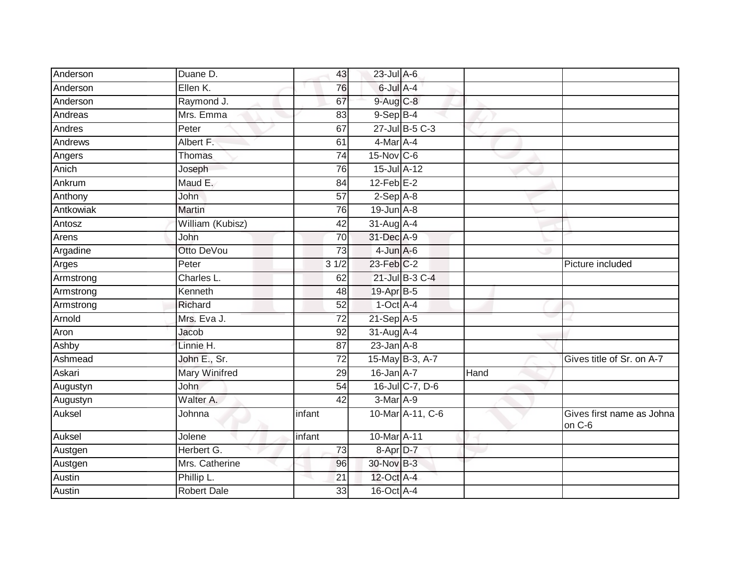| Anderson  | Duane D.           | 43              | 23-Jul A-6        |      |                                     |
|-----------|--------------------|-----------------|-------------------|------|-------------------------------------|
| Anderson  | Ellen K.           | 76              | 6-Jul A-4         |      |                                     |
| Anderson  | Raymond J.         | 67              | $9$ -Aug $C$ -8   |      |                                     |
| Andreas   | Mrs. Emma          | 83              | $9-$ Sep $B-4$    |      |                                     |
| Andres    | Peter              | 67              | 27-Jul B-5 C-3    |      |                                     |
| Andrews   | Albert F.          | 61              | 4-Mar A-4         |      |                                     |
| Angers    | <b>Thomas</b>      | 74              | $15$ -Nov $ C$ -6 |      |                                     |
| Anich     | Joseph             | 76              | 15-Jul A-12       |      |                                     |
| Ankrum    | Maud E.            | 84              | $12$ -Feb $E-2$   |      |                                     |
| Anthony   | John               | 57              | $2-Sep$ $A-8$     |      |                                     |
| Antkowiak | <b>Martin</b>      | 76              | $19$ -Jun $A-8$   |      |                                     |
| Antosz    | William (Kubisz)   | 42              | $31$ -Aug $A$ -4  |      |                                     |
| Arens     | John               | 70              | 31-Dec A-9        |      |                                     |
| Argadine  | Otto DeVou         | 73              | $4$ -Jun $A$ -6   |      |                                     |
| Arges     | Peter              | $3 \frac{1}{2}$ | 23-Feb C-2        |      | Picture included                    |
| Armstrong | Charles L.         | 62              | 21-Jul B-3 C-4    |      |                                     |
| Armstrong | Kenneth            | 48              | 19-Apr B-5        |      |                                     |
| Armstrong | Richard            | 52              | $1$ -Oct $A$ -4   |      |                                     |
| Arnold    | Mrs. Eva J.        | 72              | 21-Sep A-5        |      |                                     |
| Aron      | Jacob              | 92              | 31-Aug A-4        |      |                                     |
| Ashby     | Linnie H.          | $\overline{87}$ | $23$ -Jan $A-8$   |      |                                     |
| Ashmead   | John E., Sr.       | $\overline{72}$ | 15-May B-3, A-7   |      | Gives title of Sr. on A-7           |
| Askari    | Mary Winifred      | 29              | $16$ -Jan $A-7$   | Hand |                                     |
| Augustyn  | <b>John</b>        | 54              | 16-Jul C-7, D-6   |      |                                     |
| Augustyn  | Walter A.          | $\overline{42}$ | 3-Mar A-9         |      |                                     |
| Auksel    | Johnna             | infant          | 10-Mar A-11, C-6  |      | Gives first name as Johna<br>on C-6 |
| Auksel    | Jolene             | infant          | 10-Mar A-11       |      |                                     |
| Austgen   | Herbert G.         | 73              | 8-Apr D-7         |      |                                     |
| Austgen   | Mrs. Catherine     | 96              | 30-Nov B-3        |      |                                     |
| Austin    | Phillip L.         | 21              | 12-Oct A-4        |      |                                     |
| Austin    | <b>Robert Dale</b> | 33              | 16-Oct A-4        |      |                                     |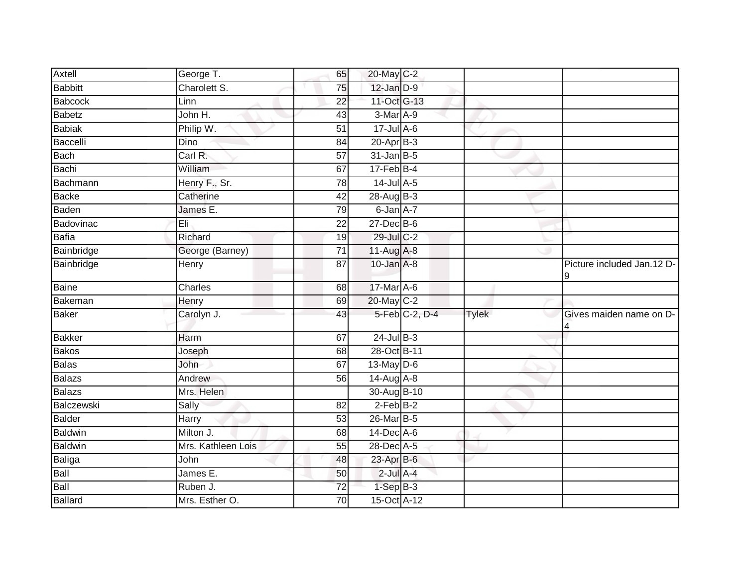| Axtell         | George T.          | 65              | 20-May C-2       |                |              |                                 |
|----------------|--------------------|-----------------|------------------|----------------|--------------|---------------------------------|
| <b>Babbitt</b> | Charolett S.       | 75              | $12$ -Jan $D-9$  |                |              |                                 |
| Babcock        | Linn               | $\overline{22}$ | 11-Oct G-13      |                |              |                                 |
| Babetz         | John H.            | 43              | 3-Mar A-9        |                |              |                                 |
| <b>Babiak</b>  | Philip W.          | $\overline{51}$ | $17 -$ Jul A-6   |                |              |                                 |
| Baccelli       | Dino               | 84              | $20 - Apr$ B-3   |                |              |                                 |
| <b>Bach</b>    | Carl R.            | 57              | $31$ -Jan $B-5$  |                |              |                                 |
| Bachi          | William            | 67              | $17$ -Feb $B$ -4 |                |              |                                 |
| Bachmann       | Henry F., Sr.      | 78              | $14$ -Jul A-5    |                |              |                                 |
| Backe          | Catherine          | 42              | 28-Aug B-3       |                |              |                                 |
| Baden          | James E.           | 79              | 6-Jan A-7        |                |              |                                 |
| Badovinac      | Eli                | 22              | 27-Dec B-6       |                |              |                                 |
| <b>Bafia</b>   | Richard            | 19              | 29-Jul C-2       |                |              |                                 |
| Bainbridge     | George (Barney)    | 71              | 11-Aug A-8       |                |              |                                 |
| Bainbridge     | Henry              | $\overline{87}$ | $10$ -Jan $A-8$  |                |              | Picture included Jan.12 D-<br>9 |
| Baine          | Charles            | 68              | 17-Mar A-6       |                |              |                                 |
| Bakeman        | Henry              | 69              | 20-May C-2       |                |              |                                 |
| <b>Baker</b>   | Carolyn J.         | 43              |                  | 5-Feb C-2, D-4 | <b>Tylek</b> | Gives maiden name on D-         |
| <b>Bakker</b>  | Harm               | 67              | $24$ -Jul $B-3$  |                |              |                                 |
| <b>Bakos</b>   | Joseph             | 68              | 28-Oct B-11      |                |              |                                 |
| Balas          | John               | 67              | 13-May D-6       |                |              |                                 |
| Balazs         | Andrew             | 56              | $14$ -Aug A-8    |                |              |                                 |
| Balazs         | Mrs. Helen         |                 | 30-Aug B-10      |                |              |                                 |
| Balczewski     | Sally              | 82              | $2-Feb$ B-2      |                |              |                                 |
| <b>Balder</b>  | <b>Harry</b>       | 53              | 26-Mar B-5       |                |              |                                 |
| Baldwin        | Milton J.          | 68              | 14-Dec A-6       |                |              |                                 |
| Baldwin        | Mrs. Kathleen Lois | 55              | 28-Dec A-5       |                |              |                                 |
| Baliga         | John               | 48              | 23-Apr B-6       |                |              |                                 |
| Ball           | James E.           | 50              | $2$ -Jul $A-4$   |                |              |                                 |
| Ball           | Ruben J.           | $\overline{72}$ | $1-SepB-3$       |                |              |                                 |
| Ballard        | Mrs. Esther O.     | 70              | 15-Oct A-12      |                |              |                                 |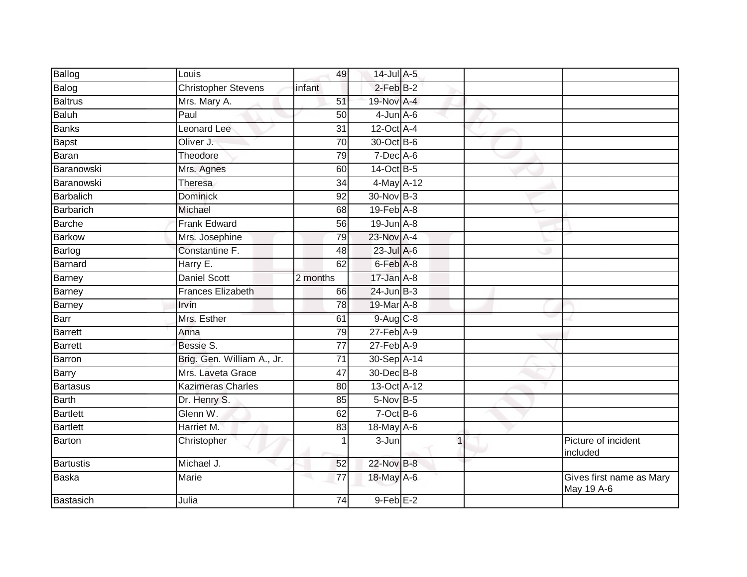| Ballog           | Louis                      | 49              | 14-Jul A-5                 |             |                                        |
|------------------|----------------------------|-----------------|----------------------------|-------------|----------------------------------------|
| Balog            | <b>Christopher Stevens</b> | infant          | $2$ -Feb $B-2$             |             |                                        |
| <b>Baltrus</b>   | Mrs. Mary A.               | $\overline{51}$ | 19-Nov A-4                 |             |                                        |
| Baluh            | Paul                       | 50              | $4$ -Jun $A$ -6            |             |                                        |
| <b>Banks</b>     | Leonard Lee                | $\overline{31}$ | $12$ -Oct $A$ -4           |             |                                        |
| <b>Bapst</b>     | Oliver J.                  | $\overline{70}$ | 30-Oct B-6                 |             |                                        |
| Baran            | Theodore                   | 79              | $7$ -Dec $A$ -6            |             |                                        |
| Baranowski       | Mrs. Agnes                 | 60              | 14-Oct B-5                 |             |                                        |
| Baranowski       | Theresa                    | 34              | 4-May A-12                 |             |                                        |
| Barbalich        | <b>Dominick</b>            | 92              | 30-Nov B-3                 |             |                                        |
| Barbarich        | Michael                    | 68              | $19$ -Feb $A$ -8           |             |                                        |
| <b>Barche</b>    | <b>Frank Edward</b>        | 56              | $19$ -Jun $A-8$            |             |                                        |
| Barkow           | Mrs. Josephine             | 79              | 23-Nov A-4                 |             |                                        |
| Barlog           | Constantine F.             | 48              | 23-Jul A-6                 |             |                                        |
| <b>Barnard</b>   | Harry E.                   | 62              | $6$ -Feb $\overline{A}$ -8 |             |                                        |
| Barney           | <b>Daniel Scott</b>        | 2 months        | $17 - Jan$ $A-8$           |             |                                        |
| Barney           | Frances Elizabeth          | 66              | $24$ -Jun $B-3$            |             |                                        |
| Barney           | Irvin                      | 78              | 19-Mar A-8                 |             |                                        |
| Barr             | Mrs. Esther                | 61              | $9$ -Aug $C$ -8            |             |                                        |
| <b>Barrett</b>   | Anna                       | 79              | $27$ -Feb $A-9$            |             |                                        |
| Barrett          | Bessie S.                  | 77              | 27-Feb A-9                 |             |                                        |
| Barron           | Brig. Gen. William A., Jr. | 71              | 30-Sep A-14                |             |                                        |
| Barry            | Mrs. Laveta Grace          | 47              | 30-Dec B-8                 |             |                                        |
| Bartasus         | <b>Kazimeras Charles</b>   | 80              | 13-Oct A-12                |             |                                        |
| <b>Barth</b>     | Dr. Henry S.               | 85              | $5$ -Nov B-5               |             |                                        |
| Bartlett         | Glenn W.                   | 62              | $7$ -Oct B-6               |             |                                        |
| Bartlett         | Harriet M.                 | 83              | 18-May A-6                 |             |                                        |
| Barton           | Christopher                |                 | 3-Jun                      | $\mathbf 1$ | Picture of incident<br>included        |
| <b>Bartustis</b> | Michael J.                 | 52              | 22-Nov B-8                 |             |                                        |
| Baska            | <b>Marie</b>               | 77              | 18-May A-6                 |             | Gives first name as Mary<br>May 19 A-6 |
| Bastasich        | Julia                      | 74              | $9$ -Feb $E-2$             |             |                                        |
|                  |                            |                 |                            |             |                                        |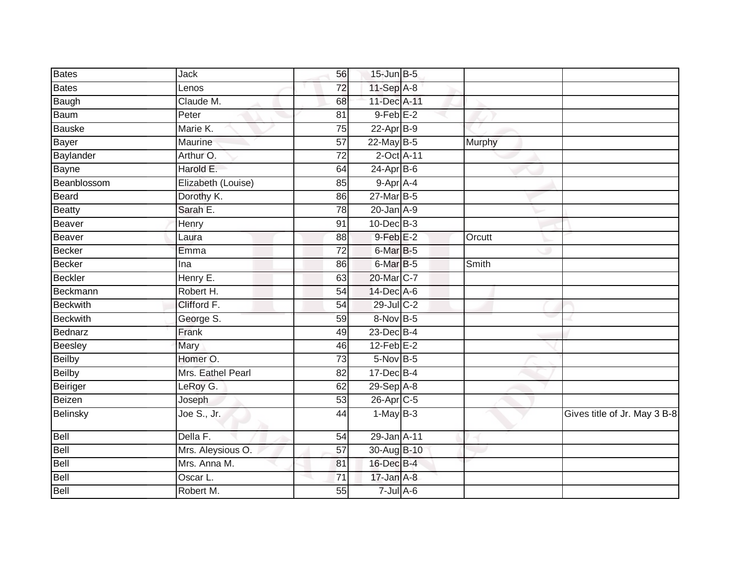| Bates           | Jack                             | 56              | $15$ -Jun $B - 5$    |        |                              |
|-----------------|----------------------------------|-----------------|----------------------|--------|------------------------------|
| Bates           | Lenos                            | 72              | 11-Sep A-8           |        |                              |
| Baugh           | Claude M.                        | 68              | 11-Dec A-11          |        |                              |
| Baum            | Peter                            | 81              | $9$ -Feb $E-2$       |        |                              |
| Bauske          | Marie K.                         | 75              | $22$ -Apr $B-9$      |        |                              |
| Bayer           | Maurine                          | 57              | 22-May B-5           | Murphy |                              |
| Baylander       | Arthur O.                        | 72              | 2-Oct A-11           |        |                              |
| Bayne           | Harold E.                        | 64              | $24-AprB-6$          |        |                              |
| Beanblossom     | Elizabeth (Louise)               | 85              | 9-Apr A-4            |        |                              |
| Beard           | Dorothy K.                       | 86              | 27-Mar B-5           |        |                              |
| Beatty          | Sarah E.                         | 78              | $20$ -Jan $A-9$      |        |                              |
| Beaver          | Henry                            | 91              | 10-Dec B-3           |        |                              |
| Beaver          | Laura                            | 88              | $9$ -Feb $E-2$       | Orcutt |                              |
| Becker          | Emma                             | 72              | 6-Mar B-5            |        |                              |
| Becker          | Ina                              | 86              | 6-Mar <sub>B-5</sub> | Smith  |                              |
| Beckler         | Henry E.                         | 63              | 20-Mar C-7           |        |                              |
| Beckmann        | Robert H.                        | 54              | 14-Dec A-6           |        |                              |
| <b>Beckwith</b> | Clifford F.                      | 54              | 29-Jul C-2           |        |                              |
| <b>Beckwith</b> | George S.                        | 59              | 8-Nov B-5            |        |                              |
| Bednarz         | Frank                            | 49              | $23$ -Dec $B-4$      |        |                              |
| Beesley         | Mary                             | 46              | $12$ -Feb $E-2$      |        |                              |
| Beilby          | Homer O.                         | $\overline{73}$ | 5-Nov B-5            |        |                              |
| Beilby          | Mrs. Eathel Pearl                | 82              | 17-Dec B-4           |        |                              |
| Beiriger        | LeRoy G.                         | 62              | 29-Sep A-8           |        |                              |
| Beizen          | Joseph                           | 53              | 26-Apr C-5           |        |                              |
| Belinsky        | $\overline{\text{Joe S}}$ ., Jr. | 44              | $1-MayB-3$           |        | Gives title of Jr. May 3 B-8 |
| Bell            | Della F.                         | 54              | 29-Jan A-11          |        |                              |
| Bell            | Mrs. Aleysious O.                | $\overline{57}$ | 30-Aug B-10          |        |                              |
| Bell            | Mrs. Anna M.                     | 81              | 16-Dec B-4           |        |                              |
| Bell            | Oscar L.                         | 71              | $17 - Jan A - 8$     |        |                              |
| Bell            | Robert M.                        | 55              | $7 -$ Jul $A - 6$    |        |                              |
|                 |                                  |                 |                      |        |                              |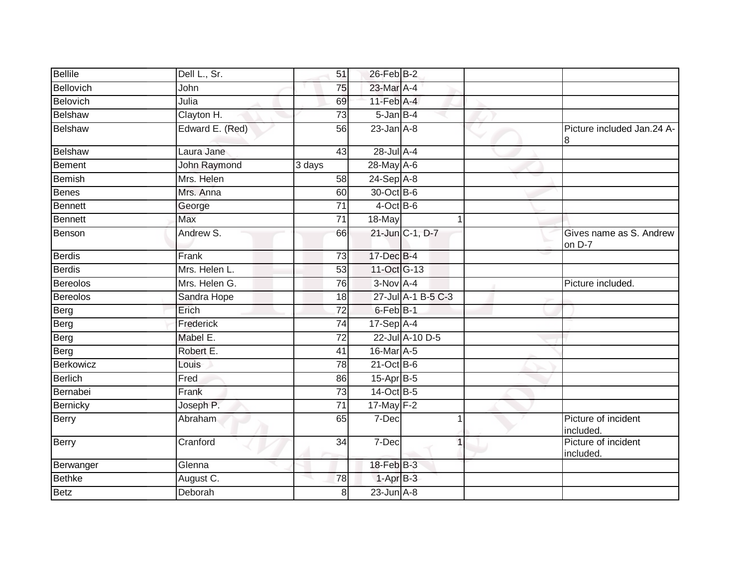| <b>Bellile</b>  | Dell L., Sr.    | 51              | $26$ -Feb $B-2$   |                    |                                   |
|-----------------|-----------------|-----------------|-------------------|--------------------|-----------------------------------|
| Bellovich       | John            | 75              | 23-Mar A-4        |                    |                                   |
| Belovich        | Julia           | 69              | $11$ -Feb $A$ -4  |                    |                                   |
| <b>Belshaw</b>  | Clayton H.      | $\overline{73}$ | $5 - Jan$ $B - 4$ |                    |                                   |
| <b>Belshaw</b>  | Edward E. (Red) | 56              | $23$ -Jan $A-8$   |                    | Picture included Jan.24 A-<br>8   |
| Belshaw         | Laura Jane      | 43              | 28-Jul A-4        |                    |                                   |
| Bement          | John Raymond    | 3 days          | 28-May A-6        |                    |                                   |
| <b>Bemish</b>   | Mrs. Helen      | 58              | $24-Sep$ A-8      |                    |                                   |
| <b>Benes</b>    | Mrs. Anna       | 60              | 30-Oct B-6        |                    |                                   |
| <b>Bennett</b>  | George          | 71              | $4$ -Oct B-6      |                    |                                   |
| <b>Bennett</b>  | <b>Max</b>      | $\overline{71}$ | 18-May            |                    |                                   |
| Benson          | Andrew S.       | 66              |                   | 21-Jun C-1, D-7    | Gives name as S. Andrew<br>on D-7 |
| Berdis          | Frank           | $\overline{73}$ | 17-Dec B-4        |                    |                                   |
| <b>Berdis</b>   | Mrs. Helen L.   | 53              | 11-Oct G-13       |                    |                                   |
| <b>Bereolos</b> | Mrs. Helen G.   | 76              | $3-Nov$ A-4       |                    | Picture included.                 |
| <b>Bereolos</b> | Sandra Hope     | 18              |                   | 27-Jul A-1 B-5 C-3 |                                   |
| Berg            | Erich           | $\overline{72}$ | $6$ -Feb $B-1$    |                    |                                   |
| Berg            | Frederick       | $\overline{74}$ | $17-Sep$ A-4      |                    |                                   |
| Berg            | Mabel E.        | $\overline{72}$ |                   | 22-Jul A-10 D-5    |                                   |
| Berg            | Robert E.       | 41              | 16-Mar A-5        |                    |                                   |
| Berkowicz       | Louis           | 78              | $21$ -Oct B-6     |                    |                                   |
| Berlich         | Fred            | 86              | 15-Apr B-5        |                    |                                   |
| Bernabei        | Frank           | 73              | 14-Oct B-5        |                    |                                   |
| Bernicky        | Joseph P.       | 71              | 17-May F-2        |                    |                                   |
| Berry           | Abraham         | 65              | 7-Dec             | 1                  | Picture of incident<br>included.  |
| Berry           | Cranford        | $\overline{34}$ | 7-Dec             | $\mathbf 1$        | Picture of incident<br>included.  |
| Berwanger       | Glenna          |                 | 18-Feb B-3        |                    |                                   |
| <b>Bethke</b>   | August C.       | 78              | $1-AprB-3$        |                    |                                   |
| Betz            | Deborah         | 8               | $23$ -Jun $A-8$   |                    |                                   |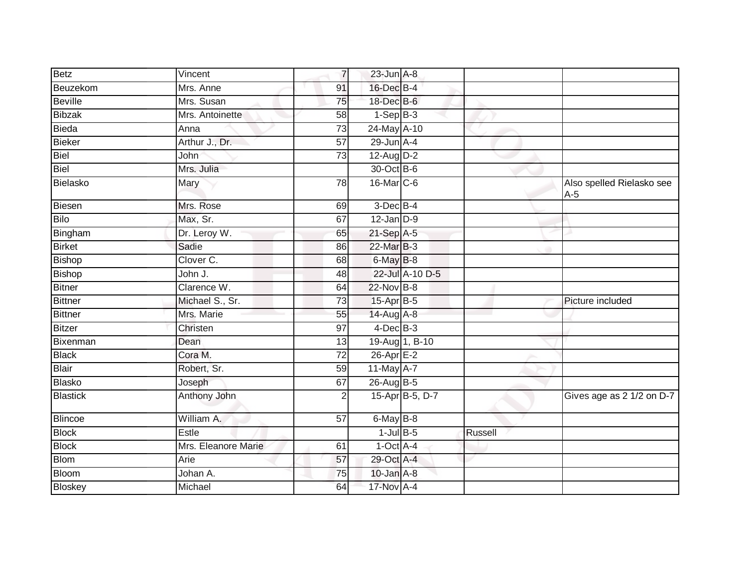| <b>Betz</b>     | Vincent             | $\overline{7}$  | $23$ -Jun $A-8$       |                 |         |                                    |
|-----------------|---------------------|-----------------|-----------------------|-----------------|---------|------------------------------------|
| Beuzekom        | Mrs. Anne           | 91              | 16-Dec B-4            |                 |         |                                    |
| <b>Beville</b>  | Mrs. Susan          | 75              | 18-Dec B-6            |                 |         |                                    |
| <b>Bibzak</b>   | Mrs. Antoinette     | 58              | $1-SepB-3$            |                 |         |                                    |
| <b>Bieda</b>    | Anna                | $\overline{73}$ | 24-May A-10           |                 |         |                                    |
| <b>Bieker</b>   | Arthur J., Dr.      | 57              | $29$ -Jun $A-4$       |                 |         |                                    |
| Biel            | John                | $\overline{73}$ | $12$ -Aug D-2         |                 |         |                                    |
| Biel            | Mrs. Julia          |                 | 30-Oct B-6            |                 |         |                                    |
| Bielasko        | Mary                | 78              | 16-Mar C-6            |                 |         | Also spelled Rielasko see<br>$A-5$ |
| <b>Biesen</b>   | Mrs. Rose           | 69              | 3-Dec B-4             |                 |         |                                    |
| <b>Bilo</b>     | Max, Sr.            | 67              | $12$ -Jan $D-9$       |                 |         |                                    |
| Bingham         | Dr. Leroy W.        | 65              | 21-Sep A-5            |                 |         |                                    |
| <b>Birket</b>   | Sadie               | 86              | 22-Mar B-3            |                 |         |                                    |
| <b>Bishop</b>   | Clover C.           | 68              | 6-May B-8             |                 |         |                                    |
| <b>Bishop</b>   | John J.             | 48              |                       | 22-Jul A-10 D-5 |         |                                    |
| <b>Bitner</b>   | Clarence W.         | 64              | 22-Nov B-8            |                 |         |                                    |
| <b>Bittner</b>  | Michael S., Sr.     | 73              | 15-Apr B-5            |                 |         | Picture included                   |
| <b>Bittner</b>  | Mrs. Marie          | 55              | 14-Aug A-8            |                 |         |                                    |
| <b>Bitzer</b>   | Christen            | $\overline{97}$ | $4$ -Dec $B-3$        |                 |         |                                    |
| Bixenman        | Dean                | 13              | 19-Aug 1, B-10        |                 |         |                                    |
| <b>Black</b>    | Cora M.             | $\overline{72}$ | 26-Apr <sub>E-2</sub> |                 |         |                                    |
| <b>Blair</b>    | Robert, Sr.         | 59              | 11-May A-7            |                 |         |                                    |
| <b>Blasko</b>   | Joseph              | 67              | 26-Aug B-5            |                 |         |                                    |
| <b>Blastick</b> | Anthony John        | $\overline{2}$  |                       | 15-Apr B-5, D-7 |         | Gives age as 2 1/2 on D-7          |
| <b>Blincoe</b>  | William A.          | 57              | 6-May B-8             |                 |         |                                    |
| <b>Block</b>    | Estle               |                 | $1$ -Jul $B$ -5       |                 | Russell |                                    |
| <b>Block</b>    | Mrs. Eleanore Marie | 61              | $1-Oct$ A-4           |                 |         |                                    |
| <b>Blom</b>     | Arie                | 57              | 29-Oct A-4            |                 |         |                                    |
| <b>Bloom</b>    | Johan A.            | 75              | $10$ -Jan $A-8$       |                 |         |                                    |
| <b>Bloskey</b>  | Michael             | 64              | 17-Nov A-4            |                 |         |                                    |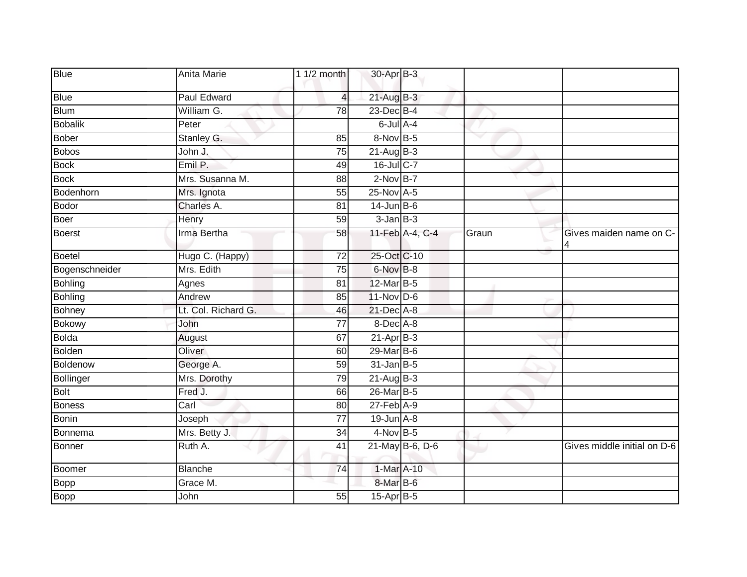| <b>Blue</b>    | Anita Marie         | 1 $1/2$ month   | 30-Apr B-3        |                 |       |                              |
|----------------|---------------------|-----------------|-------------------|-----------------|-------|------------------------------|
| <b>Blue</b>    | <b>Paul Edward</b>  | 4               | $21$ -Aug $B-3$   |                 |       |                              |
| <b>Blum</b>    | William G.          | $\overline{78}$ | 23-Dec B-4        |                 |       |                              |
| <b>Bobalik</b> | Peter               |                 | 6-Jul A-4         |                 |       |                              |
| <b>Bober</b>   | Stanley G.          | 85              | 8-Nov B-5         |                 | v     |                              |
| <b>Bobos</b>   | John J.             | 75              | $21 - Aug$ $B-3$  |                 |       |                              |
| <b>Bock</b>    | Emil P.             | 49              | 16-Jul C-7        |                 |       |                              |
| <b>Bock</b>    | Mrs. Susanna M.     | $\overline{88}$ | $2-Nov$ B-7       |                 |       |                              |
| Bodenhorn      | Mrs. Ignota         | 55              | 25-Nov A-5        |                 |       |                              |
| <b>Bodor</b>   | Charles A.          | 81              | $14$ -Jun B-6     |                 |       |                              |
| Boer           | Henry               | 59              | $3$ -Jan $B-3$    |                 |       |                              |
| <b>Boerst</b>  | Irma Bertha         | 58              |                   | 11-Feb A-4, C-4 | Graun | Gives maiden name on C-<br>4 |
| <b>Boetel</b>  | Hugo C. (Happy)     | $\overline{72}$ | 25-Oct C-10       |                 |       |                              |
| Bogenschneider | Mrs. Edith          | 75              | 6-Nov B-8         |                 |       |                              |
| Bohling        | Agnes               | 81              | 12-Mar B-5        |                 |       |                              |
| <b>Bohling</b> | Andrew              | 85              | $11$ -Nov D-6     |                 |       |                              |
| <b>Bohney</b>  | Lt. Col. Richard G. | 46              | 21-Dec A-8        |                 |       |                              |
| <b>Bokowy</b>  | John                | $\overline{77}$ | 8-Dec A-8         |                 |       |                              |
| <b>Bolda</b>   | August              | 67              | $21-Apr$ B-3      |                 |       |                              |
| <b>Bolden</b>  | Oliver              | 60              | 29-Mar B-6        |                 |       |                              |
| Boldenow       | George A.           | 59              | $31$ -Jan B-5     |                 |       |                              |
| Bollinger      | Mrs. Dorothy        | 79              | $21 - Aug$ $B-3$  |                 |       |                              |
| <b>Bolt</b>    | Fred J.             | 66              | 26-Mar B-5        |                 |       |                              |
| <b>Boness</b>  | Carl                | 80              | $27$ -Feb $A-9$   |                 |       |                              |
| <b>Bonin</b>   | Joseph              | $\overline{77}$ | $19$ -Jun $A - 8$ |                 |       |                              |
| Bonnema        | Mrs. Betty J.       | 34              | $4-Nov$ B-5       |                 |       |                              |
| Bonner         | Ruth A.             | 41              |                   | 21-May B-6, D-6 |       | Gives middle initial on D-6  |
| Boomer         | <b>Blanche</b>      | 74              | 1-Mar A-10        |                 |       |                              |
| Bopp           | Grace M.            |                 | 8-Mar B-6         |                 |       |                              |
| <b>Bopp</b>    | John                | $\overline{55}$ | 15-Apr B-5        |                 |       |                              |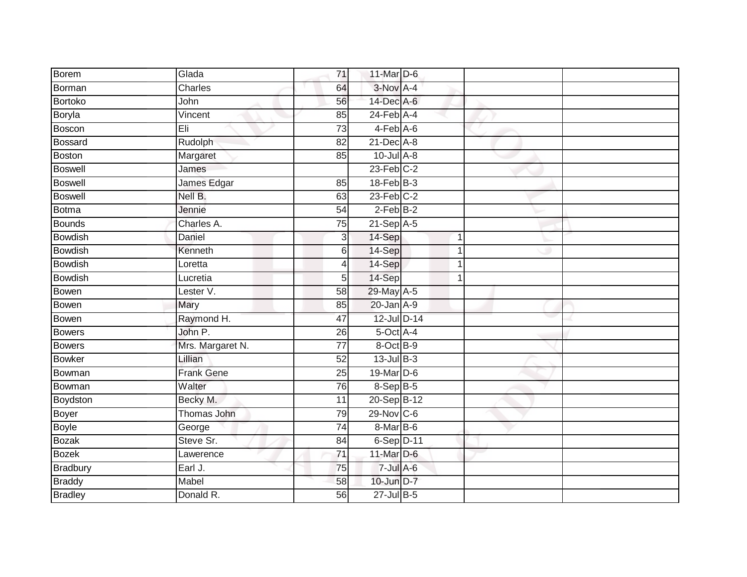| Borem           | Glada             | 71              | 11-Mar D-6        |             |  |
|-----------------|-------------------|-----------------|-------------------|-------------|--|
| Borman          | Charles           | 64              | $3-Nov$ A-4       |             |  |
|                 |                   |                 |                   |             |  |
| <b>Bortoko</b>  | John              | 56              | 14-Dec A-6        |             |  |
| Boryla          | Vincent           | 85              | $24$ -Feb $A$ -4  |             |  |
| Boscon          | Eli               | $\overline{73}$ | $4-Feb$ A-6       |             |  |
| <b>Bossard</b>  | Rudolph           | 82              | $21$ -Dec $A-8$   |             |  |
| <b>Boston</b>   | Margaret          | 85              | $10$ -Jul $A-8$   |             |  |
| <b>Boswell</b>  | James             |                 | $23$ -Feb $C-2$   |             |  |
| <b>Boswell</b>  | James Edgar       | 85              | $18$ -Feb $ B-3 $ |             |  |
| <b>Boswell</b>  | Nell B.           | 63              | $23$ -Feb $C-2$   |             |  |
| <b>Botma</b>    | Jennie            | 54              | $2$ -Feb $B-2$    |             |  |
| <b>Bounds</b>   | Charles A.        | $\overline{75}$ | $21-Sep$ A-5      |             |  |
| <b>Bowdish</b>  | Daniel            | 3               | 14-Sep            | $\mathbf 1$ |  |
| <b>Bowdish</b>  | Kenneth           | 6               | 14-Sep            | 1           |  |
| <b>Bowdish</b>  | Loretta           | 4               | 14-Sep            | $\mathbf 1$ |  |
| <b>Bowdish</b>  | Lucretia          | 5               | 14-Sep            | 1           |  |
| <b>Bowen</b>    | Lester V.         | $\overline{58}$ | 29-May A-5        |             |  |
| <b>Bowen</b>    | Mary              | 85              | $20$ -Jan $A-9$   |             |  |
| <b>Bowen</b>    | Raymond H.        | 47              | 12-Jul D-14       |             |  |
| <b>Bowers</b>   | John P.           | 26              | 5-Oct A-4         |             |  |
| <b>Bowers</b>   | Mrs. Margaret N.  | 77              | 8-Oct B-9         |             |  |
| <b>Bowker</b>   | Lillian           | 52              | $13$ -Jul $B-3$   |             |  |
| Bowman          | <b>Frank Gene</b> | 25              | 19-Mar D-6        |             |  |
| Bowman          | Walter            | 76              | $8-Sep$ $B-5$     |             |  |
| Boydston        | Becky M.          | 11              | 20-Sep B-12       |             |  |
| Boyer           | Thomas John       | 79              | 29-Nov C-6        |             |  |
| <b>Boyle</b>    | George            | 74              | 8-Mar B-6         |             |  |
| <b>Bozak</b>    | Steve Sr.         | 84              | 6-Sep D-11        |             |  |
| <b>Bozek</b>    | Lawerence         | 71              | 11-Mar D-6        |             |  |
| <b>Bradbury</b> | Earl J.           | 75              | $7$ -Jul A-6      |             |  |
| <b>Braddy</b>   | Mabel             | 58              | 10-Jun D-7        |             |  |
| <b>Bradley</b>  | Donald R.         | 56              | $27 -$ Jul B-5    |             |  |
|                 |                   |                 |                   |             |  |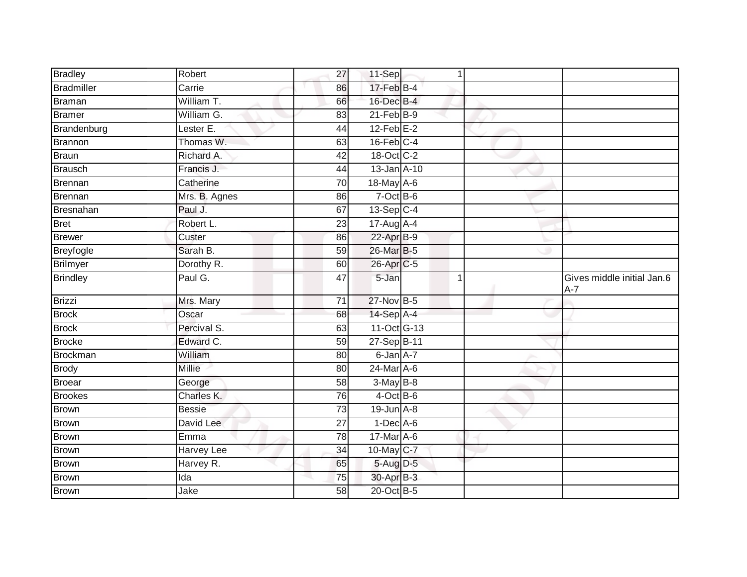| <b>Bradley</b>    | Robert        | 27              | 11-Sep                  | $\mathbf 1$ |                                     |
|-------------------|---------------|-----------------|-------------------------|-------------|-------------------------------------|
| <b>Bradmiller</b> | Carrie        | 86              | 17-Feb B-4              |             |                                     |
| <b>Braman</b>     | William T.    | 66              | 16-Dec B-4              |             |                                     |
| <b>Bramer</b>     | William G.    | 83              | $21$ -Feb $B-9$         |             |                                     |
| Brandenburg       | Lester E.     | 44              | $12$ -Feb $E-2$         |             |                                     |
| Brannon           | Thomas W.     | 63              | $16$ -Feb $C-4$         |             |                                     |
| <b>Braun</b>      | Richard A.    | 42              | 18-Oct C-2              |             |                                     |
| <b>Brausch</b>    | Francis J.    | 44              | 13-Jan A-10             |             |                                     |
| Brennan           | Catherine     | 70              | $18$ -May A-6           |             |                                     |
| <b>Brennan</b>    | Mrs. B. Agnes | 86              | $7$ -Oct $B$ -6         |             |                                     |
| Bresnahan         | Paul J.       | 67              | $13-Sep$ C-4            |             |                                     |
| <b>Bret</b>       | Robert L.     | 23              | $17-Au\overline{g}$ A-4 |             |                                     |
| <b>Brewer</b>     | Custer        | 86              | 22-Apr B-9              |             |                                     |
| <b>Breyfogle</b>  | Sarah B.      | 59              | 26-Mar B-5              |             |                                     |
| <b>Brilmyer</b>   | Dorothy R.    | 60              | 26-Apr C-5              |             |                                     |
| <b>Brindley</b>   | Paul G.       | 47              | 5-Jan                   | 1           | Gives middle initial Jan.6<br>$A-7$ |
| Brizzi            | Mrs. Mary     | $\overline{71}$ | 27-Nov B-5              |             |                                     |
| <b>Brock</b>      | Oscar         | 68              | 14-Sep A-4              |             |                                     |
| <b>Brock</b>      | Percival S.   | 63              | 11-Oct G-13             |             |                                     |
| <b>Brocke</b>     | Edward C.     | 59              | 27-Sep B-11             |             |                                     |
| <b>Brockman</b>   | William       | 80              | 6-Jan A-7               |             |                                     |
| <b>Brody</b>      | <b>Millie</b> | 80              | 24-Mar A-6              |             |                                     |
| Broear            | George        | 58              | $3-MayB-8$              |             |                                     |
| <b>Brookes</b>    | Charles K.    | 76              | $4$ -Oct B-6            |             |                                     |
| <b>Brown</b>      | <b>Bessie</b> | $\overline{73}$ | $19$ -Jun $A - 8$       |             |                                     |
| <b>Brown</b>      | David Lee     | $\overline{27}$ | $1-Dec$ A-6             |             |                                     |
| <b>Brown</b>      | Emma          | 78              | 17-Mar A-6              |             |                                     |
| <b>Brown</b>      | Harvey Lee    | 34              | 10-May C-7              |             |                                     |
|                   |               |                 |                         |             |                                     |
| <b>Brown</b>      | Harvey R.     | 65              | 5-Aug D-5               |             |                                     |
| <b>Brown</b>      | Ida           | 75              | 30-Apr B-3              |             |                                     |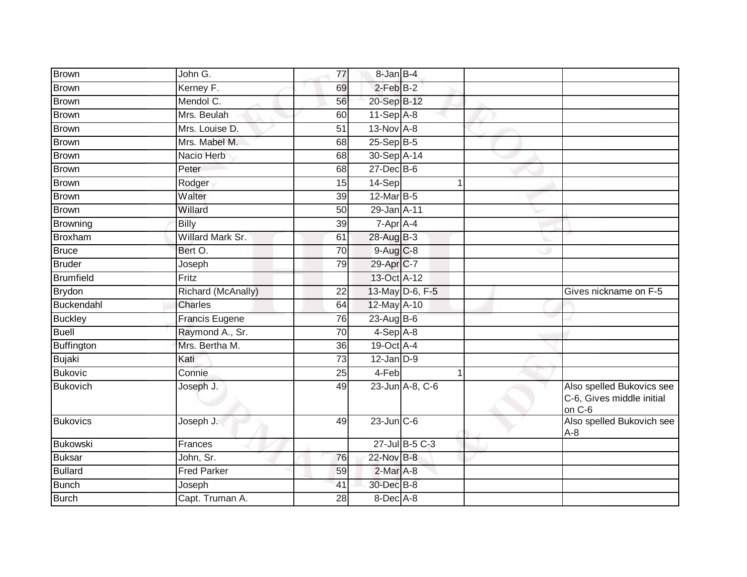| <b>Brown</b>      | John G.                 | 77              | 8-Jan B-4              |                 |                                                                  |
|-------------------|-------------------------|-----------------|------------------------|-----------------|------------------------------------------------------------------|
| <b>Brown</b>      | Kerney F.               | 69              | $2$ -Feb $B-2$         |                 |                                                                  |
| <b>Brown</b>      | Mendol C.               | 56              | 20-Sep B-12            |                 |                                                                  |
| <b>Brown</b>      | Mrs. Beulah             | 60              | $11-Sep$ A-8           |                 |                                                                  |
| <b>Brown</b>      | Mrs. Louise D.          | 51              | $13-NovA-8$            |                 |                                                                  |
| <b>Brown</b>      | Mrs. Mabel M.           | 68              | 25-Sep B-5             |                 |                                                                  |
| <b>Brown</b>      | Nacio Herb              | 68              | 30-Sep A-14            |                 |                                                                  |
| <b>Brown</b>      | Peter                   | 68              | $27 - Dec$ B-6         |                 |                                                                  |
| <b>Brown</b>      | Rodger                  | 15              | 14-Sep                 |                 |                                                                  |
| Brown             | Walter                  | 39              | 12-Mar B-5             |                 |                                                                  |
| <b>Brown</b>      | Willard                 | 50              | 29-Jan A-11            |                 |                                                                  |
| <b>Browning</b>   | Billy                   | 39              | 7-Apr A-4              |                 |                                                                  |
| <b>Broxham</b>    | <b>Willard Mark Sr.</b> | 61              | 28-Aug B-3             |                 |                                                                  |
| <b>Bruce</b>      | Bert O.                 | $\overline{70}$ | $9-Aug$ <sub>C-8</sub> |                 |                                                                  |
| <b>Bruder</b>     | Joseph                  | 79              | 29-Apr C-7             |                 |                                                                  |
| Brumfield         | Fritz                   |                 | 13-Oct A-12            |                 |                                                                  |
| <b>Brydon</b>     | Richard (McAnally)      | 22              |                        | 13-May D-6, F-5 | Gives nickname on F-5                                            |
| Buckendahl        | Charles                 | 64              | 12-May A-10            |                 |                                                                  |
| <b>Buckley</b>    | <b>Francis Eugene</b>   | 76              | $23$ -Aug B-6          |                 |                                                                  |
| <b>Buell</b>      | Raymond A., Sr.         | $\overline{70}$ | 4-Sep A-8              |                 |                                                                  |
| <b>Buffington</b> | Mrs. Bertha M.          | 36              | 19-Oct A-4             |                 |                                                                  |
| <b>Bujaki</b>     | Kati                    | $\overline{73}$ | $12$ -Jan $D-9$        |                 |                                                                  |
| <b>Bukovic</b>    | Connie                  | 25              | 4-Feb                  |                 |                                                                  |
| <b>Bukovich</b>   | Joseph J.               | 49              |                        | 23-Jun A-8, C-6 | Also spelled Bukovics see<br>C-6, Gives middle initial<br>on C-6 |
| <b>Bukovics</b>   | Joseph J.               | 49              | $23$ -Jun $C-6$        |                 | Also spelled Bukovich see<br>$A-8$                               |
| <b>Bukowski</b>   | Frances                 |                 |                        | 27-Jul B-5 C-3  |                                                                  |
| <b>Buksar</b>     | John, Sr.               | 76              | 22-Nov B-8             |                 |                                                                  |
| <b>Bullard</b>    | <b>Fred Parker</b>      | 59              | $2-Mar A-8$            |                 |                                                                  |
| <b>Bunch</b>      | Joseph                  | 41              | 30-Dec B-8             |                 |                                                                  |
| <b>Burch</b>      | Capt. Truman A.         | 28              | 8-Dec A-8              |                 |                                                                  |
|                   |                         |                 |                        |                 |                                                                  |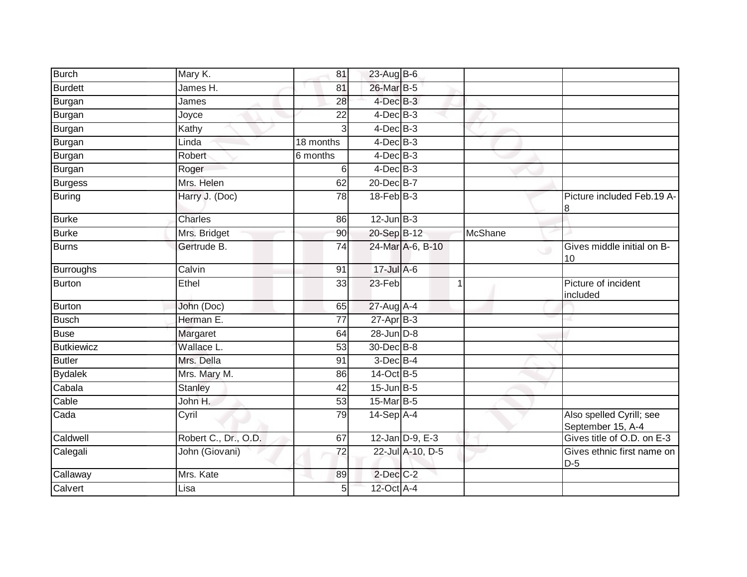| <b>Burch</b>      | Mary K.              | 81              | 23-Aug B-6      |                  |                |                                                 |
|-------------------|----------------------|-----------------|-----------------|------------------|----------------|-------------------------------------------------|
| <b>Burdett</b>    | James H.             | 81              | 26-Mar B-5      |                  |                |                                                 |
| Burgan            | James                | 28              | $4$ -Dec $B-3$  |                  |                |                                                 |
| <b>Burgan</b>     | Joyce                | $\overline{22}$ | $4$ -Dec $B-3$  |                  |                |                                                 |
| Burgan            | Kathy                | 3               | $4$ -Dec $B-3$  |                  |                |                                                 |
| <b>Burgan</b>     | Linda                | 18 months       | $4$ -Dec $B-3$  |                  |                |                                                 |
| <b>Burgan</b>     | Robert               | 6 months        | $4$ -Dec $B-3$  |                  |                |                                                 |
| <b>Burgan</b>     | Roger                | 6               | $4$ -Dec $B$ -3 |                  |                |                                                 |
| <b>Burgess</b>    | Mrs. Helen           | 62              | 20-Dec B-7      |                  |                |                                                 |
| <b>Buring</b>     | Harry J. (Doc)       | $\overline{78}$ | $18$ -Feb $B-3$ |                  |                | Picture included Feb.19 A-<br>8                 |
| <b>Burke</b>      | <b>Charles</b>       | 86              | $12$ -Jun $B-3$ |                  |                |                                                 |
| <b>Burke</b>      | Mrs. Bridget         | 90              | 20-Sep B-12     |                  | <b>McShane</b> |                                                 |
| <b>Burns</b>      | Gertrude B.          | $\overline{74}$ |                 | 24-Mar A-6, B-10 |                | Gives middle initial on B-<br>$\cup$<br>10      |
| <b>Burroughs</b>  | Calvin               | 91              | 17-Jul A-6      |                  |                |                                                 |
| <b>Burton</b>     | Ethel                | 33              | 23-Feb          |                  | 1              | Picture of incident<br>included                 |
| <b>Burton</b>     | John (Doc)           | 65              | 27-Aug A-4      |                  |                |                                                 |
| <b>Busch</b>      | Herman E.            | 77              | $27$ -Apr $B-3$ |                  |                |                                                 |
| <b>Buse</b>       | Margaret             | 64              | $28$ -Jun $D-8$ |                  |                |                                                 |
| <b>Butkiewicz</b> | Wallace L.           | $\overline{53}$ | 30-Dec B-8      |                  |                |                                                 |
| <b>Butler</b>     | Mrs. Della           | 91              | $3$ -Dec $B-4$  |                  |                |                                                 |
| <b>Bydalek</b>    | Mrs. Mary M.         | 86              | 14-Oct B-5      |                  |                |                                                 |
| Cabala            | <b>Stanley</b>       | 42              | $15$ -Jun $B-5$ |                  |                |                                                 |
| Cable             | John H.              | 53              | 15-Mar B-5      |                  |                |                                                 |
| Cada              | Cyril                | 79              | $14-Sep$ A-4    |                  |                | Also spelled Cyrill; see                        |
| Caldwell          | Robert C., Dr., O.D. | 67              |                 | 12-Jan D-9, E-3  |                | September 15, A-4<br>Gives title of O.D. on E-3 |
| Calegali          | John (Giovani)       | 72              |                 | 22-Jul A-10, D-5 |                | Gives ethnic first name on<br>$D-5$             |
| Callaway          | Mrs. Kate            | 89              | $2$ -Dec C-2    |                  |                |                                                 |
| Calvert           | Lisa                 | 5               | 12-Oct A-4      |                  |                |                                                 |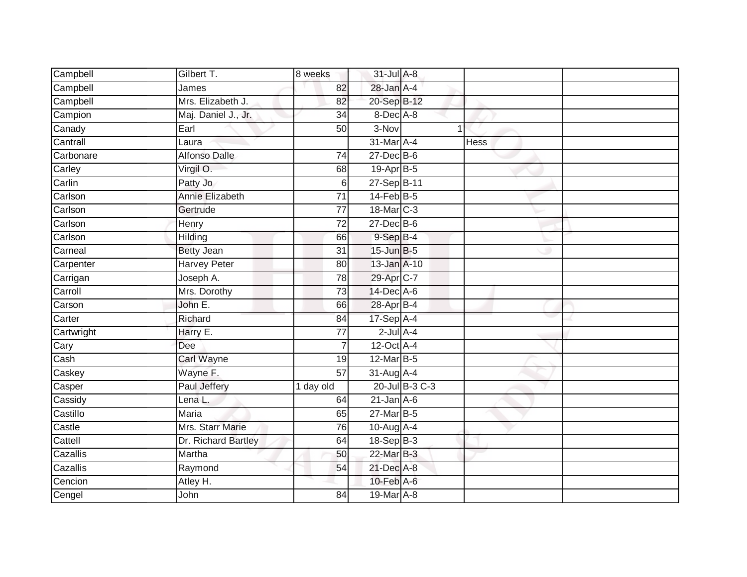| Campbell   | Gilbert T.           | 8 weeks         | 31-Jul A-8       |                |             |  |
|------------|----------------------|-----------------|------------------|----------------|-------------|--|
| Campbell   | James                | 82              | 28-Jan A-4       |                |             |  |
| Campbell   | Mrs. Elizabeth J.    | 82              | 20-Sep B-12      |                |             |  |
| Campion    | Maj. Daniel J., Jr.  | 34              | $8$ -Dec $A$ -8  |                |             |  |
| Canady     | Earl                 | $\overline{50}$ | 3-Nov            | 1              |             |  |
| Cantrall   | Laura                |                 | 31-Mar A-4       |                | <b>Hess</b> |  |
| Carbonare  | <b>Alfonso Dalle</b> | $\overline{74}$ | $27$ -Dec $B$ -6 |                |             |  |
| Carley     | Virgil O.            | 68              | 19-Apr B-5       |                |             |  |
| Carlin     | Patty Jo             | 6               | 27-Sep B-11      |                |             |  |
| Carlson    | Annie Elizabeth      | 71              | $14$ -Feb $B$ -5 |                |             |  |
| Carlson    | Gertrude             | 77              | 18-Mar C-3       |                |             |  |
| Carlson    | Henry                | 72              | $27$ -Dec $B$ -6 |                |             |  |
| Carlson    | Hilding              | 66              | $9-SepB-4$       |                |             |  |
| Carneal    | <b>Betty Jean</b>    | 31              | 15-Jun B-5       |                |             |  |
| Carpenter  | <b>Harvey Peter</b>  | 80              | 13-Jan A-10      |                |             |  |
| Carrigan   | Joseph A.            | 78              | 29-Apr C-7       |                |             |  |
| Carroll    | Mrs. Dorothy         | $\overline{73}$ | 14-Dec A-6       |                |             |  |
| Carson     | John E.              | 66              | 28-Apr B-4       |                |             |  |
| Carter     | Richard              | 84              | $17-Sep$ A-4     |                |             |  |
| Cartwright | Harry E.             | 77              | $2$ -Jul $A-4$   |                |             |  |
| Cary       | Dee                  | $\overline{7}$  | $12$ -Oct $A$ -4 |                |             |  |
| Cash       | Carl Wayne           | 19              | 12-Mar B-5       |                |             |  |
| Caskey     | Wayne F.             | 57              | $31$ -Aug $A$ -4 |                |             |  |
| Casper     | Paul Jeffery         | 1 day old       |                  | 20-Jul B-3 C-3 |             |  |
| Cassidy    | Lena L.              | 64              | $21$ -Jan $A-6$  |                |             |  |
| Castillo   | <b>Maria</b>         | 65              | $27$ -Mar $B-5$  |                |             |  |
| Castle     | Mrs. Starr Marie     | 76              | 10-Aug A-4       |                |             |  |
| Cattell    | Dr. Richard Bartley  | 64              | $18-Sep B-3$     |                |             |  |
| Cazallis   | Martha               | 50              | 22-Mar B-3       |                |             |  |
| Cazallis   | Raymond              | 54              | 21-Dec A-8       |                |             |  |
| Cencion    | Atley H.             |                 | $10$ -Feb $A$ -6 |                |             |  |
| Cengel     | John                 | $\overline{84}$ | 19-Mar A-8       |                |             |  |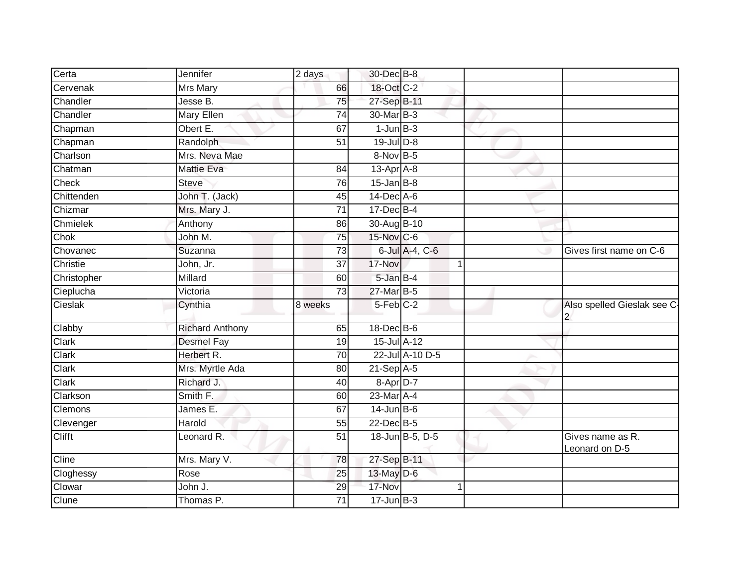| Certa<br>Jennifer          |                        | 2 days          | 30-Dec B-8                  |                 |   |                                    |
|----------------------------|------------------------|-----------------|-----------------------------|-----------------|---|------------------------------------|
| Cervenak<br>Mrs Mary       |                        | 66              | 18-Oct C-2                  |                 |   |                                    |
| Chandler<br>Jesse B.       |                        | 75              | 27-Sep B-11                 |                 |   |                                    |
| Chandler                   | Mary Ellen             | 74              | 30-Mar B-3                  |                 |   |                                    |
| Obert E.<br>Chapman        |                        | 67              | $1$ -Jun $B-3$              |                 |   |                                    |
| Chapman                    | Randolph               | 51              | $19$ -Jul $D-8$             |                 |   |                                    |
| Charlson                   | Mrs. Neva Mae          |                 | 8-Nov B-5                   |                 |   |                                    |
| Chatman                    | <b>Mattie Eva</b>      | 84              | $13$ -Apr $\overline{A}$ -8 |                 |   |                                    |
| Check<br><b>Steve</b>      |                        | 76              | $15$ -Jan B-8               |                 |   |                                    |
| Chittenden                 | John T. (Jack)         | 45              | 14-Dec A-6                  |                 |   |                                    |
| Chizmar                    | Mrs. Mary J.           | $\overline{71}$ | $17 - Dec$ B-4              |                 |   |                                    |
| Chmielek<br>Anthony        |                        | 86              | 30-Aug B-10                 |                 |   |                                    |
| Chok<br>John M.            |                        | 75              | 15-Nov C-6                  |                 |   |                                    |
| Chovanec<br>Suzanna        |                        | 73              |                             | 6-Jul A-4, C-6  |   | Gives first name on C-6            |
| Christie<br>John, Jr.      |                        | $\overline{37}$ | 17-Nov                      |                 |   |                                    |
| Christopher<br>Millard     |                        | 60              | 5-Jan B-4                   |                 |   |                                    |
| Cieplucha<br>Victoria      |                        | $\overline{73}$ | 27-Mar B-5                  |                 |   |                                    |
| Cieslak<br>Cynthia         |                        | 8 weeks         | $5-Feb$ $C-2$               |                 |   | Also spelled Gieslak see C-<br>2   |
| Clabby                     | <b>Richard Anthony</b> | 65              | $18$ -Dec $B$ -6            |                 |   |                                    |
| Clark                      | <b>Desmel Fay</b>      | $\overline{19}$ | 15-Jul A-12                 |                 |   |                                    |
| Clark                      | Herbert R.             | 70              |                             | 22-Jul A-10 D-5 |   |                                    |
| Clark                      | Mrs. Myrtle Ada        | 80              | $21-Sep$ A-5                |                 |   |                                    |
| Clark                      | Richard J.             | 40              | 8-Apr D-7                   |                 |   |                                    |
| Smith F.<br>Clarkson       |                        | 60              | 23-Mar A-4                  |                 |   |                                    |
| <b>Clemons</b><br>James E. |                        | 67              | $14$ -Jun $B$ -6            |                 |   |                                    |
| Harold<br>Clevenger        |                        | 55              | 22-Dec B-5                  |                 |   |                                    |
| <b>Clifft</b>              | Leonard R.             | $\overline{51}$ |                             | 18-Jun B-5, D-5 |   | Gives name as R.<br>Leonard on D-5 |
| Cline                      | Mrs. Mary V.           | 78              | 27-Sep B-11                 |                 |   |                                    |
| Cloghessy<br>Rose          |                        | 25              | 13-May D-6                  |                 |   |                                    |
| Clowar<br>John J.          |                        | 29              | 17-Nov                      |                 | 1 |                                    |
| Clune                      | Thomas P.              | 71              | $17 - Jun$ $B-3$            |                 |   |                                    |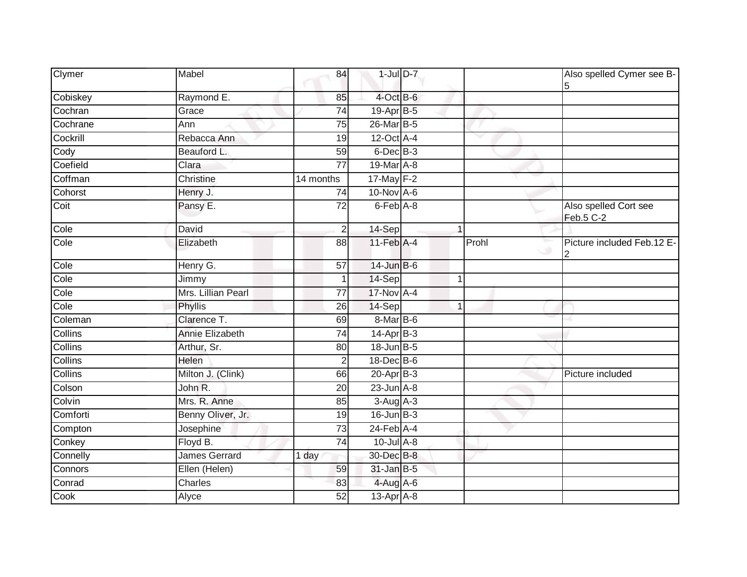| Clymer         | Mabel                  | 84              | $1$ -Jul $D$ -7            |             |       | Also spelled Cymer see B-<br>5     |
|----------------|------------------------|-----------------|----------------------------|-------------|-------|------------------------------------|
| Cobiskey       | Raymond E.             | 85              | 4-Oct B-6                  |             |       |                                    |
| Cochran        | Grace                  | 74              | $19-Apr$ B-5               |             |       |                                    |
| Cochrane       | Ann                    | 75              | 26-Mar B-5                 |             |       |                                    |
| Cockrill       | Rebacca Ann            | 19              | $12$ -Oct $A$ -4           |             | v     |                                    |
| Cody           | Beauford L.            | 59              | 6-Dec B-3                  |             |       |                                    |
| Coefield       | Clara                  | 77              | 19-Mar A-8                 |             |       |                                    |
| Coffman        | Christine              | 14 months       | 17-May F-2                 |             |       |                                    |
| Cohorst        | Henry J.               | 74              | 10-Nov A-6                 |             |       |                                    |
| Coit           | Pansy E.               | 72              | $6$ -Feb $\overline{A}$ -8 |             |       | Also spelled Cort see<br>Feb.5 C-2 |
| Cole           | David                  | $\overline{2}$  | 14-Sep                     | $\mathbf 1$ |       |                                    |
| Cole           | Elizabeth              | 88              | $11$ -Feb $A$ -4           |             | Prohl | Picture included Feb.12 E-<br>2    |
| Cole           | Henry G.               | 57              | 14-Jun B-6                 |             |       |                                    |
| Cole           | Jimmy                  |                 | 14-Sep                     | -1          |       |                                    |
| Cole           | Mrs. Lillian Pearl     | 77              | 17-Nov A-4                 |             |       |                                    |
| Cole           | Phyllis                | 26              | 14-Sep                     | 1           |       |                                    |
| Coleman        | Clarence T.            | 69              | 8-Mar B-6                  |             |       |                                    |
| <b>Collins</b> | <b>Annie Elizabeth</b> | $\overline{74}$ | $14-AprB-3$                |             |       |                                    |
| <b>Collins</b> | Arthur, Sr.            | 80              | 18-Jun B-5                 |             |       |                                    |
| Collins        | Helen                  | 2               | $18$ -Dec $B$ -6           |             |       |                                    |
| <b>Collins</b> | Milton J. (Clink)      | 66              | $20 - Apr$ $B-3$           |             |       | Picture included                   |
| Colson         | John R.                | 20              | $23$ -Jun $A-8$            |             |       |                                    |
| Colvin         | Mrs. R. Anne           | 85              | $3-Aug$ A-3                |             |       |                                    |
| Comforti       | Benny Oliver, Jr.      | 19              | $16$ -Jun $B-3$            |             |       |                                    |
| Compton        | Josephine              | 73              | $24$ -Feb $A$ -4           |             |       |                                    |
| Conkey         | Floyd B.               | 74              | $10$ -Jul $A$ -8           |             |       |                                    |
| Connelly       | <b>James Gerrard</b>   | 1 day           | 30-Dec B-8                 |             |       |                                    |
| Connors        | Ellen (Helen)          | 59              | $31$ -Jan B-5              |             |       |                                    |
| Conrad         | Charles                | 83              | 4-Aug A-6                  |             |       |                                    |
| Cook           | Alyce                  | 52              | 13-Apr A-8                 |             |       |                                    |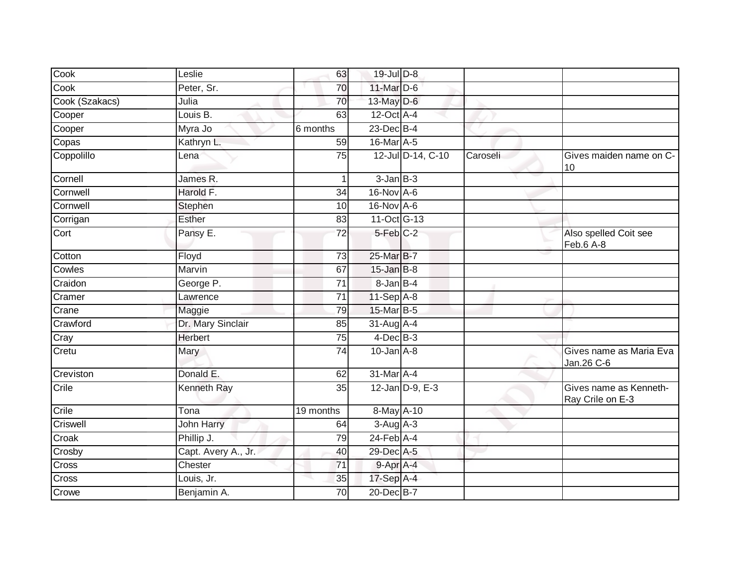| Cook           | Leslie              | 63        | $19$ -Jul $D-8$  |                   |          |                                            |
|----------------|---------------------|-----------|------------------|-------------------|----------|--------------------------------------------|
| Cook           | Peter, Sr.          | 70        | 11-Mar D-6       |                   |          |                                            |
| Cook (Szakacs) | Julia               | 70        | 13-May $D-6$     |                   |          |                                            |
| Cooper         | Louis B.            | 63        | 12-Oct A-4       |                   |          |                                            |
| Cooper         | Myra Jo             | 6 months  | $23$ -Dec $B-4$  |                   |          |                                            |
| Copas          | Kathryn L.          | 59        | 16-Mar A-5       |                   |          |                                            |
| Coppolillo     | Lena                | 75        |                  | 12-Jul D-14, C-10 | Caroseli | Gives maiden name on C-<br>10              |
| Cornell        | James R.            |           | $3 - Jan$ $B-3$  |                   |          |                                            |
| Cornwell       | Harold F.           | 34        | $16$ -Nov $A$ -6 |                   |          |                                            |
| Cornwell       | Stephen             | 10        | 16-Nov A-6       |                   |          |                                            |
| Corrigan       | <b>Esther</b>       | 83        | 11-Oct G-13      |                   |          |                                            |
| Cort           | Pansy E.            | 72        | $5-Feb$ $C-2$    |                   |          | Also spelled Coit see<br>Feb.6 A-8         |
| Cotton         | Floyd               | 73        | 25-Mar B-7       |                   |          |                                            |
| Cowles         | Marvin              | 67        | $15$ -Jan $B$ -8 |                   |          |                                            |
| Craidon        | George P.           | 71        | 8-Jan B-4        |                   |          |                                            |
| Cramer         | Lawrence            | 71        | $11-Sep$ A-8     |                   |          |                                            |
| Crane          | Maggie              | 79        | 15-Mar B-5       |                   |          |                                            |
| Crawford       | Dr. Mary Sinclair   | 85        | 31-Aug A-4       |                   |          |                                            |
| Cray           | Herbert             | 75        | $4$ -Dec $B-3$   |                   |          |                                            |
| Cretu          | Mary                | 74        | $10$ -Jan $A-8$  |                   |          | Gives name as Maria Eva<br>Jan.26 C-6      |
| Creviston      | Donald E.           | 62        | 31-Mar A-4       |                   |          |                                            |
| Crile          | Kenneth Ray         | 35        |                  | 12-Jan D-9, E-3   |          | Gives name as Kenneth-<br>Ray Crile on E-3 |
| Crile          | Tona                | 19 months | 8-May A-10       |                   |          |                                            |
| Criswell       | John Harry          | 64        | $3-Aug$ A-3      |                   |          |                                            |
| Croak          | Phillip J.          | 79        | $24$ -Feb $A$ -4 |                   |          |                                            |
| Crosby         | Capt. Avery A., Jr. | 40        | 29-Dec A-5       |                   |          |                                            |
| Cross          | Chester             | 71        | 9-Apr A-4        |                   |          |                                            |
| Cross          | Louis, Jr.          | 35        | 17-Sep A-4       |                   |          |                                            |
| Crowe          | Benjamin A.         | 70        | 20-Dec B-7       |                   |          |                                            |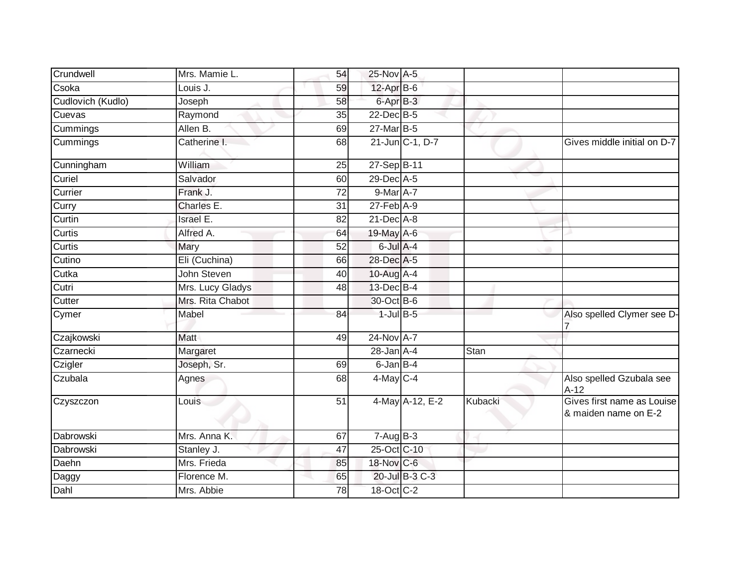| Crundwell         | Mrs. Mamie L.    | 54              | 25-Nov A-5       |             |                                                    |
|-------------------|------------------|-----------------|------------------|-------------|----------------------------------------------------|
| Csoka             | Louis J.         | 59              | $12$ -Apr $B$ -6 |             |                                                    |
| Cudlovich (Kudlo) | Joseph           | 58              | 6-Apr B-3        |             |                                                    |
| Cuevas            | Raymond          | 35              | 22-Dec B-5       |             |                                                    |
| Cummings          | Allen B.         | 69              | 27-Mar B-5       |             |                                                    |
| Cummings          | Catherine I.     | 68              | 21-Jun C-1, D-7  |             | Gives middle initial on D-7                        |
| Cunningham        | William          | 25              | 27-Sep B-11      |             |                                                    |
| Curiel            | Salvador         | 60              | 29-Dec A-5       |             |                                                    |
| Currier           | Frank J.         | 72              | 9-Mar A-7        |             |                                                    |
| Curry             | Charles E.       | 31              | $27$ -Feb $A-9$  |             |                                                    |
| Curtin            | <b>Israel E.</b> | 82              | 21-Dec A-8       |             |                                                    |
| Curtis            | Alfred A.        | 64              | 19-May A-6       |             |                                                    |
| Curtis            | <b>Mary</b>      | 52              | $6$ -Jul $A$ -4  |             |                                                    |
| Cutino            | Eli (Cuchina)    | 66              | 28-Dec A-5       |             |                                                    |
| Cutka             | John Steven      | 40              | 10-Aug A-4       |             |                                                    |
| Cutri             | Mrs. Lucy Gladys | 48              | 13-Dec B-4       |             |                                                    |
| Cutter            | Mrs. Rita Chabot |                 | 30-Oct B-6       |             |                                                    |
| Cymer             | Mabel            | 84              | $1$ -Jul $B$ -5  |             | Also spelled Clymer see D-                         |
| Czajkowski        | Matt             | 49              | 24-Nov A-7       |             |                                                    |
| Czarnecki         | Margaret         |                 | $28 - Jan A - 4$ | <b>Stan</b> |                                                    |
| Czigler           | Joseph, Sr.      | 69              | 6-Jan B-4        |             |                                                    |
| Czubala           | Agnes            | 68              | $4$ -May $C-4$   |             | Also spelled Gzubala see<br>$A-12$                 |
| Czyszczon         | Louis            | $\overline{51}$ | 4-May A-12, E-2  | Kubacki     | Gives first name as Louise<br>& maiden name on E-2 |
| Dabrowski         | Mrs. Anna K.     | 67              | $7 - Aug$ B-3    |             |                                                    |
| Dabrowski         | Stanley J.       | 47              | 25-Oct C-10      |             |                                                    |
| Daehn             | Mrs. Frieda      | 85              | 18-Nov C-6       |             |                                                    |
| Daggy             | Florence M.      | 65              | 20-Jul B-3 C-3   |             |                                                    |
| Dahl              | Mrs. Abbie       | 78              | 18-Oct C-2       |             |                                                    |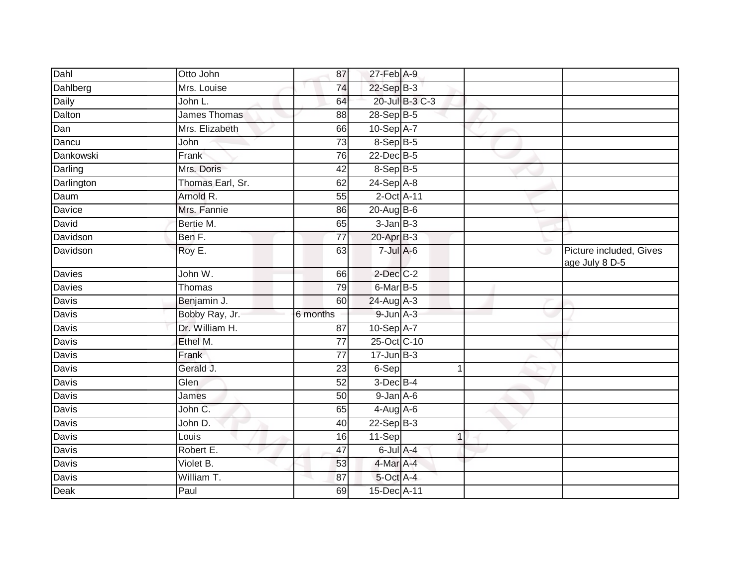| Dahl         | Otto John        | 87              | 27-Feb A-9        |                |   |                                           |
|--------------|------------------|-----------------|-------------------|----------------|---|-------------------------------------------|
| Dahlberg     | Mrs. Louise      | 74              | $22-Sep$ B-3      |                |   |                                           |
| Daily        | John L.          | 64              |                   | 20-Jul B-3 C-3 |   |                                           |
| Dalton       | James Thomas     | 88              | 28-Sep B-5        |                |   |                                           |
| Dan          | Mrs. Elizabeth   | 66              | 10-Sep A-7        |                |   |                                           |
| Dancu        | John             | 73              | 8-Sep B-5         |                |   |                                           |
| Dankowski    | Frank            | 76              | 22-Dec B-5        |                |   |                                           |
| Darling      | Mrs. Doris       | 42              | 8-Sep B-5         |                |   |                                           |
| Darlington   | Thomas Earl, Sr. | 62              | 24-Sep A-8        |                |   |                                           |
| Daum         | Arnold R.        | 55              | 2-Oct A-11        |                |   |                                           |
| Davice       | Mrs. Fannie      | 86              | 20-Aug B-6        |                |   |                                           |
| David        | Bertie M.        | 65              | $3$ -Jan $B - 3$  |                |   |                                           |
| Davidson     | Ben F.           | 77              | $20$ -Apr $B-3$   |                |   |                                           |
| Davidson     | Roy E.           | 63              | $7 -$ Jul A-6     |                | ت | Picture included, Gives<br>age July 8 D-5 |
| Davies       | John W.          | 66              | $2$ -Dec $C-2$    |                |   |                                           |
| Davies       | Thomas           | 79              | 6-Mar B-5         |                |   |                                           |
| Davis        | Benjamin J.      | 60              | 24-Aug A-3        |                |   |                                           |
| Davis        | Bobby Ray, Jr.   | 6 months        | $9 - Jun A - 3$   |                |   |                                           |
| Davis        | Dr. William H.   | 87              | $10-Sep$ A-7      |                |   |                                           |
| Davis        | Ethel M.         | 77              | 25-Oct C-10       |                |   |                                           |
| Davis        | Frank            | 77              | $17 - Jun$ $B-3$  |                |   |                                           |
| Davis        | Gerald J.        | 23              | 6-Sep             | 1              |   |                                           |
| Davis        | Glen             | $\overline{52}$ | $3$ -Dec $B-4$    |                |   |                                           |
| <b>Davis</b> | James            | 50              | $9$ -Jan $A$ -6   |                |   |                                           |
| Davis        | John C.          | 65              | $4 - Aug$ $A - 6$ |                |   |                                           |
| Davis        | John D.          | 40              | $22 - SepB-3$     |                |   |                                           |
| <b>Davis</b> | Louis            | 16              | 11-Sep            | $\mathbf{1}$   |   |                                           |
| Davis        | Robert E.        | 47              | $6$ -Jul $A$ -4   |                |   |                                           |
| Davis        | Violet B.        | 53              | 4-Mar A-4         |                |   |                                           |
| Davis        | William T.       | 87              | 5-Oct A-4         |                |   |                                           |
| <b>Deak</b>  | Paul             | 69              | 15-Dec A-11       |                |   |                                           |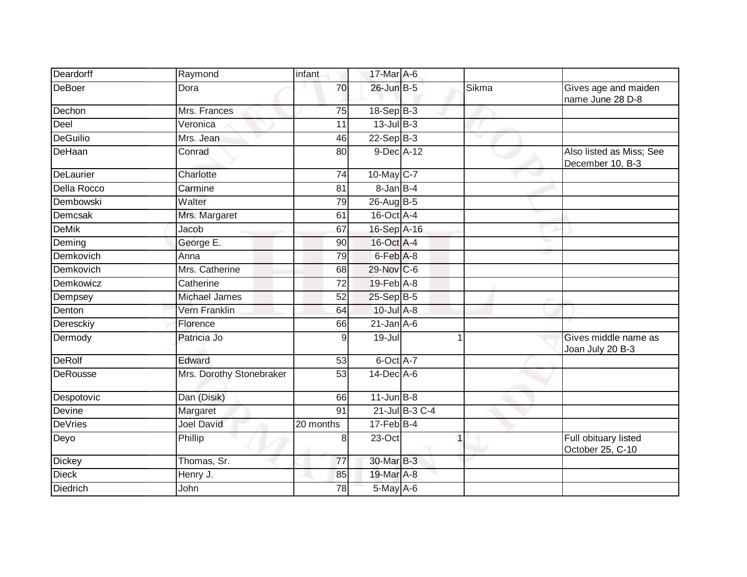| Deardorff       | Raymond                  | infant          | 17-Mar A-6        |                |                         |                                              |
|-----------------|--------------------------|-----------------|-------------------|----------------|-------------------------|----------------------------------------------|
| <b>DeBoer</b>   | Dora                     | 70              | 26-Jun B-5        |                | Sikma                   | Gives age and maiden<br>name June 28 D-8     |
| Dechon          | Mrs. Frances             | $\overline{75}$ | $18-Sep$ B-3      |                |                         |                                              |
| Deel            | Veronica                 | 11              | $13$ -Jul $B-3$   |                |                         |                                              |
| <b>DeGuilio</b> | Mrs. Jean                | 46              | $22-Sep$ B-3      |                |                         |                                              |
| DeHaan          | Conrad                   | 80              | 9-Dec A-12        |                |                         | Also listed as Miss; See<br>December 10, B-3 |
| DeLaurier       | Charlotte                | 74              | 10-May C-7        |                |                         |                                              |
| Della Rocco     | Carmine                  | 81              | $8 - Jan$ $B - 4$ |                |                         |                                              |
| Dembowski       | Walter                   | 79              | 26-Aug B-5        |                |                         |                                              |
| Demcsak         | Mrs. Margaret            | 61              | $16$ -Oct $A$ -4  |                |                         |                                              |
| <b>DeMik</b>    | Jacob                    | 67              | 16-Sep A-16       |                |                         |                                              |
| Deming          | George E.                | 90              | 16-Oct A-4        |                |                         |                                              |
| Demkovich       | Anna                     | 79              | 6-Feb A-8         |                |                         |                                              |
| Demkovich       | Mrs. Catherine           | 68              | 29-Nov C-6        |                |                         |                                              |
| Demkowicz       | Catherine                | 72              | 19-Feb A-8        |                |                         |                                              |
| Dempsey         | <b>Michael James</b>     | 52              | 25-Sep B-5        |                |                         |                                              |
| Denton          | Vern Franklin            | 64              | $10$ -Jul $A-8$   |                |                         |                                              |
| Deresckiy       | Florence                 | 66              | $21$ -Jan $A-6$   |                |                         |                                              |
| Dermody         | Patricia Jo              | 9               | 19-Jul            |                |                         | Gives middle name as<br>Joan July 20 B-3     |
| <b>DeRolf</b>   | Edward                   | 53              | 6-Oct A-7         |                |                         |                                              |
| DeRousse        | Mrs. Dorothy Stonebraker | 53              | $14$ -Dec $A$ -6  |                |                         |                                              |
| Despotovic      | Dan (Disik)              | 66              | $11$ -Jun $B - 8$ |                |                         |                                              |
| Devine          | Margaret                 | $\overline{91}$ |                   | 21-Jul B-3 C-4 |                         |                                              |
| <b>DeVries</b>  | <b>Joel David</b>        | 20 months       | $17$ -Feb $B$ -4  |                |                         |                                              |
| Deyo            | Phillip                  | 8               | 23-Oct            |                | $\overline{\mathbf{1}}$ | Full obituary listed<br>October 25, C-10     |
| <b>Dickey</b>   | Thomas, Sr.              | $\overline{77}$ | 30-Mar B-3        |                |                         |                                              |
| <b>Dieck</b>    | Henry J.                 | 85              | 19-Mar A-8        |                |                         |                                              |
| Diedrich        | John                     | 78              | 5-May A-6         |                |                         |                                              |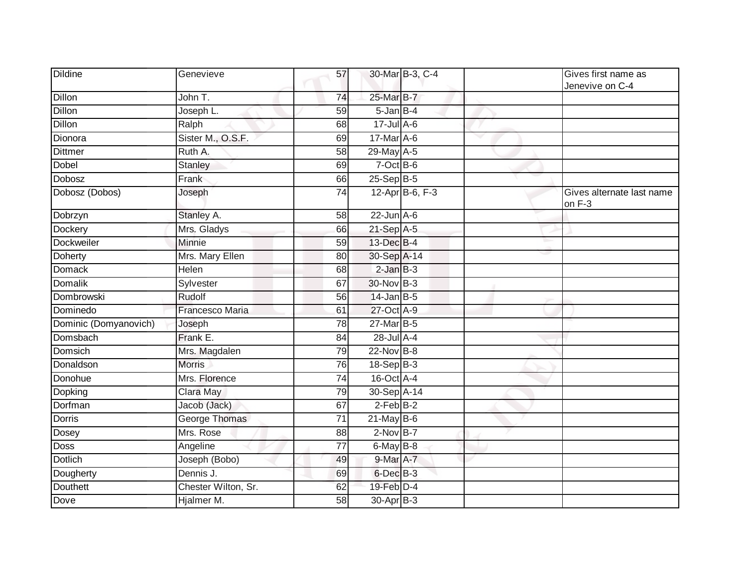| <b>Dildine</b>        | Genevieve            | 57              |                   | 30-Mar B-3, C-4 | Gives first name as<br>Jenevive on C-4 |
|-----------------------|----------------------|-----------------|-------------------|-----------------|----------------------------------------|
| <b>Dillon</b>         | John T.              | 74              | 25-Mar B-7        |                 |                                        |
| <b>Dillon</b>         | Joseph L.            | 59              | $5 - Jan$ $B - 4$ |                 |                                        |
| Dillon                | Ralph                | 68              | $17$ -Jul A-6     |                 |                                        |
| Dionora               | Sister M., O.S.F.    | 69              | 17-Mar A-6        |                 |                                        |
| <b>Dittmer</b>        | Ruth A.              | 58              | 29-May A-5        |                 |                                        |
| Dobel                 | Stanley              | 69              | $7$ -Oct B-6      |                 |                                        |
| Dobosz                | Frank                | 66              | $25-Sep$ $B-5$    |                 |                                        |
| Dobosz (Dobos)        | Joseph               | 74              |                   | 12-Apr B-6, F-3 | Gives alternate last name<br>on F-3    |
| Dobrzyn               | Stanley A.           | $\overline{58}$ | $22$ -Jun $A-6$   |                 |                                        |
| Dockery               | Mrs. Gladys          | 66              | 21-Sep A-5        |                 |                                        |
| <b>Dockweiler</b>     | Minnie               | 59              | 13-Dec B-4        |                 |                                        |
| <b>Doherty</b>        | Mrs. Mary Ellen      | 80              | 30-Sep A-14       |                 |                                        |
| Domack                | Helen                | 68              | $2$ -Jan $B-3$    |                 |                                        |
| <b>Domalik</b>        | Sylvester            | 67              | 30-Nov B-3        |                 |                                        |
| Dombrowski            | Rudolf               | 56              | $14$ -Jan B-5     |                 |                                        |
| Dominedo              | Francesco Maria      | 61              | 27-Oct A-9        |                 |                                        |
| Dominic (Domyanovich) | Joseph               | 78              | 27-Mar B-5        |                 |                                        |
| Domsbach              | Frank E.             | 84              | 28-Jul A-4        |                 |                                        |
| <b>Domsich</b>        | Mrs. Magdalen        | 79              | 22-Nov B-8        |                 |                                        |
| Donaldson             | <b>Morris</b>        | 76              | $18-Sep B-3$      |                 |                                        |
| Donohue               | Mrs. Florence        | 74              | 16-Oct A-4        |                 |                                        |
| Dopking               | Clara May            | 79              | 30-Sep A-14       |                 |                                        |
| Dorfman               | Jacob (Jack)         | 67              | $2-FebB-2$        |                 |                                        |
| <b>Dorris</b>         | <b>George Thomas</b> | $\overline{71}$ | $21$ -May B-6     |                 |                                        |
| Dosey                 | Mrs. Rose            | 88              | $2-Nov$ B-7       |                 |                                        |
| Doss                  | Angeline             | $\overline{77}$ | 6-May B-8         |                 |                                        |
| <b>Dotlich</b>        | Joseph (Bobo)        | 49              | 9-Mar A-7         |                 |                                        |
| Dougherty             | Dennis J.            | 69              | 6-Dec B-3         |                 |                                        |
| <b>Douthett</b>       | Chester Wilton, Sr.  | 62              | 19-Feb D-4        |                 |                                        |
| Dove                  | Hjalmer M.           | 58              | $30-Apr$ B-3      |                 |                                        |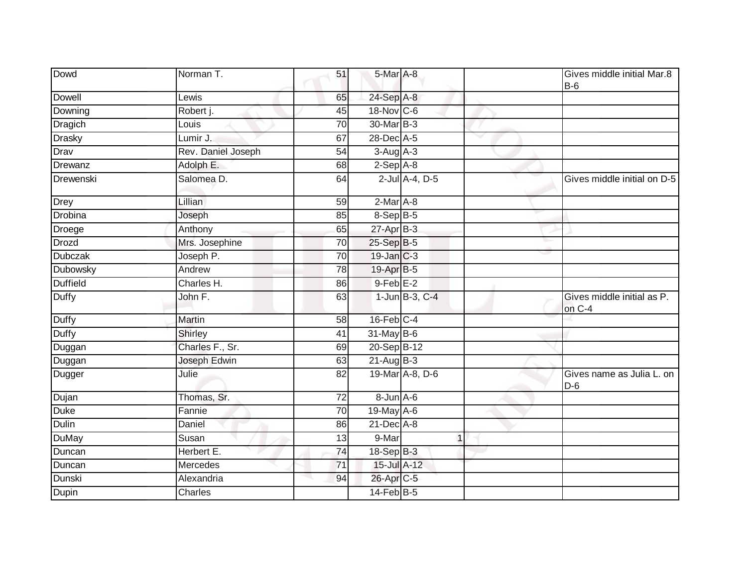| Dowd            | Norman T.          | 51              | 5-Mar A-8        |                      |   | Gives middle initial Mar.8<br>$B-6$  |
|-----------------|--------------------|-----------------|------------------|----------------------|---|--------------------------------------|
| Dowell          | Lewis              | 65              | 24-Sep A-8       |                      |   |                                      |
| Downing         | Robert j.          | 45              | 18-Nov C-6       |                      |   |                                      |
| Dragich         | Louis              | 70              | 30-Mar B-3       |                      |   |                                      |
| <b>Drasky</b>   | Lumir J.           | 67              | 28-Dec A-5       |                      |   |                                      |
| Drav            | Rev. Daniel Joseph | 54              | $3-Aug$ A-3      |                      |   |                                      |
| Drewanz         | Adolph E.          | 68              | $2-Sep$ $A-8$    |                      |   |                                      |
| Drewenski       | Salomea D.         | 64              |                  | 2-Jul A-4, D-5       |   | Gives middle initial on D-5          |
| Drey            | Lillian            | 59              | $2-MarA-8$       |                      |   |                                      |
| Drobina         | Joseph             | 85              | 8-Sep B-5        |                      |   |                                      |
| Droege          | Anthony            | 65              | $27$ -Apr $B-3$  |                      |   |                                      |
| <b>Drozd</b>    | Mrs. Josephine     | 70              | 25-Sep B-5       |                      |   |                                      |
| <b>Dubczak</b>  | Joseph P.          | $\overline{70}$ | 19-Jan C-3       |                      |   |                                      |
| Dubowsky        | Andrew             | 78              | 19-Apr B-5       |                      |   |                                      |
| <b>Duffield</b> | Charles H.         | 86              | $9$ -Feb $E-2$   |                      |   |                                      |
| <b>Duffy</b>    | John F.            | 63              |                  | $1$ -Jun $B$ -3, C-4 |   | Gives middle initial as P.<br>on C-4 |
| <b>Duffy</b>    | Martin             | 58              | $16$ -Feb $C-4$  |                      |   |                                      |
| <b>Duffy</b>    | Shirley            | 41              | $31$ -May B-6    |                      |   |                                      |
| Duggan          | Charles F., Sr.    | 69              | 20-Sep B-12      |                      |   |                                      |
| Duggan          | Joseph Edwin       | 63              | $21-Aug$ B-3     |                      |   |                                      |
| Dugger          | Julie              | 82              |                  | 19-Mar A-8, D-6      |   | Gives name as Julia L. on<br>$D-6$   |
| Dujan           | Thomas, Sr.        | 72              | 8-Jun A-6        |                      |   |                                      |
| <b>Duke</b>     | Fannie             | 70              | 19-May A-6       |                      |   |                                      |
| <b>Dulin</b>    | Daniel             | 86              | 21-Dec A-8       |                      |   |                                      |
| DuMay           | Susan              | 13              | 9-Mar            |                      | 1 |                                      |
| Duncan          | Herbert E.         | 74              | 18-Sep B-3       |                      |   |                                      |
| Duncan          | Mercedes           | 71              | 15-Jul A-12      |                      |   |                                      |
| Dunski          | Alexandria         | 94              | 26-Apr C-5       |                      |   |                                      |
| Dupin           | Charles            |                 | $14$ -Feb $B$ -5 |                      |   |                                      |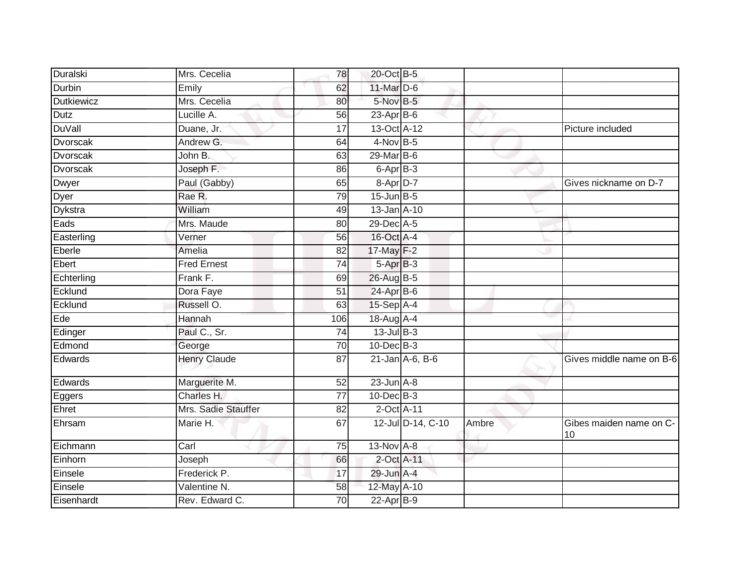| Duralski          | Mrs. Cecelia        | 78              | 20-Oct B-5        |                   |       |                               |
|-------------------|---------------------|-----------------|-------------------|-------------------|-------|-------------------------------|
| <b>Durbin</b>     | Emily               | 62              | 11-Mar D-6        |                   |       |                               |
| <b>Dutkiewicz</b> | Mrs. Cecelia        | 80              | 5-Nov B-5         |                   |       |                               |
| Dutz              | Lucille A.          | 56              | $23$ -Apr $B$ -6  |                   |       |                               |
| <b>DuVall</b>     | Duane, Jr.          | 17              | 13-Oct A-12       |                   |       | Picture included              |
| Dvorscak          | Andrew G.           | 64              | $4-Nov$ B-5       |                   |       |                               |
| Dvorscak          | John B.             | 63              | 29-Mar B-6        |                   |       |                               |
| <b>Dvorscak</b>   | Joseph F.           | 86              | 6-Apr B-3         |                   |       |                               |
| Dwyer             | Paul (Gabby)        | 65              | 8-Apr D-7         |                   |       | Gives nickname on D-7         |
| Dyer              | Rae R.              | 79              | $15$ -Jun $B - 5$ |                   |       |                               |
| Dykstra           | William             | 49              | 13-Jan A-10       |                   |       |                               |
| Eads              | Mrs. Maude          | 80              | 29-Dec A-5        |                   |       |                               |
| Easterling        | Verner              | 56              | 16-Oct A-4        |                   |       |                               |
| Eberle            | Amelia              | 82              | 17-May F-2        |                   |       |                               |
| Ebert             | <b>Fred Ernest</b>  | $\overline{74}$ | 5-Apr B-3         |                   |       |                               |
| Echterling        | Frank F.            | 69              | 26-Aug B-5        |                   |       |                               |
| Ecklund           | Dora Faye           | $\overline{51}$ | $24$ -Apr $B$ -6  |                   |       |                               |
| Ecklund           | Russell O.          | 63              | $15-Sep$ A-4      |                   |       |                               |
| Ede               | Hannah              | 106             | 18-Aug A-4        |                   |       |                               |
| Edinger           | Paul C., Sr.        | $\overline{74}$ | 13-Jul B-3        |                   |       |                               |
| Edmond            | George              | $\overline{70}$ | $10$ -Dec $B-3$   |                   |       |                               |
| Edwards           | <b>Henry Claude</b> | 87              |                   | 21-Jan A-6, B-6   |       | Gives middle name on B-6      |
| Edwards           | Marguerite M.       | 52              | $23$ -Jun $A-8$   |                   |       |                               |
| Eggers            | Charles H.          | $\overline{77}$ | $10$ -Dec $B-3$   |                   |       |                               |
| Ehret             | Mrs. Sadie Stauffer | 82              | 2-Oct A-11        |                   |       |                               |
| Ehrsam            | Marie H.            | 67              |                   | 12-Jul D-14, C-10 | Ambre | Gibes maiden name on C-<br>10 |
| Eichmann          | Carl                | 75              | 13-Nov A-8        |                   |       |                               |
| Einhorn           | Joseph              | 66              | 2-Oct A-11        |                   |       |                               |
| Einsele           | Frederick P.        | 17              | 29-Jun A-4        |                   |       |                               |
| Einsele           | Valentine N.        | 58              | 12-May A-10       |                   |       |                               |
| Eisenhardt        | Rev. Edward C.      | 70              | $22$ -Apr $B-9$   |                   |       |                               |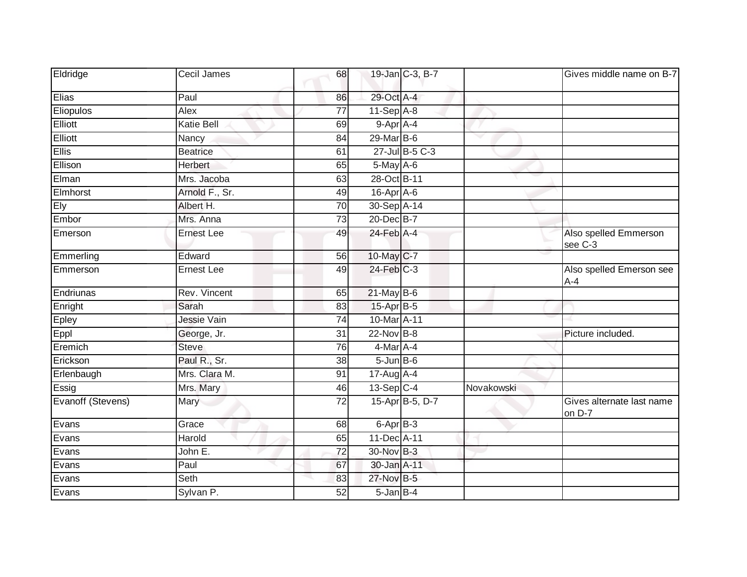| Eldridge          | Cecil James       | 68              | 19-Jan C-3, B-7   |            | Gives middle name on B-7            |
|-------------------|-------------------|-----------------|-------------------|------------|-------------------------------------|
| Elias             | Paul              | 86              | 29-Oct A-4        |            |                                     |
| Eliopulos         | Alex              | 77              | $11-Sep$ A-8      |            |                                     |
| Elliott           | <b>Katie Bell</b> | 69              | 9-Apr A-4         |            |                                     |
| Elliott           | Nancy             | 84              | 29-Mar B-6        |            |                                     |
| <b>Ellis</b>      | <b>Beatrice</b>   | 61              | 27-Jul B-5 C-3    |            |                                     |
| Ellison           | Herbert           | 65              | 5-May A-6         |            |                                     |
| Elman             | Mrs. Jacoba       | 63              | 28-Oct B-11       |            |                                     |
| Elmhorst          | Arnold F., Sr.    | 49              | $16$ -Apr $A$ -6  |            |                                     |
| Ely               | Albert H.         | 70              | 30-Sep A-14       |            |                                     |
| Embor             | Mrs. Anna         | $\overline{73}$ | 20-Dec B-7        |            |                                     |
| Emerson           | <b>Ernest Lee</b> | 49              | 24-Feb A-4        |            | Also spelled Emmerson<br>see C-3    |
| Emmerling         | Edward            | 56              | 10-May C-7        |            |                                     |
| Emmerson          | <b>Ernest Lee</b> | 49              | 24-Feb C-3        |            | Also spelled Emerson see<br>$A-4$   |
| Endriunas         | Rev. Vincent      | 65              | $21$ -May B-6     |            |                                     |
| Enright           | Sarah             | 83              | 15-Apr B-5        |            |                                     |
| Epley             | Jessie Vain       | $\overline{74}$ | 10-Mar A-11       |            |                                     |
| Eppl              | George, Jr.       | $\overline{31}$ | $22$ -Nov $B-8$   |            | Picture included.                   |
| Eremich           | <b>Steve</b>      | 76              | $4$ -Mar $A$ -4   |            |                                     |
| Erickson          | Paul R., Sr.      | 38              | $5 - Jun$ $B - 6$ |            |                                     |
| Erlenbaugh        | Mrs. Clara M.     | 91              | $17$ -Aug $A$ -4  |            |                                     |
| Essig             | Mrs. Mary         | 46              | $13-Sep$ C-4      | Novakowski |                                     |
| Evanoff (Stevens) | Mary              | $\overline{72}$ | 15-Apr B-5, D-7   |            | Gives alternate last name<br>on D-7 |
| Evans             | Grace             | 68              | 6-Apr B-3         |            |                                     |
| Evans             | Harold            | 65              | 11-Dec A-11       |            |                                     |
| Evans             | John E.           | 72              | 30-Nov B-3        |            |                                     |
| Evans             | Paul              | 67              | 30-Jan A-11       |            |                                     |
| Evans             | Seth              | 83              | 27-Nov B-5        |            |                                     |
| Evans             | Sylvan P.         | 52              | $5 - Jan$ $B - 4$ |            |                                     |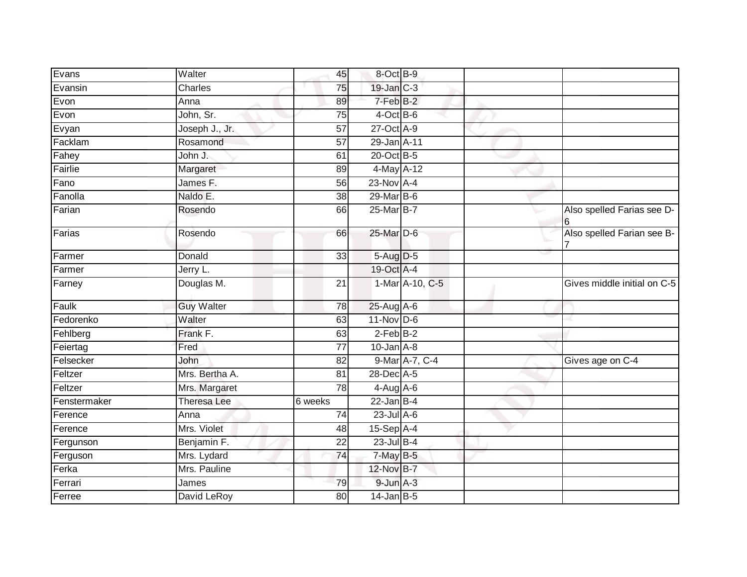| Evans        | Walter             | 45              | 8-Oct B-9       |                 |                                 |
|--------------|--------------------|-----------------|-----------------|-----------------|---------------------------------|
| Evansin      | Charles            | 75              | 19-Jan C-3      |                 |                                 |
| Evon         | Anna               | 89              | 7-Feb B-2       |                 |                                 |
| Evon         | John, Sr.          | 75              | $4$ -Oct B-6    |                 |                                 |
| Evyan        | Joseph J., Jr.     | 57              | 27-Oct A-9      |                 |                                 |
| Facklam      | Rosamond           | 57              | 29-Jan A-11     |                 |                                 |
| Fahey        | John J.            | 61              | 20-Oct B-5      |                 |                                 |
| Fairlie      | Margaret           | 89              | 4-May A-12      |                 |                                 |
| Fano         | James F.           | 56              | $23-Nov$ A-4    |                 |                                 |
| Fanolla      | Naldo E.           | $\overline{38}$ | 29-Mar B-6      |                 |                                 |
| Farian       | Rosendo            | 66              | 25-Mar B-7      |                 | Also spelled Farias see D-<br>6 |
| Farias       | Rosendo            | 66              | 25-Mar D-6      |                 | Also spelled Farian see B-      |
| Farmer       | Donald             | $\overline{33}$ | 5-Aug D-5       |                 |                                 |
| Farmer       | Jerry L.           |                 | 19-Oct A-4      |                 |                                 |
| Farney       | Douglas M.         | $\overline{21}$ |                 | 1-Mar A-10, C-5 | Gives middle initial on C-5     |
| Faulk        | <b>Guy Walter</b>  | $\overline{78}$ | 25-Aug A-6      |                 |                                 |
| Fedorenko    | Walter             | 63              | $11-Nov$ D-6    |                 |                                 |
| Fehlberg     | Frank F.           | 63              | $2$ -Feb $B-2$  |                 |                                 |
| Feiertag     | Fred               | 77              | $10$ -Jan $A-8$ |                 |                                 |
| Felsecker    | John               | 82              |                 | 9-Mar A-7, C-4  | Gives age on C-4                |
| Feltzer      | Mrs. Bertha A.     | 81              | 28-Dec A-5      |                 |                                 |
| Feltzer      | Mrs. Margaret      | 78              | $4-Aug$ A-6     |                 |                                 |
| Fenstermaker | <b>Theresa Lee</b> | 6 weeks         | $22$ -Jan B-4   |                 |                                 |
| Ference      | Anna               | 74              | $23$ -Jul $A-6$ |                 |                                 |
| Ference      | Mrs. Violet        | 48              | 15-Sep A-4      |                 |                                 |
| Fergunson    | Benjamin F.        | 22              | 23-Jul B-4      |                 |                                 |
| Ferguson     | Mrs. Lydard        | 74              | 7-May B-5       |                 |                                 |
| Ferka        | Mrs. Pauline       |                 | 12-Nov B-7      |                 |                                 |
| Ferrari      | James              | 79              | $9$ -Jun $A-3$  |                 |                                 |
| Ferree       | David LeRoy        | 80              | $14$ -Jan B-5   |                 |                                 |
|              |                    |                 |                 |                 |                                 |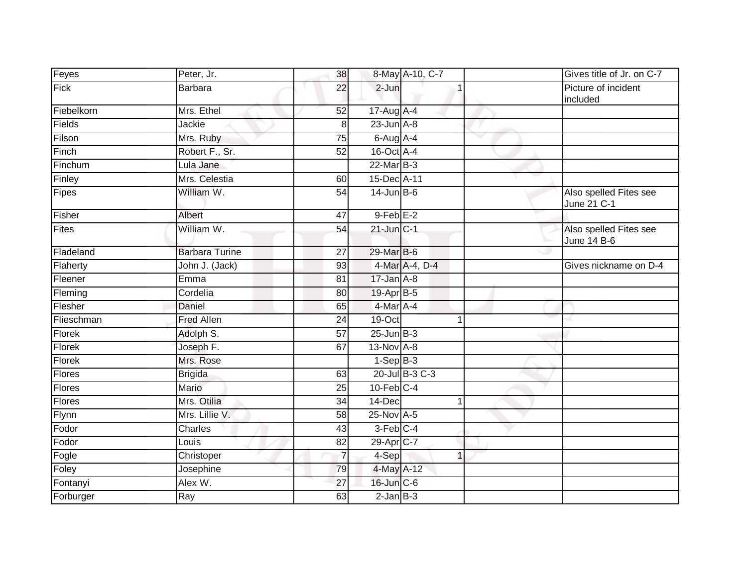| Feyes         | Peter, Jr.                    | 38              |                        | 8-May A-10, C-7 |   | Gives title of Jr. on C-7             |
|---------------|-------------------------------|-----------------|------------------------|-----------------|---|---------------------------------------|
| Fick          | <b>Barbara</b>                | 22              | $2$ -Jun               |                 |   | Picture of incident<br>included       |
| Fiebelkorn    | Mrs. Ethel                    | 52              | $17$ -Aug $A$ -4       |                 |   |                                       |
| Fields        | Jackie                        | 8               | $23$ -Jun $A-8$        |                 |   |                                       |
| Filson        | Mrs. Ruby                     | 75              | 6-Aug A-4              |                 | ▽ |                                       |
| Finch         | Robert F., Sr.                | 52              | 16-Oct A-4             |                 |   |                                       |
| Finchum       | Lula Jane                     |                 | $22$ -Mar $B-3$        |                 |   |                                       |
| Finley        | Mrs. Celestia                 | 60              | 15-Dec A-11            |                 |   |                                       |
| Fipes         | William W.                    | 54              | $14$ -Jun $B$ -6       |                 |   | Also spelled Fites see<br>June 21 C-1 |
| Fisher        | Albert                        | 47              | $9$ -Feb $E-2$         |                 |   |                                       |
| Fites         | William W.                    | $\overline{54}$ | $21$ -Jun $C-1$        |                 |   | Also spelled Fites see<br>June 14 B-6 |
| Fladeland     | <b>Barbara Turine</b>         | 27              | 29-Mar B-6             |                 |   |                                       |
| Flaherty      | John J. (Jack)                | 93              |                        | 4-Mar A-4, D-4  |   | Gives nickname on D-4                 |
| Fleener       | Emma                          | 81              | $17 - Jan$ A-8         |                 |   |                                       |
| Fleming       | $\overline{\text{C}}$ ordelia | 80              | $19-Apr$ B-5           |                 |   |                                       |
| Flesher       | Daniel                        | 65              | 4-Mar A-4              |                 |   |                                       |
| Flieschman    | <b>Fred Allen</b>             | 24              | 19-Oct                 |                 |   |                                       |
| Florek        | Adolph S.                     | $\overline{57}$ | $25 - Jun$ $B-3$       |                 |   |                                       |
| <b>Florek</b> | Joseph F.                     | 67              | 13-Nov A-8             |                 |   |                                       |
| Florek        | Mrs. Rose                     |                 | $1-Sep B-3$            |                 |   |                                       |
| Flores        | <b>Brigida</b>                | 63              |                        | 20-Jul B-3 C-3  |   |                                       |
| Flores        | Mario                         | 25              | $10$ -Feb $C-4$        |                 |   |                                       |
| <b>Flores</b> | Mrs. Otilia                   | 34              | 14-Dec                 |                 |   |                                       |
| Flynn         | Mrs. Lillie V.                | 58              | 25-Nov A-5             |                 |   |                                       |
| Fodor         | Charles                       | 43              | $3-Feb$ <sub>C-4</sub> |                 |   |                                       |
| Fodor         | Louis                         | 82              | 29-Apr <sub>IC-7</sub> |                 |   |                                       |
| Fogle         | Christoper                    | $\overline{7}$  | 4-Sep                  | 1               |   |                                       |
| Foley         | Josephine                     | 79              | 4-May A-12             |                 |   |                                       |
| Fontanyi      | Alex W.                       | 27              | 16-Jun C-6             |                 |   |                                       |
| Forburger     | Ray                           | 63              | $2$ -Jan $B-3$         |                 |   |                                       |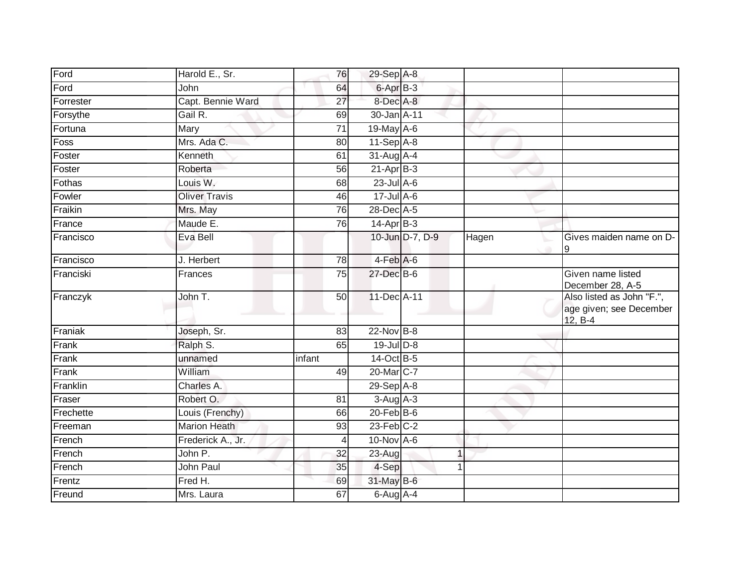| Ford      | Harold E., Sr.       | 76             | 29-Sep A-8             |                 |       |                                                                   |
|-----------|----------------------|----------------|------------------------|-----------------|-------|-------------------------------------------------------------------|
| Ford      | John                 | 64             | 6-Apr B-3              |                 |       |                                                                   |
| Forrester | Capt. Bennie Ward    | 27             | 8-Dec A-8              |                 |       |                                                                   |
| Forsythe  | Gail R.              | 69             | 30-Jan A-11            |                 |       |                                                                   |
| Fortuna   | Mary                 | 71             | 19-May A-6             |                 |       |                                                                   |
| Foss      | Mrs. Ada C.          | 80             | $11-Sep$ A-8           |                 |       |                                                                   |
| Foster    | Kenneth              | 61             | 31-Aug A-4             |                 |       |                                                                   |
| Foster    | Roberta              | 56             | $21-Apr$ B-3           |                 |       |                                                                   |
| Fothas    | Louis W.             | 68             | $23$ -Jul $A-6$        |                 |       |                                                                   |
| Fowler    | <b>Oliver Travis</b> | 46             | $17 -$ Jul A-6         |                 |       |                                                                   |
| Fraikin   | Mrs. May             | 76             | 28-Dec A-5             |                 |       |                                                                   |
| France    | Maude E.             | 76             | $14-Apr$ B-3           |                 |       |                                                                   |
| Francisco | Eva Bell             |                |                        | 10-Jun D-7, D-9 | Hagen | Gives maiden name on D-<br>9                                      |
| Francisco | J. Herbert           | 78             | $4-Feb$ A-6            |                 |       |                                                                   |
| Franciski | Frances              | 75             | 27-Dec B-6             |                 |       | Given name listed<br>December 28, A-5                             |
| Franczyk  | John T.              | 50             | 11-Dec A-11            |                 |       | Also listed as John "F.",<br>age given; see December<br>$12, B-4$ |
| Franiak   | Joseph, Sr.          | 83             | 22-Nov B-8             |                 |       |                                                                   |
| Frank     | Ralph S.             | 65             | 19-Jul D-8             |                 |       |                                                                   |
| Frank     | unnamed              | infant         | 14-Oct B-5             |                 |       |                                                                   |
| Frank     | William              | 49             | 20-Mar <sub>IC-7</sub> |                 |       |                                                                   |
| Franklin  | Charles A.           |                | $29-Sep$ A-8           |                 |       |                                                                   |
| Fraser    | Robert O.            | 81             | $3-Aug$ A-3            |                 |       |                                                                   |
| Frechette | Louis (Frenchy)      | 66             | $20$ -Feb $B$ -6       |                 |       |                                                                   |
| Freeman   | <b>Marion Heath</b>  | 93             | $23$ -Feb $C-2$        |                 |       |                                                                   |
| French    | Frederick A., Jr.    | $\overline{4}$ | 10-Nov A-6             |                 |       |                                                                   |
| French    | John P.              | 32             | $23 - Aug$             |                 |       |                                                                   |
| French    | John Paul            | 35             | 4-Sep                  |                 |       |                                                                   |
| Frentz    | Fred H.              | 69             | 31-May B-6             |                 |       |                                                                   |
| Freund    | Mrs. Laura           | 67             | $6$ -Aug $A$ -4        |                 |       |                                                                   |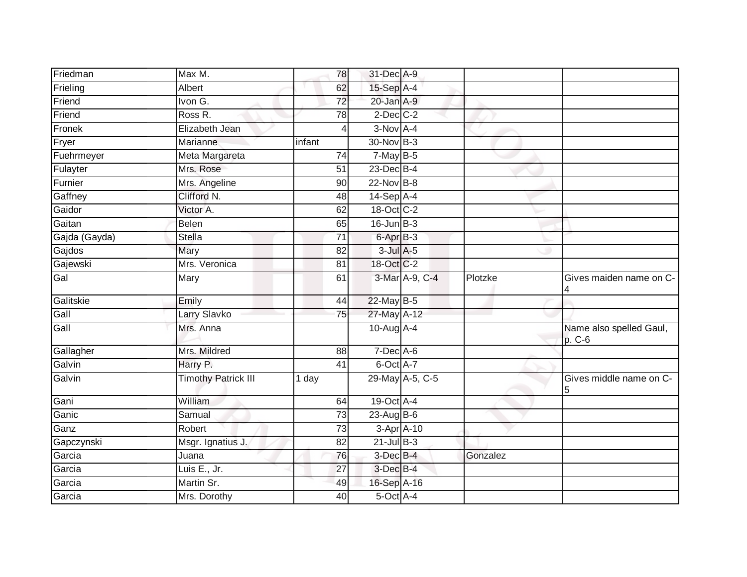| Friedman      | Max M.                     | 78              | 31-Dec A-9        |                 |          |                                   |
|---------------|----------------------------|-----------------|-------------------|-----------------|----------|-----------------------------------|
| Frieling      | Albert                     | 62              | 15-Sep A-4        |                 |          |                                   |
| Friend        | Ivon G.                    | $\overline{72}$ | 20-Jan A-9        |                 |          |                                   |
| Friend        | Ross R.                    | 78              | $2$ -Dec $C-2$    |                 |          |                                   |
| Fronek        | Elizabeth Jean             | 4               | $3-Nov$ A-4       |                 |          |                                   |
| Fryer         | Marianne                   | infant          | 30-Nov B-3        |                 |          |                                   |
| Fuehrmeyer    | Meta Margareta             | 74              | $7$ -May $B-5$    |                 |          |                                   |
| Fulayter      | Mrs. Rose                  | 51              | $23$ -Dec $B-4$   |                 |          |                                   |
| Furnier       | Mrs. Angeline              | $\overline{90}$ | 22-Nov B-8        |                 |          |                                   |
| Gaffney       | Clifford N.                | 48              | 14-Sep A-4        |                 |          |                                   |
| Gaidor        | Victor A.                  | 62              | 18-Oct C-2        |                 |          |                                   |
| Gaitan        | Belen                      | 65              | $16$ -Jun $B-3$   |                 |          |                                   |
| Gajda (Gayda) | Stella                     | $\overline{71}$ | $6 -$ Apr $B - 3$ |                 |          |                                   |
| Gajdos        | Mary                       | 82              | $3$ -Jul $A$ -5   |                 |          |                                   |
| Gajewski      | Mrs. Veronica              | $\overline{81}$ | 18-Oct C-2        |                 |          |                                   |
| Gal           | Mary                       | 61              |                   | 3-Mar A-9, C-4  | Plotzke  | Gives maiden name on C-<br>4      |
| Galitskie     | Emily                      | 44              | 22-May B-5        |                 |          |                                   |
| Gall          | Larry Slavko               | 75              | 27-May A-12       |                 |          |                                   |
| Gall          | Mrs. Anna                  |                 | $10$ -Aug $A$ -4  |                 |          | Name also spelled Gaul,<br>p. C-6 |
| Gallagher     | Mrs. Mildred               | 88              | $7-Dec$ A-6       |                 |          |                                   |
| Galvin        | Harry P.                   | 41              | 6-Oct A-7         |                 |          |                                   |
| Galvin        | <b>Timothy Patrick III</b> | 1 day           |                   | 29-May A-5, C-5 |          | Gives middle name on C-<br>5      |
| Gani          | William                    | 64              | 19-Oct A-4        |                 |          |                                   |
| Ganic         | Samual                     | $\overline{73}$ | $23$ -Aug B-6     |                 |          |                                   |
| Ganz          | Robert                     | 73              | 3-Apr A-10        |                 |          |                                   |
| Gapczynski    | Msgr. Ignatius J.          | 82              | $21$ -Jul $B-3$   |                 |          |                                   |
| Garcia        | Juana                      | 76              | 3-Dec B-4         |                 | Gonzalez |                                   |
| Garcia        | Luis E., Jr.               | 27              | 3-Dec B-4         |                 |          |                                   |
| Garcia        | Martin Sr.                 | 49              | 16-Sep A-16       |                 |          |                                   |
| Garcia        | Mrs. Dorothy               | 40              | 5-Oct A-4         |                 |          |                                   |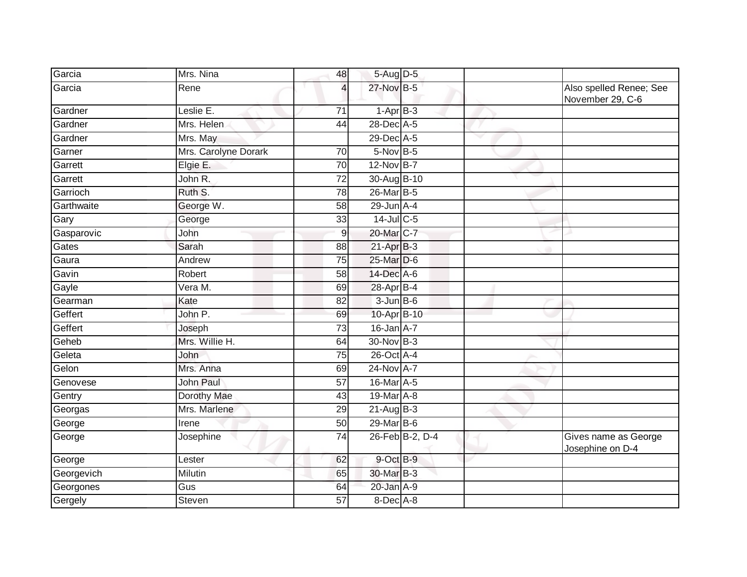| Garcia     | Mrs. Nina            | 48              | 5-Aug D-5       |                 |                       |                                             |
|------------|----------------------|-----------------|-----------------|-----------------|-----------------------|---------------------------------------------|
| Garcia     | Rene                 | 4               | 27-Nov B-5      |                 |                       | Also spelled Renee; See<br>November 29, C-6 |
| Gardner    | Leslie E.            | $\overline{71}$ | $1-AprB-3$      |                 |                       |                                             |
| Gardner    | Mrs. Helen           | 44              | 28-Dec A-5      |                 |                       |                                             |
| Gardner    | Mrs. May             |                 | 29-Dec A-5      |                 | $\tilde{\phantom{a}}$ |                                             |
| Garner     | Mrs. Carolyne Dorark | 70              | $5-Nov$ B-5     |                 |                       |                                             |
| Garrett    | Elgie E.             | 70              | 12-Nov B-7      |                 |                       |                                             |
| Garrett    | John R.              | $\overline{72}$ | 30-Aug B-10     |                 |                       |                                             |
| Garrioch   | Ruth S.              | 78              | 26-Mar B-5      |                 |                       |                                             |
| Garthwaite | George W.            | 58              | $29$ -Jun $A-4$ |                 |                       |                                             |
| Gary       | George               | 33              | 14-Jul C-5      |                 |                       |                                             |
| Gasparovic | John                 | 9               | 20-Mar C-7      |                 |                       |                                             |
| Gates      | Sarah                | 88              | $21-AprB-3$     |                 |                       |                                             |
| Gaura      | Andrew               | $\overline{75}$ | 25-Mar D-6      |                 |                       |                                             |
| Gavin      | Robert               | 58              | 14-Dec A-6      |                 |                       |                                             |
| Gayle      | Vera M.              | 69              | 28-Apr B-4      |                 |                       |                                             |
| Gearman    | Kate                 | 82              | $3 - Jun$ B-6   |                 |                       |                                             |
| Geffert    | John P.              | 69              | 10-Apr B-10     |                 |                       |                                             |
| Geffert    | Joseph               | $\overline{73}$ | 16-Jan A-7      |                 |                       |                                             |
| Geheb      | Mrs. Willie H.       | 64              | 30-Nov B-3      |                 |                       |                                             |
| Geleta     | John                 | $\overline{75}$ | 26-Oct A-4      |                 |                       |                                             |
| Gelon      | Mrs. Anna            | 69              | 24-Nov A-7      |                 |                       |                                             |
| Genovese   | John Paul            | 57              | 16-Mar A-5      |                 |                       |                                             |
| Gentry     | Dorothy Mae          | 43              | 19-Mar A-8      |                 |                       |                                             |
| Georgas    | Mrs. Marlene         | 29              | $21-Aug$ B-3    |                 |                       |                                             |
| George     | Irene                | 50              | $29$ -Mar B-6   |                 |                       |                                             |
| George     | Josephine            | $\overline{74}$ |                 | 26-Feb B-2, D-4 |                       | Gives name as George<br>Josephine on D-4    |
| George     | Lester               | 62              | 9-Oct B-9       |                 |                       |                                             |
| Georgevich | Milutin              | 65              | 30-Mar B-3      |                 |                       |                                             |
| Georgones  | Gus                  | 64              | 20-Jan A-9      |                 |                       |                                             |
| Gergely    | Steven               | 57              | $8$ -Dec $A$ -8 |                 |                       |                                             |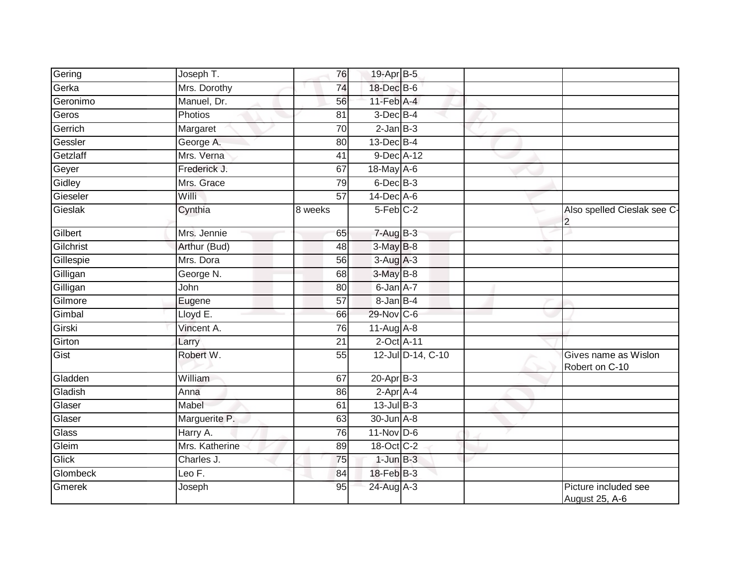| Gering    | Joseph T.      | 76              | 19-Apr B-5                  |                   |                                        |
|-----------|----------------|-----------------|-----------------------------|-------------------|----------------------------------------|
| Gerka     | Mrs. Dorothy   | 74              | 18-Dec B-6                  |                   |                                        |
| Geronimo  | Manuel, Dr.    | 56              | $11$ -Feb $\overline{A}$ -4 |                   |                                        |
| Geros     | Photios        | 81              | $3$ -Dec $B-4$              |                   |                                        |
| Gerrich   | Margaret       | 70              | $2$ -Jan $B-3$              |                   |                                        |
| Gessler   | George A.      | 80              | $13$ -Dec $B-4$             |                   |                                        |
| Getzlaff  | Mrs. Verna     | 41              | 9-Dec A-12                  |                   |                                        |
| Geyer     | Frederick J.   | 67              | 18-May A-6                  |                   |                                        |
| Gidley    | Mrs. Grace     | 79              | 6-Dec B-3                   |                   |                                        |
| Gieseler  | Willi          | $\overline{57}$ | $14$ -Dec $A$ -6            |                   |                                        |
| Gieslak   | Cynthia        | 8 weeks         | $5-Feb$ <sub>C-2</sub>      |                   | Also spelled Cieslak see C-<br>2       |
| Gilbert   | Mrs. Jennie    | 65              | $7 - Aug$ B-3               |                   |                                        |
| Gilchrist | Arthur (Bud)   | 48              | 3-May B-8                   |                   |                                        |
| Gillespie | Mrs. Dora      | 56              | $3-Aug$ A-3                 |                   |                                        |
| Gilligan  | George N.      | 68              | 3-May B-8                   |                   |                                        |
| Gilligan  | John           | 80              | 6-Jan A-7                   |                   |                                        |
| Gilmore   | Eugene         | 57              | 8-Jan B-4                   |                   |                                        |
| Gimbal    | Lloyd E.       | 66              | 29-Nov C-6                  |                   |                                        |
| Girski    | Vincent A.     | 76              | $11-Aug$ A-8                |                   |                                        |
| Girton    | Larry          | $\overline{21}$ | 2-Oct A-11                  |                   |                                        |
| Gist      | Robert W.      | 55              |                             | 12-Jul D-14, C-10 | Gives name as Wislon<br>Robert on C-10 |
| Gladden   | <b>William</b> | 67              | $20$ -Apr $B-3$             |                   |                                        |
| Gladish   | Anna           | 86              | 2-Apr A-4                   |                   |                                        |
| Glaser    | Mabel          | 61              | $13$ -Jul $B-3$             |                   |                                        |
| Glaser    | Marguerite P.  | 63              | 30-Jun A-8                  |                   |                                        |
| Glass     | Harry A.       | 76              | $11-Nov$ D-6                |                   |                                        |
| Gleim     | Mrs. Katherine | 89              | 18-Oct C-2                  |                   |                                        |
| Glick     | Charles J.     | 75              | $1$ -Jun $B-3$              |                   |                                        |
| Glombeck  | Leo F.         | 84              | $18$ -Feb $B-3$             |                   |                                        |
| Gmerek    | Joseph         | 95              | 24-Aug A-3                  |                   | Picture included see<br>August 25, A-6 |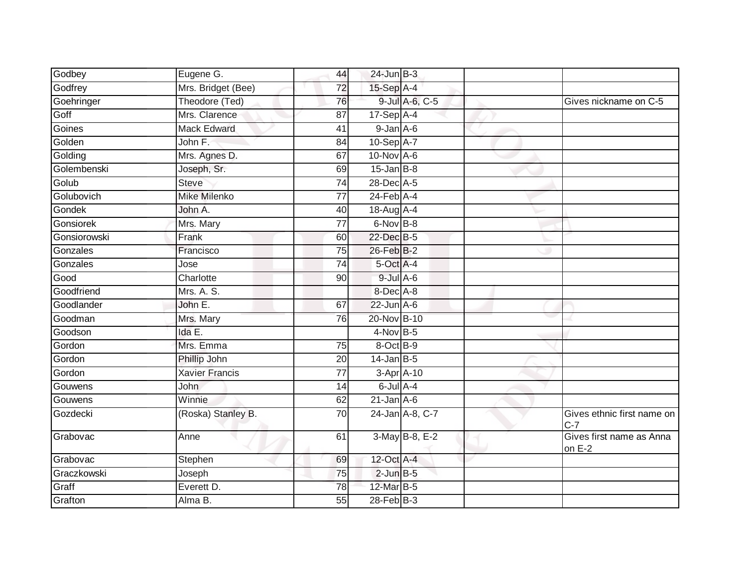| Godbey       | Eugene G.             | 44              | $24$ -Jun $B-3$            |                 |                                     |
|--------------|-----------------------|-----------------|----------------------------|-----------------|-------------------------------------|
| Godfrey      | Mrs. Bridget (Bee)    | 72              | 15-Sep A-4                 |                 |                                     |
| Goehringer   | Theodore (Ted)        | 76              |                            | 9-Jul A-6, C-5  | Gives nickname on C-5               |
| Goff         | Mrs. Clarence         | 87              | $17-Sep$ A-4               |                 |                                     |
| Goines       | <b>Mack Edward</b>    | 41              | $9 - Jan A - 6$            |                 |                                     |
| Golden       | John F.               | 84              | 10-Sep A-7                 |                 |                                     |
| Golding      | Mrs. Agnes D.         | 67              | 10-Nov A-6                 |                 |                                     |
| Golembenski  | Joseph, Sr.           | 69              | $15$ -Jan B-8              |                 |                                     |
| Golub        | <b>Steve</b>          | 74              | 28-Dec A-5                 |                 |                                     |
| Golubovich   | <b>Mike Milenko</b>   | 77              | $24$ -Feb $\overline{A-4}$ |                 |                                     |
| Gondek       | John A.               | 40              | 18-Aug A-4                 |                 |                                     |
| Gonsiorek    | Mrs. Mary             | 77              | $6-Nov$ B-8                |                 |                                     |
| Gonsiorowski | Frank                 | 60              | 22-Dec B-5                 |                 |                                     |
| Gonzales     | Francisco             | $\overline{75}$ | 26-Feb B-2                 |                 |                                     |
| Gonzales     | Jose                  | $\overline{74}$ | 5-Oct A-4                  |                 |                                     |
| Good         | Charlotte             | 90              | $9$ -Jul $A$ -6            |                 |                                     |
| Goodfriend   | Mrs. A. S.            |                 | 8-Dec A-8                  |                 |                                     |
| Goodlander   | John E.               | 67              | $22$ -Jun $A$ -6           |                 |                                     |
| Goodman      | Mrs. Mary             | 76              | 20-Nov B-10                |                 |                                     |
| Goodson      | Ida E.                |                 | $4$ -Nov B-5               |                 |                                     |
| Gordon       | Mrs. Emma             | 75              | 8-Oct B-9                  |                 |                                     |
| Gordon       | Phillip John          | 20              | $14$ -Jan B-5              |                 |                                     |
| Gordon       | <b>Xavier Francis</b> | $\overline{77}$ | 3-Apr A-10                 |                 |                                     |
| Gouwens      | <b>John</b>           | 14              | $6$ -Jul $A-4$             |                 |                                     |
| Gouwens      | Winnie                | 62              | $21$ -Jan A-6              |                 |                                     |
| Gozdecki     | (Roska) Stanley B.    | 70              |                            | 24-Jan A-8, C-7 | Gives ethnic first name on<br>$C-7$ |
| Grabovac     | Anne                  | 61              |                            | 3-May B-8, E-2  | Gives first name as Anna<br>on E-2  |
| Grabovac     | Stephen               | 69              | 12-Oct A-4                 |                 |                                     |
| Graczkowski  | Joseph                | 75              | $2$ -Jun $B-5$             |                 |                                     |
| Graff        | Everett D.            | 78              | 12-Mar B-5                 |                 |                                     |
| Grafton      | Alma B.               | 55              | 28-Feb B-3                 |                 |                                     |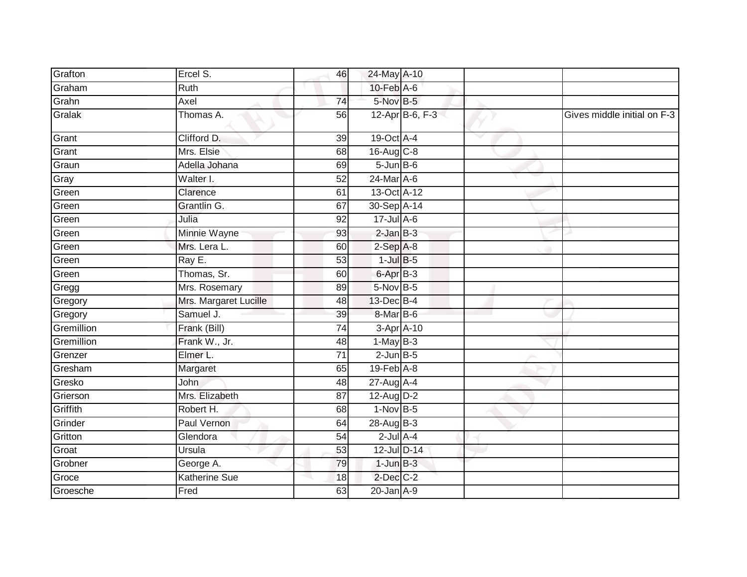| Grafton    | Ercel S.              | 46              | 24-May A-10      |                 |                             |
|------------|-----------------------|-----------------|------------------|-----------------|-----------------------------|
| Graham     | Ruth                  |                 | $10$ -Feb $A$ -6 |                 |                             |
| Grahn      | Axel                  | 74              | 5-Nov B-5        |                 |                             |
| Gralak     | Thomas A.             | 56              |                  | 12-Apr B-6, F-3 | Gives middle initial on F-3 |
| Grant      | Clifford D.           | 39              | 19-Oct A-4       |                 |                             |
| Grant      | Mrs. Elsie            | 68              | 16-Aug C-8       |                 |                             |
| Graun      | Adella Johana         | 69              | $5 - Jun$ B-6    |                 |                             |
| Gray       | Walter I.             | $\overline{52}$ | 24-Mar A-6       |                 |                             |
| Green      | Clarence              | 61              | 13-Oct A-12      |                 |                             |
| Green      | Grantlin G.           | 67              | 30-Sep A-14      |                 |                             |
| Green      | Julia                 | 92              | $17 -$ Jul A-6   |                 |                             |
| Green      | Minnie Wayne          | 93              | $2$ -Jan $B-3$   |                 |                             |
| Green      | Mrs. Lera L.          | 60              | $2-Sep$ $A-8$    |                 |                             |
| Green      | Ray E.                | 53              | $1$ -Jul $B-5$   |                 |                             |
| Green      | Thomas, Sr.           | 60              | 6-Apr B-3        |                 |                             |
| Gregg      | Mrs. Rosemary         | 89              | $5$ -Nov $B$ -5  |                 |                             |
| Gregory    | Mrs. Margaret Lucille | $\overline{48}$ | 13-Dec B-4       |                 |                             |
| Gregory    | Samuel J.             | 39              | 8-Mar B-6        |                 |                             |
| Gremillion | Frank (Bill)          | 74              | $3-Apr$ A-10     |                 |                             |
| Gremillion | Frank W., Jr.         | 48              | $1-May$ B-3      |                 |                             |
| Grenzer    | Elmer L.              | 71              | $2$ -Jun $B$ -5  |                 |                             |
| Gresham    | Margaret              | 65              | $19$ -Feb $A$ -8 |                 |                             |
| Gresko     | <b>John</b>           | 48              | 27-Aug A-4       |                 |                             |
| Grierson   | Mrs. Elizabeth        | 87              | 12-Aug D-2       |                 |                             |
| Griffith   | Robert H.             | 68              | $1-Nov$ B-5      |                 |                             |
| Grinder    | Paul Vernon           | 64              | 28-Aug B-3       |                 |                             |
| Gritton    | Glendora              | 54              | $2$ -Jul $A-4$   |                 |                             |
| Groat      | Ursula                | 53              | 12-Jul D-14      |                 |                             |
| Grobner    | George A.             | 79              | $1$ -Jun $B-3$   |                 |                             |
| Groce      | <b>Katherine Sue</b>  | 18              | 2-Dec C-2        |                 |                             |
| Groesche   | Fred                  | 63              | $20$ -Jan $A-9$  |                 |                             |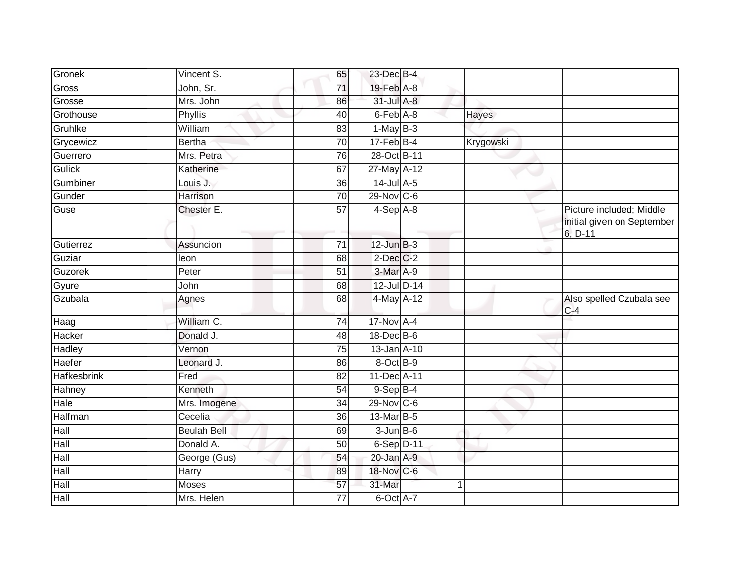| Gronek             | Vincent S.         | 65              | 23-Dec B-4       |           |                                                                   |
|--------------------|--------------------|-----------------|------------------|-----------|-------------------------------------------------------------------|
| Gross              | John, Sr.          | 71              | 19-Feb A-8       |           |                                                                   |
| Grosse             | Mrs. John          | 86              | 31-Jul A-8       |           |                                                                   |
| Grothouse          | Phyllis            | 40              | 6-Feb A-8        | Hayes     |                                                                   |
| Gruhlke            | William            | 83              | $1-May$ B-3      |           |                                                                   |
| Grycewicz          | <b>Bertha</b>      | $\overline{70}$ | $17 - Feb$ B-4   | Krygowski |                                                                   |
| Guerrero           | Mrs. Petra         | 76              | 28-Oct B-11      |           |                                                                   |
| <b>Gulick</b>      | Katherine          | 67              | 27-May A-12      |           |                                                                   |
| Gumbiner           | Louis J.           | 36              | $14$ -Jul A-5    |           |                                                                   |
| Gunder             | Harrison           | 70              | $29-Nov$ C-6     |           |                                                                   |
| Guse               | Chester E.         | $\overline{57}$ | $4-Sep$ A-8      |           | Picture included; Middle<br>initial given on September<br>6, D-11 |
| Gutierrez          | Assuncion          | 71              | $12$ -Jun $B-3$  |           |                                                                   |
| Guziar             | leon               | 68              | $2$ -Dec $C-2$   |           |                                                                   |
| Guzorek            | Peter              | $\overline{51}$ | 3-Mar A-9        |           |                                                                   |
| Gyure              | John               | 68              | 12-Jul D-14      |           |                                                                   |
| Gzubala            | Agnes              | 68              | $4$ -May $A-12$  |           | Also spelled Czubala see<br>$C-4$                                 |
| Haag               | William C.         | 74              | 17-Nov A-4       |           |                                                                   |
| Hacker             | Donald J.          | 48              | $18$ -Dec $B$ -6 |           |                                                                   |
| Hadley             | Vernon             | 75              | 13-Jan A-10      |           |                                                                   |
| Haefer             | Leonard J.         | 86              | 8-Oct B-9        |           |                                                                   |
| <b>Hafkesbrink</b> | Fred               | $\overline{82}$ | 11-Dec A-11      |           |                                                                   |
| Hahney             | Kenneth            | 54              | $9-$ Sep $B-4$   |           |                                                                   |
| Hale               | Mrs. Imogene       | 34              | 29-Nov C-6       |           |                                                                   |
| Halfman            | Cecelia            | 36              | 13-Mar B-5       |           |                                                                   |
| Hall               | <b>Beulah Bell</b> | 69              | $3 - Jun$ B-6    |           |                                                                   |
| Hall               | Donald A.          | 50              | 6-Sep D-11       |           |                                                                   |
| Hall               | George (Gus)       | 54              | 20-Jan A-9       |           |                                                                   |
| Hall               | Harry              | 89              | 18-Nov C-6       |           |                                                                   |
| Hall               | Moses              | 57              | 31-Mar           |           |                                                                   |
| Hall               | Mrs. Helen         | 77              | 6-Oct A-7        |           |                                                                   |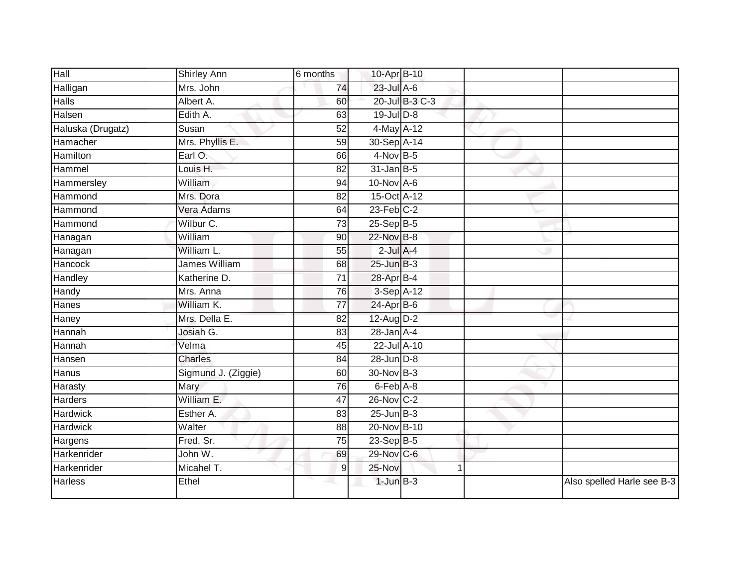| Hall              | Shirley Ann          | 6 months        | 10-Apr B-10                |                |                            |
|-------------------|----------------------|-----------------|----------------------------|----------------|----------------------------|
| Halligan          | Mrs. John            | 74              | 23-Jul A-6                 |                |                            |
| <b>Halls</b>      | Albert A.            | 60              |                            | 20-Jul B-3 C-3 |                            |
| Halsen            | Edith A.             | 63              | $19$ -Jul $D-8$            |                |                            |
| Haluska (Drugatz) | Susan                | $\overline{52}$ | 4-May A-12                 |                |                            |
| Hamacher          | Mrs. Phyllis E.      | 59              | 30-Sep A-14                |                |                            |
| Hamilton          | Earl O.              | 66              | 4-Nov B-5                  |                |                            |
| Hammel            | Louis H.             | 82              | $31$ -Jan B-5              |                |                            |
| Hammersley        | William              | 94              | $10$ -Nov A-6              |                |                            |
| Hammond           | Mrs. Dora            | $\overline{82}$ | 15-Oct A-12                |                |                            |
| Hammond           | Vera Adams           | 64              | $23$ -Feb $C-2$            |                |                            |
| Hammond           | Wilbur C.            | 73              | $25-SepB-5$                |                |                            |
| Hanagan           | William              | 90              | 22-Nov B-8                 |                |                            |
| Hanagan           | William L.           | 55              | $2$ -Jul $A-4$             |                |                            |
| Hancock           | <b>James William</b> | 68              | $25$ -Jun $B-3$            |                |                            |
| Handley           | Katherine D.         | 71              | 28-Apr B-4                 |                |                            |
| Handy             | Mrs. Anna            | 76              | 3-Sep A-12                 |                |                            |
| Hanes             | William K.           | $\overline{77}$ | $24$ -Apr $B$ -6           |                |                            |
| Haney             | Mrs. Della E.        | 82              | 12-Aug D-2                 |                |                            |
| Hannah            | Josiah G.            | 83              | $28$ -Jan $A-4$            |                |                            |
| Hannah            | Velma                | 45              | 22-Jul A-10                |                |                            |
| Hansen            | <b>Charles</b>       | 84              | $28$ -Jun $D-8$            |                |                            |
| Hanus             | Sigmund J. (Ziggie)  | 60              | 30-Nov B-3                 |                |                            |
| Harasty           | Mary                 | 76              | $6$ -Feb $\overline{A}$ -8 |                |                            |
| Harders           | William E.           | 47              | 26-Nov C-2                 |                |                            |
| <b>Hardwick</b>   | Esther A.            | 83              | $25$ -Jun $B-3$            |                |                            |
| <b>Hardwick</b>   | Walter               | 88              | 20-Nov B-10                |                |                            |
| Hargens           | Fred, Sr.            | 75              | $23-SepB-5$                |                |                            |
| Harkenrider       | John W.              | 69              | 29-Nov C-6                 |                |                            |
| Harkenrider       | Micahel T.           | 9               | 25-Nov                     | 1              |                            |
| Harless           | Ethel                |                 | $1$ -Jun $B-3$             |                | Also spelled Harle see B-3 |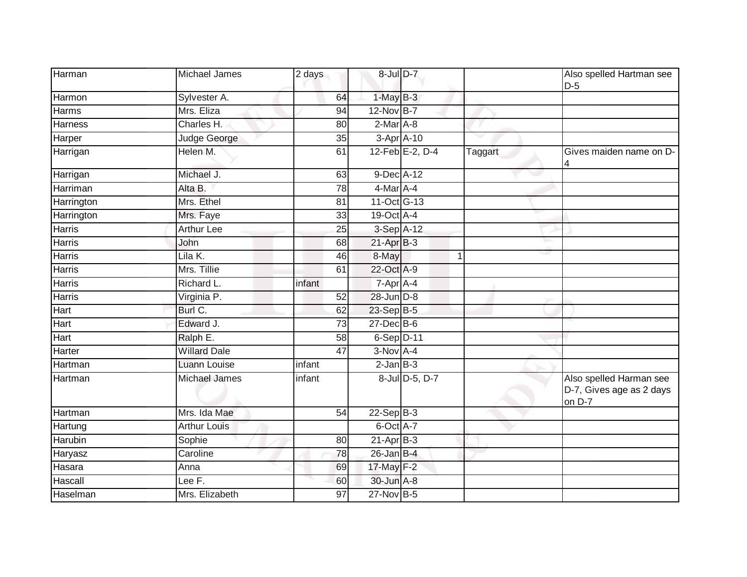| Harman         | Michael James       | 2 days          | 8-Jul D-7      |                 |         | Also spelled Hartman see<br>$D-5$                             |
|----------------|---------------------|-----------------|----------------|-----------------|---------|---------------------------------------------------------------|
| Harmon         | Sylvester A.        | 64              | $1-MayB-3$     |                 |         |                                                               |
| <b>Harms</b>   | Mrs. Eliza          | 94              | 12-Nov B-7     |                 |         |                                                               |
| <b>Harness</b> | Charles H.          | 80              | $2-Mar$ A-8    |                 |         |                                                               |
| Harper         | Judge George        | 35              | 3-Apr A-10     |                 |         |                                                               |
| Harrigan       | Helen M.            | 61              |                | 12-Feb E-2, D-4 | Taggart | Gives maiden name on D-<br>4                                  |
| Harrigan       | Michael J.          | 63              | 9-Dec A-12     |                 |         |                                                               |
| Harriman       | Alta B.             | $\overline{78}$ | 4-Mar A-4      |                 |         |                                                               |
| Harrington     | Mrs. Ethel          | 81              | 11-Oct G-13    |                 |         |                                                               |
| Harrington     | Mrs. Faye           | 33              | 19-Oct A-4     |                 |         |                                                               |
| <b>Harris</b>  | <b>Arthur Lee</b>   | $\overline{25}$ | 3-Sep A-12     |                 |         |                                                               |
| Harris         | John                | 68              | $21-Apr$ B-3   |                 |         |                                                               |
| <b>Harris</b>  | Lila K.             | 46              | 8-May          |                 | -1      |                                                               |
| Harris         | Mrs. Tillie         | 61              | 22-Oct A-9     |                 |         |                                                               |
| Harris         | Richard L.          | infant          | 7-Apr A-4      |                 |         |                                                               |
| Harris         | Virginia P.         | 52              | 28-Jun D-8     |                 |         |                                                               |
| Hart           | Burl C.             | 62              | 23-Sep B-5     |                 |         |                                                               |
| <b>Hart</b>    | Edward J.           | 73              | 27-Dec B-6     |                 |         |                                                               |
| Hart           | Ralph E.            | 58              | $6-Sep$ D-11   |                 |         |                                                               |
| Harter         | <b>Willard Dale</b> | 47              | $3-Nov$ A-4    |                 |         |                                                               |
| Hartman        | <b>Luann Louise</b> | infant          | $2$ -Jan $B-3$ |                 |         |                                                               |
| Hartman        | Michael James       | infant          |                | 8-Jul D-5, D-7  |         | Also spelled Harman see<br>D-7, Gives age as 2 days<br>on D-7 |
| Hartman        | Mrs. Ida Mae        | 54              | $22-Sep$ B-3   |                 |         |                                                               |
| Hartung        | <b>Arthur Louis</b> |                 | 6-Oct A-7      |                 |         |                                                               |
| Harubin        | Sophie              | 80              | $21-Apr$ B-3   |                 |         |                                                               |
| Haryasz        | Caroline            | $\overline{78}$ | $26$ -Jan B-4  |                 |         |                                                               |
| Hasara         | Anna                | 69              | 17-May F-2     |                 |         |                                                               |
| Hascall        | Lee F.              | 60              | 30-Jun A-8     |                 |         |                                                               |
| Haselman       | Mrs. Elizabeth      | 97              | 27-Nov B-5     |                 |         |                                                               |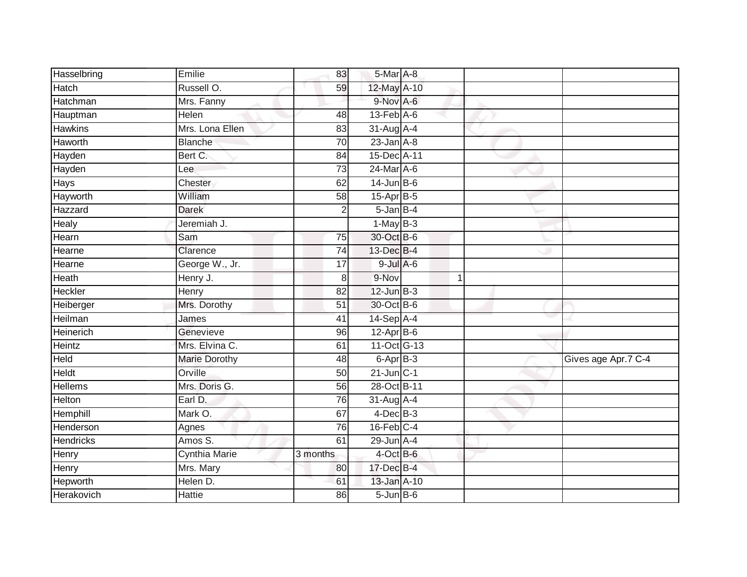| Hasselbring      | Emilie               | 83              | 5-Mar A-8                   |   |                     |
|------------------|----------------------|-----------------|-----------------------------|---|---------------------|
| Hatch            | Russell O.           | 59              | 12-May A-10                 |   |                     |
| Hatchman         | Mrs. Fanny           |                 | 9-Nov A-6                   |   |                     |
| Hauptman         | Helen                | 48              | $13$ -Feb $\overline{A}$ -6 |   |                     |
| <b>Hawkins</b>   | Mrs. Lona Ellen      | 83              | 31-Aug A-4                  |   |                     |
| Haworth          | <b>Blanche</b>       | 70              | $23$ -Jan $A-8$             |   |                     |
| Hayden           | Bert C.              | 84              | 15-Dec A-11                 |   |                     |
| Hayden           | Lee                  | 73              | 24-Mar A-6                  |   |                     |
| Hays             | Chester              | 62              | $14$ -Jun B-6               |   |                     |
| Hayworth         | William              | $\overline{58}$ | 15-Apr B-5                  |   |                     |
| Hazzard          | <b>Darek</b>         | $\overline{2}$  | $5 - Jan$ $B - 4$           |   |                     |
| Healy            | Jeremiah J.          |                 | $1-MayB-3$                  |   |                     |
| Hearn            | Sam                  | 75              | 30-Oct B-6                  |   |                     |
| Hearne           | Clarence             | 74              | 13-Dec B-4                  |   |                     |
| Hearne           | George W., Jr.       | $\overline{17}$ | $9$ -Jul $A$ -6             |   |                     |
| Heath            | Henry J.             | 8               | 9-Nov                       | 1 |                     |
| <b>Heckler</b>   | <b>Henry</b>         | 82              | $12$ -Jun $B-3$             |   |                     |
| Heiberger        | Mrs. Dorothy         | 51              | 30-Oct B-6                  |   |                     |
| Heilman          | James                | 41              | $14-SepA-4$                 |   |                     |
| <b>Heinerich</b> | Genevieve            | 96              | $12-Apr$ B-6                |   |                     |
| Heintz           | Mrs. Elvina C.       | 61              | 11-Oct G-13                 |   |                     |
| Held             | <b>Marie Dorothy</b> | $\overline{48}$ | 6-Apr B-3                   |   | Gives age Apr.7 C-4 |
| Heldt            | Orville              | 50              | $21$ -Jun $C-1$             |   |                     |
| <b>Hellems</b>   | Mrs. Doris G.        | 56              | 28-Oct B-11                 |   |                     |
| Helton           | Earl D.              | 76              | $31$ -Aug $A$ -4            |   |                     |
| Hemphill         | Mark O.              | 67              | $4$ -Dec $B-3$              |   |                     |
| Henderson        | Agnes                | 76              | $16$ -Feb $C-4$             |   |                     |
| <b>Hendricks</b> | Amos S.              | 61              | 29-Jun A-4                  |   |                     |
| Henry            | Cynthia Marie        | 3 months        | 4-Oct B-6                   |   |                     |
| Henry            | Mrs. Mary            | 80              | 17-Dec B-4                  |   |                     |
| Hepworth         | Helen D.             | 61              | 13-Jan A-10                 |   |                     |
| Herakovich       | <b>Hattie</b>        | 86              | $5 - Jun$ $B - 6$           |   |                     |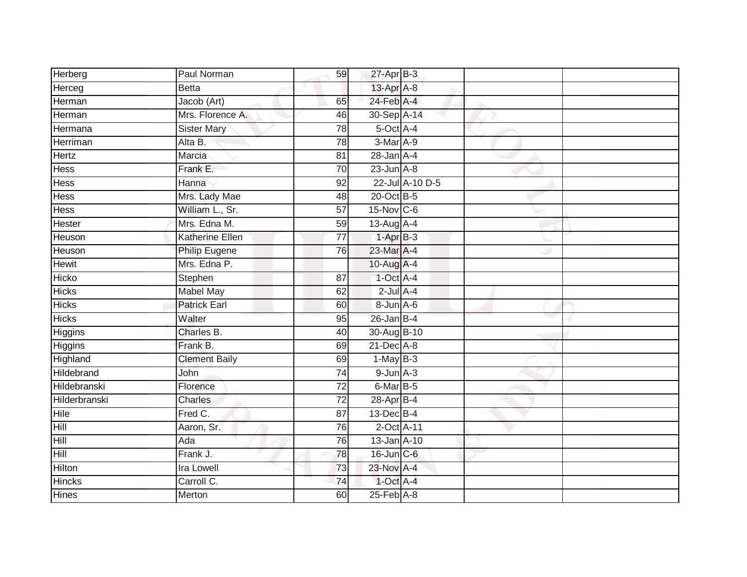| Herberg        | Paul Norman          | 59              | $27$ -Apr $B-3$  |                 |  |
|----------------|----------------------|-----------------|------------------|-----------------|--|
| Herceg         | <b>Betta</b>         |                 | 13-Apr A-8       |                 |  |
| Herman         | Jacob (Art)          | 65              | 24-Feb A-4       |                 |  |
| Herman         | Mrs. Florence A.     | 46              | 30-Sep A-14      |                 |  |
| Hermana        | <b>Sister Mary</b>   | $\overline{78}$ | $5$ -Oct $A$ -4  |                 |  |
| Herriman       | Alta B.              | 78              | 3-Mar A-9        |                 |  |
| Hertz          | Marcia               | 81              | $28$ -Jan $A-4$  |                 |  |
| Hess           | Frank E.             | 70              | $23$ -Jun $A-8$  |                 |  |
| Hess           | Hanna                | 92              |                  | 22-Jul A-10 D-5 |  |
| Hess           | Mrs. Lady Mae        | 48              | 20-Oct B-5       |                 |  |
| Hess           | William L., Sr.      | 57              | 15-Nov C-6       |                 |  |
| Hester         | Mrs. Edna M.         | 59              | 13-Aug A-4       |                 |  |
| Heuson         | Katherine Ellen      | $\overline{77}$ | $1-AprB-3$       |                 |  |
| Heuson         | <b>Philip Eugene</b> | 76              | 23-Mar A-4       |                 |  |
| Hewit          | Mrs. Edna P.         |                 | 10-Aug A-4       |                 |  |
| Hicko          | Stephen              | 87              | 1-Oct A-4        |                 |  |
| <b>Hicks</b>   | <b>Mabel May</b>     | 62              | $2$ -Jul $A-4$   |                 |  |
| <b>Hicks</b>   | <b>Patrick Earl</b>  | 60              | 8-Jun A-6        |                 |  |
| <b>Hicks</b>   | Walter               | 95              | $26$ -Jan B-4    |                 |  |
| <b>Higgins</b> | Charles B.           | $\overline{40}$ | 30-Aug B-10      |                 |  |
| Higgins        | Frank B.             | 69              | $21$ -Dec $A-8$  |                 |  |
| Highland       | <b>Clement Baily</b> | 69              | $1-May$ B-3      |                 |  |
| Hildebrand     | John                 | 74              | $9$ -Jun $A - 3$ |                 |  |
| Hildebranski   | Florence             | 72              | 6-Mar B-5        |                 |  |
| Hilderbranski  | <b>Charles</b>       | 72              | 28-Apr B-4       |                 |  |
| <b>Hile</b>    | Fred C.              | 87              | $13$ -Dec $B-4$  |                 |  |
| Hill           | Aaron, Sr.           | 76              | 2-Oct A-11       |                 |  |
| Hill           | Ada                  | 76              | $13$ -Jan $A-10$ |                 |  |
| Hill           | Frank J.             | 78              | 16-Jun C-6       |                 |  |
| Hilton         | <b>Ira Lowell</b>    | 73              | 23-Nov A-4       |                 |  |
| Hincks         | Carroll C.           | $\overline{74}$ | 1-Oct A-4        |                 |  |
| <b>Hines</b>   | Merton               | 60              | $25$ -Feb $A-8$  |                 |  |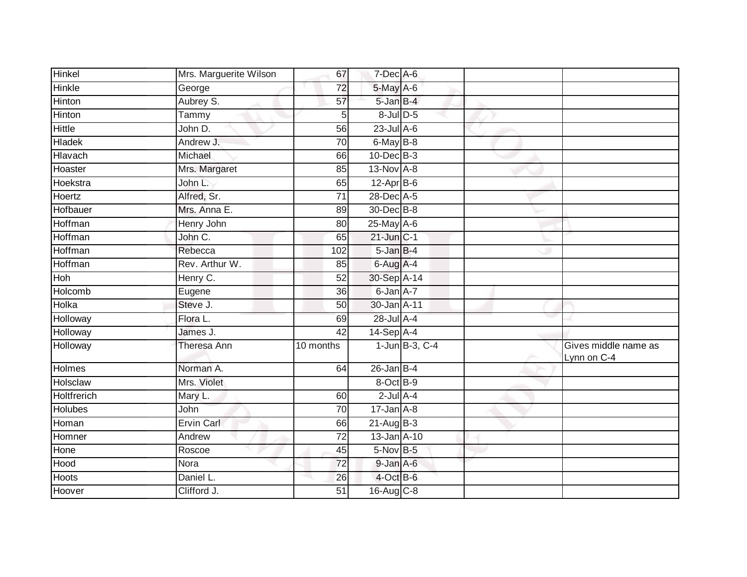| Hinkel         | Mrs. Marguerite Wilson | 67              | 7-Dec A-6        |                  |                                     |
|----------------|------------------------|-----------------|------------------|------------------|-------------------------------------|
| <b>Hinkle</b>  | George                 | $\overline{72}$ | 5-May A-6        |                  |                                     |
| Hinton         | Aubrey S.              | 57              | 5-Jan B-4        |                  |                                     |
| Hinton         | Tammy                  | 5               | 8-Jul D-5        |                  |                                     |
| <b>Hittle</b>  | John D.                | 56              | $23$ -Jul A-6    |                  |                                     |
| <b>Hladek</b>  | Andrew J.              | 70              | 6-May B-8        |                  |                                     |
| Hlavach        | Michael                | 66              | $10$ -Dec $B-3$  |                  |                                     |
| Hoaster        | Mrs. Margaret          | 85              | $13-NovA-8$      |                  |                                     |
| Hoekstra       | John L.                | 65              | $12-Apr$ B-6     |                  |                                     |
| Hoertz         | Alfred, Sr.            | $\overline{71}$ | 28-Dec A-5       |                  |                                     |
| Hofbauer       | Mrs. Anna E.           | 89              | 30-Dec B-8       |                  |                                     |
| Hoffman        | Henry John             | 80              | 25-May A-6       |                  |                                     |
| Hoffman        | John C.                | 65              | $21$ -Jun $C-1$  |                  |                                     |
| Hoffman        | Rebecca                | 102             | $5 - JanB - 4$   |                  |                                     |
| Hoffman        | Rev. Arthur W.         | 85              | 6-Aug A-4        |                  |                                     |
| Hoh            | Henry C.               | 52              | 30-Sep A-14      |                  |                                     |
| <b>Holcomb</b> | Eugene                 | 36              | 6-Jan A-7        |                  |                                     |
| Holka          | Steve J.               | 50              | 30-Jan A-11      |                  |                                     |
| Holloway       | Flora L.               | 69              | 28-Jul A-4       |                  |                                     |
| Holloway       | James J.               | 42              | $14-Sep$ A-4     |                  |                                     |
| Holloway       | Theresa Ann            | 10 months       |                  | 1-Jun B-3, $C-4$ | Gives middle name as<br>Lynn on C-4 |
| Holmes         | Norman A.              | 64              | $26$ -Jan B-4    |                  |                                     |
| Holsclaw       | Mrs. Violet            |                 | 8-Oct B-9        |                  |                                     |
| Holtfrerich    | Mary L.                | 60              | $2$ -Jul $A-4$   |                  |                                     |
| <b>Holubes</b> | John                   | $\overline{70}$ | $17 - Jan A - 8$ |                  |                                     |
| Homan          | <b>Ervin Carl</b>      | 66              | $21-AugB-3$      |                  |                                     |
| Homner         | Andrew                 | 72              | 13-Jan A-10      |                  |                                     |
| Hone           | Roscoe                 | 45              | $5-Nov$ B-5      |                  |                                     |
| Hood           | Nora                   | 72              | 9-Jan A-6        |                  |                                     |
| Hoots          | Daniel L.              | 26              | 4-Oct B-6        |                  |                                     |
| Hoover         | Clifford J.            | 51              | 16-Aug C-8       |                  |                                     |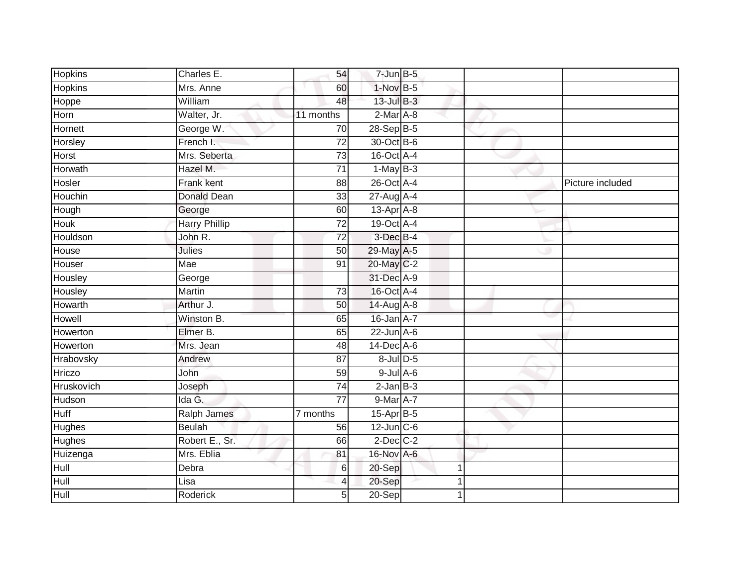| <b>Hopkins</b> | Charles E.           | 54              | $7$ -Jun $B - 5$ |  |                  |
|----------------|----------------------|-----------------|------------------|--|------------------|
| <b>Hopkins</b> | Mrs. Anne            | 60              | 1-Nov B-5        |  |                  |
| Hoppe          | William              | 48              | $13$ -Jul $B-3$  |  |                  |
| Horn           | Walter, Jr.          | 11 months       | $2-Mar$ A-8      |  |                  |
| Hornett        | George W.            | 70              | $28-Sep$ B-5     |  |                  |
| Horsley        | French I.            | $\overline{72}$ | 30-Oct B-6       |  |                  |
| Horst          | Mrs. Seberta         | 73              | 16-Oct A-4       |  |                  |
| Horwath        | Hazel M.             | 71              | $1-MayB-3$       |  |                  |
| Hosler         | Frank kent           | 88              | 26-Oct A-4       |  | Picture included |
| Houchin        | <b>Donald Dean</b>   | 33              | 27-Aug A-4       |  |                  |
| Hough          | George               | 60              | $13$ -Apr $A$ -8 |  |                  |
| Houk           | <b>Harry Phillip</b> | 72              | 19-Oct A-4       |  |                  |
| Houldson       | John R.              | 72              | 3-Dec B-4        |  |                  |
| House          | <b>Julies</b>        | 50              | 29-May A-5       |  |                  |
| Houser         | <b>Mae</b>           | $\overline{91}$ | 20-May C-2       |  |                  |
| Housley        | George               |                 | 31-Dec A-9       |  |                  |
| Housley        | Martin               | 73              | 16-Oct A-4       |  |                  |
| Howarth        | Arthur J.            | 50              | 14-Aug A-8       |  |                  |
| Howell         | Winston B.           | 65              | 16-Jan A-7       |  |                  |
| Howerton       | Elmer B.             | 65              | $22$ -Jun $A-6$  |  |                  |
| Howerton       | Mrs. Jean            | 48              | $14$ -Dec $A$ -6 |  |                  |
| Hrabovsky      | Andrew               | $\overline{87}$ | 8-Jul D-5        |  |                  |
| Hriczo         | John                 | 59              | $9$ -Jul $A$ -6  |  |                  |
| Hruskovich     | Joseph               | 74              | $2$ -Jan B-3     |  |                  |
| Hudson         | Ida G.               | $\overline{77}$ | 9-Mar A-7        |  |                  |
| <b>Huff</b>    | Ralph James          | 7 months        | 15-Apr B-5       |  |                  |
| Hughes         | <b>Beulah</b>        | 56              | $12$ -Jun $C-6$  |  |                  |
| <b>Hughes</b>  | Robert E., Sr.       | 66              | $2$ -Dec $C-2$   |  |                  |
| Huizenga       | Mrs. Eblia           | 81              | 16-Nov A-6       |  |                  |
| Hull           | Debra                | $6 \mid$        | 20-Sep           |  |                  |
| Hull           | Lisa                 | 4               | 20-Sep           |  |                  |
| Hull           | Roderick             | 5 <sup>1</sup>  | $20-Sep$         |  |                  |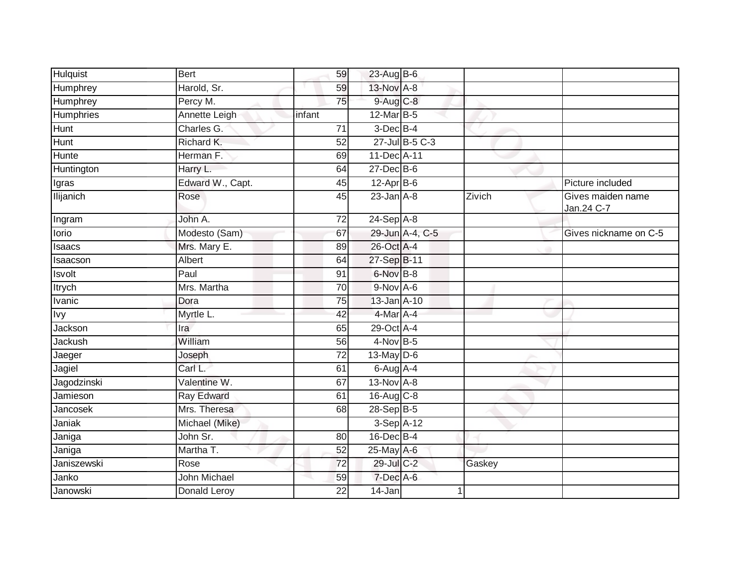| <b>Hulquist</b>  | <b>Bert</b>      | 59              | $23$ -Aug B-6    |                 |        |                                 |
|------------------|------------------|-----------------|------------------|-----------------|--------|---------------------------------|
| Humphrey         | Harold, Sr.      | 59              | $13-NovA-8$      |                 |        |                                 |
| Humphrey         | Percy M.         | 75              | 9-Aug C-8        |                 |        |                                 |
| Humphries        | Annette Leigh    | infant          | $12$ -Mar B-5    |                 |        |                                 |
| <b>Hunt</b>      | Charles G.       | $\overline{71}$ | $3$ -Dec $B-4$   |                 |        |                                 |
| <b>Hunt</b>      | Richard K.       | 52              |                  | 27-Jul B-5 C-3  |        |                                 |
| Hunte            | Herman F.        | 69              | 11-Dec A-11      |                 |        |                                 |
| Huntington       | Harry L.         | 64              | $27$ -Dec $B$ -6 |                 |        |                                 |
| Igras            | Edward W., Capt. | 45              | $12-Apr$ B-6     |                 |        | Picture included                |
| <b>Ilijanich</b> | Rose             | 45              | $23$ -Jan $A-8$  |                 | Zivich | Gives maiden name<br>Jan.24 C-7 |
| Ingram           | John A.          | 72              | $24-Sep$ A-8     |                 |        |                                 |
| lorio            | Modesto (Sam)    | 67              |                  | 29-Jun A-4, C-5 |        | Gives nickname on C-5           |
| Isaacs           | Mrs. Mary E.     | 89              | 26-Oct A-4       |                 |        |                                 |
| Isaacson         | Albert           | 64              | 27-Sep B-11      |                 |        |                                 |
| <b>Isvolt</b>    | Paul             | 91              | 6-Nov B-8        |                 |        |                                 |
| <b>Itrych</b>    | Mrs. Martha      | $\overline{70}$ | 9-Nov A-6        |                 |        |                                 |
| Ivanic           | Dora             | 75              | 13-Jan A-10      |                 |        |                                 |
| <b>lvy</b>       | Myrtle L.        | 42              | 4-Mar A-4        |                 |        |                                 |
| Jackson          | Ira              | 65              | 29-Oct A-4       |                 |        |                                 |
| <b>Jackush</b>   | William          | 56              | $4$ -Nov B-5     |                 |        |                                 |
| Jaeger           | Joseph           | 72              | 13-May $D-6$     |                 |        |                                 |
| Jagiel           | Carl L.          | 61              | $6$ -Aug $A$ -4  |                 |        |                                 |
| Jagodzinski      | Valentine W.     | 67              | 13-Nov A-8       |                 |        |                                 |
| Jamieson         | Ray Edward       | 61              | $16$ -Aug $C-8$  |                 |        |                                 |
| <b>Jancosek</b>  | Mrs. Theresa     | 68              | $28-Sep$ B-5     |                 |        |                                 |
| Janiak           | Michael (Mike)   |                 | 3-Sep A-12       |                 |        |                                 |
| Janiga           | John Sr.         | 80              | 16-Dec B-4       |                 |        |                                 |
| Janiga           | Martha T.        | 52              | 25-May A-6       |                 |        |                                 |
| Janiszewski      | Rose             | 72              | 29-Jul C-2       |                 | Gaskey |                                 |
| Janko            | John Michael     | 59              | 7-Dec A-6        |                 |        |                                 |
| Janowski         | Donald Leroy     | 22              | 14-Jan           |                 |        |                                 |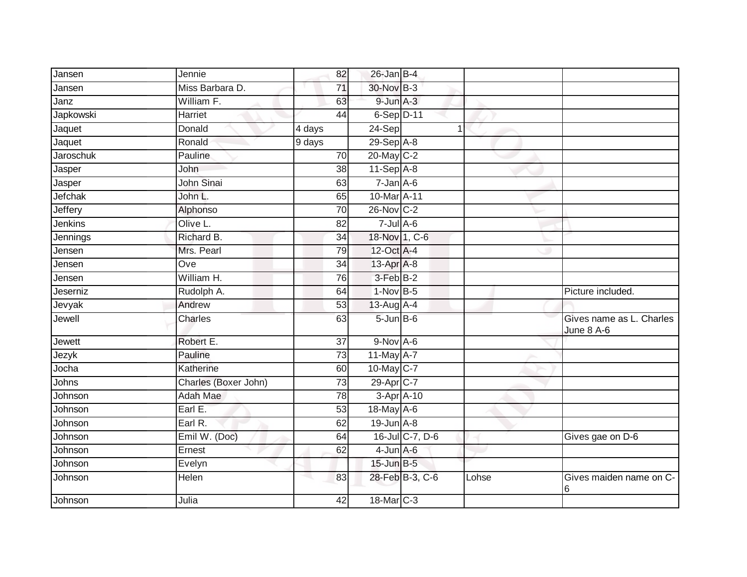| Jansen         | Jennie               | 82              | $26$ -Jan B-4     |                 |       |                                        |
|----------------|----------------------|-----------------|-------------------|-----------------|-------|----------------------------------------|
| Jansen         | Miss Barbara D.      | 71              | 30-Nov B-3        |                 |       |                                        |
| Janz           | William F.           | 63              | $9$ -Jun $A-3$    |                 |       |                                        |
| Japkowski      | Harriet              | 44              | $6-Sep$ D-11      |                 |       |                                        |
| Jaquet         | Donald               | 4 days          | 24-Sep            |                 | 1     |                                        |
| Jaquet         | Ronald               | 9 days          | 29-Sep A-8        |                 |       |                                        |
| Jaroschuk      | Pauline              | 70              | 20-May C-2        |                 |       |                                        |
| Jasper         | John                 | 38              | 11-Sep A-8        |                 |       |                                        |
| Jasper         | John Sinai           | 63              | $7 - Jan A - 6$   |                 |       |                                        |
| <b>Jefchak</b> | John L.              | 65              | 10-Mar A-11       |                 |       |                                        |
| Jeffery        | Alphonso             | $\overline{70}$ | 26-Nov C-2        |                 |       |                                        |
| Jenkins        | Olive L.             | 82              | $7 -$ Jul $A - 6$ |                 |       |                                        |
| Jennings       | Richard B.           | 34              | 18-Nov 1, C-6     |                 |       |                                        |
| Jensen         | Mrs. Pearl           | 79              | 12-Oct A-4        |                 |       |                                        |
| Jensen         | Ove                  | 34              | 13-Apr A-8        |                 |       |                                        |
| Jensen         | William H.           | 76              | 3-Feb B-2         |                 |       |                                        |
| Jeserniz       | Rudolph A.           | 64              | $1-Nov$ B-5       |                 |       | Picture included.                      |
| Jevyak         | Andrew               | 53              | 13-Aug A-4        |                 |       |                                        |
| Jewell         | Charles              | 63              | $5 - Jun$ B-6     |                 |       | Gives name as L. Charles<br>June 8 A-6 |
| Jewett         | Robert E.            | $\overline{37}$ | $9-Nov$ A-6       |                 |       |                                        |
| Jezyk          | Pauline              | $\overline{73}$ | 11-May A-7        |                 |       |                                        |
| Jocha          | Katherine            | 60              | $10$ -May C-7     |                 |       |                                        |
| Johns          | Charles (Boxer John) | 73              | 29-Apr C-7        |                 |       |                                        |
| Johnson        | <b>Adah Mae</b>      | 78              | 3-Apr A-10        |                 |       |                                        |
| Johnson        | Earl E.              | 53              | 18-May A-6        |                 |       |                                        |
| Johnson        | Earl R.              | 62              | $19$ -Jun $A - 8$ |                 |       |                                        |
| Johnson        | Emil W. (Doc)        | 64              |                   | 16-Jul C-7, D-6 |       | Gives gae on D-6                       |
| Johnson        | Ernest               | 62              | $4$ -Jun $A$ -6   |                 |       |                                        |
| Johnson        | Evelyn               |                 | $15$ -Jun $B-5$   |                 |       |                                        |
| Johnson        | Helen                | 83              |                   | 28-Feb B-3, C-6 | Lohse | Gives maiden name on C-<br>6           |
| Johnson        | Julia                | 42              | 18-Mar C-3        |                 |       |                                        |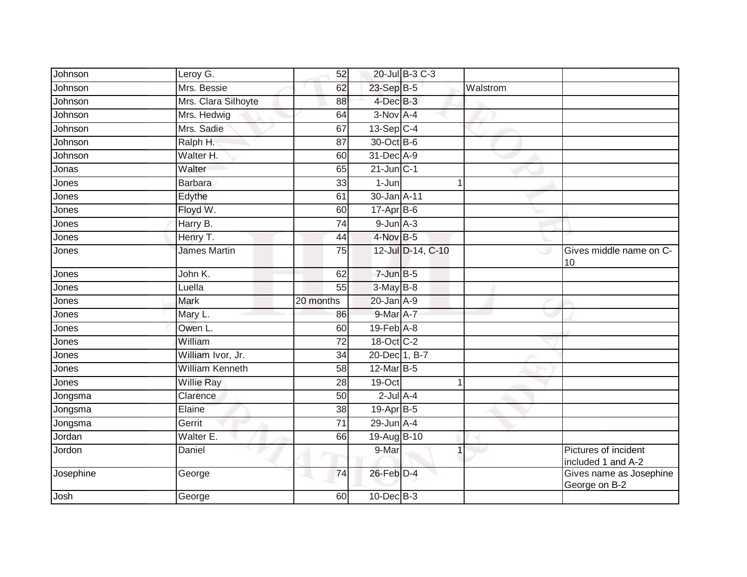| Johnson   | Leroy G.               | 52              |                  | 20-Jul B-3 C-3    |          |                                            |
|-----------|------------------------|-----------------|------------------|-------------------|----------|--------------------------------------------|
| Johnson   | Mrs. Bessie            | 62              | 23-Sep B-5       |                   | Walstrom |                                            |
| Johnson   | Mrs. Clara Silhoyte    | 88              | 4-Dec B-3        |                   |          |                                            |
| Johnson   | Mrs. Hedwig            | 64              | 3-Nov A-4        |                   |          |                                            |
| Johnson   | Mrs. Sadie             | 67              | $13-Sep$ C-4     |                   |          |                                            |
| Johnson   | Ralph H.               | 87              | 30-Oct B-6       |                   |          |                                            |
| Johnson   | Walter H.              | 60              | 31-Dec A-9       |                   |          |                                            |
| Jonas     | Walter                 | 65              | $21$ -Jun $C-1$  |                   |          |                                            |
| Jones     | <b>Barbara</b>         | 33              | 1-Jun            |                   |          |                                            |
| Jones     | Edythe                 | 61              | 30-Jan A-11      |                   |          |                                            |
| Jones     | Floyd W.               | 60              | $17$ -Apr $B$ -6 |                   |          |                                            |
| Jones     | Harry B.               | $\overline{74}$ | $9$ -Jun $A - 3$ |                   |          |                                            |
| Jones     | Henry T.               | 44              | 4-Nov B-5        |                   |          |                                            |
| Jones     | <b>James Martin</b>    | 75              |                  | 12-Jul D-14, C-10 | w        | Gives middle name on C-<br>10              |
| Jones     | John K.                | 62              | $7$ -Jun $B-5$   |                   |          |                                            |
| Jones     | Luella                 | 55              | $3-May$ B-8      |                   |          |                                            |
| Jones     | <b>Mark</b>            | 20 months       | 20-Jan A-9       |                   |          |                                            |
| Jones     | Mary L.                | 86              | 9-Mar A-7        |                   |          |                                            |
| Jones     | Owen L.                | 60              | $19$ -Feb $A$ -8 |                   |          |                                            |
| Jones     | William                | 72              | 18-Oct C-2       |                   |          |                                            |
| Jones     | William Ivor, Jr.      | 34              | 20-Dec 1, B-7    |                   |          |                                            |
| Jones     | <b>William Kenneth</b> | 58              | 12-Mar B-5       |                   |          |                                            |
| Jones     | Willie Ray             | 28              | 19-Oct           | 1                 |          |                                            |
| Jongsma   | Clarence               | 50              | $2$ -Jul $A-4$   |                   |          |                                            |
| Jongsma   | Elaine                 | 38              | 19-Apr B-5       |                   |          |                                            |
| Jongsma   | Gerrit                 | 71              | $29$ -Jun $A-4$  |                   |          |                                            |
| Jordan    | Walter E.              | 66              | 19-Aug B-10      |                   |          |                                            |
| Jordon    | Daniel                 |                 | 9-Mar            | 1                 |          | Pictures of incident<br>included 1 and A-2 |
| Josephine | George                 | 74              | 26-Feb D-4       |                   |          | Gives name as Josephine<br>George on B-2   |
| Josh      | George                 | 60              | 10-Dec B-3       |                   |          |                                            |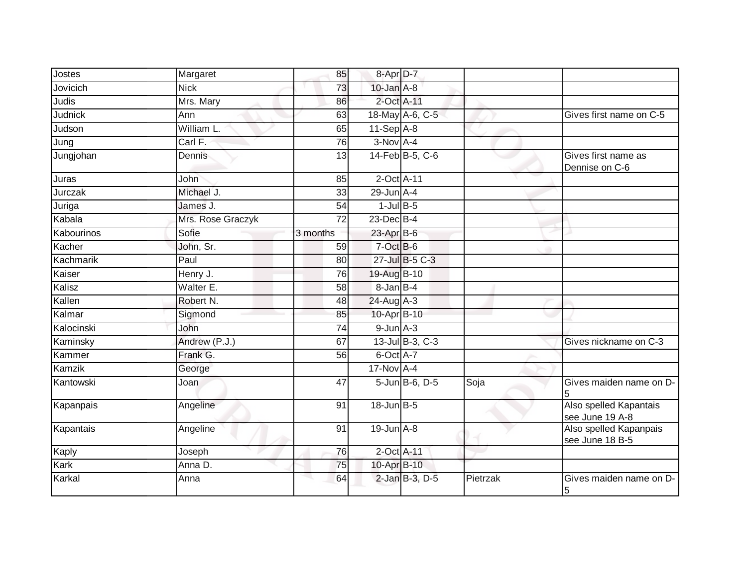| Jostes     | Margaret          | 85              | 8-Apr D-7         |                 |          |                                           |
|------------|-------------------|-----------------|-------------------|-----------------|----------|-------------------------------------------|
| Jovicich   | <b>Nick</b>       | 73              | $10$ -Jan $A-8$   |                 |          |                                           |
| Judis      | Mrs. Mary         | 86              | 2-Oct A-11        |                 |          |                                           |
| Judnick    | Ann               | 63              |                   | 18-May A-6, C-5 |          | Gives first name on C-5                   |
| Judson     | William L.        | 65              | $11-Sep$ A-8      |                 |          |                                           |
| Jung       | Carl F.           | 76              | $3-Nov$ A-4       |                 |          |                                           |
| Jungjohan  | Dennis            | 13              |                   | 14-Feb B-5, C-6 |          | Gives first name as<br>Dennise on C-6     |
| Juras      | John              | 85              | 2-Oct A-11        |                 |          |                                           |
| Jurczak    | Michael J.        | 33              | 29-Jun A-4        |                 |          |                                           |
| Juriga     | James J.          | 54              | $1$ -Jul B-5      |                 |          |                                           |
| Kabala     | Mrs. Rose Graczyk | $\overline{72}$ | 23-Dec B-4        |                 |          |                                           |
| Kabourinos | Sofie             | $3$ months      | $23$ -Apr $B$ -6  |                 |          |                                           |
| Kacher     | John, Sr.         | 59              | $7-Oct$ B-6       |                 |          |                                           |
| Kachmarik  | Paul              | 80              |                   | 27-Jul B-5 C-3  |          |                                           |
| Kaiser     | Henry J.          | 76              | 19-Aug B-10       |                 |          |                                           |
| Kalisz     | Walter E.         | 58              | $8$ -Jan $B$ -4   |                 |          |                                           |
| Kallen     | Robert N.         | 48              | $24$ -Aug A-3     |                 |          |                                           |
| Kalmar     | Sigmond           | 85              | 10-Apr B-10       |                 |          |                                           |
| Kalocinski | John              | 74              | $9$ -Jun $A-3$    |                 |          |                                           |
| Kaminsky   | Andrew (P.J.)     | 67              |                   | 13-Jul B-3, C-3 |          | Gives nickname on C-3                     |
| Kammer     | Frank G.          | 56              | $6$ -Oct $A$ -7   |                 |          |                                           |
| Kamzik     | George            |                 | $17-Nov$ A-4      |                 |          |                                           |
| Kantowski  | Joan              | 47              |                   | 5-Jun B-6, D-5  | Soja     | Gives maiden name on D-<br>5              |
| Kapanpais  | Angeline          | 91              | $18$ -Jun $B - 5$ |                 |          | Also spelled Kapantais<br>see June 19 A-8 |
| Kapantais  | Angeline          | 91              | $19$ -Jun $A-8$   |                 |          | Also spelled Kapanpais<br>see June 18 B-5 |
| Kaply      | Joseph            | 76              | 2-Oct A-11        |                 |          |                                           |
| Kark       | Anna D.           | 75              | 10-Apr B-10       |                 |          |                                           |
| Karkal     | Anna              | 64              |                   | 2-Jan B-3, D-5  | Pietrzak | Gives maiden name on D-<br>5              |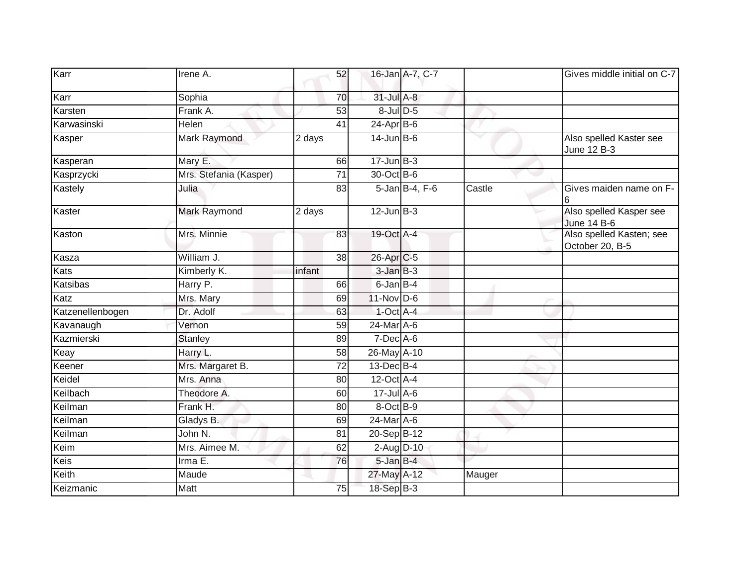| Karr             | Irene A.               | 52              |                        | 16-Jan A-7, C-7 |              | Gives middle initial on C-7                   |
|------------------|------------------------|-----------------|------------------------|-----------------|--------------|-----------------------------------------------|
| Karr             | Sophia                 | 70              | 31-Jul A-8             |                 |              |                                               |
| Karsten          | Frank A.               | 53              | 8-Jul D-5              |                 |              |                                               |
| Karwasinski      | Helen                  | 41              | $24 - Apr$ B-6         |                 |              |                                               |
| Kasper           | Mark Raymond           | 2 days          | $14$ -Jun B-6          |                 | $\checkmark$ | Also spelled Kaster see<br>June 12 B-3        |
| Kasperan         | Mary E.                | 66              | $17 - Jun$ $B-3$       |                 |              |                                               |
| Kasprzycki       | Mrs. Stefania (Kasper) | 71              | 30-Oct B-6             |                 |              |                                               |
| Kastely          | Julia                  | 83              |                        | 5-Jan B-4, F-6  | Castle       | Gives maiden name on F-<br>6                  |
| Kaster           | Mark Raymond           | 2 days          | $12$ -Jun $B-3$        |                 |              | Also spelled Kasper see<br><b>June 14 B-6</b> |
| Kaston           | Mrs. Minnie            | 83              | 19-Oct A-4             |                 |              | Also spelled Kasten; see<br>October 20, B-5   |
| Kasza            | William J.             | 38              | 26-Apr <sub>IC-5</sub> |                 |              |                                               |
| <b>Kats</b>      | Kimberly K.            | infant          | $3$ -Jan $B-3$         |                 |              |                                               |
| Katsibas         | Harry P.               | 66              | 6-Jan B-4              |                 |              |                                               |
| Katz             | Mrs. Mary              | 69              | 11-Nov D-6             |                 |              |                                               |
| Katzenellenbogen | Dr. Adolf              | 63              | $1$ -Oct $A$ -4        |                 |              |                                               |
| Kavanaugh        | Vernon                 | 59              | 24-Mar A-6             |                 |              |                                               |
| Kazmierski       | <b>Stanley</b>         | 89              | $7$ -Dec $A$ -6        |                 |              |                                               |
| Keay             | Harry L.               | 58              | 26-May A-10            |                 |              |                                               |
| Keener           | Mrs. Margaret B.       | $\overline{72}$ | 13-Dec B-4             |                 |              |                                               |
| Keidel           | Mrs. Anna              | 80              | $12$ -Oct $A$ -4       |                 |              |                                               |
| Keilbach         | Theodore A.            | 60              | $17 -$ Jul A-6         |                 |              |                                               |
| Keilman          | Frank H.               | 80              | $8$ -Oct $B-9$         |                 |              |                                               |
| Keilman          | Gladys B.              | 69              | 24-Mar A-6             |                 |              |                                               |
| Keilman          | John N.                | 81              | 20-Sep B-12            |                 |              |                                               |
| Keim             | Mrs. Aimee M.          | 62              | 2-Aug $D-10$           |                 |              |                                               |
| Keis             | Irma E.                | 76              | 5-Jan B-4              |                 |              |                                               |
| Keith            | Maude                  |                 | 27-May A-12            |                 | Mauger       |                                               |
| Keizmanic        | Matt                   | 75              | 18-Sep B-3             |                 |              |                                               |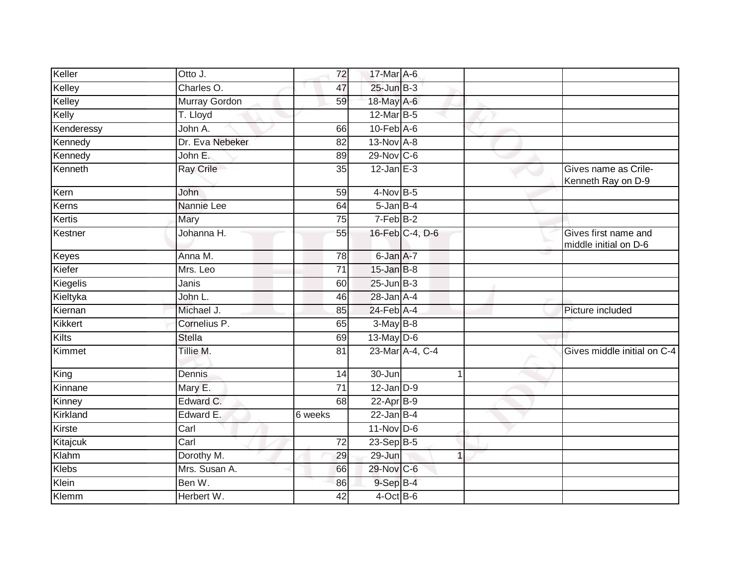| Keller       | Otto J.              | 72              | 17-Mar A-6       |                 |                                               |
|--------------|----------------------|-----------------|------------------|-----------------|-----------------------------------------------|
| Kelley       | Charles O.           | 47              | $25$ -Jun $B-3$  |                 |                                               |
| Kelley       | <b>Murray Gordon</b> | 59              | 18-May A-6       |                 |                                               |
| Kelly        | T. Lloyd             |                 | 12-Mar B-5       |                 |                                               |
| Kenderessy   | John A.              | 66              | $10$ -Feb $A$ -6 |                 |                                               |
| Kennedy      | Dr. Eva Nebeker      | 82              | 13-Nov A-8       |                 |                                               |
| Kennedy      | John E.              | 89              | 29-Nov C-6       |                 |                                               |
| Kenneth      | <b>Ray Crile</b>     | 35              | $12$ -Jan E-3    |                 | Gives name as Crile-<br>Kenneth Ray on D-9    |
| Kern         | John                 | 59              | $4$ -Nov B-5     |                 |                                               |
| Kerns        | Nannie Lee           | 64              | $5 - JanB - 4$   |                 |                                               |
| Kertis       | Mary                 | 75              | 7-Feb B-2        |                 |                                               |
| Kestner      | Johanna H.           | 55              |                  | 16-Feb C-4, D-6 | Gives first name and<br>middle initial on D-6 |
| <b>Keyes</b> | Anna M.              | $\overline{78}$ | 6-Jan A-7        |                 |                                               |
| Kiefer       | Mrs. Leo             | $\overline{71}$ | 15-Jan B-8       |                 |                                               |
| Kiegelis     | Janis                | 60              | $25$ -Jun $B-3$  |                 |                                               |
| Kieltyka     | John L.              | 46              | $28$ -Jan $A-4$  |                 |                                               |
| Kiernan      | Michael J.           | 85              | 24-Feb A-4       |                 | Picture included                              |
| Kikkert      | Cornelius P.         | 65              | $3-May$ B-8      |                 |                                               |
| Kilts        | Stella               | 69              | $13$ -May $D$ -6 |                 |                                               |
| Kimmet       | Tillie M.            | $\overline{81}$ |                  | 23-Mar A-4, C-4 | Gives middle initial on C-4                   |
| King         | Dennis               | 14              | 30-Jun           | $\overline{1}$  |                                               |
| Kinnane      | Mary E.              | $\overline{71}$ | $12$ -Jan $D-9$  |                 |                                               |
| Kinney       | Edward C.            | 68              | 22-Apr B-9       |                 |                                               |
| Kirkland     | Edward E.            | 6 weeks         | $22$ -Jan B-4    |                 |                                               |
| Kirste       | Carl                 |                 | $11-Nov$ D-6     |                 |                                               |
| Kitajcuk     | Carl                 | 72              | $23-Sep$ B-5     |                 |                                               |
| Klahm        | Dorothy M.           | 29              | 29-Jun           | $\overline{1}$  |                                               |
| <b>Klebs</b> | Mrs. Susan A.        | 66              | 29-Nov C-6       |                 |                                               |
| Klein        | Ben W.               | 86              | $9-Sep$ B-4      |                 |                                               |
| Klemm        | Herbert W.           | $\overline{42}$ | $4$ -Oct B-6     |                 |                                               |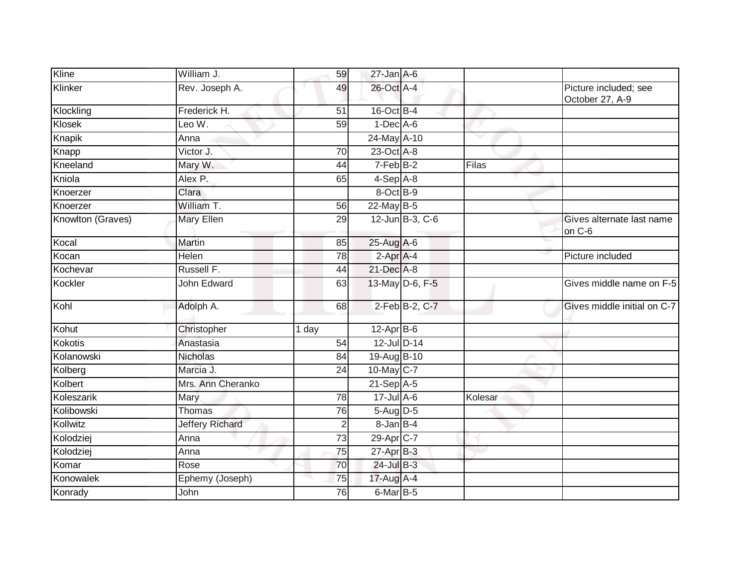| Kline             | William J.             | 59              | $27$ -Jan A-6          |                 |         |                                          |
|-------------------|------------------------|-----------------|------------------------|-----------------|---------|------------------------------------------|
| Klinker           | Rev. Joseph A.         | 49              | 26-Oct A-4             |                 |         | Picture included; see<br>October 27, A-9 |
| Klockling         | Frederick H.           | 51              | 16-Oct B-4             |                 |         |                                          |
| Klosek            | Leo W.                 | 59              | $1-Dec$ A-6            |                 |         |                                          |
| Knapik            | Anna                   |                 | 24-May A-10            |                 |         |                                          |
| Knapp             | Victor J.              | 70              | 23-Oct A-8             |                 |         |                                          |
| Kneeland          | Mary W.                | 44              | $7-FebB-2$             |                 | Filas   |                                          |
| Kniola            | Alex P.                | 65              | $4-Sep$ $A-8$          |                 |         |                                          |
| Knoerzer          | Clara                  |                 | 8-Oct B-9              |                 |         |                                          |
| Knoerzer          | William T.             | 56              | 22-May B-5             |                 |         |                                          |
| Knowlton (Graves) | Mary Ellen             | 29              |                        | 12-Jun B-3, C-6 |         | Gives alternate last name<br>on C-6      |
| Kocal             | Martin                 | 85              | 25-Aug A-6             |                 |         |                                          |
| Kocan             | Helen                  | $\overline{78}$ | 2-Apr A-4              |                 |         | Picture included                         |
| Kochevar          | Russell F.             | 44              | 21-Dec A-8             |                 |         |                                          |
| Kockler           | John Edward            | 63              |                        | 13-May D-6, F-5 |         | Gives middle name on F-5                 |
| Kohl              | Adolph A.              | 68              |                        | 2-Feb B-2, C-7  |         | Gives middle initial on C-7              |
| Kohut             | Christopher            | 1 day           | $12$ -Apr $B$ -6       |                 |         |                                          |
| Kokotis           | Anastasia              | 54              | 12-Jul D-14            |                 |         |                                          |
| Kolanowski        | Nicholas               | 84              | 19-Aug B-10            |                 |         |                                          |
| Kolberg           | Marcia J.              | 24              | 10-May C-7             |                 |         |                                          |
| Kolbert           | Mrs. Ann Cheranko      |                 | $21-Sep$ A-5           |                 |         |                                          |
| Koleszarik        | Mary                   | 78              | $17$ -Jul A-6          |                 | Kolesar |                                          |
| Kolibowski        | Thomas                 | 76              | 5-Aug D-5              |                 |         |                                          |
| Kollwitz          | <b>Jeffery Richard</b> | $\overline{2}$  | 8-Jan B-4              |                 |         |                                          |
| Kolodziej         | Anna                   | 73              | 29-Apr <sub>IC-7</sub> |                 |         |                                          |
| Kolodziej         | Anna                   | 75              | $27$ -Apr $B-3$        |                 |         |                                          |
| Komar             | Rose                   | 70              | 24-Jul B-3             |                 |         |                                          |
| Konowalek         | Ephemy (Joseph)        | 75              | 17-Aug A-4             |                 |         |                                          |
| Konrady           | John                   | 76              | $6$ -Mar $B$ -5        |                 |         |                                          |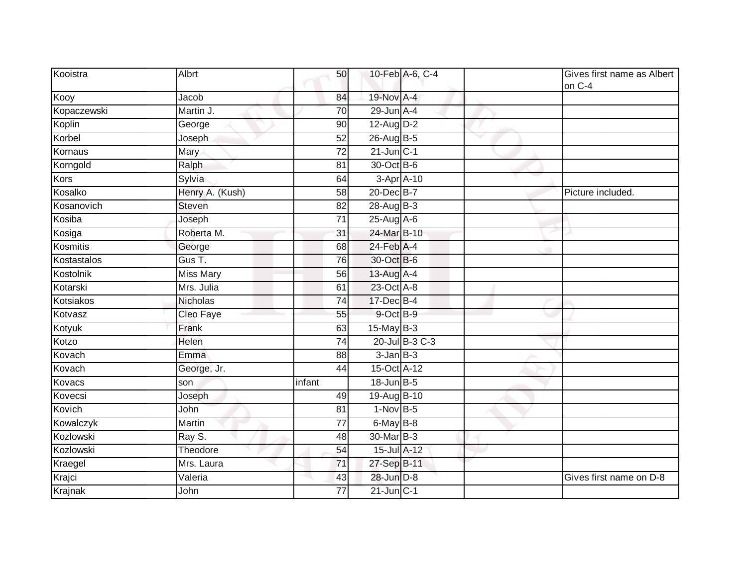| Kooistra    | Albrt            | 50              |                   | 10-Feb A-6, C-4 | Gives first name as Albert<br>on C-4 |
|-------------|------------------|-----------------|-------------------|-----------------|--------------------------------------|
| Kooy        | Jacob            | 84              | 19-Nov A-4        |                 |                                      |
| Kopaczewski | Martin J.        | $\overline{70}$ | $29$ -Jun $A-4$   |                 |                                      |
| Koplin      | George           | 90              | 12-Aug D-2        |                 |                                      |
| Korbel      | Joseph           | 52              | 26-Aug B-5        |                 |                                      |
| Kornaus     | <b>Mary</b>      | $\overline{72}$ | $21$ -Jun $C-1$   |                 |                                      |
| Korngold    | Ralph            | 81              | 30-Oct B-6        |                 |                                      |
| Kors        | Sylvia           | 64              | 3-Apr A-10        |                 |                                      |
| Kosalko     | Henry A. (Kush)  | 58              | 20-Dec B-7        |                 | Picture included.                    |
| Kosanovich  | Steven           | 82              | 28-Aug B-3        |                 |                                      |
| Kosiba      | Joseph           | 71              | 25-Aug A-6        |                 |                                      |
| Kosiga      | Roberta M.       | 31              | 24-Mar B-10       |                 |                                      |
| Kosmitis    | George           | 68              | 24-Feb A-4        |                 |                                      |
| Kostastalos | Gus T.           | 76              | 30-Oct B-6        |                 |                                      |
| Kostolnik   | <b>Miss Mary</b> | 56              | 13-Aug A-4        |                 |                                      |
| Kotarski    | Mrs. Julia       | 61              | 23-Oct A-8        |                 |                                      |
| Kotsiakos   | Nicholas         | 74              | 17-Dec B-4        |                 |                                      |
| Kotvasz     | Cleo Faye        | 55              | 9-Oct B-9         |                 |                                      |
| Kotyuk      | Frank            | 63              | $15$ -May B-3     |                 |                                      |
| Kotzo       | Helen            | 74              |                   | 20-Jul B-3 C-3  |                                      |
| Kovach      | Emma             | 88              | $3$ -Jan $B-3$    |                 |                                      |
| Kovach      | George, Jr.      | 44              | 15-Oct A-12       |                 |                                      |
| Kovacs      | son              | infant          | $18$ -Jun $B - 5$ |                 |                                      |
| Kovecsi     | Joseph           | 49              | 19-Aug B-10       |                 |                                      |
| Kovich      | John             | 81              | $1-Nov$ B-5       |                 |                                      |
| Kowalczyk   | Martin           | 77              | 6-May B-8         |                 |                                      |
| Kozlowski   | Ray S.           | 48              | 30-Mar B-3        |                 |                                      |
| Kozlowski   | Theodore         | $\overline{54}$ | 15-Jul A-12       |                 |                                      |
| Kraegel     | Mrs. Laura       | 71              | 27-Sep B-11       |                 |                                      |
| Krajci      | Valeria          | 43              | 28-Jun D-8        |                 | Gives first name on D-8              |
| Krajnak     | John             | 77              | $21$ -Jun $C-1$   |                 |                                      |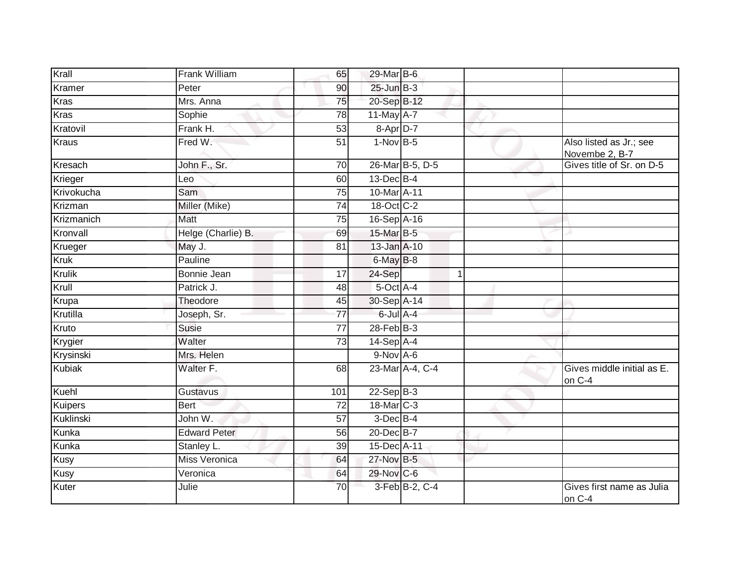| Krall         | Frank William        | 65              | 29-Mar B-6        |                 |   |                                           |
|---------------|----------------------|-----------------|-------------------|-----------------|---|-------------------------------------------|
| Kramer        | Peter                | 90              | $25$ -Jun $B-3$   |                 |   |                                           |
| <b>Kras</b>   | Mrs. Anna            | 75              | 20-Sep B-12       |                 |   |                                           |
| <b>Kras</b>   | Sophie               | 78              | 11-May A-7        |                 |   |                                           |
| Kratovil      | Frank H.             | 53              | 8-Apr D-7         |                 |   |                                           |
| Kraus         | Fred W.              | 51              | $1-Nov$ B-5       |                 |   | Also listed as Jr.; see<br>Novembe 2, B-7 |
| Kresach       | John F., Sr.         | 70              |                   | 26-Mar B-5, D-5 |   | Gives title of Sr. on D-5                 |
| Krieger       | Leo                  | 60              | $13$ -Dec $B-4$   |                 |   |                                           |
| Krivokucha    | Sam                  | 75              | 10-Mar A-11       |                 |   |                                           |
| Krizman       | Miller (Mike)        | 74              | 18-Oct C-2        |                 |   |                                           |
| Krizmanich    | Matt                 | 75              | 16-Sep A-16       |                 |   |                                           |
| Kronvall      | Helge (Charlie) B.   | 69              | 15-Mar B-5        |                 |   |                                           |
| Krueger       | May J.               | $\overline{81}$ | 13-Jan A-10       |                 |   |                                           |
| <b>Kruk</b>   | Pauline              |                 | $6$ -May $B$ -8   |                 |   |                                           |
| <b>Krulik</b> | <b>Bonnie Jean</b>   | 17              | 24-Sep            |                 | 1 |                                           |
| Krull         | Patrick J.           | 48              | 5-Oct A-4         |                 |   |                                           |
| Krupa         | Theodore             | 45              | 30-Sep A-14       |                 |   |                                           |
| Krutilla      | Joseph, Sr.          | 77              | $6$ -Jul $A-4$    |                 |   |                                           |
| Kruto         | Susie                | $\overline{77}$ | $28$ -Feb $ B-3 $ |                 |   |                                           |
| Krygier       | Walter               | 73              | $14-Sep$ A-4      |                 |   |                                           |
| Krysinski     | Mrs. Helen           |                 | $9-Nov$ A-6       |                 |   |                                           |
| <b>Kubiak</b> | Walter F.            | 68              |                   | 23-Mar A-4, C-4 |   | Gives middle initial as E.<br>on C-4      |
| Kuehl         | Gustavus             | 101             | $22-SepB-3$       |                 |   |                                           |
| Kuipers       | <b>Bert</b>          | 72              | 18-Mar C-3        |                 |   |                                           |
| Kuklinski     | John W.              | 57              | $3$ -Dec $B-4$    |                 |   |                                           |
| Kunka         | <b>Edward Peter</b>  | 56              | 20-Dec B-7        |                 |   |                                           |
| Kunka         | Stanley L.           | 39              | 15-Dec A-11       |                 |   |                                           |
| <b>Kusy</b>   | <b>Miss Veronica</b> | 64              | 27-Nov B-5        |                 |   |                                           |
| Kusy          | Veronica             | 64              | 29-Nov C-6        |                 |   |                                           |
| Kuter         | Julie                | 70              |                   | 3-Feb B-2, C-4  |   | Gives first name as Julia<br>on C-4       |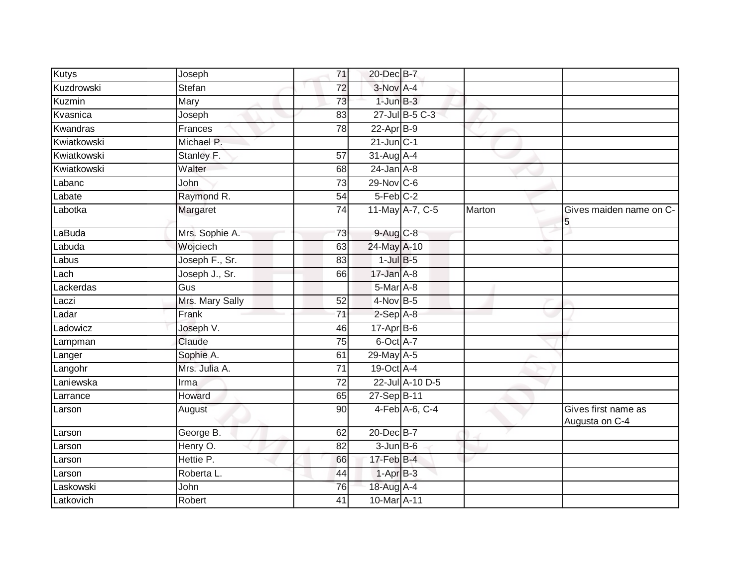| <b>Kutys</b> | Joseph          | 71              | 20-Dec B-7       |                 |        |                                       |
|--------------|-----------------|-----------------|------------------|-----------------|--------|---------------------------------------|
| Kuzdrowski   | Stefan          | 72              | $3-Nov$ A-4      |                 |        |                                       |
| Kuzmin       | Mary            | 73              | $1$ -Jun $B-3$   |                 |        |                                       |
| Kvasnica     | Joseph          | 83              |                  | 27-Jul B-5 C-3  |        |                                       |
| Kwandras     | Frances         | 78              | $22-AprB-9$      |                 |        |                                       |
| Kwiatkowski  | Michael P.      |                 | $21$ -Jun $C-1$  |                 |        |                                       |
| Kwiatkowski  | Stanley F.      | 57              | 31-Aug A-4       |                 |        |                                       |
| Kwiatkowski  | Walter          | 68              | $24$ -Jan $A-8$  |                 |        |                                       |
| Labanc       | John            | 73              | 29-Nov C-6       |                 |        |                                       |
| Labate       | Raymond R.      | 54              | 5-Feb C-2        |                 |        |                                       |
| Labotka      | Margaret        | $\overline{74}$ |                  | 11-May A-7, C-5 | Marton | Gives maiden name on C-<br>5          |
| LaBuda       | Mrs. Sophie A.  | 73              | 9-Aug C-8        |                 |        |                                       |
| Labuda       | Wojciech        | 63              | 24-May A-10      |                 |        |                                       |
| Labus        | Joseph F., Sr.  | 83              | $1$ -Jul $B$ -5  |                 |        |                                       |
| Lach         | Joseph J., Sr.  | 66              | 17-Jan A-8       |                 |        |                                       |
| Lackerdas    | Gus             |                 | $5-MarA-8$       |                 |        |                                       |
| Laczi        | Mrs. Mary Sally | 52              | $4-Nov$ B-5      |                 |        |                                       |
| Ladar        | Frank           | 71              | $2-SepA-8$       |                 |        |                                       |
| Ladowicz     | Joseph V.       | 46              | $17$ -Apr $B$ -6 |                 |        |                                       |
| Lampman      | Claude          | $\overline{75}$ | 6-Oct A-7        |                 |        |                                       |
| Langer       | Sophie A.       | 61              | 29-May A-5       |                 |        |                                       |
| Langohr      | Mrs. Julia A.   | 71              | 19-Oct A-4       |                 |        |                                       |
| Laniewska    | Irma            | 72              |                  | 22-Jul A-10 D-5 |        |                                       |
| Larrance     | Howard          | 65              | 27-Sep B-11      |                 |        |                                       |
| Larson       | August          | 90              |                  | 4-Feb A-6, C-4  |        | Gives first name as<br>Augusta on C-4 |
| Larson       | George B.       | 62              | 20-Dec B-7       |                 |        |                                       |
| Larson       | Henry O.        | 82              | $3$ -Jun $B$ -6  |                 |        |                                       |
| Larson       | Hettie P.       | 66              | $17$ -Feb $B-4$  |                 |        |                                       |
| Larson       | Roberta L.      | 44              | $1-AprB-3$       |                 |        |                                       |
| Laskowski    | John            | 76              | 18-Aug A-4       |                 |        |                                       |
| Latkovich    | Robert          | 41              | 10-Mar A-11      |                 |        |                                       |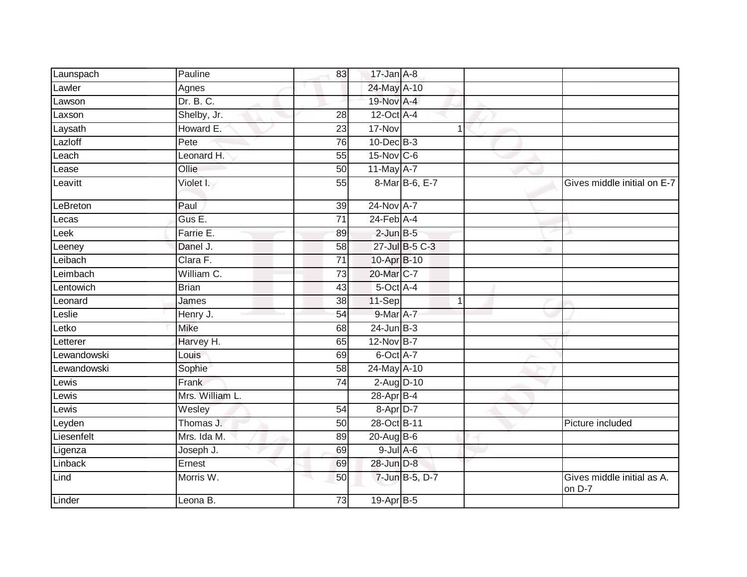| Launspach   | Pauline         | 83              | $17 - Jan$ $A - 8$ |                |                                      |
|-------------|-----------------|-----------------|--------------------|----------------|--------------------------------------|
| Lawler      | Agnes           |                 | 24-May A-10        |                |                                      |
| Lawson      | Dr. B. C.       |                 | 19-Nov A-4         |                |                                      |
| Laxson      | Shelby, Jr.     | 28              | 12-Oct A-4         |                |                                      |
| Laysath     | Howard E.       | $\overline{23}$ | 17-Nov             | 1              |                                      |
| Lazloff     | Pete            | 76              | $10$ -Dec $B-3$    |                |                                      |
| Leach       | Leonard H.      | 55              | 15-Nov C-6         |                |                                      |
| Lease       | Ollie           | 50              | 11-May A-7         |                |                                      |
| Leavitt     | Violet I.       | 55              |                    | 8-Mar B-6, E-7 | Gives middle initial on E-7          |
| LeBreton    | Paul            | 39              | 24-Nov A-7         |                |                                      |
| Lecas       | Gus E.          | $\overline{71}$ | $24$ -Feb $A$ -4   |                |                                      |
| Leek        | Farrie E.       | 89              | $2$ -Jun $B - 5$   |                |                                      |
| Leeney      | Danel J.        | $\overline{58}$ |                    | 27-Jul B-5 C-3 |                                      |
| Leibach     | Clara F.        | $\overline{71}$ | 10-Apr B-10        |                |                                      |
| Leimbach    | William C.      | $\overline{73}$ | 20-Mar C-7         |                |                                      |
| Lentowich   | <b>Brian</b>    | 43              | 5-Oct A-4          |                |                                      |
| Leonard     | James           | 38              | 11-Sep             | $\mathbf 1$    |                                      |
| Leslie      | Henry J.        | 54              | 9-Mar A-7          |                |                                      |
| Letko       | Mike            | 68              | $24$ -Jun $B-3$    |                |                                      |
| Letterer    | Harvey H.       | 65              | 12-Nov B-7         |                |                                      |
| Lewandowski | Louis           | 69              | 6-Oct A-7          |                |                                      |
| Lewandowski | Sophie          | 58              | 24-May A-10        |                |                                      |
| Lewis       | Frank           | 74              | $2$ -Aug $D-10$    |                |                                      |
| Lewis       | Mrs. William L. |                 | 28-Apr B-4         |                |                                      |
| _ewis       | Wesley          | 54              | 8-Apr D-7          |                |                                      |
| Leyden      | Thomas J.       | 50              | 28-Oct B-11        |                | Picture included                     |
| Liesenfelt  | Mrs. Ida M.     | 89              | 20-Aug B-6         |                |                                      |
| Ligenza     | Joseph J.       | 69              | $9$ -Jul $A$ -6    |                |                                      |
| Linback     | Ernest          | 69              | 28-Jun D-8         |                |                                      |
| Lind        | Morris W.       | 50              |                    | 7-Jun B-5, D-7 | Gives middle initial as A.<br>on D-7 |
| Linder      | Leona B.        | 73              | 19-Apr B-5         |                |                                      |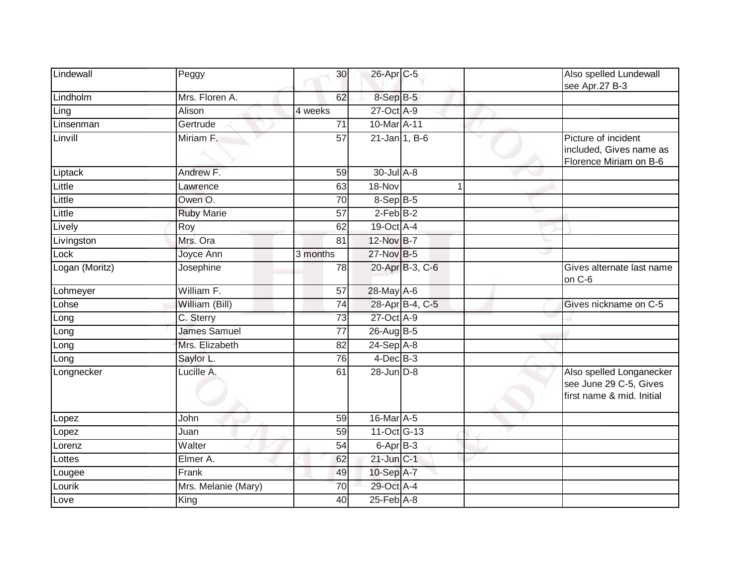| Lindewall      | Peggy               | 30              | 26-Apr C-5       |                 | Also spelled Lundewall<br>see Apr.27 B-3                                        |
|----------------|---------------------|-----------------|------------------|-----------------|---------------------------------------------------------------------------------|
| Lindholm       | Mrs. Floren A.      | 62              | 8-Sep B-5        |                 |                                                                                 |
| Ling           | Alison              | 4 weeks         | 27-Oct A-9       |                 |                                                                                 |
| Linsenman      | Gertrude            | 71              | 10-Mar A-11      |                 |                                                                                 |
| Linvill        | Miriam F.           | 57              | $21$ -Jan 1, B-6 |                 | Picture of incident<br>included, Gives name as<br>Florence Miriam on B-6        |
| Liptack        | Andrew F.           | 59              | $30$ -Jul $A-8$  |                 |                                                                                 |
| Little         | Lawrence            | 63              | 18-Nov           |                 |                                                                                 |
| Little         | Owen O.             | 70              | 8-Sep B-5        |                 |                                                                                 |
| Little         | <b>Ruby Marie</b>   | $\overline{57}$ | $2$ -Feb $B-2$   |                 |                                                                                 |
| Lively         | Roy                 | 62              | 19-Oct A-4       |                 |                                                                                 |
| Livingston     | Mrs. Ora            | 81              | 12-Nov B-7       |                 | r.                                                                              |
| Lock           | Joyce Ann           | 3 months        | 27-Nov B-5       |                 |                                                                                 |
| Logan (Moritz) | Josephine           | 78              |                  | 20-Apr B-3, C-6 | Gives alternate last name<br>on C-6                                             |
| Lohmeyer       | William F.          | 57              | 28-May A-6       |                 |                                                                                 |
| Lohse          | William (Bill)      | 74              |                  | 28-Apr B-4, C-5 | Gives nickname on C-5                                                           |
| Long           | C. Sterry           | 73              | 27-Oct A-9       |                 |                                                                                 |
| Long           | James Samuel        | $\overline{77}$ | 26-Aug B-5       |                 |                                                                                 |
| Long           | Mrs. Elizabeth      | 82              | 24-Sep A-8       |                 |                                                                                 |
| Long           | Saylor L.           | 76              | $4$ -Dec $B-3$   |                 |                                                                                 |
| Longnecker     | Lucille A.          | 61              | 28-Jun D-8       |                 | Also spelled Longanecker<br>see June 29 C-5, Gives<br>first name & mid. Initial |
| Lopez          | John                | $\overline{59}$ | 16-Mar A-5       |                 |                                                                                 |
| Lopez          | Juan                | 59              | 11-Oct G-13      |                 |                                                                                 |
| Lorenz         | Walter              | 54              | 6-Apr B-3        |                 |                                                                                 |
| Lottes         | Elmer A.            | 62              | $21$ -Jun $C-1$  |                 |                                                                                 |
| Lougee         | Frank               | 49              | 10-Sep A-7       |                 |                                                                                 |
| Lourik         | Mrs. Melanie (Mary) | 70              | 29-Oct A-4       |                 |                                                                                 |
| Love           | King                | 40              | 25-Feb A-8       |                 |                                                                                 |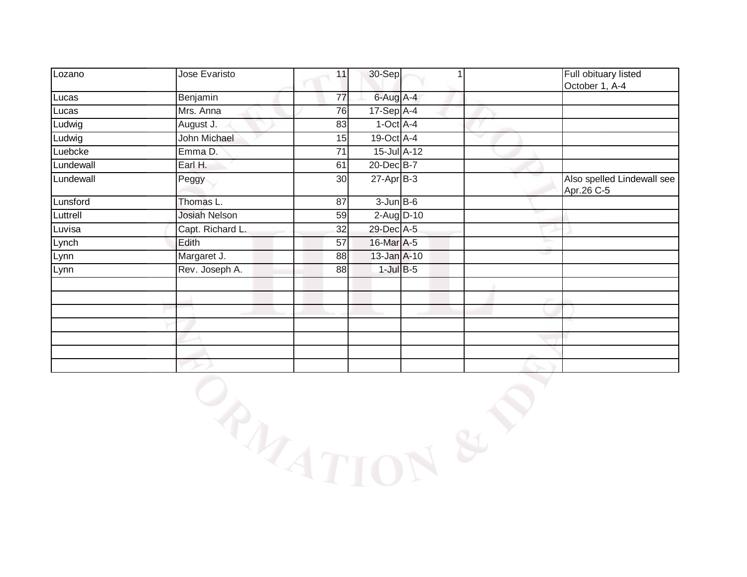| Lozano    | Jose Evaristo        | 11 | 30-Sep           |    | Full obituary listed<br>October 1, A-4   |
|-----------|----------------------|----|------------------|----|------------------------------------------|
| Lucas     | Benjamin             | 77 | 6-Aug A-4        |    |                                          |
| Lucas     | Mrs. Anna            | 76 | 17-Sep A-4       |    |                                          |
| Ludwig    | August J.            | 83 | $1-Oct$ A-4      |    |                                          |
| Ludwig    | John Michael         | 15 | 19-Oct A-4       |    |                                          |
| Luebcke   | Emma D.              | 71 | 15-Jul A-12      |    |                                          |
| Lundewall | Earl H.              | 61 | 20-Dec B-7       |    |                                          |
| Lundewall | Peggy                | 30 | $27$ -Apr $B-3$  |    | Also spelled Lindewall see<br>Apr.26 C-5 |
| Lunsford  | Thomas L.            | 87 | $3$ -Jun $B$ -6  |    |                                          |
| Luttrell  | <b>Josiah Nelson</b> | 59 | $2$ -Aug $D-10$  |    |                                          |
| Luvisa    | Capt. Richard L.     | 32 | 29-Dec A-5       |    |                                          |
| Lynch     | Edith                | 57 | 16-Mar A-5       | u. |                                          |
| Lynn      | Margaret J.          | 88 | $13$ -Jan $A-10$ | w  |                                          |
| Lynn      | Rev. Joseph A.       | 88 | $1$ -Jul $B-5$   |    |                                          |
|           |                      |    |                  |    |                                          |
|           |                      |    |                  |    |                                          |
|           |                      |    |                  |    |                                          |
|           |                      |    |                  |    |                                          |
|           |                      |    |                  |    |                                          |
|           |                      |    |                  |    |                                          |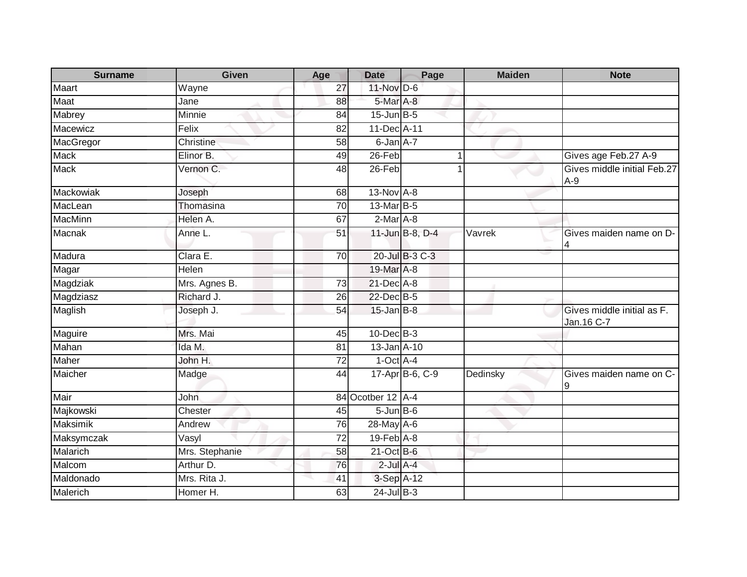| <b>Surname</b>  | <b>Given</b>   | Age             | <b>Date</b>       | Page            | <b>Maiden</b> | <b>Note</b>                               |
|-----------------|----------------|-----------------|-------------------|-----------------|---------------|-------------------------------------------|
| Maart           | Wayne          | 27              | 11-Nov D-6        |                 |               |                                           |
| Maat            | Jane           | 88              | 5-Mar A-8         |                 |               |                                           |
| Mabrey          | Minnie         | 84              | $15$ -Jun $B - 5$ |                 |               |                                           |
| Macewicz        | Felix          | 82              | 11-Dec A-11       |                 |               |                                           |
| MacGregor       | Christine      | 58              | 6-Jan A-7         |                 |               |                                           |
| <b>Mack</b>     | Elinor B.      | 49              | $26$ -Feb         |                 | $\mathbf{1}$  | Gives age Feb.27 A-9                      |
| Mack            | Vernon C.      | 48              | 26-Feb            |                 |               | Gives middle initial Feb.27<br>$A-9$      |
| Mackowiak       | Joseph         | 68              | 13-Nov A-8        |                 |               |                                           |
| MacLean         | Thomasina      | 70              | 13-Mar B-5        |                 |               |                                           |
| <b>MacMinn</b>  | Helen A.       | 67              | $2-Mar$ A-8       |                 |               |                                           |
| Macnak          | Anne L.        | 51              |                   | 11-Jun B-8, D-4 | Vavrek        | Gives maiden name on D-                   |
| Madura          | Clara E.       | 70              |                   | 20-Jul B-3 C-3  |               |                                           |
| Magar           | Helen          |                 | 19-Mar A-8        |                 |               |                                           |
| Magdziak        | Mrs. Agnes B.  | 73              | 21-Dec A-8        |                 |               |                                           |
| Magdziasz       | Richard J.     | 26              | 22-Dec B-5        |                 |               |                                           |
| Maglish         | Joseph J.      | 54              | $15$ -Jan B-8     |                 |               | Gives middle initial as F.<br>Jan. 16 C-7 |
| Maguire         | Mrs. Mai       | 45              | $10$ -Dec $B-3$   |                 |               |                                           |
| Mahan           | Ida M.         | 81              | $13 - Jan$ $A-10$ |                 |               |                                           |
| Maher           | John H.        | $\overline{72}$ | $1-Oct$ A-4       |                 |               |                                           |
| Maicher         | Madge          | 44              |                   | 17-Apr B-6, C-9 | Dedinsky      | Gives maiden name on C-<br>9              |
| Mair            | <b>John</b>    |                 | 84 Ocotber 12 A-4 |                 |               |                                           |
| Majkowski       | Chester        | 45              | $5 - Jun$ $B - 6$ |                 |               |                                           |
| <b>Maksimik</b> | Andrew         | 76              | 28-May A-6        |                 |               |                                           |
| Maksymczak      | Vasyl          | 72              | $19$ -Feb $A$ -8  |                 |               |                                           |
| Malarich        | Mrs. Stephanie | 58              | 21-Oct B-6        |                 |               |                                           |
| Malcom          | Arthur D.      | 76              | $2$ -Jul $A-4$    |                 |               |                                           |
| Maldonado       | Mrs. Rita J.   | 41              | 3-Sep A-12        |                 |               |                                           |
| Malerich        | Homer H.       | 63              | $24$ -Jul $B-3$   |                 |               |                                           |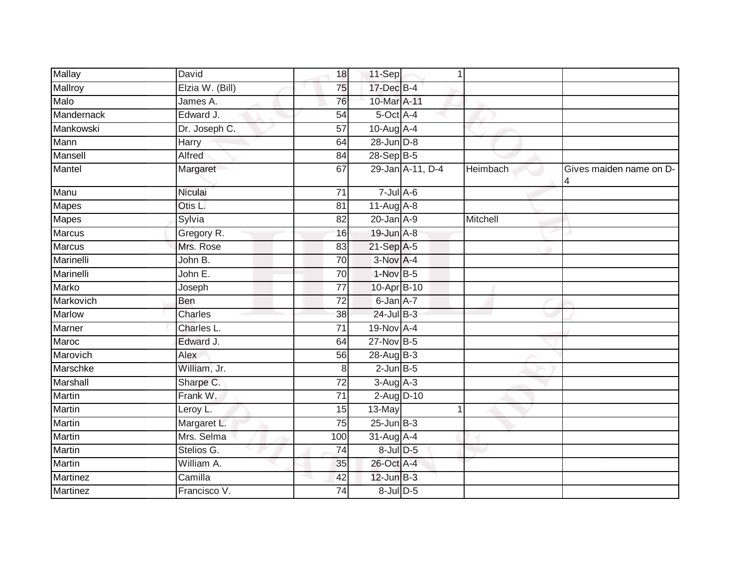| <b>Mallay</b> | David           | 18              | 11-Sep           |                  | 1        |                         |
|---------------|-----------------|-----------------|------------------|------------------|----------|-------------------------|
| Mallroy       | Elzia W. (Bill) | 75              | 17-Dec B-4       |                  |          |                         |
| Malo          | James A.        | 76              | 10-Mar A-11      |                  |          |                         |
| Mandernack    | Edward J.       | 54              | 5-Oct A-4        |                  |          |                         |
| Mankowski     | Dr. Joseph C.   | $\overline{57}$ | 10-Aug A-4       |                  |          |                         |
| Mann          | Harry           | 64              | 28-Jun D-8       |                  |          |                         |
| Mansell       | Alfred          | 84              | 28-Sep B-5       |                  |          |                         |
| Mantel        | Margaret        | 67              |                  | 29-Jan A-11, D-4 | Heimbach | Gives maiden name on D- |
| Manu          | Niculai         | $\overline{71}$ | $7$ -Jul $A$ -6  |                  |          |                         |
| Mapes         | Otis L.         | 81              | $11-Aug$ $A-8$   |                  |          |                         |
| Mapes         | Sylvia          | 82              | $20$ -Jan $A-9$  |                  | Mitchell |                         |
| Marcus        | Gregory R.      | 16              | 19-Jun A-8       |                  |          |                         |
| Marcus        | Mrs. Rose       | 83              | $21-Sep$ A-5     |                  |          |                         |
| Marinelli     | John B.         | 70              | 3-Nov A-4        |                  |          |                         |
| Marinelli     | John E.         | 70              | 1-Nov B-5        |                  |          |                         |
| <b>Marko</b>  | Joseph          | 77              | 10-Apr B-10      |                  |          |                         |
| Markovich     | Ben             | $\overline{72}$ | 6-Jan A-7        |                  |          |                         |
| <b>Marlow</b> | Charles         | 38              | $24$ -Jul B-3    |                  |          |                         |
| Marner        | Charles L.      | 71              | 19-Nov A-4       |                  |          |                         |
| Maroc         | Edward J.       | 64              | 27-Nov B-5       |                  |          |                         |
| Marovich      | Alex            | 56              | 28-Aug B-3       |                  |          |                         |
| Marschke      | William, Jr.    | 8               | $2$ -Jun $B - 5$ |                  |          |                         |
| Marshall      | Sharpe C.       | 72              | $3-Aug$ $A-3$    |                  |          |                         |
| Martin        | Frank W.        | 71              | 2-Aug D-10       |                  |          |                         |
| Martin        | Leroy L.        | 15              | 13-May           |                  | 1        |                         |
| Martin        | Margaret L.     | 75              | $25$ -Jun $B-3$  |                  |          |                         |
| Martin        | Mrs. Selma      | 100             | 31-Aug A-4       |                  |          |                         |
| Martin        | Stelios G.      | 74              | 8-Jul D-5        |                  |          |                         |
| Martin        | William A.      | 35              | 26-Oct A-4       |                  |          |                         |
| Martinez      | Camilla         | 42              | $12$ -Jun $B-3$  |                  |          |                         |
| Martinez      | Francisco V.    | 74              | 8-Jul D-5        |                  |          |                         |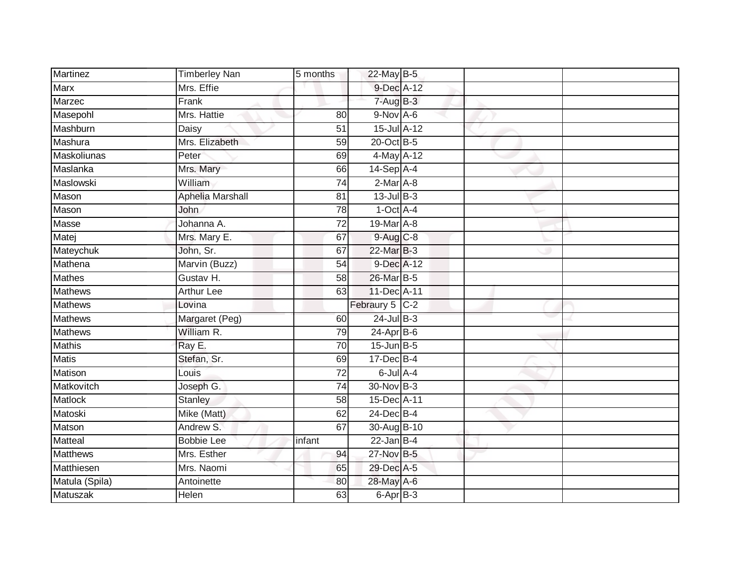| Martinez        | <b>Timberley Nan</b> | 5 months        | 22-May B-5      |  |  |
|-----------------|----------------------|-----------------|-----------------|--|--|
| Marx            | Mrs. Effie           |                 | 9-Dec A-12      |  |  |
| Marzec          | Frank                |                 | $7 - Aug$ B-3   |  |  |
| Masepohl        | Mrs. Hattie          | 80              | 9-Nov A-6       |  |  |
| Mashburn        | <b>Daisy</b>         | $\overline{51}$ | 15-Jul A-12     |  |  |
| Mashura         | Mrs. Elizabeth       | 59              | 20-Oct B-5      |  |  |
| Maskoliunas     | Peter                | 69              | 4-May A-12      |  |  |
| Maslanka        | Mrs. Mary            | 66              | $14-Sep$ A-4    |  |  |
| Maslowski       | William              | 74              | $2-Mar A-8$     |  |  |
| Mason           | Aphelia Marshall     | 81              | $13$ -Jul $B-3$ |  |  |
| Mason           | John                 | 78              | $1$ -Oct $A$ -4 |  |  |
| Masse           | Johanna A.           | 72              | 19-Mar A-8      |  |  |
| Matej           | Mrs. Mary E.         | 67              | $9-Aug$ $C-8$   |  |  |
| Mateychuk       | John, Sr.            | 67              | 22-Mar B-3      |  |  |
| Mathena         | Marvin (Buzz)        | $\overline{54}$ | 9-Dec A-12      |  |  |
| <b>Mathes</b>   | Gustav H.            | 58              | 26-Mar B-5      |  |  |
| <b>Mathews</b>  | <b>Arthur Lee</b>    | 63              | 11-Dec A-11     |  |  |
| <b>Mathews</b>  | Lovina               |                 | Febraury 5 C-2  |  |  |
| Mathews         | Margaret (Peg)       | 60              | $24$ -Jul B-3   |  |  |
| <b>Mathews</b>  | William R.           | 79              | 24-Apr B-6      |  |  |
| <b>Mathis</b>   | Ray E.               | 70              | $15$ -Jun $B-5$ |  |  |
| <b>Matis</b>    | Stefan, Sr.          | 69              | 17-Dec B-4      |  |  |
| Matison         | Louis                | 72              | $6$ -Jul $A-4$  |  |  |
| Matkovitch      | Joseph G.            | $\overline{74}$ | 30-Nov B-3      |  |  |
| Matlock         | <b>Stanley</b>       | 58              | 15-Dec A-11     |  |  |
| Matoski         | Mike (Matt)          | 62              | 24-Dec B-4      |  |  |
| Matson          | Andrew S.            | 67              | 30-Aug B-10     |  |  |
| Matteal         | <b>Bobbie Lee</b>    | infant          | $22$ -Jan B-4   |  |  |
| <b>Matthews</b> | Mrs. Esther          | 94              | 27-Nov B-5      |  |  |
| Matthiesen      | Mrs. Naomi           | 65              | 29-Dec A-5      |  |  |
| Matula (Spila)  | Antoinette           | 80              | 28-May A-6      |  |  |
| <b>Matuszak</b> | <b>Helen</b>         | 63              | $6$ -Apr $B$ -3 |  |  |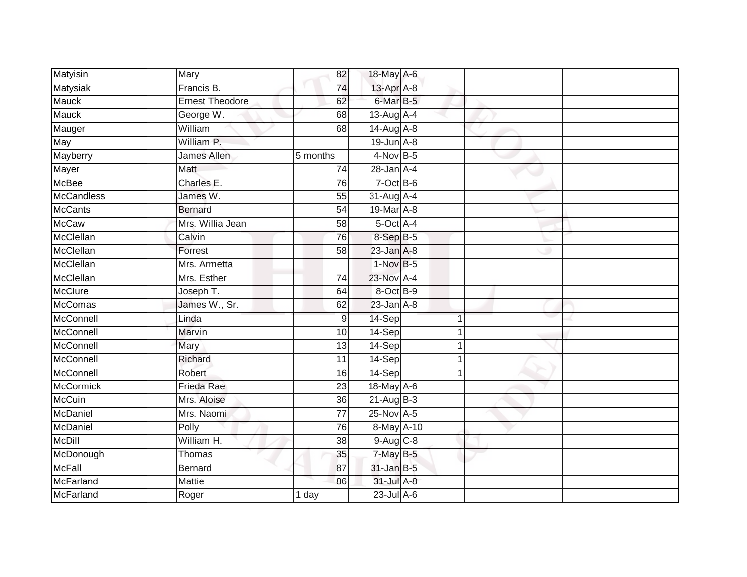| Matyisin          | Mary                   | 82              | 18-May A-6      |   |  |
|-------------------|------------------------|-----------------|-----------------|---|--|
| Matysiak          | Francis B.             | 74              | 13-Apr A-8      |   |  |
| <b>Mauck</b>      | <b>Ernest Theodore</b> | 62              | 6-Mar B-5       |   |  |
| <b>Mauck</b>      | George W.              | 68              | 13-Aug A-4      |   |  |
| Mauger            | William                | 68              | 14-Aug A-8      |   |  |
| May               | William P.             |                 | $19$ -Jun $A-8$ |   |  |
| Mayberry          | James Allen            | 5 months        | $4$ -Nov B-5    |   |  |
| Mayer             | Matt                   | 74              | $28$ -Jan $A-4$ |   |  |
| <b>McBee</b>      | Charles E.             | 76              | $7$ -Oct B-6    |   |  |
| <b>McCandless</b> | James W.               | $\overline{55}$ | 31-Aug A-4      |   |  |
| <b>McCants</b>    | <b>Bernard</b>         | 54              | 19-Mar A-8      |   |  |
| <b>McCaw</b>      | Mrs. Willia Jean       | 58              | 5-Oct A-4       |   |  |
| McClellan         | Calvin                 | 76              | 8-Sep B-5       |   |  |
| McClellan         | Forrest                | 58              | $23$ -Jan $A-8$ |   |  |
| McClellan         | Mrs. Armetta           |                 | $1-NovB-5$      |   |  |
| McClellan         | Mrs. Esther            | 74              | 23-Nov A-4      |   |  |
| <b>McClure</b>    | Joseph T.              | 64              | 8-Oct B-9       |   |  |
| <b>McComas</b>    | James W., Sr.          | 62              | $23$ -Jan $A-8$ |   |  |
| McConnell         | Linda                  | 9               | 14-Sep          |   |  |
| McConnell         | <b>Marvin</b>          | 10              | 14-Sep          |   |  |
| McConnell         | Mary                   | 13              | $14-Sep$        | 1 |  |
| McConnell         | Richard                | $\overline{11}$ | 14-Sep          |   |  |
| McConnell         | Robert                 | 16              | 14-Sep          | 1 |  |
| <b>McCormick</b>  | <b>Frieda Rae</b>      | 23              | 18-May A-6      |   |  |
| <b>McCuin</b>     | Mrs. Aloise            | 36              | $21-Aug$ B-3    |   |  |
| McDaniel          | Mrs. Naomi             | 77              | $25$ -Nov $A-5$ |   |  |
| McDaniel          | Polly                  | 76              | 8-May A-10      |   |  |
| <b>McDill</b>     | William H.             | 38              | $9-Aug$ $C-8$   |   |  |
| McDonough         | Thomas                 | 35              | $7$ -May B-5    |   |  |
| <b>McFall</b>     | <b>Bernard</b>         | 87              | $31$ -Jan B-5   |   |  |
| McFarland         | Mattie                 | 86              | 31-Jul A-8      |   |  |
| McFarland         | Roger                  | 1 day           | $23$ -Jul $A-6$ |   |  |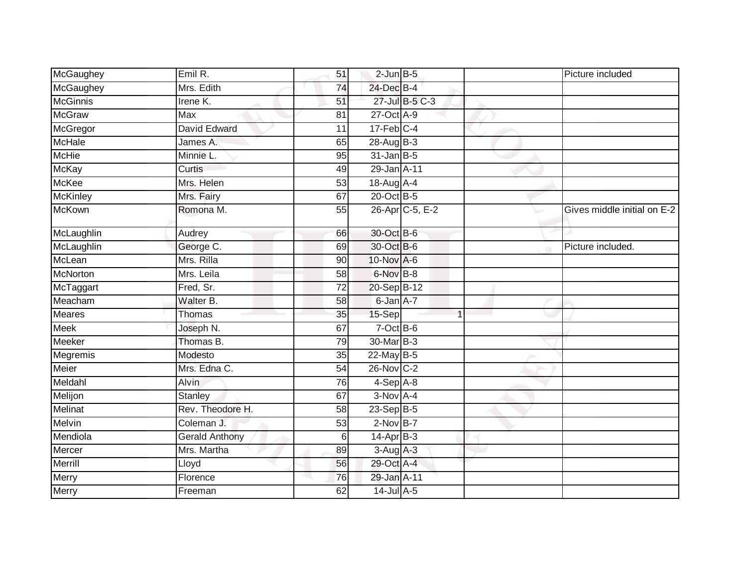| McGaughey       | Emil R.               | 51              | $2$ -Jun $B$ -5  |                 | Picture included            |
|-----------------|-----------------------|-----------------|------------------|-----------------|-----------------------------|
| McGaughey       | Mrs. Edith            | 74              | 24-Dec B-4       |                 |                             |
| <b>McGinnis</b> | Irene K.              | 51              |                  | 27-Jul B-5 C-3  |                             |
| <b>McGraw</b>   | Max                   | 81              | 27-Oct A-9       |                 |                             |
| McGregor        | David Edward          | 11              | $17$ -Feb $C-4$  |                 |                             |
| <b>McHale</b>   | James A.              | 65              | $28-AugB-3$      |                 |                             |
| <b>McHie</b>    | Minnie L.             | 95              | $31$ -Jan B-5    |                 |                             |
| <b>McKay</b>    | Curtis                | 49              | 29-Jan A-11      |                 |                             |
| McKee           | Mrs. Helen            | 53              | 18-Aug A-4       |                 |                             |
| <b>McKinley</b> | Mrs. Fairy            | 67              | 20-Oct B-5       |                 |                             |
| <b>McKown</b>   | Romona M.             | 55              |                  | 26-Apr C-5, E-2 | Gives middle initial on E-2 |
| McLaughlin      | Audrey                | 66              | 30-Oct B-6       |                 |                             |
| McLaughlin      | George C.             | 69              | 30-Oct B-6       |                 | Picture included.           |
| McLean          | Mrs. Rilla            | 90              | $10$ -Nov $A$ -6 |                 |                             |
| <b>McNorton</b> | Mrs. Leila            | $\overline{58}$ | 6-Nov B-8        |                 |                             |
| McTaggart       | Fred, Sr.             | 72              | 20-Sep B-12      |                 |                             |
| Meacham         | Walter B.             | 58              | 6-Jan A-7        |                 |                             |
| <b>Meares</b>   | Thomas                | 35              | 15-Sep           | $\overline{1}$  |                             |
| Meek            | Joseph N.             | 67              | 7-Oct B-6        |                 |                             |
| Meeker          | Thomas B.             | 79              | 30-Mar B-3       |                 |                             |
| Megremis        | Modesto               | 35              | 22-May B-5       |                 |                             |
| Meier           | Mrs. Edna C.          | 54              | 26-Nov C-2       |                 |                             |
| Meldahl         | <b>Alvin</b>          | 76              | $4-Sep$ $A-8$    |                 |                             |
| Melijon         | <b>Stanley</b>        | 67              | $3-Nov$ A-4      |                 |                             |
| Melinat         | Rev. Theodore H.      | $\overline{58}$ | $23-Sep$ B-5     |                 |                             |
| <b>Melvin</b>   | Coleman J.            | 53              | $2-Nov$ B-7      |                 |                             |
| Mendiola        | <b>Gerald Anthony</b> | 6               | $14-AprB-3$      |                 |                             |
| Mercer          | Mrs. Martha           | 89              | $3-Aug$ A-3      |                 |                             |
| Merrill         | Lloyd                 | 56              | 29-Oct A-4       |                 |                             |
| Merry           | Florence              | 76              | 29-Jan A-11      |                 |                             |
| Merry           | Freeman               | 62              | 14-Jul A-5       |                 |                             |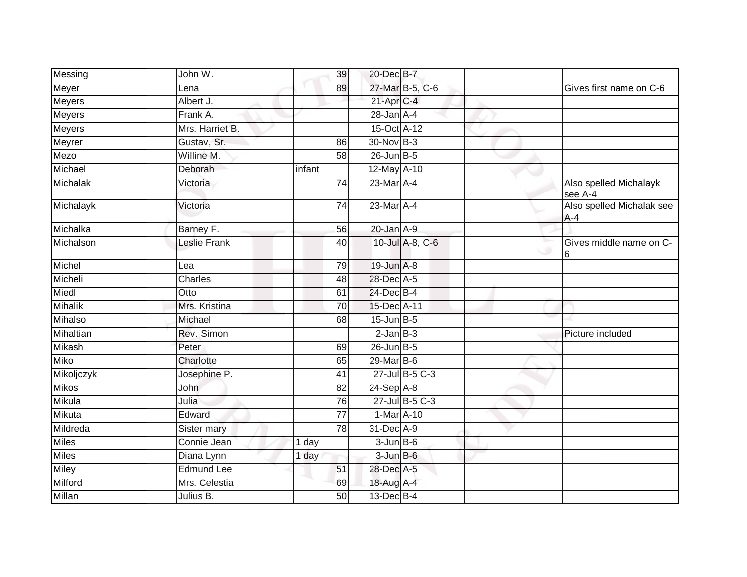| Messing        | John W.           | 39              | 20-Dec B-7        |                 |                                      |
|----------------|-------------------|-----------------|-------------------|-----------------|--------------------------------------|
| Meyer          | Lena              | 89              |                   | 27-Mar B-5, C-6 | Gives first name on C-6              |
| Meyers         | Albert J.         |                 | 21-Apr C-4        |                 |                                      |
| <b>Meyers</b>  | Frank A.          |                 | $28 - Jan$ A-4    |                 |                                      |
| <b>Meyers</b>  | Mrs. Harriet B.   |                 | 15-Oct A-12       |                 |                                      |
| Meyrer         | Gustav, Sr.       | 86              | 30-Nov B-3        |                 |                                      |
| Mezo           | Willine M.        | 58              | $26$ -Jun B-5     |                 |                                      |
| Michael        | Deborah           | infant          | 12-May A-10       |                 |                                      |
| Michalak       | Victoria          | 74              | 23-Mar A-4        |                 | Also spelled Michalayk<br>see A-4    |
| Michalayk      | Victoria          | 74              | 23-Mar A-4        |                 | Also spelled Michalak see<br>$A - 4$ |
| Michalka       | Barney F.         | 56              | $20$ -Jan $A-9$   |                 |                                      |
| Michalson      | Leslie Frank      | 40              |                   | 10-Jul A-8, C-6 | Gives middle name on C-<br>16        |
| Michel         | Lea               | 79              | 19-Jun A-8        |                 |                                      |
| Micheli        | Charles           | 48              | 28-Dec A-5        |                 |                                      |
| Miedl          | Otto              | 61              | 24-Dec B-4        |                 |                                      |
| <b>Mihalik</b> | Mrs. Kristina     | 70              | 15-Dec A-11       |                 |                                      |
| Mihalso        | Michael           | 68              | $15$ -Jun $B-5$   |                 |                                      |
| Mihaltian      | Rev. Simon        |                 | $2$ -Jan $B-3$    |                 | Picture included                     |
| Mikash         | Peter             | 69              | $26$ -Jun $B-5$   |                 |                                      |
| <b>Miko</b>    | Charlotte         | 65              | 29-Mar B-6        |                 |                                      |
| Mikoljczyk     | Josephine P.      | 41              |                   | 27-Jul B-5 C-3  |                                      |
| <b>Mikos</b>   | John              | 82              | $24-Sep$ A-8      |                 |                                      |
| Mikula         | Julia             | $\overline{76}$ |                   | 27-Jul B-5 C-3  |                                      |
| Mikuta         | Edward            | $\overline{77}$ | 1-Mar A-10        |                 |                                      |
| Mildreda       | Sister mary       | 78              | 31-Dec A-9        |                 |                                      |
| <b>Miles</b>   | Connie Jean       | 1 day           | $3 - Jun$ $B - 6$ |                 |                                      |
| <b>Miles</b>   | Diana Lynn        | 1 day           | $3$ -Jun $B$ -6   |                 |                                      |
| Miley          | <b>Edmund Lee</b> | 51              | 28-Dec A-5        |                 |                                      |
| Milford        | Mrs. Celestia     | 69              | 18-Aug A-4        |                 |                                      |
| Millan         | Julius B.         | 50              | 13-Dec B-4        |                 |                                      |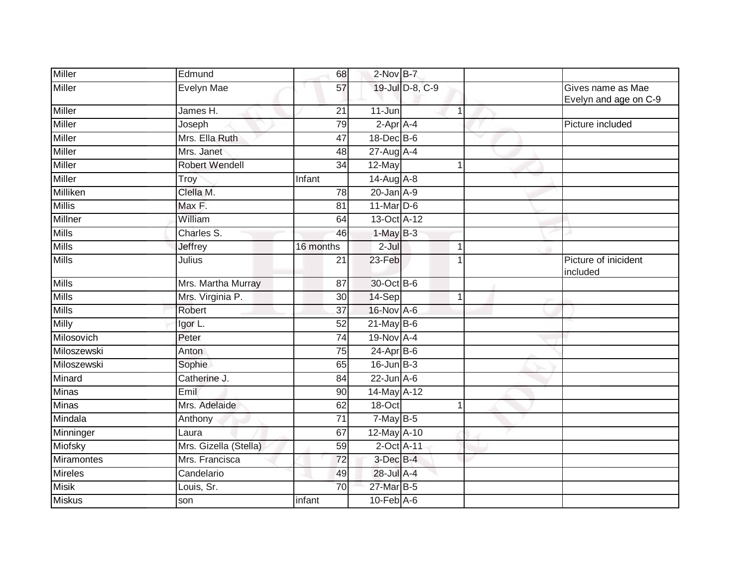| <b>Miller</b>  | Edmund                | 68              | $2$ -Nov $B-7$              |                 |   |                                            |
|----------------|-----------------------|-----------------|-----------------------------|-----------------|---|--------------------------------------------|
| <b>Miller</b>  | <b>Evelyn Mae</b>     | 57              |                             | 19-Jul D-8, C-9 |   | Gives name as Mae<br>Evelyn and age on C-9 |
| <b>Miller</b>  | James H.              | $\overline{21}$ | $11 - Jun$                  | $\overline{1}$  |   |                                            |
| Miller         | Joseph                | 79              | $2$ -Apr $A$ -4             |                 |   | Picture included                           |
| <b>Miller</b>  | Mrs. Ella Ruth        | 47              | 18-Dec B-6                  |                 | v |                                            |
| <b>Miller</b>  | Mrs. Janet            | 48              | $27$ -Aug $A$ -4            |                 |   |                                            |
| <b>Miller</b>  | Robert Wendell        | 34              | 12-May                      | $\mathbf 1$     |   |                                            |
| <b>Miller</b>  | Troy                  | Infant          | 14-Aug A-8                  |                 |   |                                            |
| Milliken       | Clella M.             | $\overline{78}$ | $20$ -Jan $A-9$             |                 |   |                                            |
| <b>Millis</b>  | Max F.                | 81              | 11-Mar D-6                  |                 |   |                                            |
| <b>Millner</b> | William               | 64              | 13-Oct A-12                 |                 |   |                                            |
| <b>Mills</b>   | Charles S.            | 46              | $1-May$ B-3                 |                 |   |                                            |
| <b>Mills</b>   | Jeffrey               | 16 months       | $2 -$ Jul                   | 1               |   |                                            |
| <b>Mills</b>   | Julius                | 21              | 23-Feb                      | $\overline{1}$  |   | Picture of inicident<br>included           |
| Mills          | Mrs. Martha Murray    | 87              | 30-Oct B-6                  |                 |   |                                            |
| <b>Mills</b>   | Mrs. Virginia P.      | 30              | $14-Sep$                    | $\mathbf 1$     |   |                                            |
| <b>Mills</b>   | Robert                | 37              | 16-Nov A-6                  |                 |   |                                            |
| Milly          | Igor L.               | 52              | $21$ -May B-6               |                 |   |                                            |
| Milosovich     | Peter                 | 74              | 19-Nov A-4                  |                 |   |                                            |
| Miloszewski    | Anton                 | $\overline{75}$ | $24-Apr$ B-6                |                 |   |                                            |
| Miloszewski    | Sophie                | 65              | $16$ -Jun $B-3$             |                 |   |                                            |
| Minard         | Catherine J.          | 84              | $22$ -Jun $A-6$             |                 |   |                                            |
| <b>Minas</b>   | Emil                  | 90              | 14-May A-12                 |                 |   |                                            |
| <b>Minas</b>   | Mrs. Adelaide         | 62              | 18-Oct                      |                 |   |                                            |
| Mindala        | Anthony               | $\overline{71}$ | $7-MayB-5$                  |                 |   |                                            |
| Minninger      | Laura                 | 67              | 12-May A-10                 |                 |   |                                            |
| Miofsky        | Mrs. Gizella (Stella) | 59              | 2-Oct A-11                  |                 |   |                                            |
| Miramontes     | Mrs. Francisca        | 72              | $3$ -Dec $B-4$              |                 |   |                                            |
| <b>Mireles</b> | Candelario            | 49              | 28-Jul A-4                  |                 |   |                                            |
| <b>Misik</b>   | Louis, Sr.            | 70              | 27-Mar B-5                  |                 |   |                                            |
| <b>Miskus</b>  | son                   | infant          | $10$ -Feb $\overline{A}$ -6 |                 |   |                                            |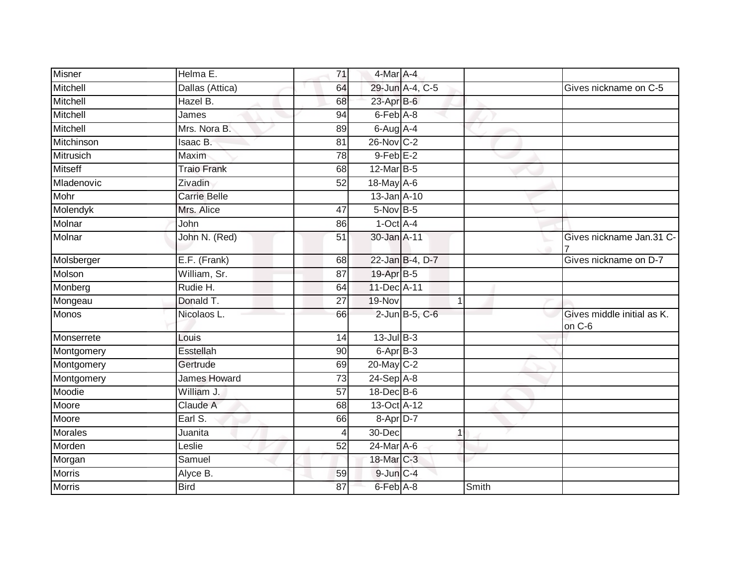| <b>Misner</b>  | Helma E.            | 71              | 4-Mar A-4                 |       |                                      |
|----------------|---------------------|-----------------|---------------------------|-------|--------------------------------------|
| Mitchell       | Dallas (Attica)     | 64              | 29-Jun A-4, C-5           |       | Gives nickname on C-5                |
| Mitchell       | Hazel B.            | 68              | 23-Apr B-6                |       |                                      |
| Mitchell       | James               | 94              | 6-Feb A-8                 |       |                                      |
| Mitchell       | Mrs. Nora B.        | 89              | 6-Aug A-4                 |       |                                      |
| Mitchinson     | Isaac B.            | 81              | 26-Nov C-2                |       |                                      |
| Mitrusich      | Maxim               | 78              | $9$ -Feb $E-2$            |       |                                      |
| <b>Mitseff</b> | <b>Traio Frank</b>  | 68              | 12-Mar B-5                |       |                                      |
| Mladenovic     | Zivadin             | 52              | $18$ -May A-6             |       |                                      |
| Mohr           | <b>Carrie Belle</b> |                 | 13-Jan A-10               |       |                                      |
| Molendyk       | Mrs. Alice          | 47              | $5-Nov$ B-5               |       |                                      |
| Molnar         | John                | 86              | $1$ -Oct $A$ -4           |       |                                      |
| Molnar         | John N. (Red)       | 51              | 30-Jan A-11               |       | Gives nickname Jan.31 C-             |
| Molsberger     | E.F. (Frank)        | 68              | 22-Jan B-4, D-7           |       | Gives nickname on D-7                |
| Molson         | William, Sr.        | $\overline{87}$ | 19-Apr B-5                |       |                                      |
| Monberg        | Rudie H.            | 64              | 11-Dec A-11               |       |                                      |
| Mongeau        | Donald T.           | 27              | 19-Nov                    | 1     |                                      |
| Monos          | Nicolaos L.         | 66              | 2-Jun B-5, C-6            |       | Gives middle initial as K.<br>on C-6 |
| Monserrete     | Louis               | 14              | $13$ -Jul B-3             |       |                                      |
| Montgomery     | Esstellah           | 90              | $6 -$ Apr $B - 3$         |       |                                      |
| Montgomery     | Gertrude            | 69              | $20 - \overline{May}$ C-2 |       |                                      |
| Montgomery     | James Howard        | 73              | 24-Sep A-8                |       |                                      |
| Moodie         | William J.          | 57              | 18-Dec B-6                |       |                                      |
| Moore          | Claude A            | 68              | 13-Oct A-12               |       |                                      |
| Moore          | Earl S.             | 66              | 8-Apr D-7                 |       |                                      |
| Morales        | Juanita             |                 | 30-Dec                    | 1     |                                      |
| Morden         | Leslie              | 52              | 24-Mar A-6                |       |                                      |
| Morgan         | Samuel              |                 | 18-Mar C-3                |       |                                      |
| <b>Morris</b>  | Alyce B.            | 59              | 9-Jun C-4                 |       |                                      |
| <b>Morris</b>  | <b>Bird</b>         | 87              | 6-Feb A-8                 | Smith |                                      |
|                |                     |                 |                           |       |                                      |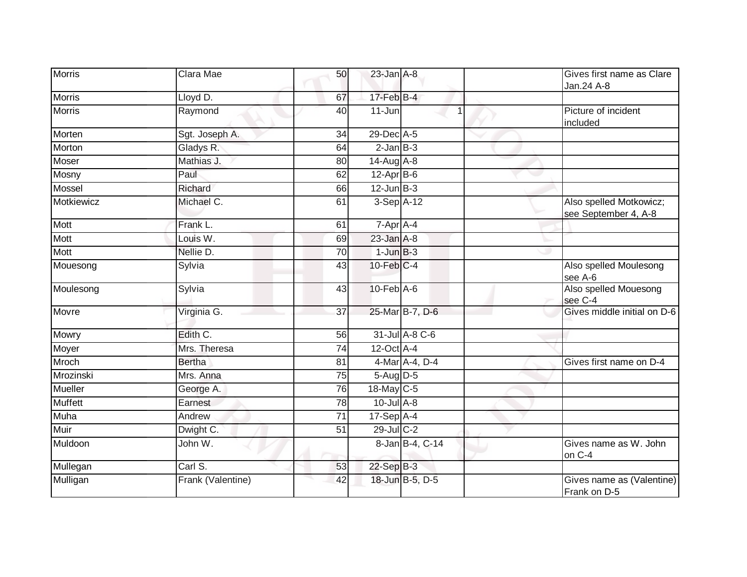| <b>Morris</b>  | Clara Mae         | 50 | $23$ -Jan $A-8$  |                 | Gives first name as Clare<br>Jan.24 A-8         |
|----------------|-------------------|----|------------------|-----------------|-------------------------------------------------|
| <b>Morris</b>  | Lloyd D.          | 67 | $17$ -Feb $B$ -4 |                 |                                                 |
| <b>Morris</b>  | Raymond           | 40 | $11 - Jun$       |                 | Picture of incident<br>included                 |
| Morten         | Sgt. Joseph A.    | 34 | 29-Dec A-5       |                 |                                                 |
| Morton         | Gladys R.         | 64 | $2$ -Jan $B-3$   |                 |                                                 |
| Moser          | Mathias J.        | 80 | 14-Aug A-8       |                 |                                                 |
| Mosny          | Paul              | 62 | $12-Apr$ B-6     |                 |                                                 |
| Mossel         | Richard           | 66 | $12$ -Jun $B-3$  |                 |                                                 |
| Motkiewicz     | Michael C.        | 61 | 3-Sep A-12       |                 | Also spelled Motkowicz;<br>see September 4, A-8 |
| Mott           | Frank L.          | 61 | 7-Apr A-4        |                 |                                                 |
| Mott           | Louis W.          | 69 | $23$ -Jan $A-8$  |                 |                                                 |
| Mott           | Nellie D.         | 70 | $1$ -Jun $B-3$   |                 |                                                 |
| Mouesong       | Sylvia            | 43 | $10$ -Feb $C-4$  |                 | Also spelled Moulesong<br>see A-6               |
| Moulesong      | Sylvia            | 43 | $10$ -Feb $A$ -6 |                 | Also spelled Mouesong<br>see C-4                |
| Movre          | Virginia G.       | 37 |                  | 25-Mar B-7, D-6 | Gives middle initial on D-6                     |
| Mowry          | Edith C.          | 56 |                  | 31-Jul A-8 C-6  |                                                 |
| Moyer          | Mrs. Theresa      | 74 | $12$ -Oct A-4    |                 |                                                 |
| Mroch          | <b>Bertha</b>     | 81 |                  | 4-Mar A-4, D-4  | Gives first name on D-4                         |
| Mrozinski      | Mrs. Anna         | 75 | $5-Aug$ D-5      |                 |                                                 |
| Mueller        | George A.         | 76 | 18-May C-5       |                 |                                                 |
| <b>Muffett</b> | Earnest           | 78 | $10$ -Jul $A-8$  |                 |                                                 |
| <b>Muha</b>    | Andrew            | 71 | $17-Sep$ A-4     |                 |                                                 |
| Muir           | Dwight C.         | 51 | $29$ -Jul C-2    |                 |                                                 |
| Muldoon        | John W.           |    |                  | 8-Jan B-4, C-14 | Gives name as W. John<br>on C-4                 |
| Mullegan       | Carl S.           | 53 | $22-Sep$ B-3     |                 |                                                 |
| Mulligan       | Frank (Valentine) | 42 |                  | 18-Jun B-5, D-5 | Gives name as (Valentine)<br>Frank on D-5       |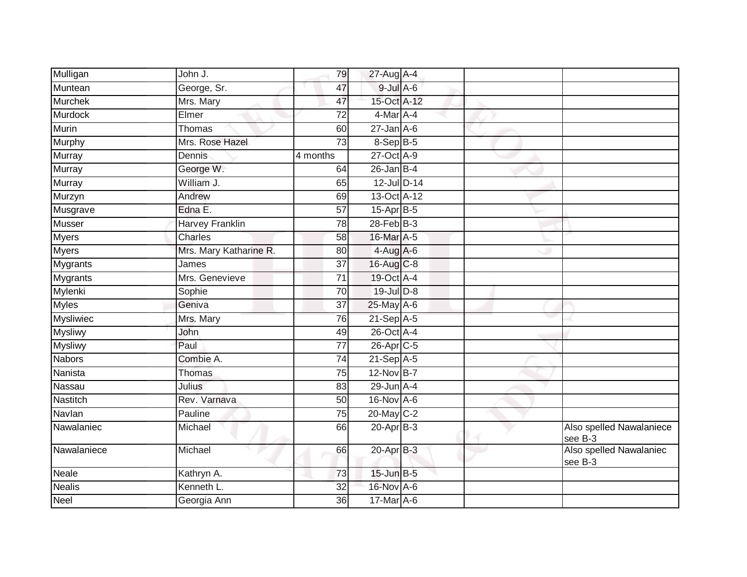| Mulligan        | $\overline{\mathsf{John}}$ J. | 79              | 27-Aug A-4            |  |                                     |
|-----------------|-------------------------------|-----------------|-----------------------|--|-------------------------------------|
| Muntean         | George, Sr.                   | 47              | $9$ -Jul $A$ -6       |  |                                     |
| <b>Murchek</b>  | Mrs. Mary                     | 47              | 15-Oct A-12           |  |                                     |
| Murdock         | Elmer                         | 72              | $4$ -Mar $A$ -4       |  |                                     |
| Murin           | Thomas                        | 60              | $27$ -Jan $A$ -6      |  |                                     |
| Murphy          | Mrs. Rose Hazel               | $\overline{73}$ | 8-Sep B-5             |  |                                     |
| Murray          | Dennis                        | 4 months        | 27-Oct A-9            |  |                                     |
| Murray          | George W.                     | 64              | $26$ -Jan B-4         |  |                                     |
| <b>Murray</b>   | William J.                    | 65              | 12-Jul D-14           |  |                                     |
| Murzyn          | Andrew                        | 69              | 13-Oct A-12           |  |                                     |
| Musgrave        | Edna E.                       | 57              | 15-Apr B-5            |  |                                     |
| <b>Musser</b>   | Harvey Franklin               | 78              | $28$ -Feb $B-3$       |  |                                     |
| <b>Myers</b>    | Charles                       | 58              | 16-Mar A-5            |  |                                     |
| <b>Myers</b>    | Mrs. Mary Katharine R.        | 80              | $4-Aug$ A-6           |  |                                     |
| <b>Mygrants</b> | James                         | $\overline{37}$ | 16-Aug C-8            |  |                                     |
| Mygrants        | Mrs. Genevieve                | 71              | 19-Oct A-4            |  |                                     |
| Mylenki         | Sophie                        | 70              | $19$ -Jul $D-8$       |  |                                     |
| <b>Myles</b>    | Geniva                        | 37              | 25-May A-6            |  |                                     |
| Mysliwiec       | Mrs. Mary                     | 76              | 21-Sep A-5            |  |                                     |
| <b>Mysliwy</b>  | John                          | 49              | 26-Oct A-4            |  |                                     |
| <b>Mysliwy</b>  | Paul                          | 77              | 26-Apr <sub>C-5</sub> |  |                                     |
| <b>Nabors</b>   | Combie A.                     | 74              | $21-Sep$ A-5          |  |                                     |
| Nanista         | Thomas                        | 75              | 12-Nov B-7            |  |                                     |
| Nassau          | Julius                        | 83              | 29-Jun A-4            |  |                                     |
| Nastitch        | Rev. Varnava                  | 50              | 16-Nov A-6            |  |                                     |
| Navlan          | Pauline                       | 75              | 20-May C-2            |  |                                     |
| Nawalaniec      | Michael                       | 66              | $20-Apr$ B-3          |  | Also spelled Nawalaniece<br>see B-3 |
| Nawalaniece     | Michael                       | 66              | 20-Apr B-3            |  | Also spelled Nawalaniec<br>see B-3  |
| <b>Neale</b>    | Kathryn A.                    | 73              | $15$ -Jun $B-5$       |  |                                     |
| <b>Nealis</b>   | Kenneth L.                    | 32              | 16-Nov A-6            |  |                                     |
| Neel            | Georgia Ann                   | 36              | $17$ -Mar $A$ -6      |  |                                     |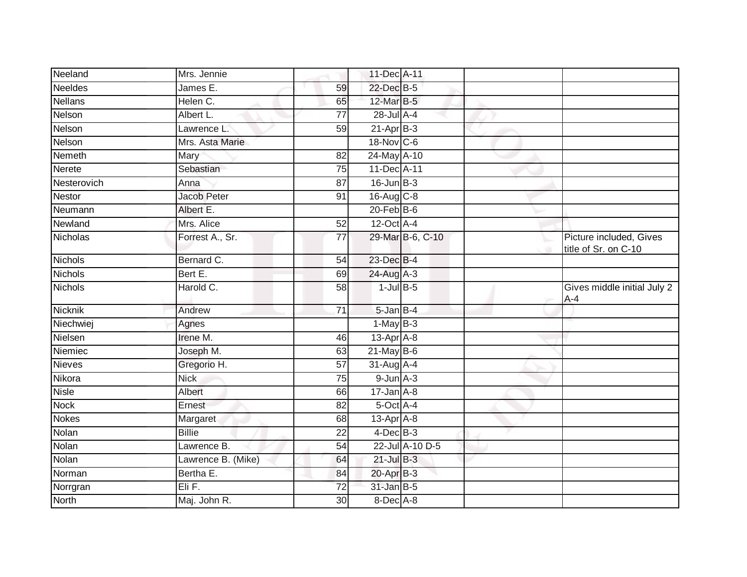| Neeland        | Mrs. Jennie        |                 | 11-Dec A-11      |                  |                                                 |
|----------------|--------------------|-----------------|------------------|------------------|-------------------------------------------------|
| <b>Neeldes</b> | James E.           | 59              | 22-Dec B-5       |                  |                                                 |
| <b>Nellans</b> | Helen C.           | 65              | 12-Mar B-5       |                  |                                                 |
| Nelson         | Albert L.          | 77              | 28-Jul A-4       |                  |                                                 |
| Nelson         | Lawrence L.        | 59              | $21-Apr$ B-3     |                  |                                                 |
| Nelson         | Mrs. Asta Marie    |                 | 18-Nov C-6       |                  |                                                 |
| Nemeth         | Mary               | 82              | 24-May A-10      |                  |                                                 |
| <b>Nerete</b>  | Sebastian          | 75              | 11-Dec A-11      |                  |                                                 |
| Nesterovich    | Anna               | 87              | $16$ -Jun $B-3$  |                  |                                                 |
| Nestor         | Jacob Peter        | 91              | 16-Aug C-8       |                  |                                                 |
| Neumann        | Albert E.          |                 | $20$ -Feb $ B-6$ |                  |                                                 |
| Newland        | Mrs. Alice         | 52              | 12-Oct A-4       |                  |                                                 |
| Nicholas       | Forrest A., Sr.    | 77              |                  | 29-Mar B-6, C-10 | Picture included, Gives<br>title of Sr. on C-10 |
| Nichols        | Bernard C.         | 54              | 23-Dec B-4       |                  |                                                 |
| <b>Nichols</b> | Bert E.            | 69              | 24-Aug A-3       |                  |                                                 |
| <b>Nichols</b> | Harold C.          | 58              | $1$ -Jul B-5     |                  | Gives middle initial July 2<br>$A - 4$          |
| Nicknik        | Andrew             | $\overline{71}$ | $5$ -Jan $B-4$   |                  |                                                 |
| Niechwiej      | Agnes              |                 | $1-May$ B-3      |                  |                                                 |
| Nielsen        | Irene M.           | 46              | $13-Apr$ A-8     |                  |                                                 |
| Niemiec        | Joseph M.          | 63              | $21$ -May B-6    |                  |                                                 |
| <b>Nieves</b>  | Gregorio H.        | 57              | $31$ -Aug $A$ -4 |                  |                                                 |
| Nikora         | <b>Nick</b>        | 75              | $9$ -Jun $A-3$   |                  |                                                 |
| <b>Nisle</b>   | Albert             | 66              | $17 - Jan A - 8$ |                  |                                                 |
| <b>Nock</b>    | Ernest             | 82              | 5-Oct A-4        |                  |                                                 |
| <b>Nokes</b>   | Margaret           | 68              | $13$ -Apr $A$ -8 |                  |                                                 |
| Nolan          | <b>Billie</b>      | $\overline{22}$ | $4$ -Dec $B-3$   |                  |                                                 |
| Nolan          | Lawrence B.        | 54              |                  | 22-Jul A-10 D-5  |                                                 |
| Nolan          | Lawrence B. (Mike) | 64              | $21$ -Jul $B-3$  |                  |                                                 |
| Norman         | Bertha E.          | 84              | 20-Apr B-3       |                  |                                                 |
| Norrgran       | Eli F.             | $\overline{72}$ | 31-Jan B-5       |                  |                                                 |
| <b>North</b>   | Maj. John R.       | 30              | 8-Dec A-8        |                  |                                                 |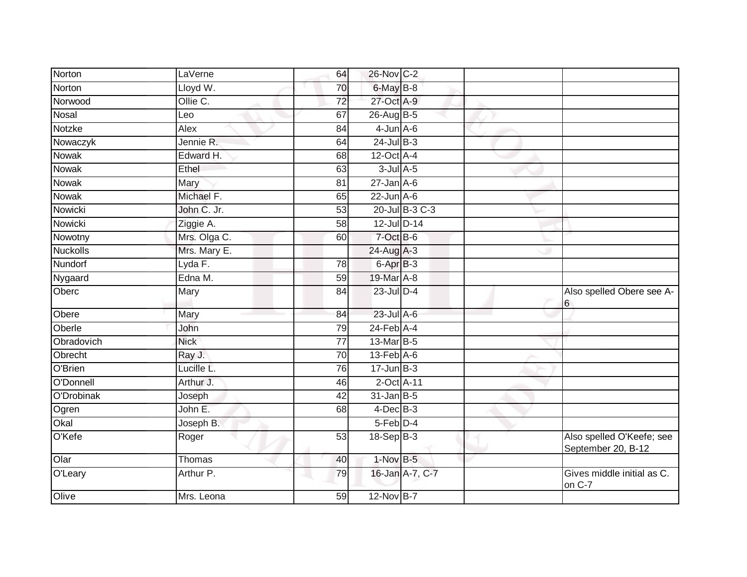| Norton          | LaVerne      | 64              | 26-Nov C-2       |                 |                                                 |
|-----------------|--------------|-----------------|------------------|-----------------|-------------------------------------------------|
| Norton          | Lloyd W.     | 70              | 6-May B-8        |                 |                                                 |
| Norwood         | Ollie C.     | $\overline{72}$ | 27-Oct A-9       |                 |                                                 |
| Nosal           | Leo          | 67              | 26-Aug B-5       |                 |                                                 |
| Notzke          | Alex         | 84              | $4$ -Jun $A$ -6  |                 |                                                 |
| Nowaczyk        | Jennie R.    | 64              | $24$ -Jul B-3    |                 |                                                 |
| <b>Nowak</b>    | Edward H.    | 68              | 12-Oct A-4       |                 |                                                 |
| Nowak           | Ethel        | 63              | $3$ -Jul $A$ -5  |                 |                                                 |
| Nowak           | Mary         | 81              | $27 - Jan$ A-6   |                 |                                                 |
| <b>Nowak</b>    | Michael F.   | 65              | $22$ -Jun $A-6$  |                 |                                                 |
| Nowicki         | John C. Jr.  | 53              |                  | 20-Jul B-3 C-3  |                                                 |
| Nowicki         | Ziggie A.    | $\overline{58}$ | 12-Jul D-14      |                 |                                                 |
| Nowotny         | Mrs. Olga C. | 60              | $7$ -Oct $B$ -6  |                 |                                                 |
| <b>Nuckolls</b> | Mrs. Mary E. |                 | $24$ -Aug $A-3$  |                 |                                                 |
| Nundorf         | Lyda F.      | 78              | 6-Apr B-3        |                 |                                                 |
| Nygaard         | Edna M.      | 59              | 19-Mar A-8       |                 |                                                 |
| Oberc           | Mary         | 84              | 23-Jul D-4       |                 | Also spelled Obere see A-<br>6                  |
| Obere           | Mary         | 84              | $23$ -Jul $A-6$  |                 |                                                 |
| Oberle          | John         | 79              | $24$ -Feb $A$ -4 |                 |                                                 |
| Obradovich      | <b>Nick</b>  | $\overline{77}$ | 13-Mar B-5       |                 |                                                 |
| Obrecht         | Ray J.       | 70              | $13$ -Feb $A$ -6 |                 |                                                 |
| O'Brien         | Lucille L.   | 76              | $17 - Jun$ B-3   |                 |                                                 |
| O'Donnell       | Arthur J.    | 46              | 2-Oct A-11       |                 |                                                 |
| O'Drobinak      | Joseph       | 42              | $31$ -Jan B-5    |                 |                                                 |
| Ogren           | John E.      | 68              | $4$ -Dec $B-3$   |                 |                                                 |
| Okal            | Joseph B.    |                 | 5-Feb D-4        |                 |                                                 |
| O'Kefe          | Roger        | 53              | $18-Sep$ B-3     |                 | Also spelled O'Keefe; see<br>September 20, B-12 |
| Olar            | Thomas       | 40              | 1-Nov B-5        |                 |                                                 |
| O'Leary         | Arthur P.    | 79              |                  | 16-Jan A-7, C-7 | Gives middle initial as C.<br>on C-7            |
| Olive           | Mrs. Leona   | 59              | 12-Nov B-7       |                 |                                                 |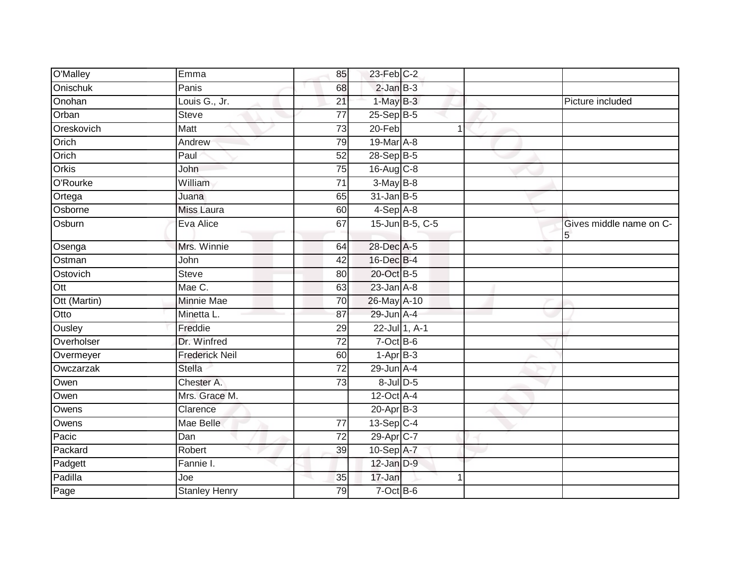| O'Malley     | Emma                  | 85              | $23$ -Feb $C-2$  |   |                              |
|--------------|-----------------------|-----------------|------------------|---|------------------------------|
| Onischuk     | Panis                 | 68              | $2$ -Jan $B-3$   |   |                              |
| Onohan       | Louis G., Jr.         | 21              | $1-MayB-3$       |   | Picture included             |
| Orban        | <b>Steve</b>          | $\overline{77}$ | 25-Sep B-5       |   |                              |
| Oreskovich   | <b>Matt</b>           | 73              | $20-Feb$         | 1 |                              |
| Orich        | Andrew                | 79              | 19-Mar A-8       |   |                              |
| Orich        | Paul                  | 52              | $28-Sep$ B-5     |   |                              |
| Orkis        | John                  | 75              | 16-Aug C-8       |   |                              |
| O'Rourke     | William               | 71              | $3-May$ B-8      |   |                              |
| Ortega       | Juana                 | 65              | $31$ -Jan B-5    |   |                              |
| Osborne      | Miss Laura            | 60              | $4-Sep$ $A-8$    |   |                              |
| Osburn       | Eva Alice             | 67              | 15-Jun B-5, C-5  |   | Gives middle name on C-<br>5 |
| Osenga       | Mrs. Winnie           | 64              | 28-Dec A-5       |   |                              |
| Ostman       | John                  | 42              | 16-Dec B-4       |   |                              |
| Ostovich     | <b>Steve</b>          | 80              | 20-Oct B-5       |   |                              |
| Ott          | Mae C.                | 63              | $23$ -Jan $A-8$  |   |                              |
| Ott (Martin) | <b>Minnie Mae</b>     | 70              | 26-May A-10      |   |                              |
| Otto         | Minetta L.            | 87              | 29-Jun A-4       |   |                              |
| Ousley       | Freddie               | 29              | 22-Jul 1, A-1    |   |                              |
| Overholser   | Dr. Winfred           | $\overline{72}$ | $7$ -Oct $B$ -6  |   |                              |
| Overmeyer    | <b>Frederick Neil</b> | 60              | $1-AprB-3$       |   |                              |
| Owczarzak    | <b>Stella</b>         | 72              | 29-Jun A-4       |   |                              |
| Owen         | Chester A.            | $\overline{73}$ | $8$ -Jul $D$ -5  |   |                              |
| Owen         | Mrs. Grace M.         |                 | $12$ -Oct $A$ -4 |   |                              |
| Owens        | Clarence              |                 | $20 - Apr$ B-3   |   |                              |
| Owens        | Mae Belle             | 77              | $13-Sep$ C-4     |   |                              |
| Pacic        | Dan                   | $\overline{72}$ | 29-Apr C-7       |   |                              |
| Packard      | Robert                | 39              | 10-Sep A-7       |   |                              |
| Padgett      | Fannie I.             |                 | 12-Jan D-9       |   |                              |
| Padilla      | Joe                   | 35              | 17-Jan           |   |                              |
| Page         | <b>Stanley Henry</b>  | 79              | $7$ -Oct $B$ -6  |   |                              |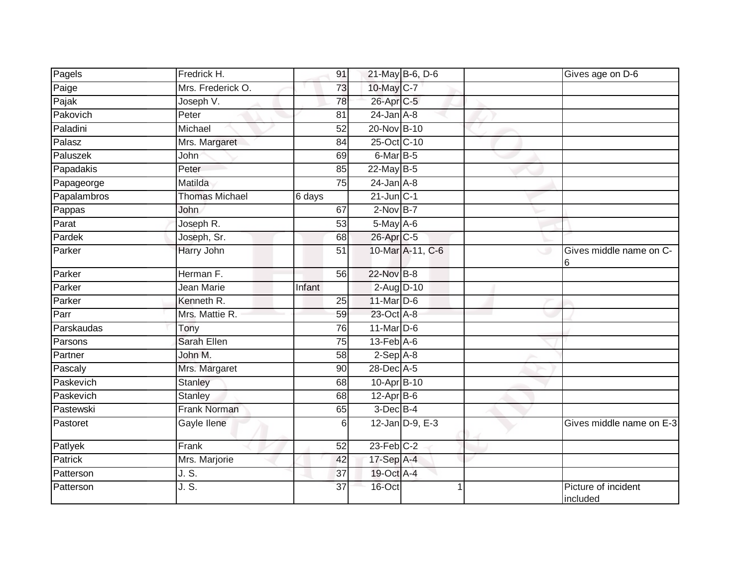| Pagels      | Fredrick H.           | 91              |                             | 21-May B-6, D-6  |                         | Gives age on D-6                |
|-------------|-----------------------|-----------------|-----------------------------|------------------|-------------------------|---------------------------------|
| Paige       | Mrs. Frederick O.     | 73              | 10-May C-7                  |                  |                         |                                 |
| Pajak       | Joseph V.             | 78              | 26-Apr C-5                  |                  |                         |                                 |
| Pakovich    | Peter                 | 81              | $24$ -Jan $A-8$             |                  |                         |                                 |
| Paladini    | Michael               | $\overline{52}$ | 20-Nov B-10                 |                  |                         |                                 |
| Palasz      | Mrs. Margaret         | 84              | 25-Oct C-10                 |                  |                         |                                 |
| Paluszek    | John                  | 69              | $6$ -Mar $B$ -5             |                  |                         |                                 |
| Papadakis   | Peter                 | 85              | 22-May B-5                  |                  |                         |                                 |
| Papageorge  | Matilda               | 75              | $24$ -Jan $A-8$             |                  |                         |                                 |
| Papalambros | <b>Thomas Michael</b> | 6 days          | $21$ -Jun $C-1$             |                  |                         |                                 |
| Pappas      | John                  | 67              | $2$ -Nov $B-7$              |                  |                         |                                 |
| Parat       | Joseph R.             | 53              | $5$ -May $A$ -6             |                  |                         |                                 |
| Pardek      | Joseph, Sr.           | 68              | 26-Apr <sub>C-5</sub>       |                  |                         |                                 |
| Parker      | Harry John            | 51              |                             | 10-Mar A-11, C-6 |                         | Gives middle name on C-<br>6    |
| Parker      | Herman F.             | 56              | 22-Nov B-8                  |                  |                         |                                 |
| Parker      | Jean Marie            | Infant          | $2$ -Aug $D-10$             |                  |                         |                                 |
| Parker      | Kenneth R.            | 25              | 11-Mar D-6                  |                  |                         |                                 |
| Parr        | Mrs. Mattie R.        | 59              | 23-Oct A-8                  |                  |                         |                                 |
| Parskaudas  | Tony                  | 76              | $11$ -Mar $D-6$             |                  |                         |                                 |
| Parsons     | Sarah Ellen           | $\overline{75}$ | $13$ -Feb $\overline{A}$ -6 |                  |                         |                                 |
| Partner     | John M.               | 58              | $2-Sep$ A-8                 |                  |                         |                                 |
| Pascaly     | Mrs. Margaret         | 90              | 28-Dec A-5                  |                  |                         |                                 |
| Paskevich   | Stanley               | 68              | 10-Apr B-10                 |                  |                         |                                 |
| Paskevich   | <b>Stanley</b>        | 68              | $12$ -Apr $B$ -6            |                  |                         |                                 |
| Pastewski   | Frank Norman          | 65              | $3$ -Dec $B-4$              |                  |                         |                                 |
| Pastoret    | Gayle Ilene           | 6               |                             | 12-Jan D-9, E-3  |                         | Gives middle name on E-3        |
| Patlyek     | Frank                 | 52              | $23$ -Feb $C-2$             |                  |                         |                                 |
| Patrick     | Mrs. Marjorie         | 42              | 17-Sep A-4                  |                  |                         |                                 |
| Patterson   | J.S.                  | 37              | 19-Oct A-4                  |                  |                         |                                 |
| Patterson   | J. S.                 | 37              | 16-Oct                      |                  | $\overline{\mathbf{1}}$ | Picture of incident<br>included |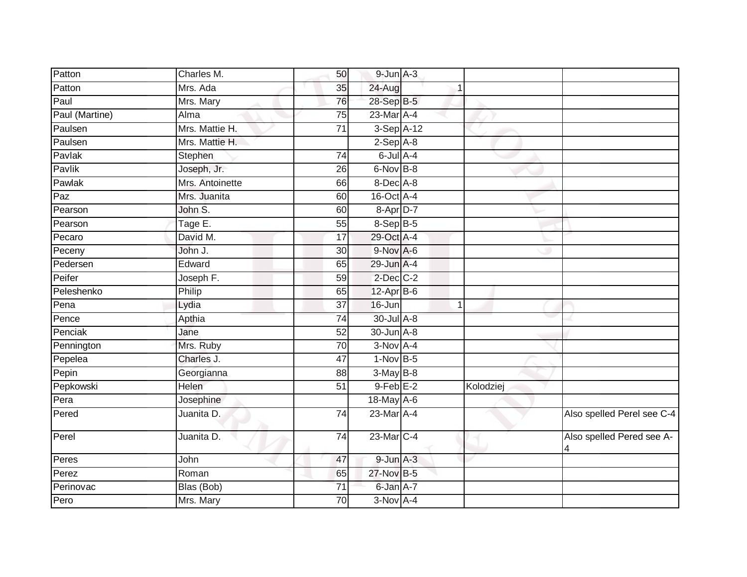| Patton         | Charles M.      | 50              | $9$ -Jun $A-3$  |   |           |                                                       |
|----------------|-----------------|-----------------|-----------------|---|-----------|-------------------------------------------------------|
| Patton         | Mrs. Ada        | 35              | 24-Aug          |   |           |                                                       |
| Paul           | Mrs. Mary       | 76              | 28-Sep B-5      |   |           |                                                       |
| Paul (Martine) | Alma            | 75              | 23-Mar A-4      |   |           |                                                       |
| Paulsen        | Mrs. Mattie H.  | $\overline{71}$ | 3-Sep A-12      |   |           |                                                       |
| Paulsen        | Mrs. Mattie H.  |                 | $2-Sep$ A-8     |   |           |                                                       |
| Pavlak         | Stephen         | 74              | $6$ -Jul $A$ -4 |   |           |                                                       |
| Pavlik         | Joseph, Jr.     | 26              | $6$ -Nov $B$ -8 |   |           |                                                       |
| Pawlak         | Mrs. Antoinette | 66              | 8-Dec A-8       |   |           |                                                       |
| Paz            | Mrs. Juanita    | 60              | 16-Oct A-4      |   |           |                                                       |
| Pearson        | John S.         | 60              | 8-Apr D-7       |   |           |                                                       |
| Pearson        | Tage E.         | 55              | 8-Sep B-5       |   |           |                                                       |
| Pecaro         | David M.        | 17              | 29-Oct A-4      |   |           |                                                       |
| Peceny         | John J.         | 30              | $9-Nov$ A-6     |   |           |                                                       |
| Pedersen       | Edward          | 65              | 29-Jun A-4      |   |           |                                                       |
| Peifer         | Joseph F.       | 59              | $2$ -Dec $C-2$  |   |           |                                                       |
| Peleshenko     | Philip          | 65              | $12-Apr$ B-6    |   |           |                                                       |
| Pena           | Lydia           | 37              | 16-Jun          | 1 |           |                                                       |
| Pence          | Apthia          | 74              | 30-Jul A-8      |   |           |                                                       |
| Penciak        | Jane            | 52              | 30-Jun A-8      |   |           |                                                       |
| Pennington     | Mrs. Ruby       | 70              | $3-Nov$ A-4     |   |           |                                                       |
| Pepelea        | Charles J.      | 47              | $1-Nov$ B-5     |   |           |                                                       |
| Pepin          | Georgianna      | 88              | $3-MayB-8$      |   |           |                                                       |
| Pepkowski      | Helen           | 51              | $9$ -Feb $E-2$  |   | Kolodziej |                                                       |
| Pera           | Josephine       |                 | 18-May A-6      |   |           |                                                       |
| Pered          | Juanita D.      | 74              | 23-Mar A-4      |   |           | Also spelled Perel see C-4                            |
| Perel          | Juanita D.      | $\overline{74}$ | 23-Mar C-4      |   |           | Also spelled Pered see A-<br>$\overline{\mathcal{A}}$ |
| Peres          | John            | 47              | $9$ -Jun $A-3$  |   |           |                                                       |
| Perez          | Roman           | 65              | 27-Nov B-5      |   |           |                                                       |
| Perinovac      | Blas (Bob)      | 71              | 6-Jan A-7       |   |           |                                                       |
| Pero           | Mrs. Mary       | 70              | $3-Nov$ A-4     |   |           |                                                       |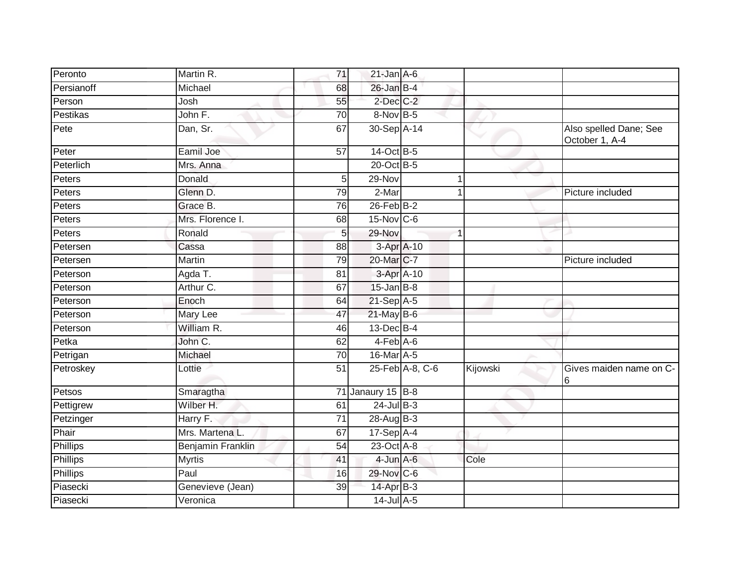| Peronto    | Martin R.<br>71             | $21$ -Jan $A-6$       |                 |          |                                          |
|------------|-----------------------------|-----------------------|-----------------|----------|------------------------------------------|
| Persianoff | Michael<br>68               | $26$ -Jan B-4         |                 |          |                                          |
| Person     | Josh                        | 2-Dec C-2<br>55       |                 |          |                                          |
| Pestikas   | John F.<br>70               | 8-Nov B-5             |                 |          |                                          |
| Pete       | Dan, Sr.<br>67              | 30-Sep A-14           |                 |          | Also spelled Dane; See<br>October 1, A-4 |
| Peter      | Eamil Joe<br>57             | 14-Oct B-5            |                 |          |                                          |
| Peterlich  | Mrs. Anna                   | 20-Oct B-5            |                 |          |                                          |
| Peters     | Donald                      | 29-Nov<br>5           | 1               |          |                                          |
| Peters     | Glenn D.                    | 2-Mar<br>79           |                 |          | Picture included                         |
| Peters     | Grace B.                    | $26$ -Feb $B-2$<br>76 |                 |          |                                          |
| Peters     | Mrs. Florence I.            | 15-Nov C-6<br>68      |                 |          |                                          |
| Peters     | Ronald                      | 29-Nov<br>5           |                 |          |                                          |
| Petersen   | Cassa<br>88                 |                       | $3-Apr$ A-10    |          |                                          |
| Petersen   | Martin                      | 20-Mar C-7<br>79      |                 |          | Picture included                         |
| Peterson   | Agda T.<br>$\overline{81}$  |                       | 3-Apr A-10      |          |                                          |
| Peterson   | Arthur C.<br>67             | $15$ -Jan B-8         |                 |          |                                          |
| Peterson   | Enoch<br>64                 | $21-Sep$ A-5          |                 |          |                                          |
| Peterson   | Mary Lee<br>47              | $21$ -May B-6         |                 |          |                                          |
| Peterson   | William R.                  | $13$ -Dec $B-4$<br>46 |                 |          |                                          |
| Petka      | John C.<br>62               | $4-FebA-6$            |                 |          |                                          |
| Petrigan   | Michael                     | 16-Mar A-5<br>70      |                 |          |                                          |
| Petroskey  | 51<br>Lottie                |                       | 25-Feb A-8, C-6 | Kijowski | Gives maiden name on C-<br>16            |
| Petsos     | Smaragtha                   | 71 Janaury 15 B-8     |                 |          |                                          |
| Pettigrew  | Wilber H.<br>61             | $24$ -Jul B-3         |                 |          |                                          |
| Petzinger  | Harry F.<br>$\overline{71}$ | 28-Aug B-3            |                 |          |                                          |
| Phair      | Mrs. Martena L<br>67        | 17-Sep A-4            |                 |          |                                          |
| Phillips   | 54<br>Benjamin Franklin     | 23-Oct A-8            |                 |          |                                          |
| Phillips   | <b>Myrtis</b><br>41         | $4$ -Jun $A$ -6       |                 | Cole     |                                          |
| Phillips   | Paul                        | 29-Nov C-6<br>16      |                 |          |                                          |
| Piasecki   | 39<br>Genevieve (Jean)      | 14-Apr B-3            |                 |          |                                          |
| Piasecki   | Veronica                    | $14$ -Jul A-5         |                 |          |                                          |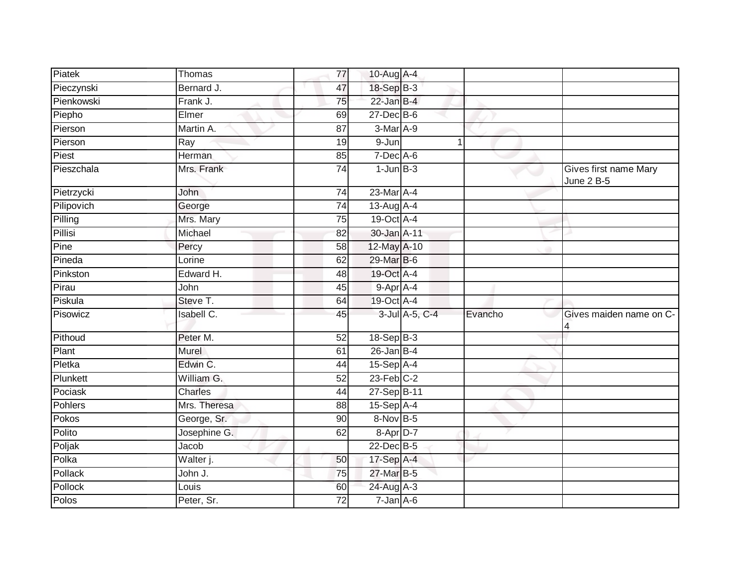| Piatek         | Thomas                           | 77              | 10-Aug A-4      |                |         |                                            |
|----------------|----------------------------------|-----------------|-----------------|----------------|---------|--------------------------------------------|
| Pieczynski     | Bernard J.                       | 47              | 18-Sep B-3      |                |         |                                            |
| Pienkowski     | Frank J.                         | 75              | $22$ -Jan B-4   |                |         |                                            |
| Piepho         | Elmer                            | 69              | 27-Dec B-6      |                |         |                                            |
| Pierson        | Martin A.                        | 87              | $3-Mar$ A-9     |                |         |                                            |
| Pierson        | Ray                              | 19              | 9-Jun           | 1              |         |                                            |
| Piest          | Herman                           | 85              | $7$ -Dec $A$ -6 |                |         |                                            |
| Pieszchala     | Mrs. Frank                       | $\overline{74}$ | $1$ -Jun $B-3$  |                |         | Gives first name Mary<br><b>June 2 B-5</b> |
| Pietrzycki     | <b>John</b>                      | 74              | 23-Mar A-4      |                |         |                                            |
| Pilipovich     | George                           | 74              | 13-Aug A-4      |                |         |                                            |
| Pilling        | Mrs. Mary                        | 75              | 19-Oct A-4      |                |         |                                            |
| Pillisi        | Michael                          | 82              | 30-Jan A-11     |                |         |                                            |
| Pine           | Percy                            | 58              | 12-May A-10     |                |         |                                            |
| Pineda         | Lorine                           | 62              | 29-Mar B-6      |                |         |                                            |
| Pinkston       | Edward H.                        | 48              | 19-Oct A-4      |                |         |                                            |
| Pirau          | John                             | 45              | 9-Apr A-4       |                |         |                                            |
| Piskula        | Steve T.                         | 64              | 19-Oct A-4      |                |         |                                            |
| Pisowicz       | <b>Isabell C.</b>                | 45              |                 | 3-Jul A-5, C-4 | Evancho | Gives maiden name on C-                    |
| Pithoud        | Peter M.                         | 52              | 18-Sep B-3      |                |         |                                            |
| Plant          | Murel                            | 61              | $26$ -Jan B-4   |                |         |                                            |
| Pletka         | Edwin C.                         | 44              | $15-Sep$ A-4    |                |         |                                            |
| Plunkett       | William G.                       | 52              | $23$ -Feb $C-2$ |                |         |                                            |
| Pociask        | <b>Charles</b>                   | 44              | 27-Sep B-11     |                |         |                                            |
| <b>Pohlers</b> | Mrs. Theresa                     | 88              | $15-Sep$ A-4    |                |         |                                            |
| Pokos          | George, Sr.                      | $\overline{90}$ | 8-Nov B-5       |                |         |                                            |
| Polito         | Josephine G.                     | 62              | $8 - Apr$ D-7   |                |         |                                            |
| Poljak         | Jacob                            |                 | 22-Dec B-5      |                |         |                                            |
| Polka          | $\overline{\mathsf{W}}$ alter j. | 50              | 17-Sep A-4      |                |         |                                            |
| Pollack        | John J.                          | 75              | 27-Mar B-5      |                |         |                                            |
| Pollock        | Louis                            | 60              | 24-Aug A-3      |                |         |                                            |
| Polos          | Peter, Sr.                       | 72              | $7 - Jan$ A-6   |                |         |                                            |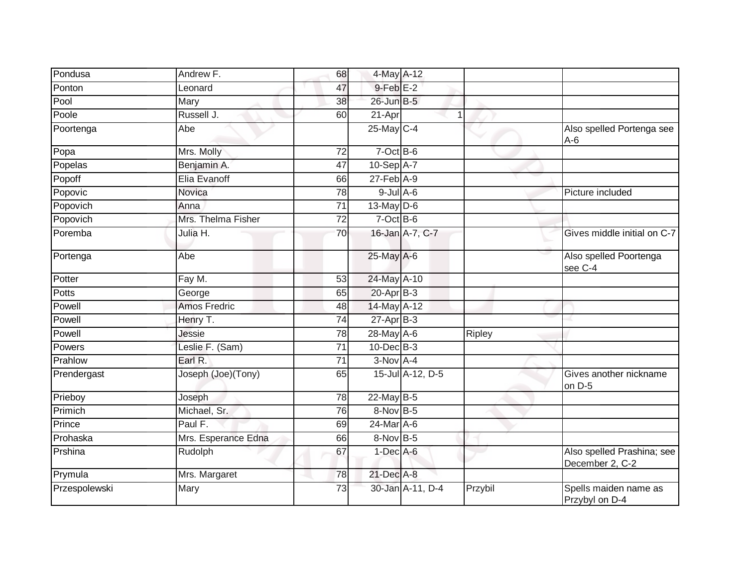| Pondusa       | Andrew F.           | 68              | 4-May A-12      |                  |               |                                               |
|---------------|---------------------|-----------------|-----------------|------------------|---------------|-----------------------------------------------|
| Ponton        | Leonard             | 47              | $9$ -Feb $E-2$  |                  |               |                                               |
| Pool          | Mary                | 38              | 26-Jun B-5      |                  |               |                                               |
| Poole         | Russell J.          | 60              | $21$ -Apr       | 1                |               |                                               |
| Poortenga     | Abe                 |                 | 25-May C-4      |                  |               | Also spelled Portenga see<br>$A-6$            |
| Popa          | Mrs. Molly          | 72              | 7-Oct B-6       |                  |               |                                               |
| Popelas       | Benjamin A.         | 47              | 10-Sep A-7      |                  |               |                                               |
| Popoff        | Elia Evanoff        | 66              | $27$ -Feb $A-9$ |                  |               |                                               |
| Popovic       | Novica              | 78              | $9$ -Jul $A$ -6 |                  |               | Picture included                              |
| Popovich      | Anna                | 71              | 13-May D-6      |                  |               |                                               |
| Popovich      | Mrs. Thelma Fisher  | 72              | $7$ -Oct B-6    |                  |               |                                               |
| Poremba       | Julia H.            | $\overline{70}$ |                 | 16-Jan A-7, C-7  |               | Gives middle initial on C-7                   |
| Portenga      | Abe                 |                 | 25-May A-6      |                  |               | Also spelled Poortenga<br>see C-4             |
| Potter        | Fay M.              | 53              | 24-May A-10     |                  |               |                                               |
| <b>Potts</b>  | George              | 65              | $20$ -Apr $B-3$ |                  |               |                                               |
| Powell        | <b>Amos Fredric</b> | 48              | 14-May A-12     |                  |               |                                               |
| Powell        | Henry T.            | 74              | $27$ -Apr $B-3$ |                  |               |                                               |
| Powell        | Jessie              | 78              | 28-May A-6      |                  | <b>Ripley</b> |                                               |
| Powers        | Leslie F. (Sam)     | 71              | $10$ -Dec $B-3$ |                  |               |                                               |
| Prahlow       | Earl R.             | 71              | $3-Nov$ A-4     |                  |               |                                               |
| Prendergast   | Joseph (Joe)(Tony)  | 65              |                 | 15-Jul A-12, D-5 |               | Gives another nickname<br>on D-5              |
| Prieboy       | Joseph              | 78              | 22-May B-5      |                  |               |                                               |
| Primich       | Michael, Sr.        | 76              | 8-Nov B-5       |                  |               |                                               |
| Prince        | Paul F.             | 69              | 24-Mar A-6      |                  |               |                                               |
| Prohaska      | Mrs. Esperance Edna | 66              | $8-Nov$ B-5     |                  |               |                                               |
| Prshina       | Rudolph             | 67              | $1-Dec$ A-6     |                  |               | Also spelled Prashina; see<br>December 2, C-2 |
| Prymula       | Mrs. Margaret       | 78              | $21$ -Dec $A-8$ |                  |               |                                               |
| Przespolewski | Mary                | 73              |                 | 30-Jan A-11, D-4 | Przybil       | Spells maiden name as<br>Przybyl on D-4       |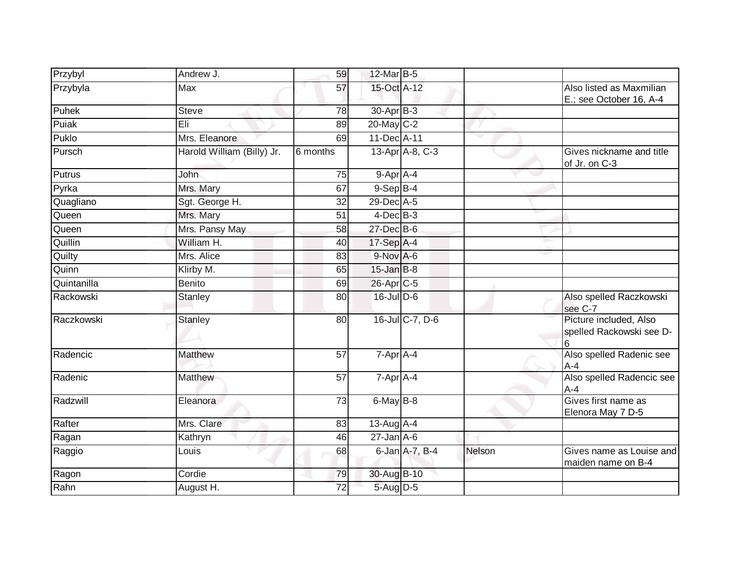| Przybyl     | Andrew J.                  | 59              | 12-Mar B-5            |                 |        |                                                         |
|-------------|----------------------------|-----------------|-----------------------|-----------------|--------|---------------------------------------------------------|
| Przybyla    | Max                        | 57              | 15-Oct A-12           |                 |        | Also listed as Maxmilian<br>E.; see October 16, A-4     |
| Puhek       | <b>Steve</b>               | $\overline{78}$ | 30-Apr <sub>B-3</sub> |                 |        |                                                         |
| Puiak       | Eli                        | 89              | 20-May C-2            |                 |        |                                                         |
| Puklo       | Mrs. Eleanore              | 69              | $11$ -Dec A-11        |                 |        |                                                         |
| Pursch      | Harold William (Billy) Jr. | 6 months        |                       | 13-Apr A-8, C-3 |        | Gives nickname and title<br>of Jr. on C-3               |
| Putrus      | <b>John</b>                | 75              | 9-Apr A-4             |                 |        |                                                         |
| Pyrka       | Mrs. Mary                  | 67              | $9-$ Sep $B-4$        |                 |        |                                                         |
| Quagliano   | Sgt. George H.             | 32              | 29-Dec A-5            |                 |        |                                                         |
| Queen       | Mrs. Mary                  | 51              | $4$ -Dec $B-3$        |                 |        |                                                         |
| Queen       | Mrs. Pansy May             | 58              | $27$ -Dec $B$ -6      |                 |        |                                                         |
| Quillin     | William H.                 | 40              | 17-Sep A-4            |                 |        |                                                         |
| Quilty      | Mrs. Alice                 | 83              | 9-Nov A-6             |                 |        |                                                         |
| Quinn       | Klirby M.                  | 65              | $15$ -Jan $B$ -8      |                 |        |                                                         |
| Quintanilla | <b>Benito</b>              | 69              | 26-Apr C-5            |                 |        |                                                         |
| Rackowski   | Stanley                    | 80              | $16$ -Jul D-6         |                 |        | Also spelled Raczkowski<br>see C-7                      |
| Raczkowski  | <b>Stanley</b>             | 80              |                       | 16-Jul C-7, D-6 |        | Picture included, Also<br>spelled Rackowski see D-<br>6 |
| Radencic    | Matthew                    | 57              | 7-Apr A-4             |                 |        | Also spelled Radenic see<br>$A-4$                       |
| Radenic     | Matthew                    | 57              | $7-AprA-4$            |                 |        | Also spelled Radencic see<br>$A - 4$                    |
| Radzwill    | Eleanora                   | $\overline{73}$ | 6-May B-8             |                 |        | Gives first name as<br>Elenora May 7 D-5                |
| Rafter      | Mrs. Clare                 | 83              | 13-Aug A-4            |                 |        |                                                         |
| Ragan       | Kathryn                    | 46              | $27 - Jan A - 6$      |                 |        |                                                         |
| Raggio      | Louis                      | 68              |                       | 6-Jan A-7, B-4  | Nelson | Gives name as Louise and<br>maiden name on B-4          |
| Ragon       | Cordie                     | 79              | 30-Aug B-10           |                 |        |                                                         |
| Rahn        | August H.                  | $\overline{72}$ | 5-Aug D-5             |                 |        |                                                         |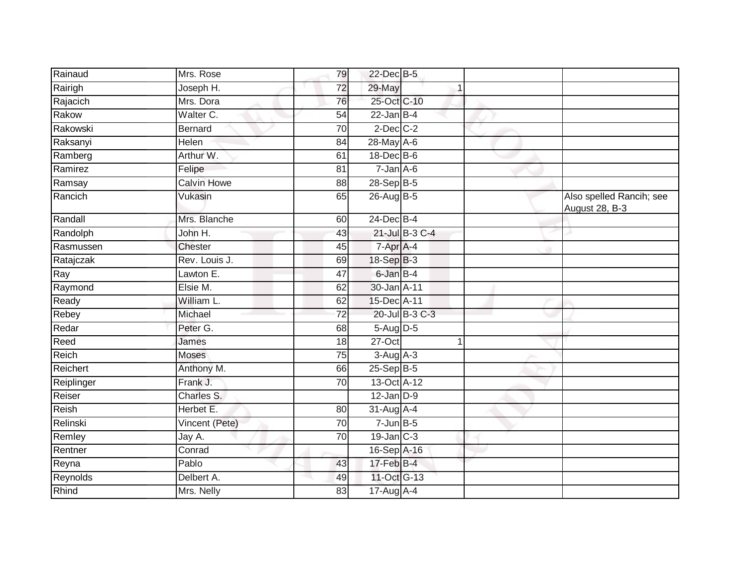| Rainaud    | Mrs. Rose          | 79              | 22-Dec B-5       |                |                                            |
|------------|--------------------|-----------------|------------------|----------------|--------------------------------------------|
| Rairigh    | Joseph H.          | $\overline{72}$ | 29-May           |                |                                            |
| Rajacich   | Mrs. Dora          | 76              | 25-Oct C-10      |                |                                            |
| Rakow      | Walter C.          | 54              | $22$ -Jan B-4    |                |                                            |
| Rakowski   | <b>Bernard</b>     | $\overline{70}$ | $2$ -Dec $C-2$   |                |                                            |
| Raksanyi   | Helen              | 84              | 28-May A-6       |                |                                            |
| Ramberg    | Arthur W.          | 61              | $18$ -Dec $B$ -6 |                |                                            |
| Ramirez    | Felipe             | 81              | $7 - Jan A - 6$  |                |                                            |
| Ramsay     | <b>Calvin Howe</b> | 88              | 28-Sep B-5       |                |                                            |
| Rancich    | Vukasin            | 65              | 26-Aug B-5       |                | Also spelled Rancih; see<br>August 28, B-3 |
| Randall    | Mrs. Blanche       | 60              | 24-Dec B-4       |                |                                            |
| Randolph   | John H.            | 43              |                  | 21-Jul B-3 C-4 |                                            |
| Rasmussen  | <b>Chester</b>     | 45              | 7-Apr A-4        |                |                                            |
| Ratajczak  | Rev. Louis J.      | 69              | 18-Sep B-3       |                |                                            |
| Ray        | Lawton E.          | 47              | 6-Jan B-4        |                |                                            |
| Raymond    | Elsie M.           | 62              | 30-Jan A-11      |                |                                            |
| Ready      | William L.         | 62              | 15-Dec A-11      |                |                                            |
| Rebey      | Michael            | 72              |                  | 20-Jul B-3 C-3 |                                            |
| Redar      | Peter G.           | 68              | 5-Aug D-5        |                |                                            |
| Reed       | James              | 18              | $27 - Oct$       | 1              |                                            |
| Reich      | <b>Moses</b>       | 75              | $3-Aug$ A-3      |                |                                            |
| Reichert   | Anthony M.         | 66              | $25-Sep$ B-5     |                |                                            |
| Reiplinger | Frank J.           | 70              | 13-Oct A-12      |                |                                            |
| Reiser     | Charles S.         |                 | $12$ -Jan $D-9$  |                |                                            |
| Reish      | Herbet E.          | 80              | 31-Aug A-4       |                |                                            |
| Relinski   | Vincent (Pete)     | 70              | $7$ -Jun $B$ -5  |                |                                            |
| Remley     | Jay A.             | 70              | $19$ -Jan $C-3$  |                |                                            |
| Rentner    | Conrad             |                 | 16-Sep A-16      |                |                                            |
| Reyna      | Pablo              | 43              | $17 - Feb$ $B-4$ |                |                                            |
| Reynolds   | Delbert A.         | 49              | 11-Oct G-13      |                |                                            |
| Rhind      | Mrs. Nelly         | 83              | 17-Aug A-4       |                |                                            |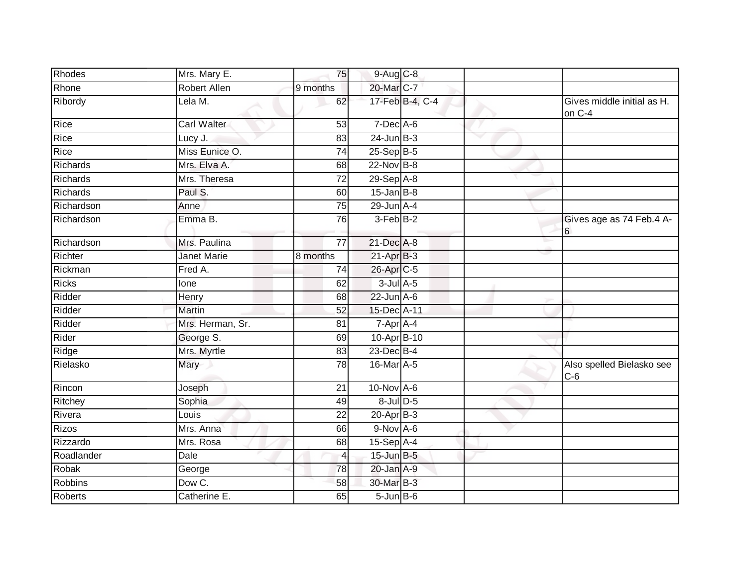| Rhodes         | Mrs. Mary E.       | 75              | 9-Aug C-8         |                 |                          |                                      |
|----------------|--------------------|-----------------|-------------------|-----------------|--------------------------|--------------------------------------|
| Rhone          | Robert Allen       | 9 months        | 20-Mar C-7        |                 |                          |                                      |
| Ribordy        | Lela M.            | 62              |                   | 17-Feb B-4, C-4 |                          | Gives middle initial as H.<br>on C-4 |
| Rice           | <b>Carl Walter</b> | 53              | $7$ -Dec A-6      |                 |                          |                                      |
| Rice           | Lucy J.            | 83              | 24-Jun B-3        |                 | $\overline{\phantom{a}}$ |                                      |
| Rice           | Miss Eunice O.     | 74              | $25 - Sep$ B-5    |                 |                          |                                      |
| Richards       | Mrs. Elva A.       | 68              | $22$ -Nov $B-8$   |                 |                          |                                      |
| Richards       | Mrs. Theresa       | $\overline{72}$ | $29-Sep$ A-8      |                 |                          |                                      |
| Richards       | Paul S.            | 60              | $15$ -Jan B-8     |                 |                          |                                      |
| Richardson     | Anne               | 75              | $29$ -Jun $A-4$   |                 |                          |                                      |
| Richardson     | Emma B.            | 76              | $3-Feb$ B-2       |                 |                          | Gives age as 74 Feb.4 A-<br>6        |
| Richardson     | Mrs. Paulina       | $\overline{77}$ | 21-Dec A-8        |                 |                          |                                      |
| Richter        | Janet Marie        | 8 months        | 21-Apr B-3        |                 |                          |                                      |
| Rickman        | Fred A.            | 74              | 26-Apr C-5        |                 |                          |                                      |
| <b>Ricks</b>   | lone               | 62              | $3$ -Jul $A$ -5   |                 |                          |                                      |
| Ridder         | Henry              | 68              | $22$ -Jun $A-6$   |                 |                          |                                      |
| Ridder         | Martin             | 52              | 15-Dec A-11       |                 |                          |                                      |
| Ridder         | Mrs. Herman, Sr.   | 81              | 7-Apr A-4         |                 |                          |                                      |
| Rider          | George S.          | 69              | 10-Apr B-10       |                 |                          |                                      |
| Ridge          | Mrs. Myrtle        | 83              | 23-Dec B-4        |                 |                          |                                      |
| Rielasko       | Mary               | 78              | 16-Mar A-5        |                 |                          | Also spelled Bielasko see<br>$C-6$   |
| Rincon         | Joseph             | 21              | $10$ -Nov $A-6$   |                 |                          |                                      |
| Ritchey        | Sophia             | 49              | $8$ -Jul $D$ -5   |                 |                          |                                      |
| Rivera         | Louis              | 22              | $20 - Apr$ B-3    |                 |                          |                                      |
| Rizos          | Mrs. Anna          | 66              | $9-Nov$ A-6       |                 |                          |                                      |
| Rizzardo       | Mrs. Rosa          | 68              | 15-Sep A-4        |                 |                          |                                      |
| Roadlander     | Dale               | 4               | $15$ -Jun $B-5$   |                 |                          |                                      |
| Robak          | George             | 78              | 20-Jan A-9        |                 |                          |                                      |
| <b>Robbins</b> | Dow C.             | 58              | 30-Mar B-3        |                 |                          |                                      |
| Roberts        | Catherine E.       | 65              | $5 - Jun$ $B - 6$ |                 |                          |                                      |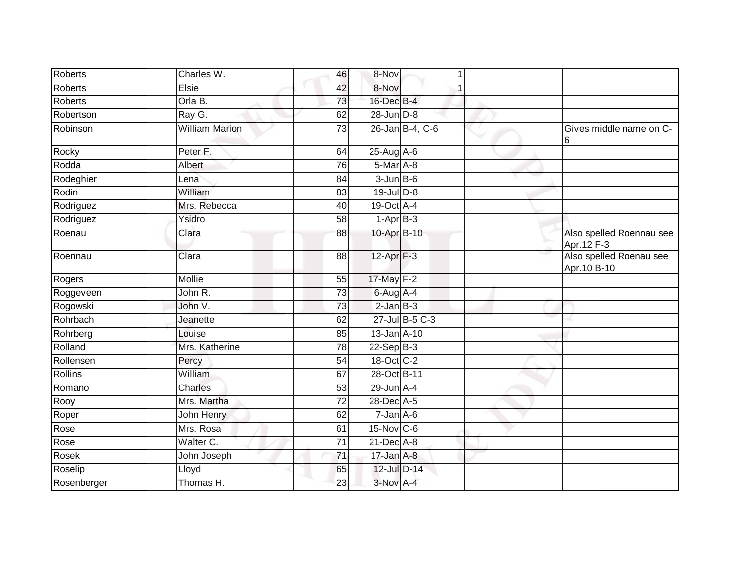| Roberts        | Charles W.            | 46              | 8-Nov              |                 |                                         |
|----------------|-----------------------|-----------------|--------------------|-----------------|-----------------------------------------|
| <b>Roberts</b> | Elsie                 | 42              | 8-Nov              |                 |                                         |
| <b>Roberts</b> | Orla B.               | 73              | 16-Dec B-4         |                 |                                         |
| Robertson      | Ray G.                | 62              | 28-Jun D-8         |                 |                                         |
| Robinson       | <b>William Marion</b> | $\overline{73}$ |                    | 26-Jan B-4, C-6 | Gives middle name on C-<br>6            |
| Rocky          | Peter <sub>F.</sub>   | 64              | 25-Aug A-6         |                 |                                         |
| Rodda          | Albert                | 76              | 5-Mar A-8          |                 |                                         |
| Rodeghier      | Lena                  | 84              | $3 - Jun$ $B - 6$  |                 |                                         |
| Rodin          | William               | 83              | $19$ -Jul $D-8$    |                 |                                         |
| Rodriguez      | Mrs. Rebecca          | 40              | 19-Oct A-4         |                 |                                         |
| Rodriguez      | Ysidro                | 58              | $1-AprB-3$         |                 |                                         |
| Roenau         | Clara                 | 88              | 10-Apr B-10        |                 | Also spelled Roennau see<br>Apr. 12 F-3 |
| Roennau        | Clara                 | 88              | 12-Apr $F-3$       |                 | Also spelled Roenau see<br>Apr. 10 B-10 |
| Rogers         | Mollie                | 55              | 17-May F-2         |                 |                                         |
| Roggeveen      | John R.               | 73              | 6-Aug A-4          |                 |                                         |
| Rogowski       | John V.               | $\overline{73}$ | $2$ -Jan $B-3$     |                 |                                         |
| Rohrbach       | Jeanette              | 62              |                    | 27-Jul B-5 C-3  |                                         |
| Rohrberg       | Louise                | 85              | 13-Jan A-10        |                 |                                         |
| Rolland        | Mrs. Katherine        | 78              | $22-Sep$ B-3       |                 |                                         |
| Rollensen      | Percy                 | 54              | 18-Oct C-2         |                 |                                         |
| Rollins        | William               | 67              | 28-Oct B-11        |                 |                                         |
| Romano         | Charles               | $\overline{53}$ | $29$ -Jun $A-4$    |                 |                                         |
| Rooy           | Mrs. Martha           | $\overline{72}$ | 28-Dec A-5         |                 |                                         |
| Roper          | John Henry            | 62              | $7 - Jan A - 6$    |                 |                                         |
| Rose           | Mrs. Rosa             | 61              | $15$ -Nov $ C-6 $  |                 |                                         |
| Rose           | Walter C.             | $\overline{71}$ | $21$ -Dec $A-8$    |                 |                                         |
| Rosek          | John Joseph           | $\overline{71}$ | $17 - Jan$ $A - 8$ |                 |                                         |
| Roselip        | Lloyd                 | 65              | 12-Jul D-14        |                 |                                         |
| Rosenberger    | Thomas H.             | 23              | 3-Nov A-4          |                 |                                         |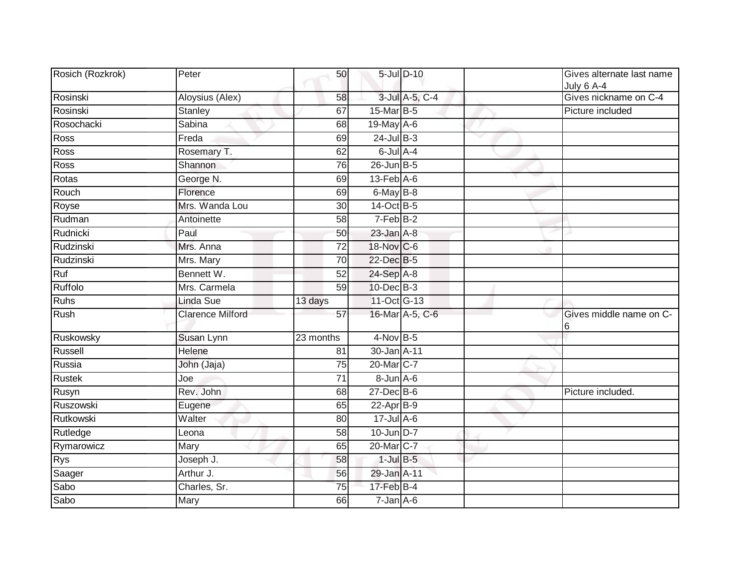| Rosich (Rozkrok) | Peter                   | 50              |                             | 5-Jul D-10      | Gives alternate last name<br>July 6 A-4 |
|------------------|-------------------------|-----------------|-----------------------------|-----------------|-----------------------------------------|
| Rosinski         | Aloysius (Alex)         | 58              |                             | 3-Jul A-5, C-4  | Gives nickname on C-4                   |
| Rosinski         | <b>Stanley</b>          | 67              | 15-Mar B-5                  |                 | Picture included                        |
| Rosochacki       | Sabina                  | 68              | 19-May A-6                  |                 |                                         |
| Ross             | Freda                   | 69              | 24-Jul B-3                  |                 |                                         |
| <b>Ross</b>      | Rosemary T.             | 62              | 6-Jul A-4                   |                 |                                         |
| <b>Ross</b>      | Shannon                 | 76              | 26-Jun B-5                  |                 |                                         |
| Rotas            | George N.               | 69              | $13$ -Feb $\overline{A}$ -6 |                 |                                         |
| Rouch            | Florence                | 69              | 6-May B-8                   |                 |                                         |
| Royse            | Mrs. Wanda Lou          | 30              | 14-Oct B-5                  |                 |                                         |
| Rudman           | Antoinette              | 58              | $7-Feb$ B-2                 |                 |                                         |
| Rudnicki         | Paul                    | 50              | $23$ -Jan $A-8$             |                 |                                         |
| Rudzinski        | Mrs. Anna               | $\overline{72}$ | 18-Nov C-6                  |                 |                                         |
| Rudzinski        | Mrs. Mary               | 70              | 22-Dec B-5                  |                 |                                         |
| Ruf              | Bennett W.              | $\overline{52}$ | 24-Sep A-8                  |                 |                                         |
| Ruffolo          | Mrs. Carmela            | 59              | $10$ -Dec $B-3$             |                 |                                         |
| <b>Ruhs</b>      | <b>Linda Sue</b>        | 13 days         | 11-Oct G-13                 |                 |                                         |
| Rush             | <b>Clarence Milford</b> | 57              |                             | 16-Mar A-5, C-6 | Gives middle name on C-<br>6            |
| Ruskowsky        | Susan Lynn              | 23 months       | $4-Nov$ B-5                 |                 |                                         |
| Russell          | Helene                  | 81              | 30-Jan A-11                 |                 |                                         |
| Russia           | John (Jaja)             | 75              | 20-Mar C-7                  |                 |                                         |
| <b>Rustek</b>    | Joe                     | 71              | $8$ -Jun $A$ -6             |                 |                                         |
| Rusyn            | Rev. John               | 68              | $27$ -Dec B-6               |                 | Picture included.                       |
| Ruszowski        | Eugene                  | 65              | $22$ -Apr $B-9$             |                 |                                         |
| Rutkowski        | Walter                  | 80              | $17 -$ Jul A-6              |                 |                                         |
| Rutledge         | Leona                   | 58              | 10-Jun D-7                  |                 |                                         |
| Rymarowicz       | Mary                    | 65              | 20-Mar C-7                  |                 |                                         |
| <b>Rys</b>       | Joseph J.               | 58              | $1$ -Jul $B-5$              |                 |                                         |
| Saager           | Arthur J.               | 56              | 29-Jan A-11                 |                 |                                         |
| Sabo             | Charles, Sr.            | 75              | 17-Feb B-4                  |                 |                                         |
| Sabo             | Mary                    | 66              | $7$ -Jan $A$ -6             |                 |                                         |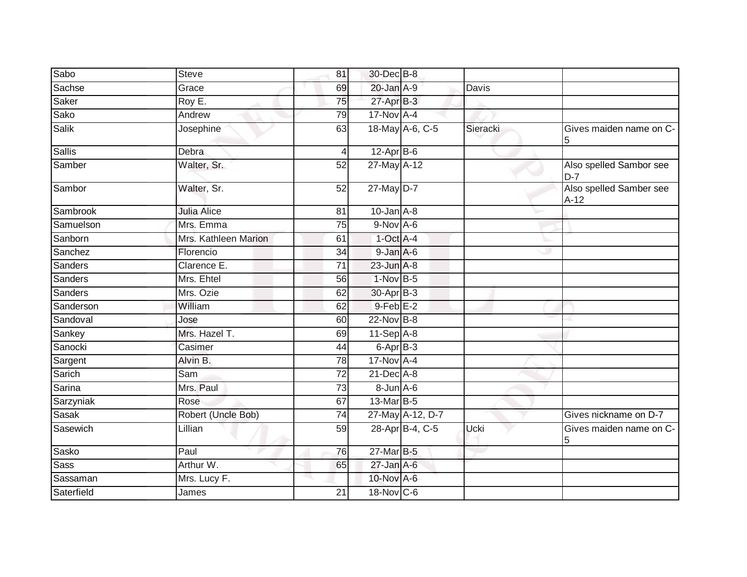| Sabo           | <b>Steve</b>         | 81             | 30-Dec B-8       |          |                                   |
|----------------|----------------------|----------------|------------------|----------|-----------------------------------|
| Sachse         | Grace                | 69             | 20-Jan A-9       | Davis    |                                   |
| Saker          | Roy E.               | 75             | $27$ -Apr $B-3$  |          |                                   |
| Sako           | Andrew               | 79             | $17-Nov$ A-4     |          |                                   |
| <b>Salik</b>   | Josephine            | 63             | 18-May A-6, C-5  | Sieracki | Gives maiden name on C-<br>5      |
| <b>Sallis</b>  | Debra                | $\overline{4}$ | $12$ -Apr $B$ -6 |          |                                   |
| Samber         | Walter, Sr.          | 52             | 27-May A-12      |          | Also spelled Sambor see<br>$D-7$  |
| Sambor         | Walter, Sr.          | 52             | 27-May D-7       |          | Also spelled Samber see<br>$A-12$ |
| Sambrook       | <b>Julia Alice</b>   | 81             | $10$ -Jan $A-8$  |          |                                   |
| Samuelson      | Mrs. Emma            | 75             | $9-Nov$ A-6      |          |                                   |
| Sanborn        | Mrs. Kathleen Marion | 61             | $1-Oct$ A-4      |          |                                   |
| Sanchez        | Florencio            | 34             | $9$ -Jan $A$ -6  |          |                                   |
| Sanders        | Clarence E.          | 71             | $23$ -Jun $A-8$  |          |                                   |
| <b>Sanders</b> | Mrs. Ehtel           | 56             | 1-Nov B-5        |          |                                   |
| <b>Sanders</b> | Mrs. Ozie            | 62             | $30$ -Apr $B-3$  |          |                                   |
| Sanderson      | William              | 62             | $9$ -Feb $E-2$   |          |                                   |
| Sandoval       | Jose                 | 60             | 22-Nov B-8       |          |                                   |
| Sankey         | Mrs. Hazel T.        | 69             | $11-Sep$ A-8     |          |                                   |
| Sanocki        | Casimer              | 44             | 6-Apr B-3        |          |                                   |
| Sargent        | Alvin B.             | 78             | $17-Nov$ A-4     |          |                                   |
| Sarich         | Sam                  | 72             | $21$ -Dec $A-8$  |          |                                   |
| Sarina         | Mrs. Paul            | 73             | $8$ -Jun $A$ -6  |          |                                   |
| Sarzyniak      | Rose                 | 67             | 13-Mar B-5       |          |                                   |
| <b>Sasak</b>   | Robert (Uncle Bob)   | 74             | 27-May A-12, D-7 |          | Gives nickname on D-7             |
| Sasewich       | Lillian              | 59             | 28-Apr B-4, C-5  | Ucki     | Gives maiden name on C-<br>5      |
| Sasko          | Paul                 | 76             | 27-Mar B-5       |          |                                   |
| Sass           | Arthur W.            | 65             | $27$ -Jan $A-6$  |          |                                   |
| Sassaman       | Mrs. Lucy F.         |                | 10-Nov A-6       |          |                                   |
| Saterfield     | James                | 21             | $18-Nov$ C-6     |          |                                   |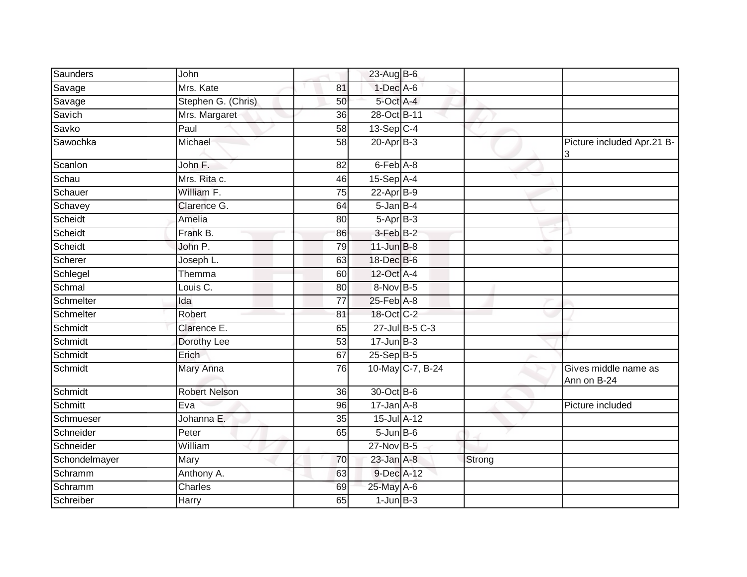| Saunders      | John                 |                 | 23-Aug B-6                 |                  |        |                                     |
|---------------|----------------------|-----------------|----------------------------|------------------|--------|-------------------------------------|
| Savage        | Mrs. Kate            | 81              | $1-Dec$ A-6                |                  |        |                                     |
| Savage        | Stephen G. (Chris)   | 50              | 5-Oct A-4                  |                  |        |                                     |
| Savich        | Mrs. Margaret        | 36              | 28-Oct B-11                |                  |        |                                     |
| Savko         | Paul                 | 58              | $13-Sep$ C-4               |                  |        |                                     |
| Sawochka      | Michael              | $\overline{58}$ | $20$ -Apr $B-3$            |                  |        | Picture included Apr.21 B-<br>3     |
| Scanlon       | John F.              | 82              | 6-Feb A-8                  |                  |        |                                     |
| Schau         | Mrs. Rita c.         | 46              | 15-Sep A-4                 |                  |        |                                     |
| Schauer       | William F.           | 75              | $22-AprB-9$                |                  |        |                                     |
| Schavey       | Clarence G.          | 64              | $5 - Jan$ $B-4$            |                  |        |                                     |
| Scheidt       | Amelia               | 80              | $5-AprB-3$                 |                  |        |                                     |
| Scheidt       | Frank B.             | 86              | 3-Feb B-2                  |                  |        |                                     |
| Scheidt       | John P.              | 79              | $11$ -Jun $B-8$            |                  |        |                                     |
| Scherer       | Joseph L.            | 63              | 18-Dec B-6                 |                  |        |                                     |
| Schlegel      | Themma               | 60              | 12-Oct A-4                 |                  |        |                                     |
| Schmal        | Louis C.             | 80              | 8-Nov B-5                  |                  |        |                                     |
| Schmelter     | Ida                  | 77              | $25$ -Feb $A-8$            |                  |        |                                     |
| Schmelter     | Robert               | 81              | 18-Oct C-2                 |                  |        |                                     |
| Schmidt       | Clarence E.          | 65              |                            | 27-Jul B-5 C-3   |        |                                     |
| Schmidt       | Dorothy Lee          | 53              | $17 - Jun$ B-3             |                  |        |                                     |
| Schmidt       | Erich                | 67              | $25-Sep$ B-5               |                  |        |                                     |
| Schmidt       | Mary Anna            | 76              |                            | 10-May C-7, B-24 |        | Gives middle name as<br>Ann on B-24 |
| Schmidt       | <b>Robert Nelson</b> | 36              | 30-Oct B-6                 |                  |        |                                     |
| Schmitt       | Eva                  | 96              | $17 - Jan$ $A-8$           |                  |        | Picture included                    |
| Schmueser     | Johanna E.           | 35              | 15-Jul A-12                |                  |        |                                     |
| Schneider     | Peter                | 65              | $5 - Jun$ $B - 6$          |                  |        |                                     |
| Schneider     | William              |                 | 27-Nov B-5                 |                  |        |                                     |
| Schondelmayer | Mary                 | 70              | $23$ -Jan $A-8$            |                  | Strong |                                     |
| Schramm       | Anthony A.           | 63              | 9-Dec A-12                 |                  |        |                                     |
| Schramm       | Charles              | 69              | 25-May A-6                 |                  |        |                                     |
| Schreiber     | Harry                | 65              | $1$ -Jun $\overline{B}$ -3 |                  |        |                                     |
|               |                      |                 |                            |                  |        |                                     |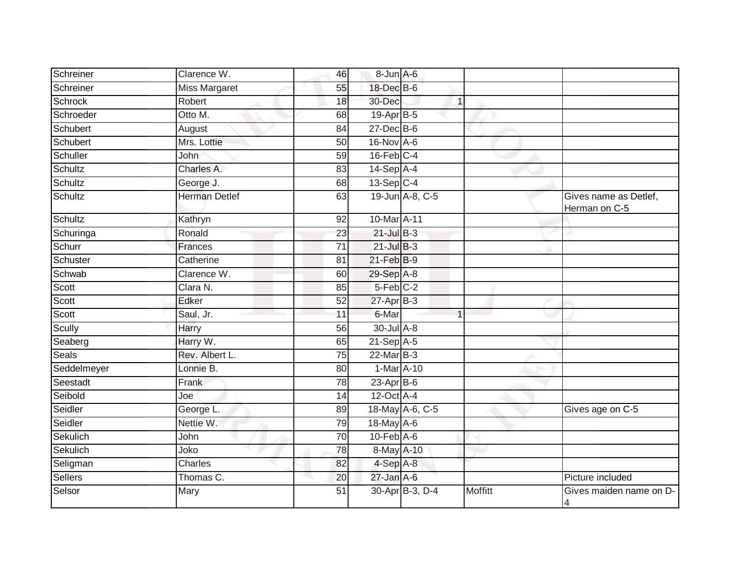| Schreiner      | Clarence W.          | 46              | 8-Jun A-6              |                 |                |                                           |
|----------------|----------------------|-----------------|------------------------|-----------------|----------------|-------------------------------------------|
| Schreiner      | <b>Miss Margaret</b> | 55              | 18-Dec B-6             |                 |                |                                           |
| <b>Schrock</b> | Robert               | 18              | 30-Dec                 |                 | $\mathbf{1}$   |                                           |
| Schroeder      | Otto M.              | 68              | $19-Apr$ B-5           |                 |                |                                           |
| Schubert       | August               | $\overline{84}$ | $27 - Dec$ B-6         |                 |                |                                           |
| Schubert       | Mrs. Lottie          | 50              | 16-Nov A-6             |                 |                |                                           |
| Schuller       | John                 | 59              | 16-Feb C-4             |                 |                |                                           |
| Schultz        | Charles A.           | 83              | 14-Sep A-4             |                 |                |                                           |
| Schultz        | George J.            | 68              | $13-Sep$ C-4           |                 |                |                                           |
| Schultz        | <b>Herman Detlef</b> | 63              |                        | 19-Jun A-8, C-5 |                | Gives name as Detlef,<br>Herman on C-5    |
| Schultz        | Kathryn              | 92              | 10-Mar A-11            |                 |                |                                           |
| Schuringa      | Ronald               | 23              | $21$ -Jul B-3          |                 |                |                                           |
| Schurr         | Frances              | 71              | $21$ -Jul $B-3$        |                 |                |                                           |
| Schuster       | Catherine            | 81              | 21-Feb B-9             |                 |                |                                           |
| Schwab         | Clarence W.          | 60              | 29-Sep A-8             |                 |                |                                           |
| Scott          | Clara N.             | 85              | $5-Feb$ <sub>C-2</sub> |                 |                |                                           |
| Scott          | Edker                | 52              | $27$ -Apr $B-3$        |                 |                |                                           |
| Scott          | Saul, Jr.            | 11              | 6-Mar                  |                 |                |                                           |
| Scully         | Harry                | 56              | 30-Jul A-8             |                 |                |                                           |
| Seaberg        | Harry W.             | 65              | $21-Sep$ A-5           |                 |                |                                           |
| Seals          | Rev. Albert L.       | 75              | 22-Mar B-3             |                 |                |                                           |
| Seddelmeyer    | Lonnie B.            | 80              | 1-Mar A-10             |                 |                |                                           |
| Seestadt       | <b>Frank</b>         | 78              | $23$ -Apr $B$ -6       |                 |                |                                           |
| Seibold        | Joe                  | 14              | 12-Oct A-4             |                 |                |                                           |
| Seidler        | George L.            | 89              | 18-May A-6, C-5        |                 |                | Gives age on C-5                          |
| Seidler        | Nettie W.            | 79              | 18-May A-6             |                 |                |                                           |
| Sekulich       | John                 | 70              | $10-Feb$ $A-6$         |                 |                |                                           |
| Sekulich       | Joko                 | 78              | 8-May A-10             |                 |                |                                           |
| Seligman       | Charles              | 82              | 4-Sep A-8              |                 |                |                                           |
| Sellers        | Thomas C.            | 20              | $27$ -Jan $A$ -6       |                 |                | Picture included                          |
| Selsor         | Mary                 | 51              |                        | 30-Apr B-3, D-4 | <b>Moffitt</b> | Gives maiden name on D-<br>$\overline{4}$ |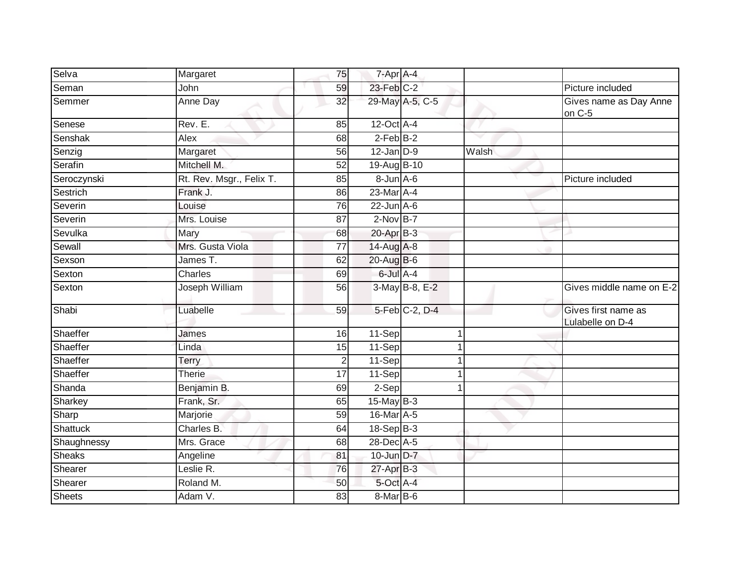| Selva         | Margaret                 | 75              | 7-Apr A-4        |                 |       |                                         |
|---------------|--------------------------|-----------------|------------------|-----------------|-------|-----------------------------------------|
| Seman         | John                     | 59              | $23$ -Feb $C-2$  |                 |       | Picture included                        |
| Semmer        | <b>Anne Day</b>          | $\overline{32}$ |                  | 29-May A-5, C-5 |       | Gives name as Day Anne<br>on C-5        |
| Senese        | Rev. E.                  | 85              | $12$ -Oct $A$ -4 |                 |       |                                         |
| Senshak       | Alex                     | 68              | $2$ -Feb $B-2$   |                 |       |                                         |
| Senzig        | Margaret                 | 56              | $12$ -Jan $D-9$  |                 | Walsh |                                         |
| Serafin       | Mitchell M.              | $\overline{52}$ | 19-Aug B-10      |                 |       |                                         |
| Seroczynski   | Rt. Rev. Msgr., Felix T. | 85              | 8-Jun A-6        |                 |       | Picture included                        |
| Sestrich      | Frank J.                 | 86              | 23-Mar A-4       |                 |       |                                         |
| Severin       | Louise                   | 76              | $22$ -Jun $A-6$  |                 |       |                                         |
| Severin       | Mrs. Louise              | 87              | $2-NovB-7$       |                 |       |                                         |
| Sevulka       | Mary                     | 68              | 20-Apr B-3       |                 |       |                                         |
| Sewall        | Mrs. Gusta Viola         | $\overline{77}$ | 14-Aug A-8       |                 |       |                                         |
| Sexson        | James T.                 | 62              | 20-Aug B-6       |                 |       |                                         |
| Sexton        | Charles                  | 69              | 6-Jul A-4        |                 |       |                                         |
| Sexton        | Joseph William           | 56              |                  | 3-May B-8, E-2  |       | Gives middle name on E-2                |
| Shabi         | Luabelle                 | 59              |                  | 5-Feb C-2, D-4  |       | Gives first name as<br>Lulabelle on D-4 |
| Shaeffer      | James                    | 16              | 11-Sep           |                 | 1     |                                         |
| Shaeffer      | Linda                    | 15              | 11-Sep           |                 | 1     |                                         |
| Shaeffer      | Terry                    | $\overline{c}$  | $11-Sep$         |                 |       |                                         |
| Shaeffer      | <b>Therie</b>            | 17              | 11-Sep           |                 |       |                                         |
| Shanda        | Benjamin B.              | 69              | $2-Sep$          |                 | 1     |                                         |
| Sharkey       | Frank, Sr.               | 65              | $15$ -May B-3    |                 |       |                                         |
| Sharp         | Marjorie                 | 59              | 16-Mar A-5       |                 |       |                                         |
| Shattuck      | Charles B.               | 64              | 18-Sep B-3       |                 |       |                                         |
| Shaughnessy   | Mrs. Grace               | 68              | 28-Dec A-5       |                 |       |                                         |
| <b>Sheaks</b> | Angeline                 | 81              | 10-Jun D-7       |                 |       |                                         |
| Shearer       | Leslie R.                | 76              | $27$ -Apr $B-3$  |                 |       |                                         |
| Shearer       | Roland M.                | 50              | $5$ -Oct $A$ -4  |                 |       |                                         |
| Sheets        | Adam V.                  | 83              | 8-Mar B-6        |                 |       |                                         |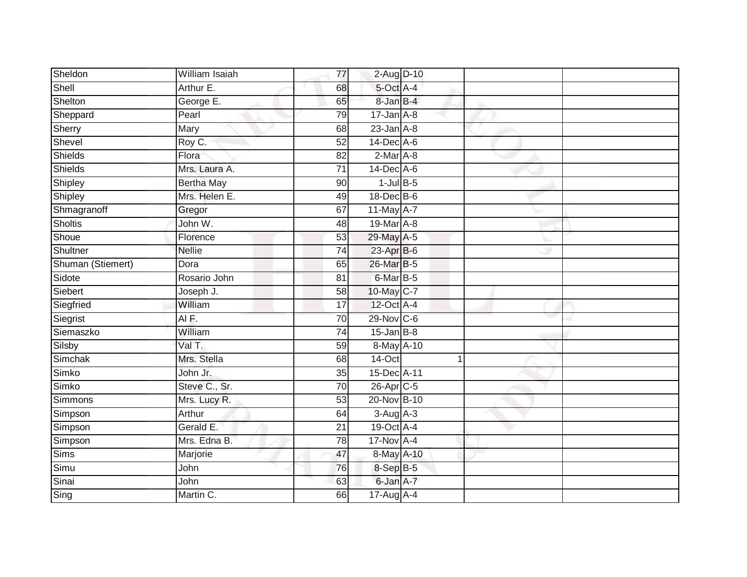| Sheldon           | William Isaiah    | 77              | 2-Aug D-10       |    |  |
|-------------------|-------------------|-----------------|------------------|----|--|
| Shell             | Arthur E.         | 68              | 5-Oct A-4        |    |  |
| Shelton           | George E.         | 65              | 8-Jan B-4        |    |  |
| Sheppard          | Pearl             | 79              | $17$ -Jan $A$ -8 |    |  |
| Sherry            | Mary              | 68              | $23$ -Jan $A-8$  |    |  |
| Shevel            | Roy C.            | 52              | 14-Dec A-6       |    |  |
| Shields           | Flora             | 82              | $2$ -Mar $A$ -8  |    |  |
| Shields           | Mrs. Laura A.     | 71              | $14$ -Dec $A$ -6 |    |  |
| Shipley           | <b>Bertha May</b> | 90              | $1$ -Jul $B$ -5  |    |  |
| Shipley           | Mrs. Helen E.     | 49              | 18-Dec B-6       |    |  |
| Shmagranoff       | Gregor            | 67              | 11-May A-7       |    |  |
| <b>Sholtis</b>    | John W.           | 48              | 19-Mar A-8       |    |  |
| Shoue             | Florence          | 53              | 29-May A-5       |    |  |
| Shultner          | <b>Nellie</b>     | 74              | 23-Apr B-6       |    |  |
| Shuman (Stiemert) | Dora              | 65              | 26-Mar B-5       |    |  |
| Sidote            | Rosario John      | 81              | 6-Mar B-5        |    |  |
| Siebert           | Joseph J.         | $\overline{58}$ | 10-May C-7       |    |  |
| Siegfried         | William           | 17              | 12-Oct A-4       |    |  |
| Siegrist          | AIF.              | 70              | 29-Nov C-6       |    |  |
| Siemaszko         | William           | 74              | $15$ -Jan B-8    |    |  |
| Silsby            | Val T.            | 59              | 8-May A-10       |    |  |
| Simchak           | Mrs. Stella       | 68              | 14-Oct           | -1 |  |
| Simko             | John Jr.          | 35              | 15-Dec A-11      |    |  |
| Simko             | Steve C., Sr.     | 70              | $26$ -Apr $C$ -5 |    |  |
| Simmons           | Mrs. Lucy R.      | 53              | 20-Nov B-10      |    |  |
| Simpson           | Arthur            | 64              | $3-Aug$ A-3      |    |  |
| Simpson           | Gerald E.         | $\overline{21}$ | 19-Oct A-4       |    |  |
| Simpson           | Mrs. Edna B.      | 78              | 17-Nov A-4       |    |  |
| <b>Sims</b>       | Marjorie          | 47              | 8-May A-10       |    |  |
| Simu              | John              | 76              | $8-SepB-5$       |    |  |
| Sinai             | John              | 63              | 6-Jan A-7        |    |  |
| Sing              | Martin C.         | 66              | 17-Aug A-4       |    |  |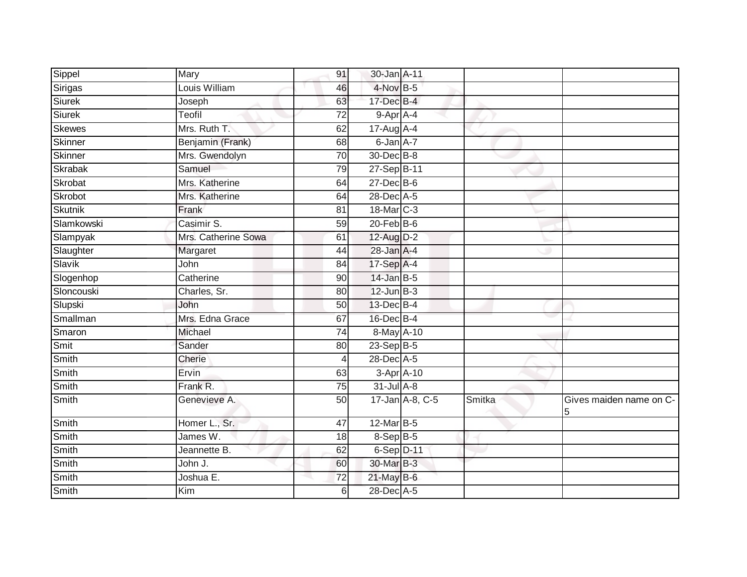| Sippel         | Mary                | 91 | 30-Jan A-11      |        |                              |
|----------------|---------------------|----|------------------|--------|------------------------------|
| Sirigas        | Louis William       | 46 | 4-Nov B-5        |        |                              |
| Siurek         | Joseph              | 63 | $17$ -Dec $B-4$  |        |                              |
| Siurek         | Teofil              | 72 | 9-Apr A-4        |        |                              |
| Skewes         | Mrs. Ruth T.        | 62 | $17$ -Aug A-4    |        |                              |
| Skinner        | Benjamin (Frank)    | 68 | 6-Jan A-7        |        |                              |
| Skinner        | Mrs. Gwendolyn      | 70 | 30-Dec B-8       |        |                              |
| <b>Skrabak</b> | Samuel              | 79 | 27-Sep B-11      |        |                              |
| Skrobat        | Mrs. Katherine      | 64 | 27-Dec B-6       |        |                              |
| Skrobot        | Mrs. Katherine      | 64 | 28-Dec A-5       |        |                              |
| <b>Skutnik</b> | Frank               | 81 | 18-Mar C-3       |        |                              |
| Slamkowski     | Casimir S.          | 59 | $20$ -Feb $B$ -6 |        |                              |
| Slampyak       | Mrs. Catherine Sowa | 61 | 12-Aug D-2       |        |                              |
| Slaughter      | Margaret            | 44 | 28-Jan A-4       |        |                              |
| Slavik         | John                | 84 | 17-Sep A-4       |        |                              |
| Slogenhop      | Catherine           | 90 | $14$ -Jan B-5    |        |                              |
| Sloncouski     | Charles, Sr.        | 80 | $12$ -Jun $B-3$  |        |                              |
| Slupski        | John                | 50 | 13-Dec B-4       |        |                              |
| Smallman       | Mrs. Edna Grace     | 67 | 16-Dec B-4       |        |                              |
| Smaron         | Michael             | 74 | 8-May A-10       |        |                              |
| Smit           | Sander              | 80 | 23-Sep B-5       |        |                              |
| Smith          | Cherie              | 4  | 28-Dec A-5       |        |                              |
| Smith          | Ervin               | 63 | 3-Apr A-10       |        |                              |
| Smith          | Frank R.            | 75 | $31$ -Jul $A-8$  |        |                              |
| Smith          | Genevieve A.        | 50 | 17-Jan A-8, C-5  | Smitka | Gives maiden name on C-<br>5 |
| Smith          | Homer L., Sr.       | 47 | 12-Mar B-5       |        |                              |
| Smith          | James W.            | 18 | $8-$ Sep $B-5$   |        |                              |
| Smith          | Jeannette B.        | 62 | 6-Sep D-11       |        |                              |
| Smith          | John J.             | 60 | 30-Mar B-3       |        |                              |
| Smith          | Joshua E.           | 72 | 21-May B-6       |        |                              |
| Smith          | Kim                 | 6  | 28-Dec A-5       |        |                              |
|                |                     |    |                  |        |                              |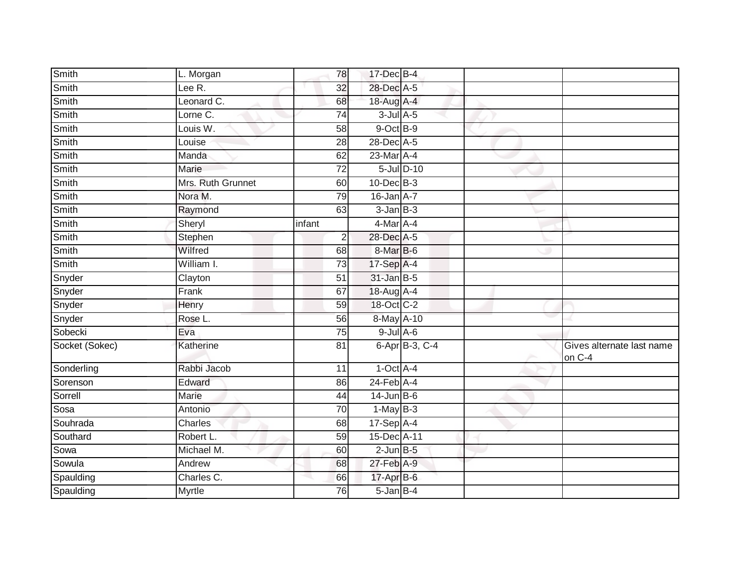| Smith          | L. Morgan         | 78              | 17-Dec B-4       |                    |                                     |
|----------------|-------------------|-----------------|------------------|--------------------|-------------------------------------|
| Smith          | Lee R.            | 32              | 28-Dec A-5       |                    |                                     |
| Smith          | Leonard C.        | 68              | 18-Aug A-4       |                    |                                     |
| Smith          | Lorne C.          | 74              | $3$ -Jul $A$ -5  |                    |                                     |
| Smith          | Louis W.          | $\overline{58}$ | $9$ -Oct $B-9$   |                    |                                     |
| Smith          | Louise            | 28              | 28-Dec A-5       |                    |                                     |
| Smith          | Manda             | 62              | 23-Mar A-4       |                    |                                     |
| Smith          | Marie             | $\overline{72}$ |                  | $5$ -Jul $D-10$    |                                     |
| Smith          | Mrs. Ruth Grunnet | 60              | 10-Dec B-3       |                    |                                     |
| Smith          | Nora M.           | 79              | $16$ -Jan $A-7$  |                    |                                     |
| <b>Smith</b>   | Raymond           | 63              | $3$ -Jan $B-3$   |                    |                                     |
| Smith          | Sheryl            | infant          | $4$ -Mar $A$ -4  |                    |                                     |
| Smith          | Stephen           | $\overline{2}$  | 28-Dec A-5       |                    |                                     |
| Smith          | Wilfred           | 68              | 8-Mar B-6        |                    |                                     |
| Smith          | William I.        | $\overline{73}$ | 17-Sep A-4       |                    |                                     |
| Snyder         | Clayton           | 51              | $31$ -Jan B-5    |                    |                                     |
| Snyder         | Frank             | 67              | 18-Aug A-4       |                    |                                     |
| Snyder         | Henry             | 59              | 18-Oct C-2       |                    |                                     |
| Snyder         | Rose L.           | 56              | 8-May A-10       |                    |                                     |
| Sobecki        | Eva               | $\overline{75}$ | $9$ -Jul $A$ -6  |                    |                                     |
| Socket (Sokec) | Katherine         | 81              |                  | 6-Apr $ B-3, C-4 $ | Gives alternate last name<br>on C-4 |
| Sonderling     | Rabbi Jacob       | 11              | $1-Oct$ A-4      |                    |                                     |
| Sorenson       | Edward            | 86              | $24$ -Feb $A$ -4 |                    |                                     |
| Sorrell        | <b>Marie</b>      | 44              | $14$ -Jun B-6    |                    |                                     |
| Sosa           | Antonio           | $\overline{70}$ | $1-May$ B-3      |                    |                                     |
| Souhrada       | Charles           | 68              | 17-Sep A-4       |                    |                                     |
| Southard       | Robert L.         | 59              | 15-Dec A-11      |                    |                                     |
| Sowa           | Michael M.        | 60              | $2$ -Jun $B - 5$ |                    |                                     |
| Sowula         | Andrew            | 68              | $27$ -Feb $A-9$  |                    |                                     |
| Spaulding      | Charles C.        | 66              | 17-Apr B-6       |                    |                                     |
| Spaulding      | Myrtle            | 76              | 5-Jan B-4        |                    |                                     |
|                |                   |                 |                  |                    |                                     |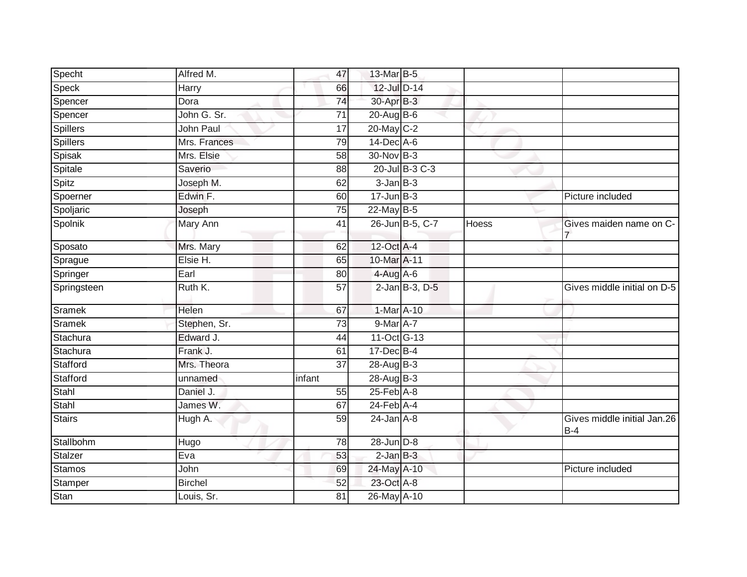| Alfred M.      | 47              |  |                                                                                                                                                                                                                                                                                                                                                                                                                                                                               |                                      |
|----------------|-----------------|--|-------------------------------------------------------------------------------------------------------------------------------------------------------------------------------------------------------------------------------------------------------------------------------------------------------------------------------------------------------------------------------------------------------------------------------------------------------------------------------|--------------------------------------|
| Harry          | 66              |  |                                                                                                                                                                                                                                                                                                                                                                                                                                                                               |                                      |
| Dora           | $\overline{74}$ |  |                                                                                                                                                                                                                                                                                                                                                                                                                                                                               |                                      |
| John G. Sr.    | 71              |  |                                                                                                                                                                                                                                                                                                                                                                                                                                                                               |                                      |
| John Paul      | 17              |  |                                                                                                                                                                                                                                                                                                                                                                                                                                                                               |                                      |
| Mrs. Frances   | 79              |  |                                                                                                                                                                                                                                                                                                                                                                                                                                                                               |                                      |
| Mrs. Elsie     | 58              |  |                                                                                                                                                                                                                                                                                                                                                                                                                                                                               |                                      |
| Saverio        | 88              |  |                                                                                                                                                                                                                                                                                                                                                                                                                                                                               |                                      |
| Joseph M.      | 62              |  |                                                                                                                                                                                                                                                                                                                                                                                                                                                                               |                                      |
| Edwin F.       | 60              |  |                                                                                                                                                                                                                                                                                                                                                                                                                                                                               | Picture included                     |
| Joseph         | 75              |  |                                                                                                                                                                                                                                                                                                                                                                                                                                                                               |                                      |
| Mary Ann       | 41              |  | <b>Hoess</b>                                                                                                                                                                                                                                                                                                                                                                                                                                                                  | Gives maiden name on C-              |
| Mrs. Mary      | 62              |  |                                                                                                                                                                                                                                                                                                                                                                                                                                                                               |                                      |
| Elsie H.       | 65              |  |                                                                                                                                                                                                                                                                                                                                                                                                                                                                               |                                      |
| Earl           | 80              |  |                                                                                                                                                                                                                                                                                                                                                                                                                                                                               |                                      |
| Ruth K.        | $\overline{57}$ |  |                                                                                                                                                                                                                                                                                                                                                                                                                                                                               | Gives middle initial on D-5          |
| Helen          | 67              |  |                                                                                                                                                                                                                                                                                                                                                                                                                                                                               |                                      |
| Stephen, Sr.   | 73              |  |                                                                                                                                                                                                                                                                                                                                                                                                                                                                               |                                      |
| Edward J.      | 44              |  |                                                                                                                                                                                                                                                                                                                                                                                                                                                                               |                                      |
| Frank J.       | 61              |  |                                                                                                                                                                                                                                                                                                                                                                                                                                                                               |                                      |
| Mrs. Theora    | 37              |  |                                                                                                                                                                                                                                                                                                                                                                                                                                                                               |                                      |
| unnamed        | infant          |  |                                                                                                                                                                                                                                                                                                                                                                                                                                                                               |                                      |
| Daniel J.      | 55              |  |                                                                                                                                                                                                                                                                                                                                                                                                                                                                               |                                      |
| James W.       | 67              |  |                                                                                                                                                                                                                                                                                                                                                                                                                                                                               |                                      |
| Hugh A.        | $\overline{59}$ |  |                                                                                                                                                                                                                                                                                                                                                                                                                                                                               | Gives middle initial Jan.26<br>$B-4$ |
| Hugo           | $\overline{78}$ |  |                                                                                                                                                                                                                                                                                                                                                                                                                                                                               |                                      |
| Eva            | 53              |  |                                                                                                                                                                                                                                                                                                                                                                                                                                                                               |                                      |
| John           | 69              |  |                                                                                                                                                                                                                                                                                                                                                                                                                                                                               | Picture included                     |
| <b>Birchel</b> | 52              |  |                                                                                                                                                                                                                                                                                                                                                                                                                                                                               |                                      |
| Louis, Sr.     | $\overline{81}$ |  |                                                                                                                                                                                                                                                                                                                                                                                                                                                                               |                                      |
|                |                 |  | 13-Mar B-5<br>12-Jul D-14<br>30-Apr B-3<br>20-Aug B-6<br>20-May C-2<br>14-Dec A-6<br>30-Nov B-3<br>20-Jul B-3 C-3<br>$3 - JanB - 3$<br>$17 - Jun$ $B-3$<br>22-May B-5<br>26-Jun B-5, C-7<br>12-Oct A-4<br>10-Mar A-11<br>4-Aug A-6<br>2-Jan B-3, D-5<br>1-Mar A-10<br>$9$ -Mar $A$ -7<br>$11-Oct$ G-13<br>17-Dec B-4<br>28-Aug B-3<br>$28$ -AugB-3<br>25-Feb A-8<br>24-Feb A-4<br>$24$ -Jan $A-8$<br>28-Jun D-8<br>$2$ -Jan $B-3$<br>24-May A-10<br>23-Oct A-8<br>26-May A-10 |                                      |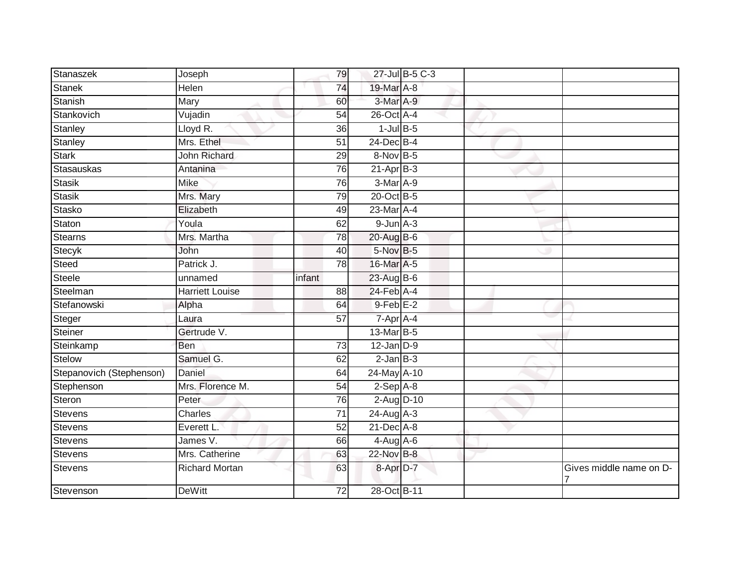| Stanaszek                | Joseph                | 79              |                 | 27-Jul B-5 C-3 |                         |
|--------------------------|-----------------------|-----------------|-----------------|----------------|-------------------------|
| <b>Stanek</b>            | Helen                 | 74              | 19-Mar A-8      |                |                         |
| Stanish                  | Mary                  | 60              | 3-Mar A-9       |                |                         |
| Stankovich               | Vujadin               | 54              | 26-Oct A-4      |                |                         |
| Stanley                  | Lloyd R.              | $\overline{36}$ | $1$ -Jul $B$ -5 |                |                         |
| Stanley                  | Mrs. Ethel            | 51              | 24-Dec B-4      |                |                         |
| <b>Stark</b>             | <b>John Richard</b>   | 29              | $8-Nov$ B-5     |                |                         |
| <b>Stasauskas</b>        | Antanina              | 76              | $21-AprB-3$     |                |                         |
| Stasik                   | <b>Mike</b>           | 76              | 3-Mar A-9       |                |                         |
| <b>Stasik</b>            | Mrs. Mary             | 79              | 20-Oct B-5      |                |                         |
| Stasko                   | Elizabeth             | 49              | 23-Mar A-4      |                |                         |
| Staton                   | Youla                 | 62              | $9$ -Jun $A-3$  |                |                         |
| Stearns                  | Mrs. Martha           | 78              | 20-Aug B-6      |                |                         |
| Stecyk                   | John                  | 40              | 5-Nov B-5       |                |                         |
| Steed                    | Patrick J.            | 78              | 16-Mar A-5      |                |                         |
| <b>Steele</b>            | unnamed               | infant          | 23-Aug B-6      |                |                         |
| Steelman                 | Harriett Louise       | 88              | 24-Feb A-4      |                |                         |
| Stefanowski              | Alpha                 | 64              | $9$ -Feb $E-2$  |                |                         |
| Steger                   | Laura                 | 57              | 7-Apr A-4       |                |                         |
| Steiner                  | Gertrude V.           |                 | 13-Mar B-5      |                |                         |
| Steinkamp                | <b>Ben</b>            | 73              | $12$ -Jan $D-9$ |                |                         |
| Stelow                   | Samuel G.             | 62              | $2$ -Jan $B-3$  |                |                         |
| Stepanovich (Stephenson) | Daniel                | 64              | 24-May A-10     |                |                         |
| Stephenson               | Mrs. Florence M.      | 54              | $2-Sep$ $A-8$   |                |                         |
| Steron                   | Peter                 | 76              | 2-Aug D-10      |                |                         |
| Stevens                  | Charles               | 71              | 24-Aug A-3      |                |                         |
| Stevens                  | Everett L.            | $\overline{52}$ | $21$ -Dec $A-8$ |                |                         |
| <b>Stevens</b>           | James V.              | 66              | $4-Aug$ $A-6$   |                |                         |
| Stevens                  | Mrs. Catherine        | 63              | 22-Nov B-8      |                |                         |
| Stevens                  | <b>Richard Mortan</b> | 63              | 8-Apr D-7       |                | Gives middle name on D- |
| Stevenson                | <b>DeWitt</b>         | 72              | 28-Oct B-11     |                |                         |
|                          |                       |                 |                 |                |                         |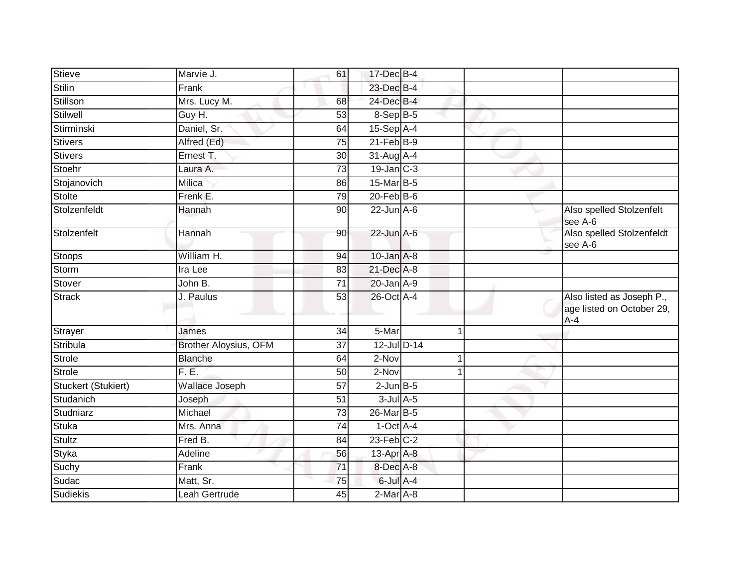| <b>Stieve</b>       | Marvie J.             | 61              | 17-Dec B-4       |  |                                                                 |
|---------------------|-----------------------|-----------------|------------------|--|-----------------------------------------------------------------|
| <b>Stilin</b>       | Frank                 |                 | 23-Dec B-4       |  |                                                                 |
| Stillson            | Mrs. Lucy M.          | 68              | 24-Dec B-4       |  |                                                                 |
| Stilwell            | Guy H.                | 53              | 8-Sep B-5        |  |                                                                 |
| Stirminski          | Daniel, Sr.           | 64              | 15-Sep A-4       |  |                                                                 |
| <b>Stivers</b>      | Alfred (Ed)           | 75              | $21$ -Feb $B-9$  |  |                                                                 |
| <b>Stivers</b>      | Ernest T.             | 30 <sup>1</sup> | $31$ -Aug $A$ -4 |  |                                                                 |
| Stoehr              | Laura A.              | 73              | $19$ -Jan $C-3$  |  |                                                                 |
| Stojanovich         | Milica                | 86              | 15-Mar B-5       |  |                                                                 |
| Stolte              | Frenk E.              | 79              | $20$ -Feb $B$ -6 |  |                                                                 |
| Stolzenfeldt        | Hannah                | 90              | $22$ -Jun $A-6$  |  | Also spelled Stolzenfelt<br>see A-6                             |
| Stolzenfelt         | Hannah                | 90              | $22$ -Jun $A-6$  |  | Also spelled Stolzenfeldt<br>see A-6                            |
| Stoops              | William H.            | 94              | $10$ -Jan $A-8$  |  |                                                                 |
| Storm               | Ira Lee               | 83              | 21-Dec A-8       |  |                                                                 |
| Stover              | John B.               | $\overline{71}$ | $20$ -Jan $A-9$  |  |                                                                 |
| <b>Strack</b>       | J. Paulus             | 53              | 26-Oct A-4       |  | Also listed as Joseph P.,<br>age listed on October 29,<br>$A-4$ |
| Strayer             | James                 | 34              | 5-Mar            |  |                                                                 |
| Stribula            | Brother Aloysius, OFM | 37              | 12-Jul D-14      |  |                                                                 |
| <b>Strole</b>       | <b>Blanche</b>        | 64              | 2-Nov            |  |                                                                 |
| <b>Strole</b>       | F.E.                  | 50              | 2-Nov            |  |                                                                 |
| Stuckert (Stukiert) | Wallace Joseph        | $\overline{57}$ | $2$ -Jun $B-5$   |  |                                                                 |
| Studanich           | Joseph                | 51              | $3$ -Jul $A$ -5  |  |                                                                 |
| Studniarz           | Michael               | 73              | 26-Mar B-5       |  |                                                                 |
| <b>Stuka</b>        | Mrs. Anna             | 74              | $1-Oct$ A-4      |  |                                                                 |
| <b>Stultz</b>       | Fred B.               | 84              | $23$ -Feb $C-2$  |  |                                                                 |
| <b>Styka</b>        | Adeline               | 56              | 13-Apr A-8       |  |                                                                 |
| Suchy               | Frank                 | $\overline{71}$ | 8-Dec A-8        |  |                                                                 |
| Sudac               | Matt, Sr.             | 75              | $6$ -Jul $A$ -4  |  |                                                                 |
| <b>Sudiekis</b>     | Leah Gertrude         | 45              | 2-Mar A-8        |  |                                                                 |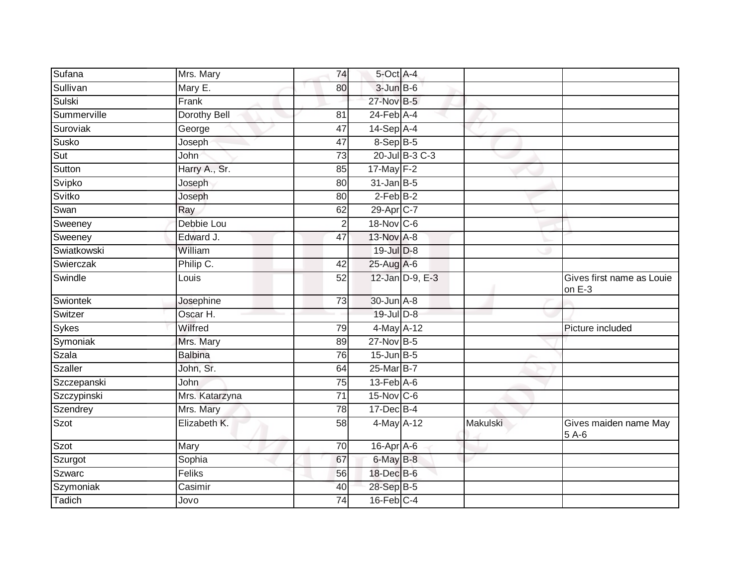| Sufana      | Mrs. Mary      | 74              | 5-Oct A-4                   |          |                                     |
|-------------|----------------|-----------------|-----------------------------|----------|-------------------------------------|
| Sullivan    | Mary E.        | 80              | $3$ -Jun $B$ -6             |          |                                     |
| Sulski      | Frank          |                 | 27-Nov B-5                  |          |                                     |
| Summerville | Dorothy Bell   | 81              | $24$ -Feb $A$ -4            |          |                                     |
| Suroviak    | George         | 47              | $14-Sep$ A-4                |          |                                     |
| Susko       | Joseph         | 47              | 8-Sep B-5                   |          |                                     |
| Sut         | John           | 73              | 20-Jul B-3 C-3              |          |                                     |
| Sutton      | Harry A., Sr.  | 85              | 17-May F-2                  |          |                                     |
| Svipko      | Joseph         | 80              | $31$ -Jan $B-5$             |          |                                     |
| Svitko      | Joseph         | $\overline{80}$ | $2$ -Feb $B-2$              |          |                                     |
| Swan        | Ray            | 62              | 29-Apr C-7                  |          |                                     |
| Sweeney     | Debbie Lou     | 2               | 18-Nov C-6                  |          |                                     |
| Sweeney     | Edward J.      | 47              | 13-Nov A-8                  |          |                                     |
| Swiatkowski | William        |                 | 19-Jul D-8                  |          |                                     |
| Swierczak   | Philip C.      | 42              | 25-Aug A-6                  |          |                                     |
| Swindle     | Louis          | 52              | 12-Jan D-9, E-3             |          | Gives first name as Louie<br>on E-3 |
| Swiontek    | Josephine      | 73              | 30-Jun A-8                  |          |                                     |
| Switzer     | Oscar H.       |                 | 19-Jul D-8                  |          |                                     |
| Sykes       | Wilfred        | 79              | 4-May A-12                  |          | Picture included                    |
| Symoniak    | Mrs. Mary      | 89              | $27$ -Nov $B-5$             |          |                                     |
| Szala       | <b>Balbina</b> | $\overline{76}$ | $15$ -Jun $B-5$             |          |                                     |
| Szaller     | John, Sr.      | 64              | 25-Mar B-7                  |          |                                     |
| Szczepanski | John           | 75              | $13$ -Feb $\overline{A}$ -6 |          |                                     |
| Szczypinski | Mrs. Katarzyna | $\overline{71}$ | $15$ -Nov $ C-6 $           |          |                                     |
| Szendrey    | Mrs. Mary      | 78              | 17-Dec B-4                  |          |                                     |
| Szot        | Elizabeth K.   | 58              | 4-May A-12                  | Makulski | Gives maiden name May<br>$5A-6$     |
| Szot        | Mary           | 70              | 16-Apr A-6                  |          |                                     |
| Szurgot     | Sophia         | 67              | 6-May B-8                   |          |                                     |
| Szwarc      | Feliks         | 56              | 18-Dec B-6                  |          |                                     |
| Szymoniak   | Casimir        | 40              | 28-Sep B-5                  |          |                                     |
| Tadich      | Jovo           | 74              | $16$ -Feb $C-4$             |          |                                     |
|             |                |                 |                             |          |                                     |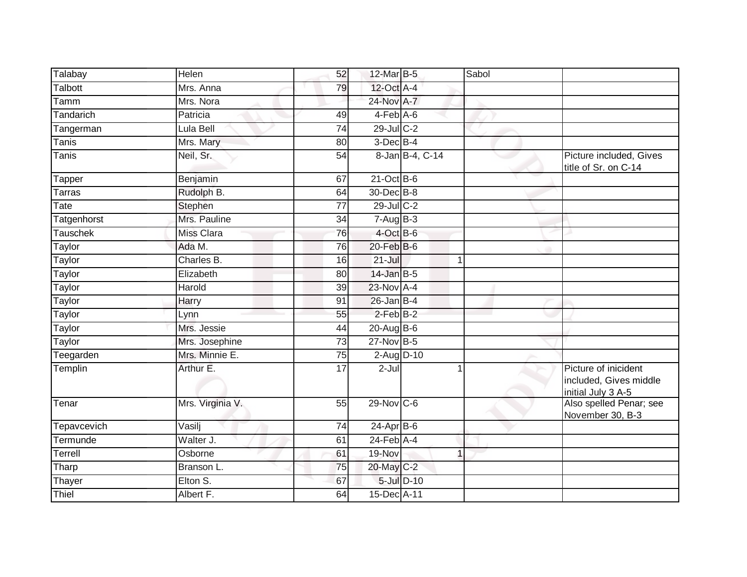| Talabay            | Helen             | 52              | 12-Mar B-5       |                 | Sabol |                                                                      |
|--------------------|-------------------|-----------------|------------------|-----------------|-------|----------------------------------------------------------------------|
| Talbott            | Mrs. Anna         | 79              | 12-Oct A-4       |                 |       |                                                                      |
| Tamm               | Mrs. Nora         |                 | 24-Nov A-7       |                 |       |                                                                      |
| Tandarich          | Patricia          | 49              | $4-Feb$ $A-6$    |                 |       |                                                                      |
| Tangerman          | Lula Bell         | 74              | 29-Jul C-2       |                 |       |                                                                      |
| Tanis              | Mrs. Mary         | 80              | $3$ -Dec $B-4$   |                 |       |                                                                      |
| Tanis              | Neil, Sr.         | 54              |                  | 8-Jan B-4, C-14 |       | Picture included, Gives<br>title of Sr. on C-14                      |
| Tapper             | Benjamin          | 67              | 21-Oct B-6       |                 |       |                                                                      |
| <b>Tarras</b>      | Rudolph B.        | 64              | 30-Dec B-8       |                 |       |                                                                      |
| Tate               | Stephen           | $\overline{77}$ | $29$ -Jul C-2    |                 |       |                                                                      |
| Tatgenhorst        | Mrs. Pauline      | 34              | $7-AugB-3$       |                 |       |                                                                      |
| <b>Tauschek</b>    | <b>Miss Clara</b> | 76              | 4-Oct B-6        |                 |       |                                                                      |
| Taylor             | Ada M.            | 76              | $20$ -Feb $B$ -6 |                 |       |                                                                      |
| Taylor             | Charles B.        | 16              | $21 -$ Jul       |                 |       |                                                                      |
| Taylor             | Elizabeth         | 80              | 14-Jan B-5       |                 |       |                                                                      |
| Taylor             | Harold            | 39              | 23-Nov A-4       |                 |       |                                                                      |
| Taylor             | Harry             | 91              | $26$ -Jan B-4    |                 |       |                                                                      |
| Taylor             | Lynn              | 55              | $2$ -Feb $B-2$   |                 |       |                                                                      |
| Taylor             | Mrs. Jessie       | 44              | 20-Aug B-6       |                 |       |                                                                      |
| Taylor             | Mrs. Josephine    | 73              | $27$ -Nov $B-5$  |                 |       |                                                                      |
| Teegarden          | Mrs. Minnie E.    | 75              | 2-Aug D-10       |                 |       |                                                                      |
| Templin            | Arthur E.         | 17              | $2-Jul$          |                 |       | Picture of inicident<br>included, Gives middle<br>initial July 3 A-5 |
| Tenar              | Mrs. Virginia V.  | 55              | 29-Nov C-6       |                 |       | Also spelled Penar; see<br>November 30, B-3                          |
| <b>Tepavcevich</b> | Vasilj            | 74              | $24-AprB-6$      |                 |       |                                                                      |
| Termunde           | Walter J.         | 61              | $24$ -Feb $A$ -4 |                 |       |                                                                      |
| Terrell            | Osborne           | 61              | 19-Nov           |                 | 1     |                                                                      |
| Tharp              | Branson L.        | 75              | 20-May C-2       |                 |       |                                                                      |
| Thayer             | Elton S.          | 67              |                  | 5-Jul D-10      |       |                                                                      |
| Thiel              | Albert F.         | 64              | 15-Dec A-11      |                 |       |                                                                      |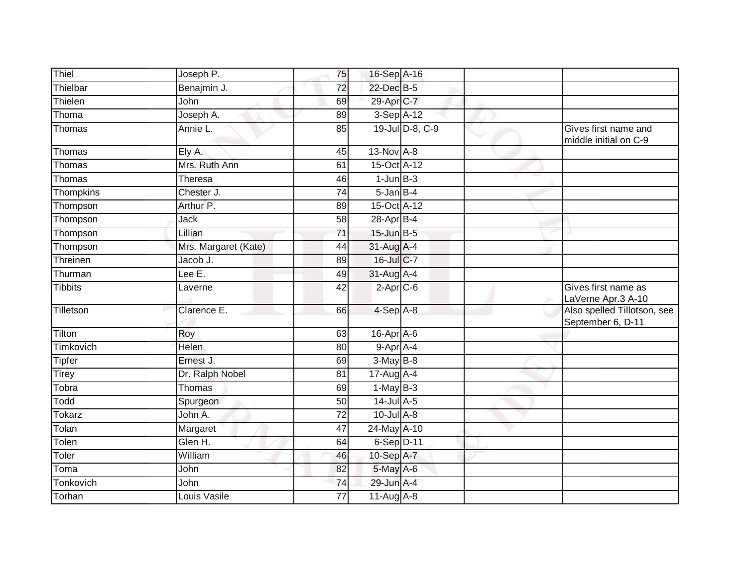| Thiel          | Joseph P.            | 75              | 16-Sep A-16       |                 |                                                  |
|----------------|----------------------|-----------------|-------------------|-----------------|--------------------------------------------------|
| Thielbar       | Benajmin J.          | 72              | 22-Dec B-5        |                 |                                                  |
| Thielen        | John                 | 69              | 29-Apr C-7        |                 |                                                  |
| Thoma          | Joseph A.            | 89              | $3-Sep$ A-12      |                 |                                                  |
| Thomas         | Annie L              | 85              |                   | 19-Jul D-8, C-9 | Gives first name and<br>middle initial on C-9    |
| Thomas         | Ely A.               | 45              | 13-Nov A-8        |                 |                                                  |
| Thomas         | Mrs. Ruth Ann        | 61              | 15-Oct A-12       |                 |                                                  |
| Thomas         | Theresa              | 46              | $1$ -Jun $B-3$    |                 |                                                  |
| Thompkins      | Chester J.           | 74              | $5$ -Jan $B-4$    |                 |                                                  |
| Thompson       | Arthur P.            | 89              | 15-Oct A-12       |                 |                                                  |
| Thompson       | Jack                 | 58              | 28-Apr B-4        |                 |                                                  |
| Thompson       | Lillian              | $\overline{71}$ | $15$ -Jun $B - 5$ |                 |                                                  |
| Thompson       | Mrs. Margaret (Kate) | 44              | 31-Aug A-4        |                 |                                                  |
| Threinen       | Jacob J.             | 89              | 16-Jul C-7        |                 |                                                  |
| Thurman        | Lee $E$ .            | 49              | 31-Aug A-4        |                 |                                                  |
| <b>Tibbits</b> | Laverne              | 42              | $2-Apr$ C-6       |                 | Gives first name as<br>LaVerne Apr.3 A-10        |
| Tilletson      | Clarence E.          | 66              | $4-SepA-8$        |                 | Also spelled Tillotson, see<br>September 6, D-11 |
| Tilton         | Roy                  | 63              | 16-Apr A-6        |                 |                                                  |
| Timkovich      | Helen                | 80              | 9-Apr A-4         |                 |                                                  |
| <b>Tipfer</b>  | Ernest J.            | 69              | $3-May$ B-8       |                 |                                                  |
| <b>Tirey</b>   | Dr. Ralph Nobel      | 81              | 17-Aug A-4        |                 |                                                  |
| Tobra          | <b>Thomas</b>        | 69              | $1-May$ B-3       |                 |                                                  |
| Todd           | Spurgeon             | 50              | 14-Jul A-5        |                 |                                                  |
| Tokarz         | John A.              | 72              | $10$ -Jul $A-8$   |                 |                                                  |
| Tolan          | Margaret             | 47              | 24-May A-10       |                 |                                                  |
| Tolen          | Glen H.              | 64              | $6-Sep$ D-11      |                 |                                                  |
| Toler          | William              | 46              | 10-Sep A-7        |                 |                                                  |
| Toma           | John                 | 82              | 5-May A-6         |                 |                                                  |
| Tonkovich      | John                 | 74              | 29-Jun A-4        |                 |                                                  |
| Torhan         | Louis Vasile         | $\overline{77}$ | 11-Aug A-8        |                 |                                                  |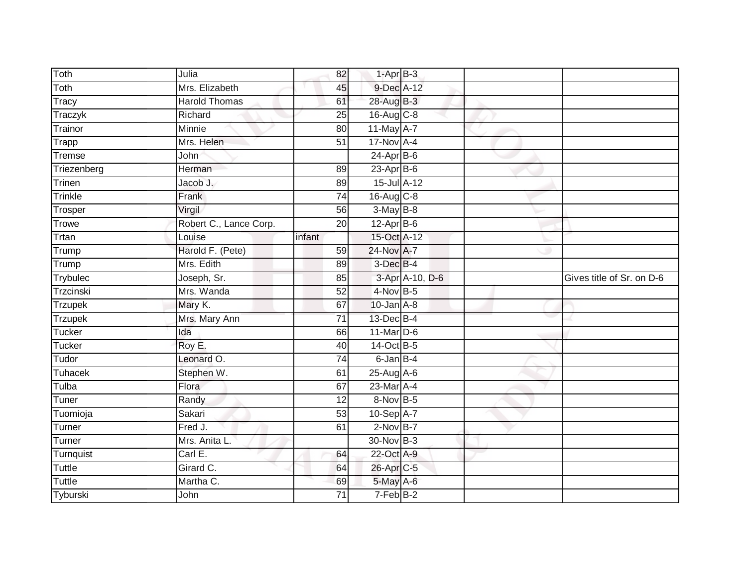| Toth               | Julia                  | 82                    | $1-AprB-3$              |                 |                           |
|--------------------|------------------------|-----------------------|-------------------------|-----------------|---------------------------|
| Toth               | Mrs. Elizabeth         | 45                    | 9-Dec A-12              |                 |                           |
| Tracy              | <b>Harold Thomas</b>   | 61                    | 28-Aug B-3              |                 |                           |
| Traczyk            | Richard                | 25                    | 16-Aug C-8              |                 |                           |
| Trainor            | <b>Minnie</b>          | $\overline{80}$       | 11-May A-7              |                 |                           |
| Trapp              | Mrs. Helen             | 51                    | $17$ -Nov $A-4$         |                 |                           |
| Tremse             | John                   |                       | $24$ -Apr $B$ -6        |                 |                           |
| Triezenberg        | Herman                 | 89                    | $23$ -Apr $B-6$         |                 |                           |
| Trinen             | Jacob J.               | 89                    | 15-Jul A-12             |                 |                           |
| Trinkle            | Frank                  | $\overline{74}$       | 16-Aug C-8              |                 |                           |
| Trosper            | Virgil                 | 56                    | $3-MayB-8$              |                 |                           |
| Trowe              | Robert C., Lance Corp. | 20                    | $12-Apr$ B-6            |                 |                           |
| Trtan              | Louise                 | infant                | 15-Oct A-12             |                 |                           |
| Trump              | Harold F. (Pete)       | 59                    | 24-Nov A-7              |                 |                           |
| Trump              | Mrs. Edith             | 89                    | $3$ -Dec $B-4$          |                 |                           |
| Trybulec           | Joseph, Sr.            | 85                    |                         | 3-Apr A-10, D-6 | Gives title of Sr. on D-6 |
| Trzcinski          | Mrs. Wanda             | 52                    | $4-Nov$ B-5             |                 |                           |
| <b>Trzupek</b>     | Mary K.                | 67                    | $10$ -Jan $A-8$         |                 |                           |
| Trzupek            | Mrs. Mary Ann          | $\overline{71}$       | 13-Dec B-4              |                 |                           |
| Tucker             | Ida                    | 66                    | 11-Mar $D-6$            |                 |                           |
| Tucker             | Roy E.                 | 40                    | 14-Oct B-5              |                 |                           |
| Tudor              | Leonard O.             | $\overline{74}$       | 6-Jan B-4               |                 |                           |
| Tuhacek            | Stephen W.             | 61                    | 25-Aug A-6              |                 |                           |
| Tulba              | Flora                  | 67                    | 23-Mar A-4              |                 |                           |
| Tuner              | Randy                  | 12                    | 8-Nov B-5               |                 |                           |
| Tuomioja           | Sakari                 | 53                    | $10-Sep$ A-7            |                 |                           |
| Turner             | Fred J.                | 61                    | $2$ -Nov B-7            |                 |                           |
| Turner             | Mrs. Anita L.          |                       | 30-Nov B-3              |                 |                           |
| Turnquist          | Carl E.                | 64                    | 22-Oct A-9              |                 |                           |
| Tuttle             | Girard C.              | 64                    | 26-Apr C-5              |                 |                           |
|                    |                        |                       |                         |                 |                           |
| Tuttle<br>Tyburski | Martha C.<br>John      | 69<br>$\overline{71}$ | 5-May A-6<br>$7-FebB-2$ |                 |                           |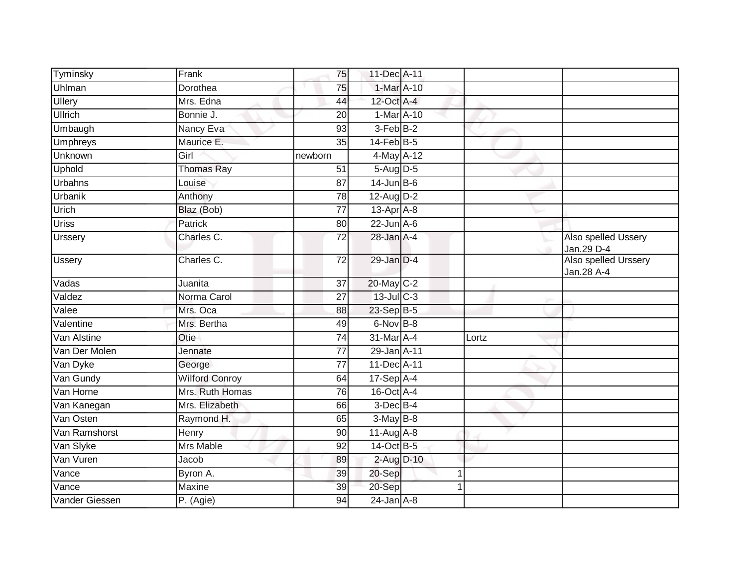| Tyminsky        | Frank                 | 75              | 11-Dec A-11      |   |       |                                    |
|-----------------|-----------------------|-----------------|------------------|---|-------|------------------------------------|
| Uhlman          | Dorothea              | 75              | $1-Mar A-10$     |   |       |                                    |
| Ullery          | Mrs. Edna             | 44              | 12-Oct A-4       |   |       |                                    |
| <b>Ullrich</b>  | Bonnie J.             | 20              | 1-Mar A-10       |   |       |                                    |
| Umbaugh         | Nancy Eva             | $\overline{93}$ | $3-FebB-2$       |   |       |                                    |
| <b>Umphreys</b> | Maurice E.            | 35              | $14$ -Feb $B$ -5 |   |       |                                    |
| Unknown         | Girl                  | newborn         | 4-May A-12       |   |       |                                    |
| <b>Uphold</b>   | <b>Thomas Ray</b>     | 51              | $5-Aug D-5$      |   |       |                                    |
| Urbahns         | Louise                | 87              | $14$ -Jun B-6    |   |       |                                    |
| <b>Urbanik</b>  | Anthony               | $\overline{78}$ | 12-Aug D-2       |   |       |                                    |
| Urich           | Blaz (Bob)            | $\overline{77}$ | $13$ -Apr $A$ -8 |   |       |                                    |
| <b>Uriss</b>    | Patrick               | 80              | $22$ -Jun $A-6$  |   |       |                                    |
| <b>Urssery</b>  | Charles C.            | $\overline{72}$ | $28$ -Jan $A-4$  |   |       | Also spelled Ussery<br>Jan.29 D-4  |
| <b>Ussery</b>   | Charles C.            | $\overline{72}$ | 29-Jan D-4       |   |       | Also spelled Urssery<br>Jan.28 A-4 |
| Vadas           | Juanita               | 37              | 20-May C-2       |   |       |                                    |
| Valdez          | Norma Carol           | 27              | 13-Jul C-3       |   |       |                                    |
| Valee           | Mrs. Oca              | 88              | $23-SepB-5$      |   |       |                                    |
| Valentine       | Mrs. Bertha           | 49              | 6-Nov B-8        |   |       |                                    |
| Van Alstine     | Otie                  | 74              | 31-Mar A-4       |   | Lortz |                                    |
| Van Der Molen   | Jennate               | $\overline{77}$ | 29-Jan A-11      |   |       |                                    |
| Van Dyke        | George                | 77              | 11-Dec A-11      |   |       |                                    |
| Van Gundy       | <b>Wilford Conroy</b> | 64              | 17-Sep A-4       |   |       |                                    |
| Van Horne       | Mrs. Ruth Homas       | 76              | 16-Oct A-4       |   |       |                                    |
| Van Kanegan     | Mrs. Elizabeth        | 66              | $3$ -Dec $B-4$   |   |       |                                    |
| Van Osten       | Raymond H.            | 65              | $3-May$ B-8      |   |       |                                    |
| Van Ramshorst   | Henry                 | 90              | $11-Aug$ A-8     |   |       |                                    |
| Van Slyke       | <b>Mrs Mable</b>      | 92              | 14-Oct B-5       |   |       |                                    |
| Van Vuren       | Jacob                 | 89              | 2-Aug D-10       |   |       |                                    |
| Vance           | Byron A.              | 39              | 20-Sep           | 1 |       |                                    |
| Vance           | Maxine                | 39              | 20-Sep           |   |       |                                    |
| Vander Giessen  | P. (Agie)             | 94              | $24$ -Jan $A-8$  |   |       |                                    |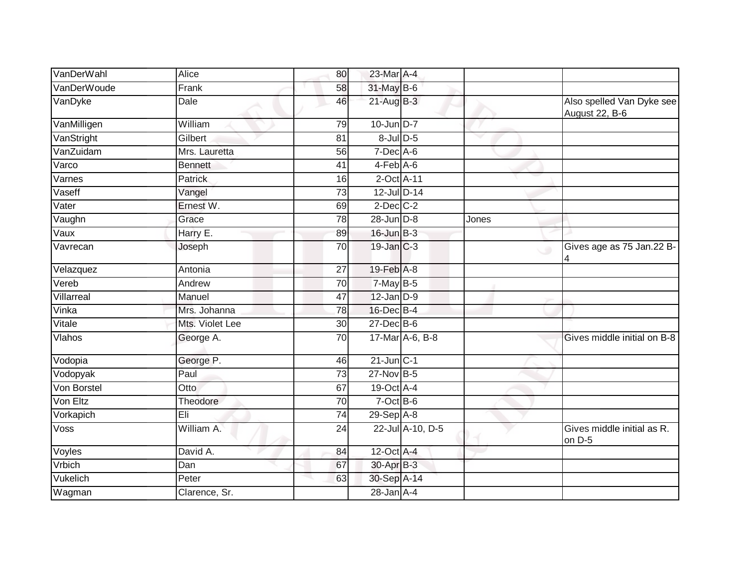| VanDerWahl  | Alice           | 80              | 23-Mar A-4      |                  |       |                                             |
|-------------|-----------------|-----------------|-----------------|------------------|-------|---------------------------------------------|
| VanDerWoude | Frank           | 58              | 31-May B-6      |                  |       |                                             |
| VanDyke     | Dale            | 46              | $21$ -Aug $B-3$ |                  |       | Also spelled Van Dyke see<br>August 22, B-6 |
| VanMilligen | William         | 79              | $10$ -Jun $D-7$ |                  |       |                                             |
| VanStright  | Gilbert         | 81              | 8-Jul D-5       |                  |       |                                             |
| VanZuidam   | Mrs. Lauretta   | 56              | $7$ -Dec $A$ -6 |                  |       |                                             |
| Varco       | <b>Bennett</b>  | 41              | $4-Feb$ A-6     |                  |       |                                             |
| Varnes      | Patrick         | 16              | 2-Oct A-11      |                  |       |                                             |
| Vaseff      | Vangel          | 73              | 12-Jul D-14     |                  |       |                                             |
| Vater       | Ernest W.       | 69              | $2$ -Dec $C-2$  |                  |       |                                             |
| Vaughn      | Grace           | 78              | 28-Jun D-8      |                  | Jones |                                             |
| Vaux        | Harry E.        | 89              | $16$ -Jun $B-3$ |                  |       |                                             |
| Vavrecan    | Joseph          | $\overline{70}$ | $19$ -Jan $C-3$ |                  |       | Gives age as 75 Jan.22 B-<br>$\circ$        |
| Velazquez   | Antonia         | 27              | 19-Feb A-8      |                  |       |                                             |
| Vereb       | Andrew          | 70              | $7$ -May B-5    |                  |       |                                             |
| Villarreal  | Manuel          | 47              | $12$ -Jan $D-9$ |                  |       |                                             |
| Vinka       | Mrs. Johanna    | 78              | 16-Dec B-4      |                  |       |                                             |
| Vitale      | Mts. Violet Lee | $\overline{30}$ | $27 - Dec$ B-6  |                  |       |                                             |
| Vlahos      | George A.       | 70              |                 | 17-Mar A-6, B-8  |       | Gives middle initial on B-8                 |
| Vodopia     | George P.       | 46              | $21$ -Jun $C-1$ |                  |       |                                             |
| Vodopyak    | Paul            | 73              | 27-Nov B-5      |                  |       |                                             |
| Von Borstel | Otto            | 67              | 19-Oct A-4      |                  |       |                                             |
| Von Eltz    | Theodore        | 70              | $7$ -Oct B-6    |                  |       |                                             |
| Vorkapich   | Eli             | $\overline{74}$ | 29-Sep A-8      |                  |       |                                             |
| Voss        | William A.      | 24              |                 | 22-Jul A-10, D-5 |       | Gives middle initial as R.<br>on D-5        |
| Voyles      | David A.        | 84              | 12-Oct A-4      |                  |       |                                             |
| Vrbich      | Dan             | 67              | 30-Apr B-3      |                  |       |                                             |
| Vukelich    | Peter           | 63              | 30-Sep A-14     |                  |       |                                             |
| Wagman      | Clarence, Sr.   |                 | $28 - Jan$ A-4  |                  |       |                                             |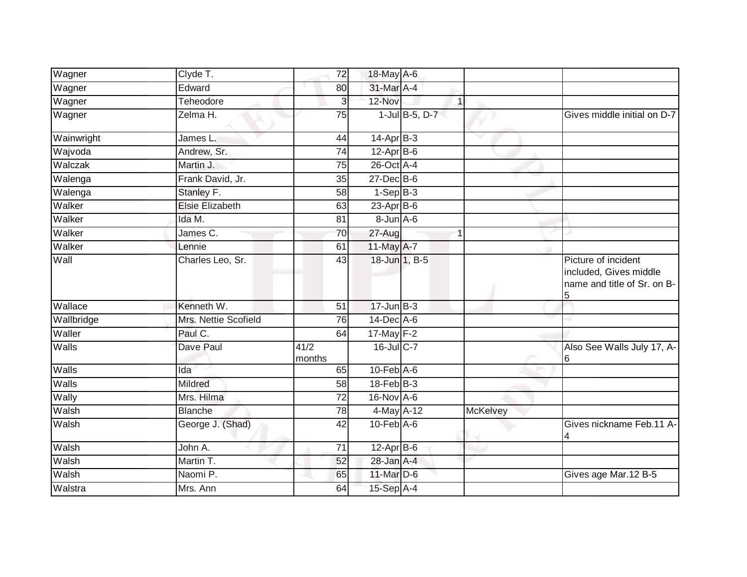| Wagner     | Clyde T.               | 72              | 18-May A-6        |                 |                                                                                   |
|------------|------------------------|-----------------|-------------------|-----------------|-----------------------------------------------------------------------------------|
| Wagner     | Edward                 | 80              | 31-Mar A-4        |                 |                                                                                   |
| Wagner     | Teheodore              | 3               | 12-Nov            | $\mathbf{1}$    |                                                                                   |
| Wagner     | Zelma H.               | 75              | 1-Jul B-5, D-7    |                 | Gives middle initial on D-7                                                       |
| Wainwright | James L.               | 44              | $14$ -Apr $B-3$   |                 |                                                                                   |
| Wajvoda    | Andrew, Sr.            | 74              | $12$ -Apr $B$ -6  |                 |                                                                                   |
| Walczak    | Martin J.              | 75              | 26-Oct A-4        |                 |                                                                                   |
| Walenga    | Frank David, Jr.       | 35              | $27$ -Dec $B$ -6  |                 |                                                                                   |
| Walenga    | Stanley F.             | 58              | $1-Sep$ B-3       |                 |                                                                                   |
| Walker     | <b>Elsie Elizabeth</b> | 63              | 23-Apr B-6        |                 |                                                                                   |
| Walker     | Ida M.                 | 81              | 8-Jun A-6         |                 |                                                                                   |
| Walker     | James C.               | 70              | 27-Aug            | 1               |                                                                                   |
| Walker     | Lennie                 | 61              | 11-May A-7        |                 |                                                                                   |
| Wall       | Charles Leo, Sr.       | 43              | 18-Jun 1, B-5     |                 | Picture of incident<br>included, Gives middle<br>name and title of Sr. on B-<br>5 |
| Wallace    | Kenneth W.             | 51              | $17 - Jun$ B-3    |                 |                                                                                   |
| Wallbridge | Mrs. Nettie Scofield   | 76              | 14-Dec A-6        |                 |                                                                                   |
| Waller     | Paul C.                | 64              | $17$ -May $F-2$   |                 |                                                                                   |
| Walls      | Dave Paul              | 41/2<br>months  | 16-Jul C-7        |                 | Also See Walls July 17, A-                                                        |
| Walls      | Ida                    | 65              | $10$ -Feb $A$ -6  |                 |                                                                                   |
| Walls      | Mildred                | $\overline{58}$ | $18$ -Feb $ B-3 $ |                 |                                                                                   |
| Wally      | Mrs. Hilma             | 72              | 16-Nov A-6        |                 |                                                                                   |
| Walsh      | <b>Blanche</b>         | 78              | 4-May A-12        | <b>McKelvey</b> |                                                                                   |
| Walsh      | George J. (Shad)       | 42              | $10$ -Feb $A$ -6  |                 | Gives nickname Feb.11 A-                                                          |
| Walsh      | John A.                | 71              | $12-AprB-6$       |                 |                                                                                   |
| Walsh      | Martin T.              | 52              | 28-Jan A-4        |                 |                                                                                   |
| Walsh      | Naomi P.               | 65              | 11-Mar D-6        |                 | Gives age Mar.12 B-5                                                              |
| Walstra    | Mrs. Ann               | 64              | 15-Sep A-4        |                 |                                                                                   |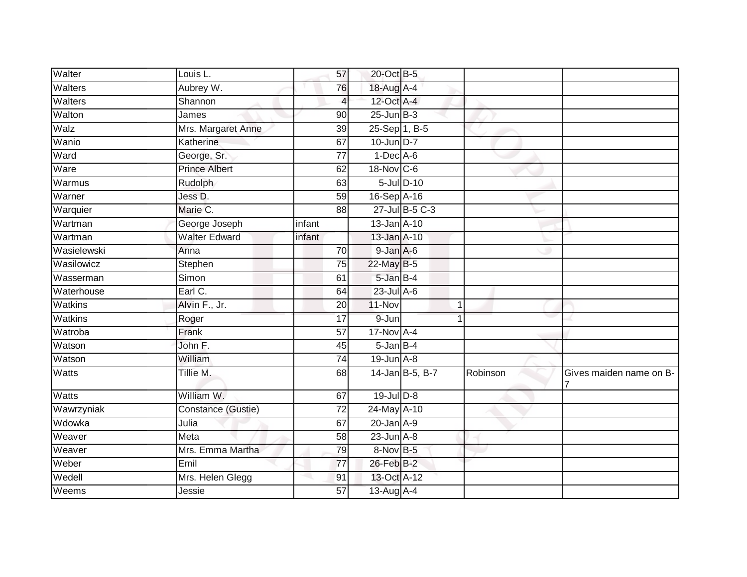| Walter         | Louis L.             | 57              | 20-Oct B-5      |                 |          |                         |
|----------------|----------------------|-----------------|-----------------|-----------------|----------|-------------------------|
| Walters        | Aubrey W.            | 76              | 18-Aug A-4      |                 |          |                         |
| <b>Walters</b> | Shannon              | 4               | 12-Oct A-4      |                 |          |                         |
| Walton         | James                | 90              | $25$ -Jun $B-3$ |                 |          |                         |
| Walz           | Mrs. Margaret Anne   | $\overline{39}$ | 25-Sep 1, B-5   |                 |          |                         |
| Wanio          | Katherine            | 67              | 10-Jun D-7      |                 |          |                         |
| Ward           | George, Sr.          | 77              | $1-Dec$ A-6     |                 |          |                         |
| Ware           | <b>Prince Albert</b> | 62              | 18-Nov C-6      |                 |          |                         |
| Warmus         | Rudolph              | 63              |                 | 5-Jul D-10      |          |                         |
| Warner         | Jess D.              | 59              | 16-Sep A-16     |                 |          |                         |
| Warquier       | Marie C.             | 88              |                 | 27-Jul B-5 C-3  |          |                         |
| Wartman        | George Joseph        | infant          | 13-Jan A-10     |                 |          |                         |
| Wartman        | <b>Walter Edward</b> | infant          | 13-Jan A-10     |                 |          |                         |
| Wasielewski    | Anna                 | $\overline{70}$ | 9-Jan A-6       |                 |          |                         |
| Wasilowicz     | Stephen              | $\overline{75}$ | 22-May B-5      |                 |          |                         |
| Wasserman      | Simon                | 61              | 5-Jan B-4       |                 |          |                         |
| Waterhouse     | Earl C.              | 64              | $23$ -Jul $A-6$ |                 |          |                         |
| Watkins        | Alvin F., Jr.        | 20              | 11-Nov          |                 |          |                         |
| Watkins        | Roger                | 17              | 9-Jun           |                 |          |                         |
| Watroba        | Frank                | 57              | 17-Nov A-4      |                 |          |                         |
| Watson         | John F.              | 45              | $5$ -Jan $B$ -4 |                 |          |                         |
| Watson         | William              | $\overline{74}$ | 19-Jun A-8      |                 |          |                         |
| Watts          | Tillie M.            | 68              |                 | 14-Jan B-5, B-7 | Robinson | Gives maiden name on B- |
| Watts          | William W.           | 67              | 19-Jul D-8      |                 |          |                         |
| Wawrzyniak     | Constance (Gustie)   | $\overline{72}$ | 24-May A-10     |                 |          |                         |
| Wdowka         | Julia                | 67              | $20$ -Jan $A-9$ |                 |          |                         |
| Weaver         | Meta                 | 58              | $23$ -Jun $A-8$ |                 |          |                         |
| Weaver         | Mrs. Emma Martha     | 79              | $8-Nov$ B-5     |                 |          |                         |
| Weber          | Emil                 | 77              | 26-Feb B-2      |                 |          |                         |
| Wedell         | Mrs. Helen Glegg     | 91              | 13-Oct A-12     |                 |          |                         |
| Weems          | Jessie               | 57              | 13-Aug A-4      |                 |          |                         |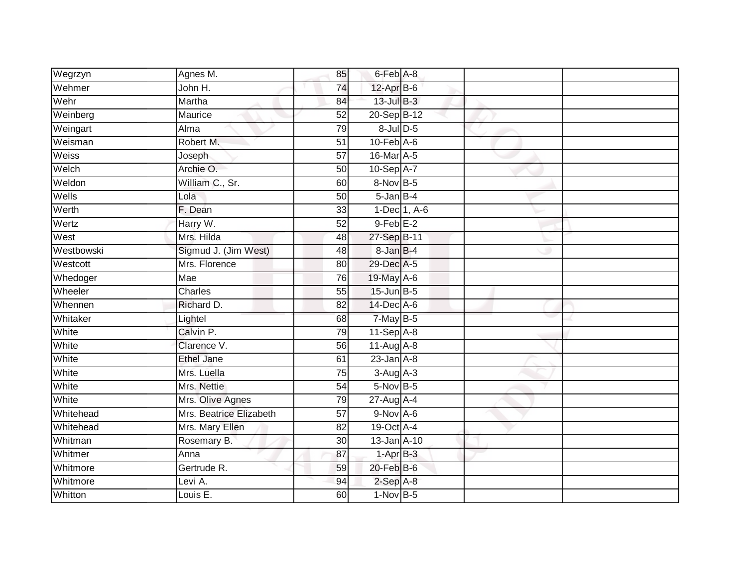| Wegrzyn    | Agnes M.                | 85              | 6-Feb A-8        |              |  |
|------------|-------------------------|-----------------|------------------|--------------|--|
| Wehmer     | John H.                 | 74              | $12$ -Apr $B$ -6 |              |  |
| Wehr       | Martha                  | 84              | $13$ -Jul $B-3$  |              |  |
| Weinberg   | Maurice                 | 52              | 20-Sep B-12      |              |  |
| Weingart   | Alma                    | 79              | $8$ -Jul $D$ -5  |              |  |
| Weisman    | Robert M.               | $\overline{51}$ | $10$ -Feb $A$ -6 |              |  |
| Weiss      | Joseph                  | $\overline{57}$ | 16-Mar A-5       |              |  |
| Welch      | Archie O.               | 50              | 10-Sep A-7       |              |  |
| Weldon     | William C., Sr.         | 60              | 8-Nov B-5        |              |  |
| Wells      | Lola                    | 50              | 5-Jan B-4        |              |  |
| Werth      | F. Dean                 | 33              |                  | 1-Dec 1, A-6 |  |
| Wertz      | Harry W.                | 52              | $9$ -Feb $E-2$   |              |  |
| West       | Mrs. Hilda              | 48              | 27-Sep B-11      |              |  |
| Westbowski | Sigmud J. (Jim West)    | 48              | 8-Jan B-4        |              |  |
| Westcott   | Mrs. Florence           | 80              | 29-Dec A-5       |              |  |
| Whedoger   | Mae                     | 76              | 19-May A-6       |              |  |
| Wheeler    | Charles                 | 55              | 15-Jun B-5       |              |  |
| Whennen    | Richard D.              | 82              | 14-Dec A-6       |              |  |
| Whitaker   | Lightel                 | 68              | $7$ -May B-5     |              |  |
| White      | Calvin P.               | 79              | $11-Sep$ A-8     |              |  |
| White      | Clarence V.             | 56              | $11-Aug$ A-8     |              |  |
| White      | <b>Ethel Jane</b>       | 61              | $23$ -Jan $A-8$  |              |  |
| White      | Mrs. Luella             | 75              | $3-Aug$ A-3      |              |  |
| White      | Mrs. Nettie             | $\overline{54}$ | 5-Nov B-5        |              |  |
| White      | Mrs. Olive Agnes        | 79              | $27$ -Aug $A$ -4 |              |  |
| Whitehead  | Mrs. Beatrice Elizabeth | 57              | $9-Nov$ A-6      |              |  |
| Whitehead  | Mrs. Mary Ellen         | $\overline{82}$ | 19-Oct A-4       |              |  |
| Whitman    | Rosemary B.             | 30              | 13-Jan A-10      |              |  |
| Whitmer    | Anna                    | 87              | $1-AprB-3$       |              |  |
| Whitmore   | Gertrude R.             | 59              | $20$ -Feb $B$ -6 |              |  |
| Whitmore   | Levi A.                 | 94              | $2-Sep$ $A-8$    |              |  |
| Whitton    | Louis E.                | 60              | $1-NovB-5$       |              |  |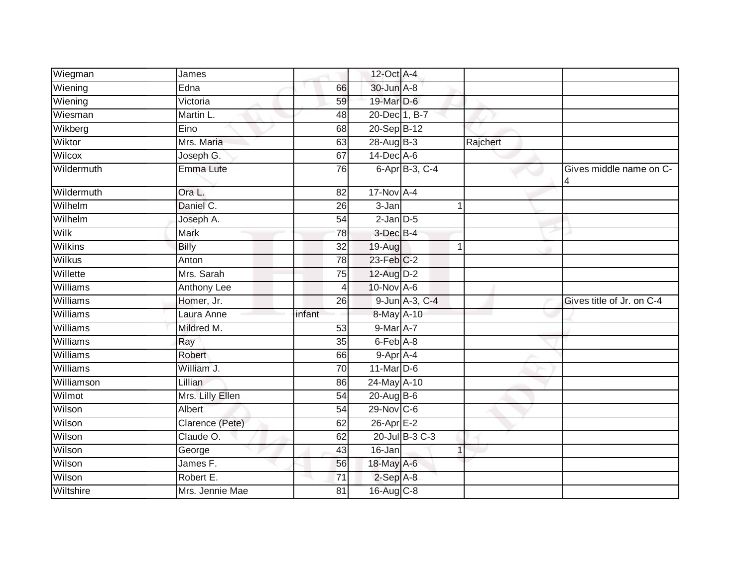| Wiegman         | James            |                 | 12-Oct A-4       |                |          |                           |
|-----------------|------------------|-----------------|------------------|----------------|----------|---------------------------|
| Wiening         | Edna             | 66              | 30-Jun A-8       |                |          |                           |
| Wiening         | Victoria         | 59              | 19-Mar D-6       |                |          |                           |
| Wiesman         | Martin L.        | 48              | 20-Dec 1, B-7    |                |          |                           |
| Wikberg         | Eino             | 68              | 20-Sep B-12      |                |          |                           |
| Wiktor          | Mrs. Maria       | 63              | 28-Aug B-3       |                | Rajchert |                           |
| Wilcox          | Joseph G.        | 67              | $14$ -Dec $A$ -6 |                |          |                           |
| Wildermuth      | Emma Lute        | 76              |                  | 6-Apr B-3, C-4 |          | Gives middle name on C-   |
| Wildermuth      | Ora L.           | 82              | $17-Nov$ A-4     |                |          |                           |
| Wilhelm         | Daniel C.        | 26              | 3-Jan            |                |          |                           |
| Wilhelm         | Joseph A.        | 54              | $2$ -Jan $D-5$   |                |          |                           |
| Wilk            | <b>Mark</b>      | 78              | 3-Dec B-4        |                |          |                           |
| <b>Wilkins</b>  | <b>Billy</b>     | $\overline{32}$ | $19-Aug$         | 1              |          |                           |
| <b>Wilkus</b>   | Anton            | 78              | 23-Feb C-2       |                |          |                           |
| Willette        | Mrs. Sarah       | 75              | 12-Aug D-2       |                |          |                           |
| Williams        | Anthony Lee      | 4               | 10-Nov A-6       |                |          |                           |
| Williams        | Homer, Jr.       | $\overline{26}$ |                  | 9-Jun A-3, C-4 |          | Gives title of Jr. on C-4 |
| Williams        | Laura Anne       | infant          | 8-May A-10       |                |          |                           |
| Williams        | Mildred M.       | 53              | $9$ -Mar $A$ -7  |                |          |                           |
| Williams        | Ray              | 35              | 6-Feb A-8        |                |          |                           |
| Williams        | Robert           | 66              | 9-Apr A-4        |                |          |                           |
| <b>Williams</b> | William J.       | $\overline{70}$ | $11$ -Mar $D-6$  |                |          |                           |
| Williamson      | <b>Lillian</b>   | 86              | 24-May A-10      |                |          |                           |
| Wilmot          | Mrs. Lilly Ellen | 54              | 20-Aug B-6       |                |          |                           |
| Wilson          | Albert           | 54              | $29-Nov$ C-6     |                |          |                           |
| Wilson          | Clarence (Pete)  | 62              | $26$ -Apr $E-2$  |                |          |                           |
| Wilson          | Claude O.        | 62              |                  | 20-Jul B-3 C-3 |          |                           |
| Wilson          | George           | 43              | 16-Jan           | $\overline{1}$ |          |                           |
| Wilson          | James F.         | 56              | 18-May A-6       |                |          |                           |
| Wilson          | Robert E.        | 71              | $2-SepA-8$       |                |          |                           |
| Wiltshire       | Mrs. Jennie Mae  | 81              | 16-Aug C-8       |                |          |                           |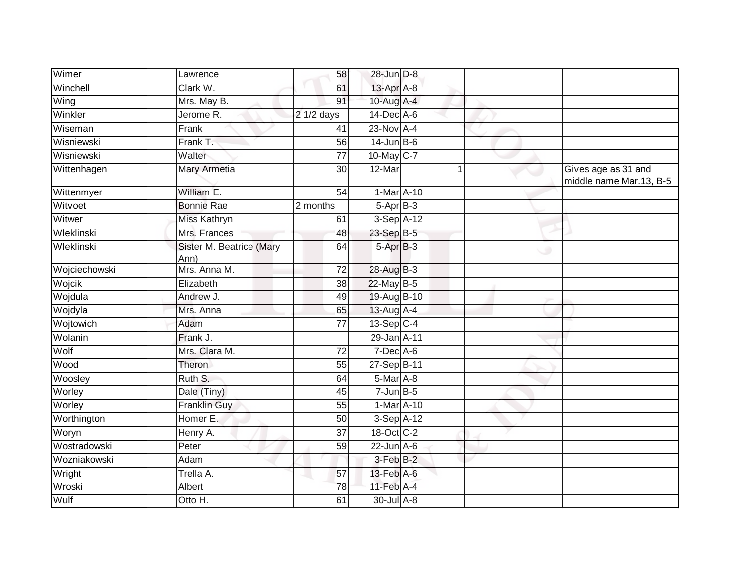| Wimer         | Lawrence                         | 58              | 28-Jun D-8       |   |                                                |
|---------------|----------------------------------|-----------------|------------------|---|------------------------------------------------|
| Winchell      | Clark W.                         | 61              | 13-Apr A-8       |   |                                                |
| Wing          | Mrs. May B.                      | 91              | 10-Aug A-4       |   |                                                |
| Winkler       | Jerome R.                        | 2 1/2 days      | $14$ -Dec $A$ -6 |   |                                                |
| Wiseman       | Frank                            | 41              | $23-Nov$ A-4     |   |                                                |
| Wisniewski    | Frank T.                         | 56              | $14$ -Jun B-6    |   |                                                |
| Wisniewski    | Walter                           | 77              | 10-May C-7       |   |                                                |
| Wittenhagen   | Mary Armetia                     | 30              | 12-Mar           |   | Gives age as 31 and<br>middle name Mar.13, B-5 |
| Wittenmyer    | William E.                       | 54              | 1-Mar A-10       |   |                                                |
| Witvoet       | <b>Bonnie Rae</b>                | 2 months        | $5-AprB-3$       |   |                                                |
| Witwer        | Miss Kathryn                     | 61              | 3-Sep A-12       |   |                                                |
| Wleklinski    | Mrs. Frances                     | 48              | 23-Sep B-5       |   |                                                |
| Wleklinski    | Sister M. Beatrice (Mary<br>Ann) | 64              | $5-AprB-3$       | ◡ |                                                |
| Wojciechowski | Mrs. Anna M.                     | 72              | 28-Aug B-3       |   |                                                |
| Wojcik        | Elizabeth                        | 38              | 22-May B-5       |   |                                                |
| Wojdula       | Andrew J.                        | 49              | 19-Aug B-10      |   |                                                |
| Wojdyla       | Mrs. Anna                        | 65              | 13-Aug A-4       |   |                                                |
| Wojtowich     | Adam                             | $\overline{77}$ | 13-Sep C-4       |   |                                                |
| Wolanin       | Frank J.                         |                 | 29-Jan A-11      |   |                                                |
| Wolf          | Mrs. Clara M.                    | 72              | $7$ -Dec $A$ -6  |   |                                                |
| Wood          | Theron                           | 55              | $27-Sep$ B-11    |   |                                                |
| Woosley       | Ruth S.                          | 64              | 5-Mar A-8        |   |                                                |
| Worley        | Dale (Tiny)                      | 45              | $7$ -Jun $B$ -5  |   |                                                |
| Worley        | <b>Franklin Guy</b>              | 55              | 1-Mar A-10       |   |                                                |
| Worthington   | Homer E.                         | 50              | $3-Sep$ $A-12$   |   |                                                |
| Woryn         | Henry A.                         | 37              | 18-Oct C-2       |   |                                                |
| Wostradowski  | Peter                            | 59              | $22$ -Jun $A-6$  |   |                                                |
| Wozniakowski  | Adam                             |                 | $3$ -Feb $B-2$   |   |                                                |
| Wright        | Trella A.                        | 57              | 13-Feb A-6       |   |                                                |
| Wroski        | Albert                           | 78              | 11-Feb A-4       |   |                                                |
| Wulf          | Otto H.                          | 61              | 30-Jul A-8       |   |                                                |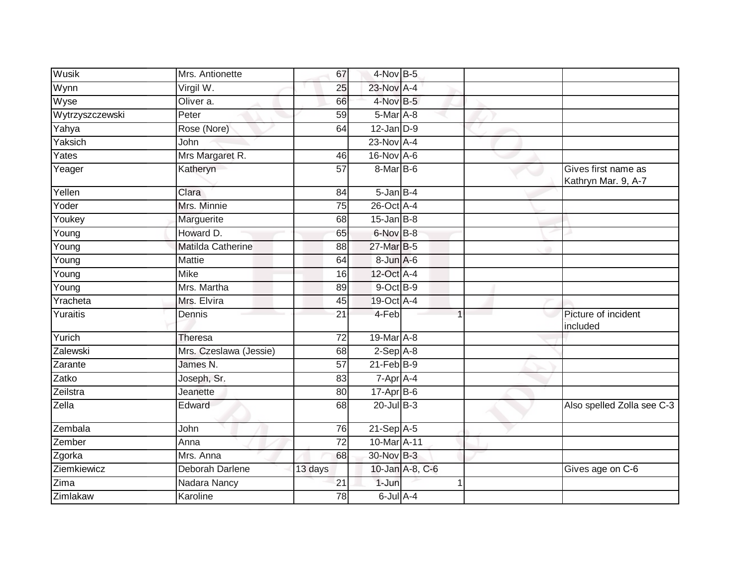| Wusik               | Mrs. Antionette        | 67              | 4-Nov B-5         |                 |                                            |
|---------------------|------------------------|-----------------|-------------------|-----------------|--------------------------------------------|
| Wynn                | Virgil W.              | 25              | 23-Nov A-4        |                 |                                            |
| Wyse                | Oliver a.              | 66              | $4$ -Nov B-5      |                 |                                            |
| Wytrzyszczewski     | Peter                  | 59              | $5$ -Mar $A$ -8   |                 |                                            |
| Yahya               | Rose (Nore)            | 64              | $12$ -Jan $D-9$   |                 |                                            |
| Yaksich             | John                   |                 | 23-Nov A-4        |                 |                                            |
| Yates               | Mrs Margaret R.        | 46              | 16-Nov A-6        |                 |                                            |
| Yeager              | Katheryn               | 57              | 8-Mar B-6         |                 | Gives first name as<br>Kathryn Mar. 9, A-7 |
| Yellen              | Clara                  | 84              | $5 - Jan$ $B - 4$ |                 |                                            |
| Yoder               | Mrs. Minnie            | 75              | 26-Oct A-4        |                 |                                            |
| Youkey              | Marguerite             | 68              | $15$ -Jan B-8     |                 |                                            |
| Young               | Howard D.              | 65              | 6-Nov B-8         |                 |                                            |
| Young               | Matilda Catherine      | 88              | 27-Mar B-5        |                 |                                            |
| Young               | Mattie                 | 64              | $8 - Jun$ A-6     |                 |                                            |
| $\overline{Y}$ oung | <b>Mike</b>            | 16              | 12-Oct A-4        |                 |                                            |
| Young               | Mrs. Martha            | 89              | 9-Oct B-9         |                 |                                            |
| Yracheta            | Mrs. Elvira            | 45              | 19-Oct A-4        |                 |                                            |
| Yuraitis            | Dennis                 | 21              | 4-Feb             |                 | Picture of incident<br>included            |
| Yurich              | Theresa                | 72              | 19-Mar A-8        |                 |                                            |
| Zalewski            | Mrs. Czeslawa (Jessie) | 68              | $2-Sep$ $A-8$     |                 |                                            |
| Zarante             | James N.               | 57              | $21$ -Feb $B-9$   |                 |                                            |
| Zatko               | Joseph, Sr.            | 83              | 7-Apr A-4         |                 |                                            |
| Zeilstra            | Jeanette               | 80              | $17-Apr$ B-6      |                 |                                            |
| $\overline{Z}$ ella | Edward                 | 68              | $20$ -Jul B-3     |                 | Also spelled Zolla see C-3                 |
| Zembala             | John                   | 76              | 21-Sep A-5        |                 |                                            |
| Zember              | Anna                   | 72              | $10$ -Mar $A$ -11 |                 |                                            |
| Zgorka              | Mrs. Anna              | 68              | 30-Nov B-3        |                 |                                            |
| Ziemkiewicz         | <b>Deborah Darlene</b> | 13 days         |                   | 10-Jan A-8, C-6 | Gives age on C-6                           |
| Zima                | Nadara Nancy           | 21              | 1-Jun             |                 |                                            |
| Zimlakaw            | Karoline               | $\overline{78}$ | 6-Jul A-4         |                 |                                            |